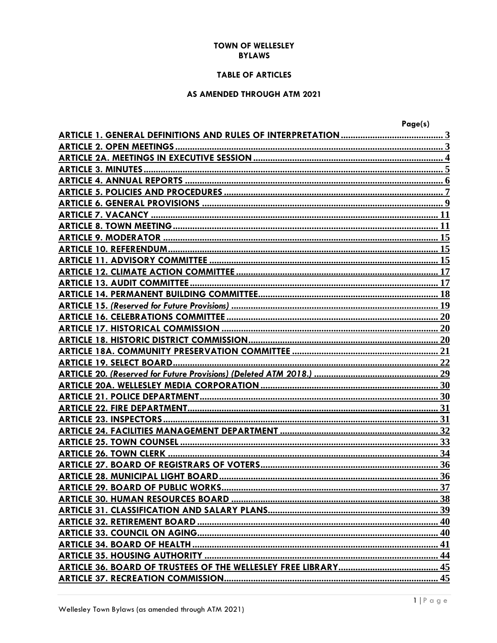### **TOWN OF WELLESLEY BYLAWS**

# **TABLE OF ARTICLES**

# AS AMENDED THROUGH ATM 2021

| Page(s) |
|---------|
|         |
|         |
|         |
|         |
|         |
|         |
|         |
|         |
|         |
|         |
|         |
|         |
|         |
|         |
|         |
|         |
|         |
|         |
|         |
|         |
|         |
|         |
|         |
|         |
|         |
|         |
|         |
|         |
|         |
|         |
|         |
|         |
|         |
|         |
|         |
|         |
|         |
|         |
|         |
|         |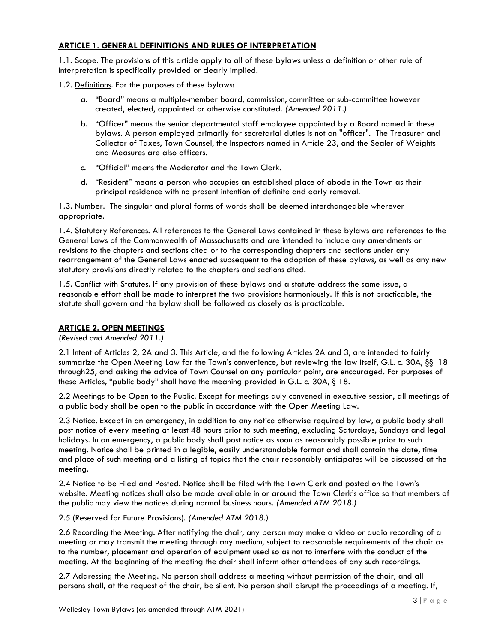# <span id="page-2-0"></span>**ARTICLE 1. GENERAL DEFINITIONS AND RULES OF INTERPRETATION**

1.1. Scope. The provisions of this article apply to all of these bylaws unless a definition or other rule of interpretation is specifically provided or clearly implied.

1.2. Definitions. For the purposes of these bylaws:

- a. "Board" means a multiple-member board, commission, committee or sub-committee however created, elected, appointed or otherwise constituted. *(Amended 2011.)*
- b. "Officer" means the senior departmental staff employee appointed by a Board named in these bylaws. A person employed primarily for secretarial duties is not an "officer". The Treasurer and Collector of Taxes, Town Counsel, the Inspectors named in Article 23, and the Sealer of Weights and Measures are also officers.
- c. "Official" means the Moderator and the Town Clerk.
- d. "Resident" means a person who occupies an established place of abode in the Town as their principal residence with no present intention of definite and early removal.

1.3. Number. The singular and plural forms of words shall be deemed interchangeable wherever appropriate.

1.4. Statutory References. All references to the General Laws contained in these bylaws are references to the General Laws of the Commonwealth of Massachusetts and are intended to include any amendments or revisions to the chapters and sections cited or to the corresponding chapters and sections under any rearrangement of the General Laws enacted subsequent to the adoption of these bylaws, as well as any new statutory provisions directly related to the chapters and sections cited.

1.5. Conflict with Statutes. If any provision of these bylaws and a statute address the same issue, a reasonable effort shall be made to interpret the two provisions harmoniously. If this is not practicable, the statute shall govern and the bylaw shall be followed as closely as is practicable.

# <span id="page-2-1"></span>**ARTICLE 2. OPEN MEETINGS**

*(Revised and Amended 2011.)*

2.1 Intent of Articles 2, 2A and 3. This Article, and the following Articles 2A and 3, are intended to fairly summarize the Open Meeting Law for the Town's convenience, but reviewing the law itself, G.L. c. 30A, §§ 18 through25, and asking the advice of Town Counsel on any particular point, are encouraged. For purposes of these Articles, "public body" shall have the meaning provided in G.L. c. 30A, § 18.

2.2 Meetings to be Open to the Public. Except for meetings duly convened in executive session, all meetings of a public body shall be open to the public in accordance with the Open Meeting Law.

2.3 Notice. Except in an emergency, in addition to any notice otherwise required by law, a public body shall post notice of every meeting at least 48 hours prior to such meeting, excluding Saturdays, Sundays and legal holidays. In an emergency, a public body shall post notice as soon as reasonably possible prior to such meeting. Notice shall be printed in a legible, easily understandable format and shall contain the date, time and place of such meeting and a listing of topics that the chair reasonably anticipates will be discussed at the meeting.

2.4 Notice to be Filed and Posted. Notice shall be filed with the Town Clerk and posted on the Town's website. Meeting notices shall also be made available in or around the Town Clerk's office so that members of the public may view the notices during normal business hours. *(Amended ATM 2018.)*

2.5 (Reserved for Future Provisions). *(Amended ATM 2018.)*

2.6 Recording the Meeting. After notifying the chair, any person may make a video or audio recording of a meeting or may transmit the meeting through any medium, subject to reasonable requirements of the chair as to the number, placement and operation of equipment used so as not to interfere with the conduct of the meeting. At the beginning of the meeting the chair shall inform other attendees of any such recordings.

2.7 Addressing the Meeting. No person shall address a meeting without permission of the chair, and all persons shall, at the request of the chair, be silent. No person shall disrupt the proceedings of a meeting. If,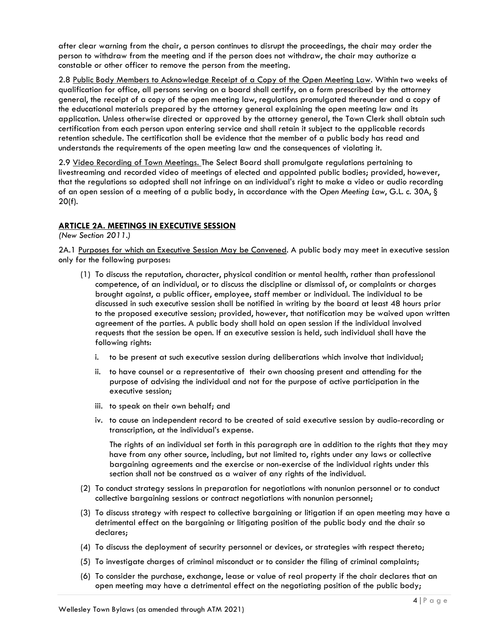after clear warning from the chair, a person continues to disrupt the proceedings, the chair may order the person to withdraw from the meeting and if the person does not withdraw, the chair may authorize a constable or other officer to remove the person from the meeting.

2.8 Public Body Members to Acknowledge Receipt of a Copy of the Open Meeting Law. Within two weeks of qualification for office, all persons serving on a board shall certify, on a form prescribed by the attorney general, the receipt of a copy of the open meeting law, regulations promulgated thereunder and a copy of the educational materials prepared by the attorney general explaining the open meeting law and its application. Unless otherwise directed or approved by the attorney general, the Town Clerk shall obtain such certification from each person upon entering service and shall retain it subject to the applicable records retention schedule. The certification shall be evidence that the member of a public body has read and understands the requirements of the open meeting law and the consequences of violating it.

2.9 Video Recording of Town Meetings. The Select Board shall promulgate regulations pertaining to livestreaming and recorded video of meetings of elected and appointed public bodies; provided, however, that the regulations so adopted shall not infringe on an individual's right to make a video or audio recording of an open session of a meeting of a public body, in accordance with the *Open Meeting Law*, G.L. c. 30A, § 20(f).

# <span id="page-3-0"></span>**ARTICLE 2A. MEETINGS IN EXECUTIVE SESSION**

*(New Section 2011.)*

2A.1 Purposes for which an Executive Session May be Convened. A public body may meet in executive session only for the following purposes:

- (1) To discuss the reputation, character, physical condition or mental health, rather than professional competence, of an individual, or to discuss the discipline or dismissal of, or complaints or charges brought against, a public officer, employee, staff member or individual. The individual to be discussed in such executive session shall be notified in writing by the board at least 48 hours prior to the proposed executive session; provided, however, that notification may be waived upon written agreement of the parties. A public body shall hold an open session if the individual involved requests that the session be open. If an executive session is held, such individual shall have the following rights:
	- i. to be present at such executive session during deliberations which involve that individual;
	- ii. to have counsel or a representative of their own choosing present and attending for the purpose of advising the individual and not for the purpose of active participation in the executive session;
	- iii. to speak on their own behalf; and
	- iv. to cause an independent record to be created of said executive session by audio-recording or transcription, at the individual's expense.

The rights of an individual set forth in this paragraph are in addition to the rights that they may have from any other source, including, but not limited to, rights under any laws or collective bargaining agreements and the exercise or non-exercise of the individual rights under this section shall not be construed as a waiver of any rights of the individual.

- (2) To conduct strategy sessions in preparation for negotiations with nonunion personnel or to conduct collective bargaining sessions or contract negotiations with nonunion personnel;
- (3) To discuss strategy with respect to collective bargaining or litigation if an open meeting may have a detrimental effect on the bargaining or litigating position of the public body and the chair so declares;
- (4) To discuss the deployment of security personnel or devices, or strategies with respect thereto;
- (5) To investigate charges of criminal misconduct or to consider the filing of criminal complaints;
- (6) To consider the purchase, exchange, lease or value of real property if the chair declares that an open meeting may have a detrimental effect on the negotiating position of the public body;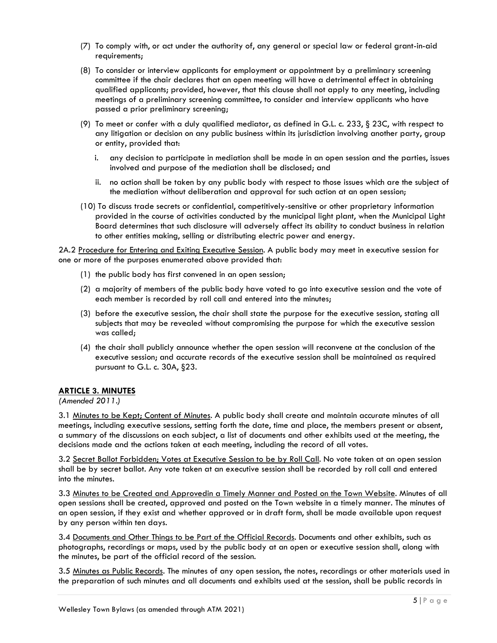- (7) To comply with, or act under the authority of, any general or special law or federal grant-in-aid requirements;
- (8) To consider or interview applicants for employment or appointment by a preliminary screening committee if the chair declares that an open meeting will have a detrimental effect in obtaining qualified applicants; provided, however, that this clause shall not apply to any meeting, including meetings of a preliminary screening committee, to consider and interview applicants who have passed a prior preliminary screening;
- (9) To meet or confer with a duly qualified mediator, as defined in G.L. c. 233, § 23C, with respect to any litigation or decision on any public business within its jurisdiction involving another party, group or entity, provided that:
	- i. any decision to participate in mediation shall be made in an open session and the parties, issues involved and purpose of the mediation shall be disclosed; and
	- ii. no action shall be taken by any public body with respect to those issues which are the subject of the mediation without deliberation and approval for such action at an open session;
- (10) To discuss trade secrets or confidential, competitively-sensitive or other proprietary information provided in the course of activities conducted by the municipal light plant, when the Municipal Light Board determines that such disclosure will adversely affect its ability to conduct business in relation to other entities making, selling or distributing electric power and energy.

2A.2 Procedure for Entering and Exiting Executive Session. A public body may meet in executive session for one or more of the purposes enumerated above provided that:

- (1) the public body has first convened in an open session;
- (2) a majority of members of the public body have voted to go into executive session and the vote of each member is recorded by roll call and entered into the minutes;
- (3) before the executive session, the chair shall state the purpose for the executive session, stating all subjects that may be revealed without compromising the purpose for which the executive session was called;
- (4) the chair shall publicly announce whether the open session will reconvene at the conclusion of the executive session; and accurate records of the executive session shall be maintained as required pursuant to G.L. c. 30A, §23.

# <span id="page-4-0"></span>**ARTICLE 3. MINUTES**

*(Amended 2011.)*

3.1 Minutes to be Kept; Content of Minutes. A public body shall create and maintain accurate minutes of all meetings, including executive sessions, setting forth the date, time and place, the members present or absent, a summary of the discussions on each subject, a list of documents and other exhibits used at the meeting, the decisions made and the actions taken at each meeting, including the record of all votes.

3.2 Secret Ballot Forbidden; Votes at Executive Session to be by Roll Call. No vote taken at an open session shall be by secret ballot. Any vote taken at an executive session shall be recorded by roll call and entered into the minutes.

3.3 Minutes to be Created and Approvedin a Timely Manner and Posted on the Town Website. Minutes of all open sessions shall be created, approved and posted on the Town website in a timely manner. The minutes of an open session, if they exist and whether approved or in draft form, shall be made available upon request by any person within ten days.

3.4 Documents and Other Things to be Part of the Official Records. Documents and other exhibits, such as photographs, recordings or maps, used by the public body at an open or executive session shall, along with the minutes, be part of the official record of the session.

3.5 Minutes as Public Records. The minutes of any open session, the notes, recordings or other materials used in the preparation of such minutes and all documents and exhibits used at the session, shall be public records in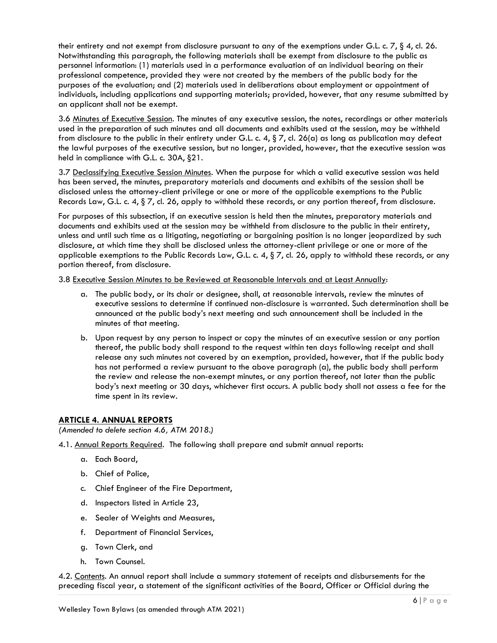their entirety and not exempt from disclosure pursuant to any of the exemptions under G.L. c. 7, § 4, cl. 26. Notwithstanding this paragraph, the following materials shall be exempt from disclosure to the public as personnel information: (1) materials used in a performance evaluation of an individual bearing on their professional competence, provided they were not created by the members of the public body for the purposes of the evaluation; and (2) materials used in deliberations about employment or appointment of individuals, including applications and supporting materials; provided, however, that any resume submitted by an applicant shall not be exempt.

3.6 Minutes of Executive Session. The minutes of any executive session, the notes, recordings or other materials used in the preparation of such minutes and all documents and exhibits used at the session, may be withheld from disclosure to the public in their entirety under G.L. c. 4,  $\S 7$ , cl. 26(a) as long as publication may defeat the lawful purposes of the executive session, but no longer, provided, however, that the executive session was held in compliance with G.L. c. 30A, §21.

3.7 Declassifying Executive Session Minutes. When the purpose for which a valid executive session was held has been served, the minutes, preparatory materials and documents and exhibits of the session shall be disclosed unless the attorney-client privilege or one or more of the applicable exemptions to the Public Records Law, G.L. c. 4,  $\S 7$ , cl. 26, apply to withhold these records, or any portion thereof, from disclosure.

For purposes of this subsection, if an executive session is held then the minutes, preparatory materials and documents and exhibits used at the session may be withheld from disclosure to the public in their entirety, unless and until such time as a litigating, negotiating or bargaining position is no longer jeopardized by such disclosure, at which time they shall be disclosed unless the attorney-client privilege or one or more of the applicable exemptions to the Public Records Law, G.L. c. 4,  $\S 7$ , cl. 26, apply to withhold these records, or any portion thereof, from disclosure.

3.8 Executive Session Minutes to be Reviewed at Reasonable Intervals and at Least Annually:

- a. The public body, or its chair or designee, shall, at reasonable intervals, review the minutes of executive sessions to determine if continued non-disclosure is warranted. Such determination shall be announced at the public body's next meeting and such announcement shall be included in the minutes of that meeting.
- b. Upon request by any person to inspect or copy the minutes of an executive session or any portion thereof, the public body shall respond to the request within ten days following receipt and shall release any such minutes not covered by an exemption, provided, however, that if the public body has not performed a review pursuant to the above paragraph (a), the public body shall perform the review and release the non-exempt minutes, or any portion thereof, not later than the public body's next meeting or 30 days, whichever first occurs. A public body shall not assess a fee for the time spent in its review.

# <span id="page-5-0"></span>**ARTICLE 4. ANNUAL REPORTS**

*(Amended to delete section 4.6, ATM 2018.)*

- 4.1. Annual Reports Required. The following shall prepare and submit annual reports:
	- a. Each Board,
	- b. Chief of Police,
	- c. Chief Engineer of the Fire Department,
	- d. Inspectors listed in Article 23,
	- e. Sealer of Weights and Measures,
	- f. Department of Financial Services,
	- g. Town Clerk, and
	- h. Town Counsel.

4.2. Contents. An annual report shall include a summary statement of receipts and disbursements for the preceding fiscal year, a statement of the significant activities of the Board, Officer or Official during the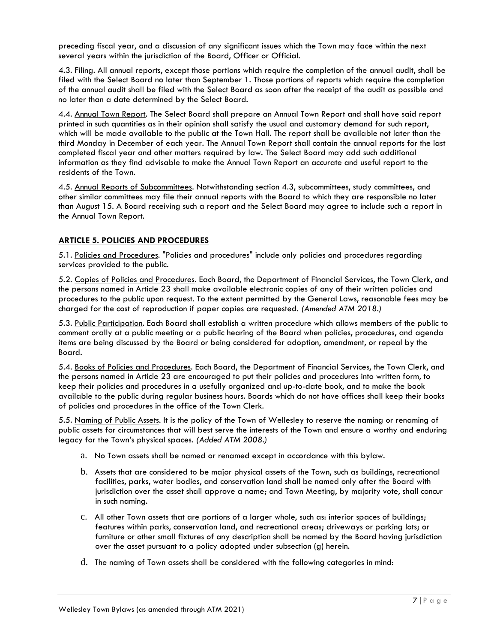preceding fiscal year, and a discussion of any significant issues which the Town may face within the next several years within the jurisdiction of the Board, Officer or Official.

4.3. Filing. All annual reports, except those portions which require the completion of the annual audit, shall be filed with the Select Board no later than September 1. Those portions of reports which require the completion of the annual audit shall be filed with the Select Board as soon after the receipt of the audit as possible and no later than a date determined by the Select Board.

4.4. Annual Town Report. The Select Board shall prepare an Annual Town Report and shall have said report printed in such quantities as in their opinion shall satisfy the usual and customary demand for such report, which will be made available to the public at the Town Hall. The report shall be available not later than the third Monday in December of each year. The Annual Town Report shall contain the annual reports for the last completed fiscal year and other matters required by law. The Select Board may add such additional information as they find advisable to make the Annual Town Report an accurate and useful report to the residents of the Town.

4.5. Annual Reports of Subcommittees. Notwithstanding section 4.3, subcommittees, study committees, and other similar committees may file their annual reports with the Board to which they are responsible no later than August 15. A Board receiving such a report and the Select Board may agree to include such a report in the Annual Town Report.

# <span id="page-6-0"></span>**ARTICLE 5. POLICIES AND PROCEDURES**

5.1. Policies and Procedures. "Policies and procedures" include only policies and procedures regarding services provided to the public.

5.2. Copies of Policies and Procedures. Each Board, the Department of Financial Services, the Town Clerk, and the persons named in Article 23 shall make available electronic copies of any of their written policies and procedures to the public upon request. To the extent permitted by the General Laws, reasonable fees may be charged for the cost of reproduction if paper copies are requested. *(Amended ATM 2018.)*

5.3. Public Participation. Each Board shall establish a written procedure which allows members of the public to comment orally at a public meeting or a public hearing of the Board when policies, procedures, and agenda items are being discussed by the Board or being considered for adoption, amendment, or repeal by the Board.

5.4. Books of Policies and Procedures. Each Board, the Department of Financial Services, the Town Clerk, and the persons named in Article 23 are encouraged to put their policies and procedures into written form, to keep their policies and procedures in a usefully organized and up-to-date book, and to make the book available to the public during regular business hours. Boards which do not have offices shall keep their books of policies and procedures in the office of the Town Clerk.

5.5. Naming of Public Assets. It is the policy of the Town of Wellesley to reserve the naming or renaming of public assets for circumstances that will best serve the interests of the Town and ensure a worthy and enduring legacy for the Town's physical spaces. *(Added ATM 2008.)*

- a. No Town assets shall be named or renamed except in accordance with this bylaw.
- b. Assets that are considered to be major physical assets of the Town, such as buildings, recreational facilities, parks, water bodies, and conservation land shall be named only after the Board with jurisdiction over the asset shall approve a name; and Town Meeting, by majority vote, shall concur in such naming.
- c. All other Town assets that are portions of a larger whole, such as: interior spaces of buildings; features within parks, conservation land, and recreational areas; driveways or parking lots; or furniture or other small fixtures of any description shall be named by the Board having jurisdiction over the asset pursuant to a policy adopted under subsection (g) herein.
- d. The naming of Town assets shall be considered with the following categories in mind: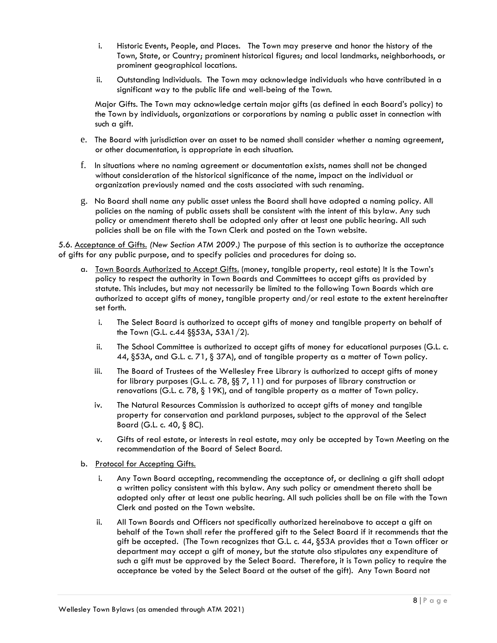- i. Historic Events, People, and Places. The Town may preserve and honor the history of the Town, State, or Country; prominent historical figures; and local landmarks, neighborhoods, or prominent geographical locations.
- ii. Outstanding Individuals. The Town may acknowledge individuals who have contributed in a significant way to the public life and well-being of the Town.

Major Gifts. The Town may acknowledge certain major gifts (as defined in each Board's policy) to the Town by individuals, organizations or corporations by naming a public asset in connection with such a gift.

- e. The Board with jurisdiction over an asset to be named shall consider whether a naming agreement, or other documentation, is appropriate in each situation.
- f. In situations where no naming agreement or documentation exists, names shall not be changed without consideration of the historical significance of the name, impact on the individual or organization previously named and the costs associated with such renaming.
- g. No Board shall name any public asset unless the Board shall have adopted a naming policy. All policies on the naming of public assets shall be consistent with the intent of this bylaw. Any such policy or amendment thereto shall be adopted only after at least one public hearing. All such policies shall be on file with the Town Clerk and posted on the Town website.

5.6. Acceptance of Gifts. *(New Section ATM 2009.)* The purpose of this section is to authorize the acceptance of gifts for any public purpose, and to specify policies and procedures for doing so.

- a. Town Boards Authorized to Accept Gifts. (money, tangible property, real estate) It is the Town's policy to respect the authority in Town Boards and Committees to accept gifts as provided by statute. This includes, but may not necessarily be limited to the following Town Boards which are authorized to accept gifts of money, tangible property and/or real estate to the extent hereinafter set forth.
	- i. The Select Board is authorized to accept gifts of money and tangible property on behalf of the Town (G.L. c.44 §§53A, 53A1/2).
	- ii. The School Committee is authorized to accept gifts of money for educational purposes (G.L. c. 44, §53A, and G.L. c. 71, § 37A), and of tangible property as a matter of Town policy.
	- iii. The Board of Trustees of the Wellesley Free Library is authorized to accept gifts of money for library purposes (G.L. c. 78, §§ 7, 11) and for purposes of library construction or renovations (G.L. c. 78, § 19K), and of tangible property as a matter of Town policy.
	- iv. The Natural Resources Commission is authorized to accept gifts of money and tangible property for conservation and parkland purposes, subject to the approval of the Select Board (G.L. c. 40, § 8C).
	- v. Gifts of real estate, or interests in real estate, may only be accepted by Town Meeting on the recommendation of the Board of Select Board.
- b. Protocol for Accepting Gifts.
	- i. Any Town Board accepting, recommending the acceptance of, or declining a gift shall adopt a written policy consistent with this bylaw. Any such policy or amendment thereto shall be adopted only after at least one public hearing. All such policies shall be on file with the Town Clerk and posted on the Town website.
	- ii. All Town Boards and Officers not specifically authorized hereinabove to accept a gift on behalf of the Town shall refer the proffered gift to the Select Board if it recommends that the gift be accepted. (The Town recognizes that G.L. c. 44, §53A provides that a Town officer or department may accept a gift of money, but the statute also stipulates any expenditure of such a gift must be approved by the Select Board. Therefore, it is Town policy to require the acceptance be voted by the Select Board at the outset of the gift). Any Town Board not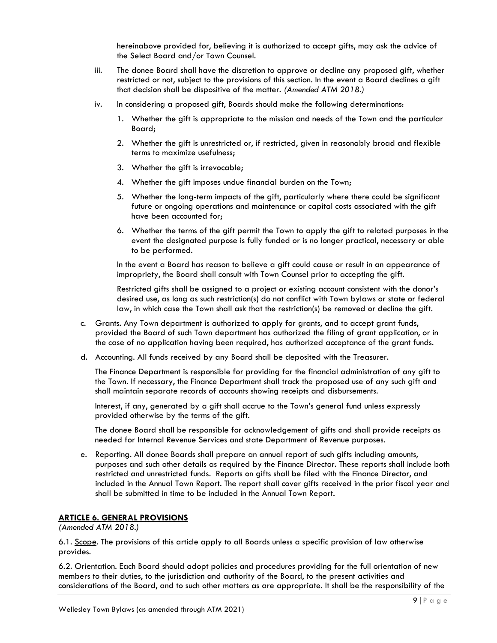hereinabove provided for, believing it is authorized to accept gifts, may ask the advice of the Select Board and/or Town Counsel.

- iii. The donee Board shall have the discretion to approve or decline any proposed gift, whether restricted or not, subject to the provisions of this section. In the event a Board declines a gift that decision shall be dispositive of the matter. *(Amended ATM 2018.)*
- iv. In considering a proposed gift, Boards should make the following determinations:
	- 1. Whether the gift is appropriate to the mission and needs of the Town and the particular Board;
	- 2. Whether the gift is unrestricted or, if restricted, given in reasonably broad and flexible terms to maximize usefulness;
	- 3. Whether the gift is irrevocable;
	- 4. Whether the gift imposes undue financial burden on the Town;
	- 5. Whether the long-term impacts of the gift, particularly where there could be significant future or ongoing operations and maintenance or capital costs associated with the gift have been accounted for;
	- 6. Whether the terms of the gift permit the Town to apply the gift to related purposes in the event the designated purpose is fully funded or is no longer practical, necessary or able to be performed.

In the event a Board has reason to believe a gift could cause or result in an appearance of impropriety, the Board shall consult with Town Counsel prior to accepting the gift.

Restricted gifts shall be assigned to a project or existing account consistent with the donor's desired use, as long as such restriction(s) do not conflict with Town bylaws or state or federal law, in which case the Town shall ask that the restriction(s) be removed or decline the gift.

- c. Grants. Any Town department is authorized to apply for grants, and to accept grant funds, provided the Board of such Town department has authorized the filing of grant application, or in the case of no application having been required, has authorized acceptance of the grant funds.
- d. Accounting. All funds received by any Board shall be deposited with the Treasurer.

The Finance Department is responsible for providing for the financial administration of any gift to the Town. If necessary, the Finance Department shall track the proposed use of any such gift and shall maintain separate records of accounts showing receipts and disbursements.

Interest, if any, generated by a gift shall accrue to the Town's general fund unless expressly provided otherwise by the terms of the gift.

The donee Board shall be responsible for acknowledgement of gifts and shall provide receipts as needed for Internal Revenue Services and state Department of Revenue purposes.

e. Reporting. All donee Boards shall prepare an annual report of such gifts including amounts, purposes and such other details as required by the Finance Director. These reports shall include both restricted and unrestricted funds. Reports on gifts shall be filed with the Finance Director, and included in the Annual Town Report. The report shall cover gifts received in the prior fiscal year and shall be submitted in time to be included in the Annual Town Report.

# <span id="page-8-0"></span>**ARTICLE 6. GENERAL PROVISIONS**

*(Amended ATM 2018.)*

6.1. Scope. The provisions of this article apply to all Boards unless a specific provision of law otherwise provides.

6.2. Orientation. Each Board should adopt policies and procedures providing for the full orientation of new members to their duties, to the jurisdiction and authority of the Board, to the present activities and considerations of the Board, and to such other matters as are appropriate. It shall be the responsibility of the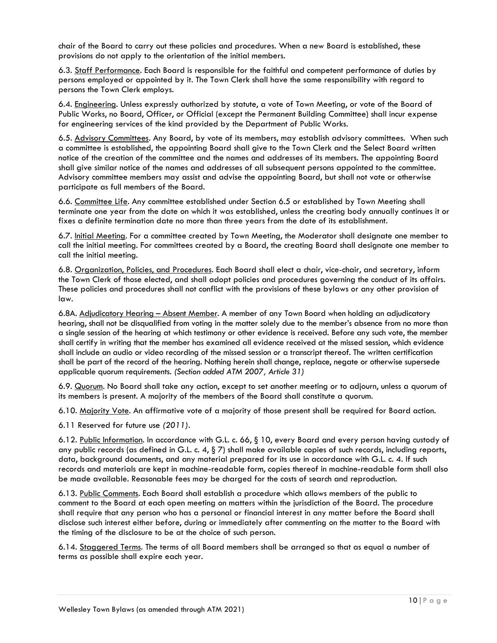chair of the Board to carry out these policies and procedures. When a new Board is established, these provisions do not apply to the orientation of the initial members.

6.3. Staff Performance. Each Board is responsible for the faithful and competent performance of duties by persons employed or appointed by it. The Town Clerk shall have the same responsibility with regard to persons the Town Clerk employs.

6.4. Engineering. Unless expressly authorized by statute, a vote of Town Meeting, or vote of the Board of Public Works, no Board, Officer, or Official (except the Permanent Building Committee) shall incur expense for engineering services of the kind provided by the Department of Public Works.

6.5. Advisory Committees. Any Board, by vote of its members, may establish advisory committees. When such a committee is established, the appointing Board shall give to the Town Clerk and the Select Board written notice of the creation of the committee and the names and addresses of its members. The appointing Board shall give similar notice of the names and addresses of all subsequent persons appointed to the committee. Advisory committee members may assist and advise the appointing Board, but shall not vote or otherwise participate as full members of the Board.

6.6. Committee Life. Any committee established under Section 6.5 or established by Town Meeting shall terminate one year from the date on which it was established, unless the creating body annually continues it or fixes a definite termination date no more than three years from the date of its establishment.

6.7. Initial Meeting. For a committee created by Town Meeting, the Moderator shall designate one member to call the initial meeting. For committees created by a Board, the creating Board shall designate one member to call the initial meeting.

6.8. Organization, Policies, and Procedures. Each Board shall elect a chair, vice-chair, and secretary, inform the Town Clerk of those elected, and shall adopt policies and procedures governing the conduct of its affairs. These policies and procedures shall not conflict with the provisions of these bylaws or any other provision of law.

6.8A. Adjudicatory Hearing – Absent Member. A member of any Town Board when holding an adjudicatory hearing, shall not be disqualified from voting in the matter solely due to the member's absence from no more than a single session of the hearing at which testimony or other evidence is received. Before any such vote, the member shall certify in writing that the member has examined all evidence received at the missed session, which evidence shall include an audio or video recording of the missed session or a transcript thereof. The written certification shall be part of the record of the hearing. Nothing herein shall change, replace, negate or otherwise supersede applicable quorum requirements. *(Section added ATM 2007, Article 31)*

6.9. Quorum. No Board shall take any action, except to set another meeting or to adjourn, unless a quorum of its members is present. A majority of the members of the Board shall constitute a quorum.

6.10. Majority Vote. An affirmative vote of a majority of those present shall be required for Board action.

6.11 Reserved for future use *(2011).*

6.12. Public Information. In accordance with G.L. c. 66, § 10, every Board and every person having custody of any public records (as defined in G.L. c. 4,  $\S$  7) shall make available copies of such records, including reports, data, background documents, and any material prepared for its use in accordance with G.L. c. 4. If such records and materials are kept in machine-readable form, copies thereof in machine-readable form shall also be made available. Reasonable fees may be charged for the costs of search and reproduction.

6.13. Public Comments. Each Board shall establish a procedure which allows members of the public to comment to the Board at each open meeting on matters within the jurisdiction of the Board. The procedure shall require that any person who has a personal or financial interest in any matter before the Board shall disclose such interest either before, during or immediately after commenting on the matter to the Board with the timing of the disclosure to be at the choice of such person.

6.14. Staggered Terms. The terms of all Board members shall be arranged so that as equal a number of terms as possible shall expire each year.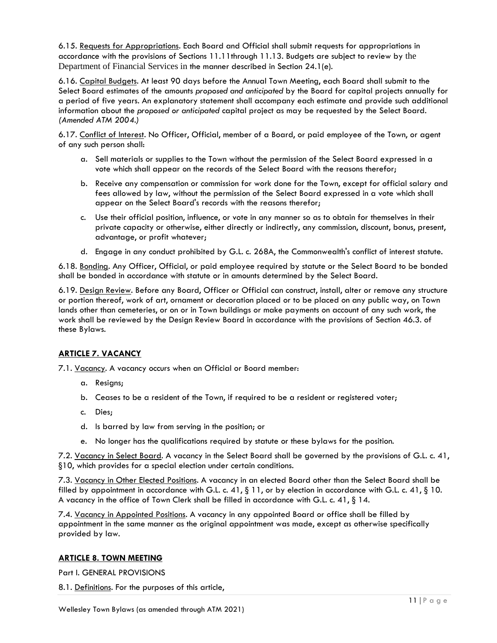6.15. Requests for Appropriations. Each Board and Official shall submit requests for appropriations in accordance with the provisions of Sections 11.11through 11.13. Budgets are subject to review by the Department of Financial Services in the manner described in Section 24.1(e).

6.16. Capital Budgets. At least 90 days before the Annual Town Meeting, each Board shall submit to the Select Board estimates of the amounts *proposed and anticipated* by the Board for capital projects annually for a period of five years. An explanatory statement shall accompany each estimate and provide such additional information about the *proposed or anticipated* capital project as may be requested by the Select Board*. (Amended ATM 2004.)*

6.17. Conflict of Interest. No Officer, Official, member of a Board, or paid employee of the Town, or agent of any such person shall:

- a. Sell materials or supplies to the Town without the permission of the Select Board expressed in a vote which shall appear on the records of the Select Board with the reasons therefor;
- b. Receive any compensation or commission for work done for the Town, except for official salary and fees allowed by law, without the permission of the Select Board expressed in a vote which shall appear on the Select Board's records with the reasons therefor;
- c. Use their official position, influence, or vote in any manner so as to obtain for themselves in their private capacity or otherwise, either directly or indirectly, any commission, discount, bonus, present, advantage, or profit whatever;
- d. Engage in any conduct prohibited by G.L. c. 268A, the Commonwealth's conflict of interest statute.

6.18. Bonding. Any Officer, Official, or paid employee required by statute or the Select Board to be bonded shall be bonded in accordance with statute or in amounts determined by the Select Board.

6.19. Design Review. Before any Board, Officer or Official can construct, install, alter or remove any structure or portion thereof, work of art, ornament or decoration placed or to be placed on any public way, on Town lands other than cemeteries, or on or in Town buildings or make payments on account of any such work, the work shall be reviewed by the Design Review Board in accordance with the provisions of Section 46.3. of these Bylaws.

# <span id="page-10-0"></span>**ARTICLE 7. VACANCY**

7.1. Vacancy. A vacancy occurs when an Official or Board member:

- a. Resigns;
- b. Ceases to be a resident of the Town, if required to be a resident or registered voter;
- c. Dies;
- d. Is barred by law from serving in the position; or
- e. No longer has the qualifications required by statute or these bylaws for the position.

7.2. Vacancy in Select Board. A vacancy in the Select Board shall be governed by the provisions of G.L. c. 41, §10, which provides for a special election under certain conditions.

7.3. Vacancy in Other Elected Positions. A vacancy in an elected Board other than the Select Board shall be filled by appointment in accordance with G.L. c. 41, § 11, or by election in accordance with G.L. c. 41, § 10. A vacancy in the office of Town Clerk shall be filled in accordance with G.L. c. 41, § 14.

7.4. Vacancy in Appointed Positions. A vacancy in any appointed Board or office shall be filled by appointment in the same manner as the original appointment was made, except as otherwise specifically provided by law.

# <span id="page-10-1"></span>**ARTICLE 8. TOWN MEETING**

Part I. GENERAL PROVISIONS

8.1. Definitions. For the purposes of this article,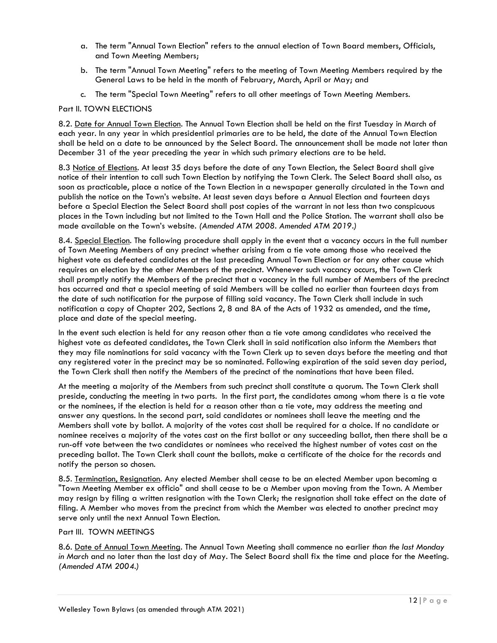- a. The term "Annual Town Election" refers to the annual election of Town Board members, Officials, and Town Meeting Members;
- b. The term "Annual Town Meeting" refers to the meeting of Town Meeting Members required by the General Laws to be held in the month of February, March, April or May; and
- c. The term "Special Town Meeting" refers to all other meetings of Town Meeting Members.

### Part II. TOWN ELECTIONS

8.2. Date for Annual Town Election. The Annual Town Election shall be held on the first Tuesday in March of each year. In any year in which presidential primaries are to be held, the date of the Annual Town Election shall be held on a date to be announced by the Select Board. The announcement shall be made not later than December 31 of the year preceding the year in which such primary elections are to be held.

8.3 Notice of Elections. At least 35 days before the date of any Town Election, the Select Board shall give notice of their intention to call such Town Election by notifying the Town Clerk. The Select Board shall also, as soon as practicable, place a notice of the Town Election in a newspaper generally circulated in the Town and publish the notice on the Town's website. At least seven days before a Annual Election and fourteen days before a Special Election the Select Board shall post copies of the warrant in not less than two conspicuous places in the Town including but not limited to the Town Hall and the Police Station. The warrant shall also be made available on the Town's website. *(Amended ATM 2008. Amended ATM 2019.)*

8.4. Special Election. The following procedure shall apply in the event that a vacancy occurs in the full number of Town Meeting Members of any precinct whether arising from a tie vote among those who received the highest vote as defeated candidates at the last preceding Annual Town Election or for any other cause which requires an election by the other Members of the precinct. Whenever such vacancy occurs, the Town Clerk shall promptly notify the Members of the precinct that a vacancy in the full number of Members of the precinct has occurred and that a special meeting of said Members will be called no earlier than fourteen days from the date of such notification for the purpose of filling said vacancy. The Town Clerk shall include in such notification a copy of Chapter 202, Sections 2, 8 and 8A of the Acts of 1932 as amended, and the time, place and date of the special meeting.

In the event such election is held for any reason other than a tie vote among candidates who received the highest vote as defeated candidates, the Town Clerk shall in said notification also inform the Members that they may file nominations for said vacancy with the Town Clerk up to seven days before the meeting and that any registered voter in the precinct may be so nominated. Following expiration of the said seven day period, the Town Clerk shall then notify the Members of the precinct of the nominations that have been filed.

At the meeting a majority of the Members from such precinct shall constitute a quorum. The Town Clerk shall preside, conducting the meeting in two parts. In the first part, the candidates among whom there is a tie vote or the nominees, if the election is held for a reason other than a tie vote, may address the meeting and answer any questions. In the second part, said candidates or nominees shall leave the meeting and the Members shall vote by ballot. A majority of the votes cast shall be required for a choice. If no candidate or nominee receives a majority of the votes cast on the first ballot or any succeeding ballot, then there shall be a run-off vote between the two candidates or nominees who received the highest number of votes cast on the preceding ballot. The Town Clerk shall count the ballots, make a certificate of the choice for the records and notify the person so chosen.

8.5. Termination, Resignation. Any elected Member shall cease to be an elected Member upon becoming a "Town Meeting Member ex officio" and shall cease to be a Member upon moving from the Town. A Member may resign by filing a written resignation with the Town Clerk; the resignation shall take effect on the date of filing. A Member who moves from the precinct from which the Member was elected to another precinct may serve only until the next Annual Town Election.

### Part III. TOWN MEETINGS

8.6. Date of Annual Town Meeting. The Annual Town Meeting shall commence no earlier *than the last Monday in March* and no later than the last day of May. The Select Board shall fix the time and place for the Meeting. *(Amended ATM 2004.)*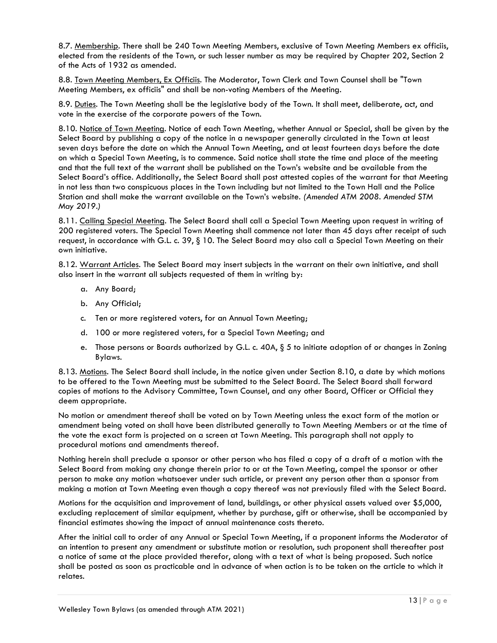8.7. Membership. There shall be 240 Town Meeting Members, exclusive of Town Meeting Members ex officiis, elected from the residents of the Town, or such lesser number as may be required by Chapter 202, Section 2 of the Acts of 1932 as amended.

8.8. Town Meeting Members, Ex Officiis. The Moderator, Town Clerk and Town Counsel shall be "Town Meeting Members, ex officiis" and shall be non-voting Members of the Meeting.

8.9. Duties. The Town Meeting shall be the legislative body of the Town. It shall meet, deliberate, act, and vote in the exercise of the corporate powers of the Town.

8.10. Notice of Town Meeting. Notice of each Town Meeting, whether Annual or Special, shall be given by the Select Board by publishing a copy of the notice in a newspaper generally circulated in the Town at least seven days before the date on which the Annual Town Meeting, and at least fourteen days before the date on which a Special Town Meeting, is to commence. Said notice shall state the time and place of the meeting and that the full text of the warrant shall be published on the Town's website and be available from the Select Board's office. Additionally, the Select Board shall post attested copies of the warrant for that Meeting in not less than two conspicuous places in the Town including but not limited to the Town Hall and the Police Station and shall make the warrant available on the Town's website. *(Amended ATM 2008. Amended STM May 2019.)*

8.11. Calling Special Meeting. The Select Board shall call a Special Town Meeting upon request in writing of 200 registered voters. The Special Town Meeting shall commence not later than 45 days after receipt of such request, in accordance with G.L. c. 39, § 10. The Select Board may also call a Special Town Meeting on their own initiative.

8.12. Warrant Articles. The Select Board may insert subjects in the warrant on their own initiative, and shall also insert in the warrant all subjects requested of them in writing by:

- a. Any Board;
- b. Any Official;
- c. Ten or more registered voters, for an Annual Town Meeting;
- d. 100 or more registered voters, for a Special Town Meeting; and
- e. Those persons or Boards authorized by G.L. c. 40A, § 5 to initiate adoption of or changes in Zoning Bylaws.

8.13. Motions. The Select Board shall include, in the notice given under Section 8.10, a date by which motions to be offered to the Town Meeting must be submitted to the Select Board. The Select Board shall forward copies of motions to the Advisory Committee, Town Counsel, and any other Board, Officer or Official they deem appropriate.

No motion or amendment thereof shall be voted on by Town Meeting unless the exact form of the motion or amendment being voted on shall have been distributed generally to Town Meeting Members or at the time of the vote the exact form is projected on a screen at Town Meeting. This paragraph shall not apply to procedural motions and amendments thereof.

Nothing herein shall preclude a sponsor or other person who has filed a copy of a draft of a motion with the Select Board from making any change therein prior to or at the Town Meeting, compel the sponsor or other person to make any motion whatsoever under such article, or prevent any person other than a sponsor from making a motion at Town Meeting even though a copy thereof was not previously filed with the Select Board.

Motions for the acquisition and improvement of land, buildings, or other physical assets valued over \$5,000, excluding replacement of similar equipment, whether by purchase, gift or otherwise, shall be accompanied by financial estimates showing the impact of annual maintenance costs thereto.

After the initial call to order of any Annual or Special Town Meeting, if a proponent informs the Moderator of an intention to present any amendment or substitute motion or resolution, such proponent shall thereafter post a notice of same at the place provided therefor, along with a text of what is being proposed. Such notice shall be posted as soon as practicable and in advance of when action is to be taken on the article to which it relates.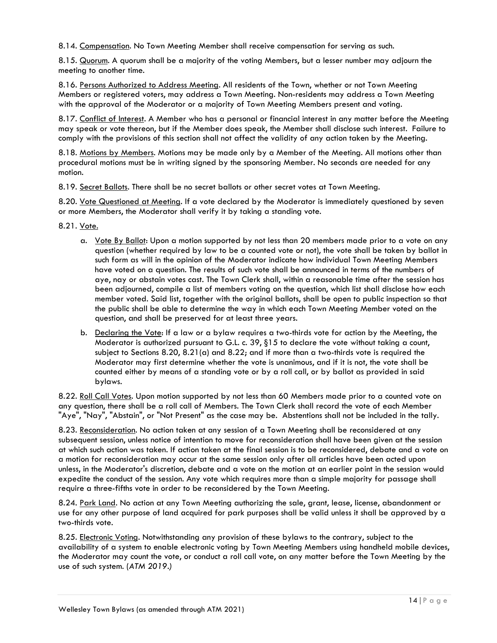8.14. Compensation. No Town Meeting Member shall receive compensation for serving as such.

8.15. Quorum. A quorum shall be a majority of the voting Members, but a lesser number may adjourn the meeting to another time.

8.16. Persons Authorized to Address Meeting. All residents of the Town, whether or not Town Meeting Members or registered voters, may address a Town Meeting. Non-residents may address a Town Meeting with the approval of the Moderator or a majority of Town Meeting Members present and voting.

8.17. Conflict of Interest. A Member who has a personal or financial interest in any matter before the Meeting may speak or vote thereon, but if the Member does speak, the Member shall disclose such interest. Failure to comply with the provisions of this section shall not affect the validity of any action taken by the Meeting.

8.18. Motions by Members. Motions may be made only by a Member of the Meeting. All motions other than procedural motions must be in writing signed by the sponsoring Member. No seconds are needed for any motion.

8.19. Secret Ballots. There shall be no secret ballots or other secret votes at Town Meeting.

8.20. Yote Questioned at Meeting. If a vote declared by the Moderator is immediately questioned by seven or more Members, the Moderator shall verify it by taking a standing vote.

8.21. Vote.

- a. Vote By Ballot: Upon a motion supported by not less than 20 members made prior to a vote on any question (whether required by law to be a counted vote or not), the vote shall be taken by ballot in such form as will in the opinion of the Moderator indicate how individual Town Meeting Members have voted on a question. The results of such vote shall be announced in terms of the numbers of aye, nay or abstain votes cast. The Town Clerk shall, within a reasonable time after the session has been adjourned, compile a list of members voting on the question, which list shall disclose how each member voted. Said list, together with the original ballots, shall be open to public inspection so that the public shall be able to determine the way in which each Town Meeting Member voted on the question, and shall be preserved for at least three years.
- b. Declaring the Vote: If a law or a bylaw requires a two-thirds vote for action by the Meeting, the Moderator is authorized pursuant to G.L. c. 39, §15 to declare the vote without taking a count, subject to Sections 8.20, 8.21(a) and 8.22; and if more than a two-thirds vote is required the Moderator may first determine whether the vote is unanimous, and if it is not, the vote shall be counted either by means of a standing vote or by a roll call, or by ballot as provided in said bylaws.

8.22. Roll Call Votes. Upon motion supported by not less than 60 Members made prior to a counted vote on any question, there shall be a roll call of Members. The Town Clerk shall record the vote of each Member "Aye", "Nay", "Abstain", or "Not Present" as the case may be. Abstentions shall not be included in the tally.

8.23. Reconsideration. No action taken at any session of a Town Meeting shall be reconsidered at any subsequent session, unless notice of intention to move for reconsideration shall have been given at the session at which such action was taken. If action taken at the final session is to be reconsidered, debate and a vote on a motion for reconsideration may occur at the same session only after all articles have been acted upon unless, in the Moderator's discretion, debate and a vote on the motion at an earlier point in the session would expedite the conduct of the session. Any vote which requires more than a simple majority for passage shall require a three-fifths vote in order to be reconsidered by the Town Meeting.

8.24. Park Land. No action at any Town Meeting authorizing the sale, grant, lease, license, abandonment or use for any other purpose of land acquired for park purposes shall be valid unless it shall be approved by a two-thirds vote.

8.25. Electronic Voting. Notwithstanding any provision of these bylaws to the contrary, subject to the availability of a system to enable electronic voting by Town Meeting Members using handheld mobile devices, the Moderator may count the vote, or conduct a roll call vote, on any matter before the Town Meeting by the use of such system. (*ATM 2019.)*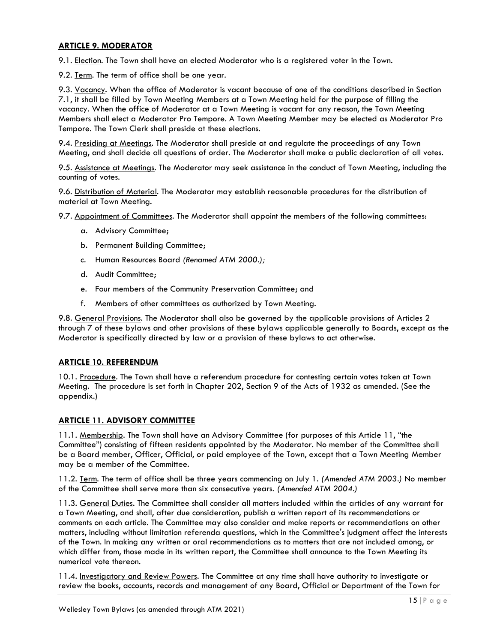# <span id="page-14-0"></span>**ARTICLE 9. MODERATOR**

9.1. Election. The Town shall have an elected Moderator who is a registered voter in the Town.

9.2. Term. The term of office shall be one year.

9.3. Vacancy. When the office of Moderator is vacant because of one of the conditions described in Section 7.1, it shall be filled by Town Meeting Members at a Town Meeting held for the purpose of filling the vacancy. When the office of Moderator at a Town Meeting is vacant for any reason, the Town Meeting Members shall elect a Moderator Pro Tempore. A Town Meeting Member may be elected as Moderator Pro Tempore. The Town Clerk shall preside at these elections.

9.4. Presiding at Meetings. The Moderator shall preside at and regulate the proceedings of any Town Meeting, and shall decide all questions of order. The Moderator shall make a public declaration of all votes.

9.5. Assistance at Meetings. The Moderator may seek assistance in the conduct of Town Meeting, including the counting of votes.

9.6. Distribution of Material. The Moderator may establish reasonable procedures for the distribution of material at Town Meeting.

9.7. Appointment of Committees. The Moderator shall appoint the members of the following committees:

- a. Advisory Committee;
- b. Permanent Building Committee;
- c. Human Resources Board *(Renamed ATM 2000.);*
- d. Audit Committee;
- e. Four members of the Community Preservation Committee; and
- f. Members of other committees as authorized by Town Meeting.

9.8. General Provisions. The Moderator shall also be governed by the applicable provisions of Articles 2 through 7 of these bylaws and other provisions of these bylaws applicable generally to Boards, except as the Moderator is specifically directed by law or a provision of these bylaws to act otherwise.

# <span id="page-14-1"></span>**ARTICLE 10. REFERENDUM**

10.1. Procedure. The Town shall have a referendum procedure for contesting certain votes taken at Town Meeting. The procedure is set forth in Chapter 202, Section 9 of the Acts of 1932 as amended. (See the appendix.)

# <span id="page-14-2"></span>**ARTICLE 11. ADVISORY COMMITTEE**

11.1. Membership. The Town shall have an Advisory Committee (for purposes of this Article 11, "the Committee") consisting of fifteen residents appointed by the Moderator. No member of the Committee shall be a Board member, Officer, Official, or paid employee of the Town, except that a Town Meeting Member may be a member of the Committee.

11.2. Term. The term of office shall be three years commencing on July 1*. (Amended ATM 2003.)* No member of the Committee shall serve more than six consecutive years. *(Amended ATM 2004.)*

11.3. General Duties. The Committee shall consider all matters included within the articles of any warrant for a Town Meeting, and shall, after due consideration, publish a written report of its recommendations or comments on each article. The Committee may also consider and make reports or recommendations on other matters, including without limitation referenda questions, which in the Committee's judgment affect the interests of the Town. In making any written or oral recommendations as to matters that are not included among, or which differ from, those made in its written report, the Committee shall announce to the Town Meeting its numerical vote thereon.

11.4. Investigatory and Review Powers. The Committee at any time shall have authority to investigate or review the books, accounts, records and management of any Board, Official or Department of the Town for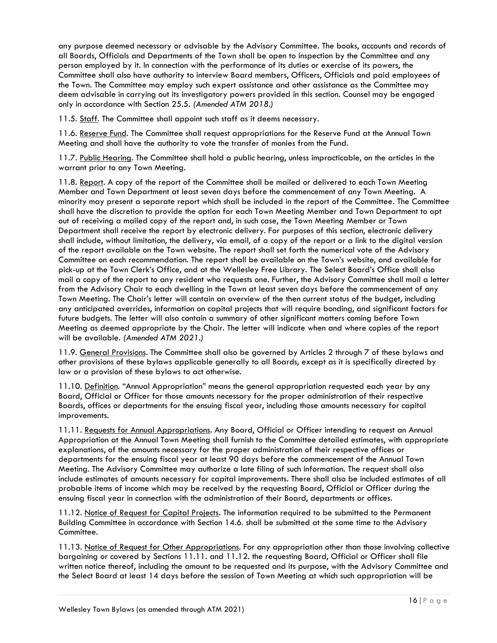any purpose deemed necessary or advisable by the Advisory Committee. The books, accounts and records of all Boards, Officials and Departments of the Town shall be open to inspection by the Committee and any person employed by it. In connection with the performance of its duties or exercise of its powers, the Committee shall also have authority to interview Board members, Officers, Officials and paid employees of the Town. The Committee may employ such expert assistance and other assistance as the Committee may deem advisable in carrying out its investigatory powers provided in this section. Counsel may be engaged only in accordance with Section 25.5. *(Amended ATM 2018.)*

11.5. Staff. The Committee shall appoint such staff as it deems necessary.

11.6. Reserve Fund. The Committee shall request appropriations for the Reserve Fund at the Annual Town Meeting and shall have the authority to vote the transfer of monies from the Fund.

11.7. Public Hearing. The Committee shall hold a public hearing, unless impracticable, on the articles in the warrant prior to any Town Meeting.

11.8. Report. A copy of the report of the Committee shall be mailed or delivered to each Town Meeting Member and Town Department at least seven days before the commencement of any Town Meeting. A minority may present a separate report which shall be included in the report of the Committee. The Committee shall have the discretion to provide the option for each Town Meeting Member and Town Department to opt out of receiving a mailed copy of the report and, in such case, the Town Meeting Member or Town Department shall receive the report by electronic delivery. For purposes of this section, electronic delivery shall include, without limitation, the delivery, via email, of a copy of the report or a link to the digital version of the report available on the Town website. The report shall set forth the numerical vote of the Advisory Committee on each recommendation. The report shall be available on the Town's website, and available for pick-up at the Town Clerk's Office, and at the Wellesley Free Library. The Select Board's Office shall also mail a copy of the report to any resident who requests one. Further, the Advisory Committee shall mail a letter from the Advisory Chair to each dwelling in the Town at least seven days before the commencement of any Town Meeting. The Chair's letter will contain an overview of the then current status of the budget, including any anticipated overrides, information on capital projects that will require bonding, and significant factors for future budgets. The letter will also contain a summary of other significant matters coming before Town Meeting as deemed appropriate by the Chair. The letter will indicate when and where copies of the report will be available. *(Amended ATM 2021.)*

11.9. General Provisions. The Committee shall also be governed by Articles 2 through 7 of these bylaws and other provisions of these bylaws applicable generally to all Boards, except as it is specifically directed by law or a provision of these bylaws to act otherwise.

11.10. Definition. "Annual Appropriation" means the general appropriation requested each year by any Board, Official or Officer for those amounts necessary for the proper administration of their respective Boards, offices or departments for the ensuing fiscal year, including those amounts necessary for capital improvements.

11.11. Requests for Annual Appropriations. Any Board, Official or Officer intending to request an Annual Appropriation at the Annual Town Meeting shall furnish to the Committee detailed estimates, with appropriate explanations, of the amounts necessary for the proper administration of their respective offices or departments for the ensuing fiscal year at least 90 days before the commencement of the Annual Town Meeting. The Advisory Committee may authorize a late filing of such information. The request shall also include estimates of amounts necessary for capital improvements. There shall also be included estimates of all probable items of income which may be received by the requesting Board, Official or Officer during the ensuing fiscal year in connection with the administration of their Board, departments or offices.

11.12. Notice of Request for Capital Projects. The information required to be submitted to the Permanent Building Committee in accordance with Section 14.6. shall be submitted at the same time to the Advisory Committee.

11.13. Notice of Request for Other Appropriations. For any appropriation other than those involving collective bargaining or covered by Sections 11.11. and 11.12. the requesting Board, Official or Officer shall file written notice thereof, including the amount to be requested and its purpose, with the Advisory Committee and the Select Board at least 14 days before the session of Town Meeting at which such appropriation will be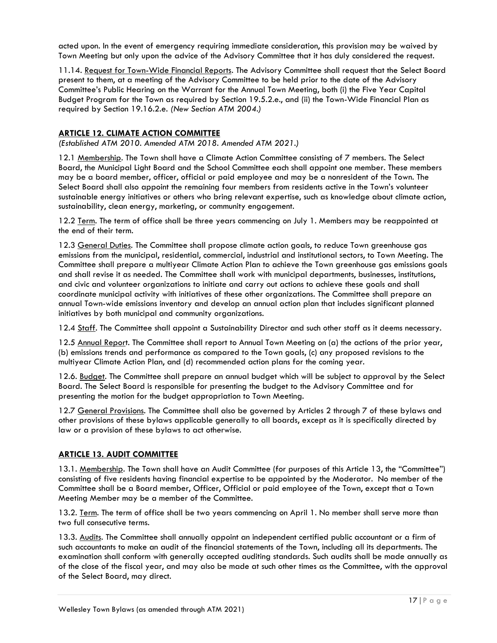acted upon. In the event of emergency requiring immediate consideration, this provision may be waived by Town Meeting but only upon the advice of the Advisory Committee that it has duly considered the request.

11.14. Request for Town-Wide Financial Reports. The Advisory Committee shall request that the Select Board present to them, at a meeting of the Advisory Committee to be held prior to the date of the Advisory Committee's Public Hearing on the Warrant for the Annual Town Meeting, both (i) the Five Year Capital Budget Program for the Town as required by Section 19.5.2.e., and (ii) the Town-Wide Financial Plan as required by Section 19.16.2.e. *(New Section ATM 2004.)*

# <span id="page-16-0"></span>**ARTICLE 12. CLIMATE ACTION COMMITTEE**

*(Established ATM 2010. Amended ATM 2018. Amended ATM 2021.)*

12.1 Membership. The Town shall have a Climate Action Committee consisting of 7 members. The Select Board, the Municipal Light Board and the School Committee each shall appoint one member. These members may be a board member, officer, official or paid employee and may be a nonresident of the Town. The Select Board shall also appoint the remaining four members from residents active in the Town's volunteer sustainable energy initiatives or others who bring relevant expertise, such as knowledge about climate action, sustainability, clean energy, marketing, or community engagement.

12.2 Term. The term of office shall be three years commencing on July 1. Members may be reappointed at the end of their term.

12.3 General Duties. The Committee shall propose climate action goals, to reduce Town greenhouse gas emissions from the municipal, residential, commercial, industrial and institutional sectors, to Town Meeting. The Committee shall prepare a multiyear Climate Action Plan to achieve the Town greenhouse gas emissions goals and shall revise it as needed. The Committee shall work with municipal departments, businesses, institutions, and civic and volunteer organizations to initiate and carry out actions to achieve these goals and shall coordinate municipal activity with initiatives of these other organizations. The Committee shall prepare an annual Town-wide emissions inventory and develop an annual action plan that includes significant planned initiatives by both municipal and community organizations.

12.4 Staff. The Committee shall appoint a Sustainability Director and such other staff as it deems necessary.

12.5 Annual Report. The Committee shall report to Annual Town Meeting on (a) the actions of the prior year, (b) emissions trends and performance as compared to the Town goals, (c) any proposed revisions to the multiyear Climate Action Plan, and (d) recommended action plans for the coming year.

12.6. Budget. The Committee shall prepare an annual budget which will be subject to approval by the Select Board. The Select Board is responsible for presenting the budget to the Advisory Committee and for presenting the motion for the budget appropriation to Town Meeting.

12.7 General Provisions. The Committee shall also be governed by Articles 2 through 7 of these bylaws and other provisions of these bylaws applicable generally to all boards, except as it is specifically directed by law or a provision of these bylaws to act otherwise.

# <span id="page-16-1"></span>**ARTICLE 13. AUDIT COMMITTEE**

13.1. Membership. The Town shall have an Audit Committee (for purposes of this Article 13, the "Committee") consisting of five residents having financial expertise to be appointed by the Moderator. No member of the Committee shall be a Board member, Officer, Official or paid employee of the Town, except that a Town Meeting Member may be a member of the Committee.

13.2. Term. The term of office shall be two years commencing on April 1. No member shall serve more than two full consecutive terms.

13.3. Audits. The Committee shall annually appoint an independent certified public accountant or a firm of such accountants to make an audit of the financial statements of the Town, including all its departments. The examination shall conform with generally accepted auditing standards. Such audits shall be made annually as of the close of the fiscal year, and may also be made at such other times as the Committee, with the approval of the Select Board, may direct.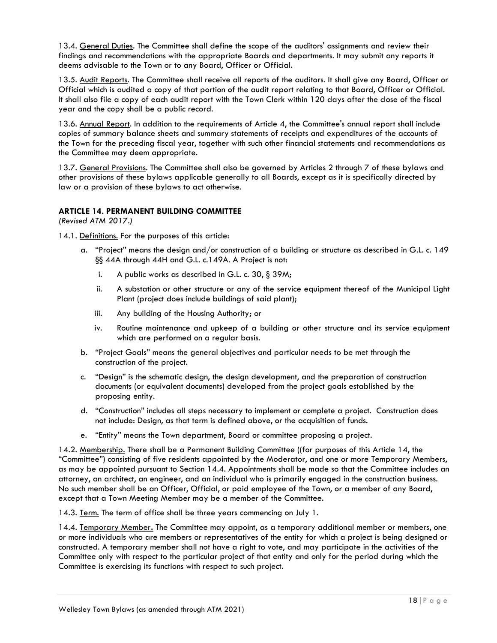13.4. General Duties. The Committee shall define the scope of the auditors' assignments and review their findings and recommendations with the appropriate Boards and departments. It may submit any reports it deems advisable to the Town or to any Board, Officer or Official.

13.5. Audit Reports. The Committee shall receive all reports of the auditors. It shall give any Board, Officer or Official which is audited a copy of that portion of the audit report relating to that Board, Officer or Official. It shall also file a copy of each audit report with the Town Clerk within 120 days after the close of the fiscal year and the copy shall be a public record.

13.6. Annual Report. In addition to the requirements of Article 4, the Committee's annual report shall include copies of summary balance sheets and summary statements of receipts and expenditures of the accounts of the Town for the preceding fiscal year, together with such other financial statements and recommendations as the Committee may deem appropriate.

13.7. General Provisions. The Committee shall also be governed by Articles 2 through 7 of these bylaws and other provisions of these bylaws applicable generally to all Boards, except as it is specifically directed by law or a provision of these bylaws to act otherwise.

# <span id="page-17-0"></span>**ARTICLE 14. PERMANENT BUILDING COMMITTEE**

*(Revised ATM 2017.)*

14.1. Definitions. For the purposes of this article:

- a. "Project" means the design and/or construction of a building or structure as described in G.L. c. 149 §§ 44A through 44H and G.L. c.149A. A Project is not:
	- i. A public works as described in G.L. c. 30, § 39M;
	- ii. A substation or other structure or any of the service equipment thereof of the Municipal Light Plant (project does include buildings of said plant);
	- iii. Any building of the Housing Authority; or
	- iv. Routine maintenance and upkeep of a building or other structure and its service equipment which are performed on a regular basis.
- b. "Project Goals" means the general objectives and particular needs to be met through the construction of the project.
- c. "Design" is the schematic design, the design development, and the preparation of construction documents (or equivalent documents) developed from the project goals established by the proposing entity.
- d. "Construction" includes all steps necessary to implement or complete a project. Construction does not include: Design, as that term is defined above, or the acquisition of funds.
- e. "Entity" means the Town department, Board or committee proposing a project.

14.2. Membership. There shall be a [Permanent Building Committee](http://www.wellesleyma.gov/Pages/WellesleyMA_PBC/index) ((for purposes of this Article 14, the "Committee") consisting of five residents appointed by the Moderator, and one or more Temporary Members, as may be appointed pursuant to Section 14.4. Appointments shall be made so that the Committee includes an attorney, an architect, an engineer, and an individual who is primarily engaged in the construction business. No such member shall be an Officer, Official, or paid employee of the Town, or a member of any Board, except that a Town Meeting Member may be a member of the Committee.

14.3. Term. The term of office shall be three years commencing on July 1.

14.4. Temporary Member**.** The Committee may appoint, as a temporary additional member or members, one or more individuals who are members or representatives of the entity for which a project is being designed or constructed. A temporary member shall not have a right to vote, and may participate in the activities of the Committee only with respect to the particular project of that entity and only for the period during which the Committee is exercising its functions with respect to such project.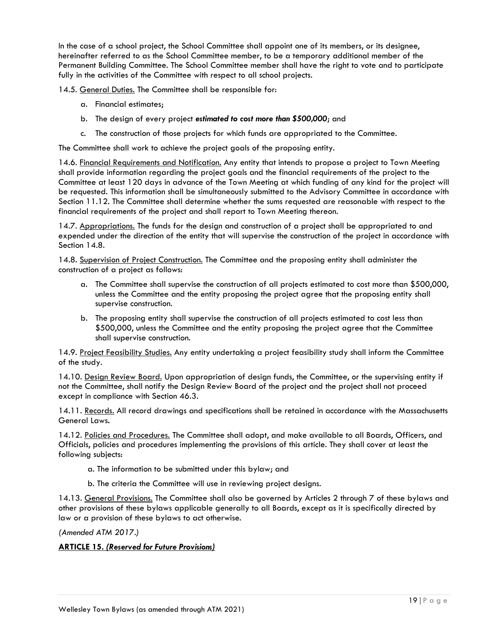In the case of a school project, the School Committee shall appoint one of its members, or its designee, hereinafter referred to as the School Committee member, to be a temporary additional member of the Permanent Building Committee. The School Committee member shall have the right to vote and to participate fully in the activities of the Committee with respect to all school projects.

14.5. General Duties. The Committee shall be responsible for:

- a. Financial estimates;
- b. The design of every project *estimated to cost more than \$500,000*; and
- c. The construction of those projects for which funds are appropriated to the Committee.

The Committee shall work to achieve the project goals of the proposing entity.

14.6. Financial Requirements and Notification. Any entity that intends to propose a project to Town Meeting shall provide information regarding the project goals and the financial requirements of the project to the Committee at least 120 days in advance of the Town Meeting at which funding of any kind for the project will be requested. This information shall be simultaneously submitted to the Advisory Committee in accordance with Section 11.12. The Committee shall determine whether the sums requested are reasonable with respect to the financial requirements of the project and shall report to Town Meeting thereon.

14.7. Appropriations. The funds for the design and construction of a project shall be appropriated to and expended under the direction of the entity that will supervise the construction of the project in accordance with Section 14.8.

14.8. Supervision of Project Construction. The Committee and the proposing entity shall administer the construction of a project as follows:

- a. The Committee shall supervise the construction of all projects estimated to cost more than \$500,000, unless the Committee and the entity proposing the project agree that the proposing entity shall supervise construction.
- b. The proposing entity shall supervise the construction of all projects estimated to cost less than \$500,000, unless the Committee and the entity proposing the project agree that the Committee shall supervise construction.

14.9. Project Feasibility Studies. Any entity undertaking a project feasibility study shall inform the Committee of the study.

14.10. Design Review Board. Upon appropriation of design funds, the Committee, or the supervising entity if not the Committee, shall notify the Design Review Board of the project and the project shall not proceed except in compliance with Section 46.3.

14.11. Records. All record drawings and specifications shall be retained in accordance with the Massachusetts General Laws*.*

14.12. Policies and Procedures. The Committee shall adopt, and make available to all Boards, Officers, and Officials, policies and procedures implementing the provisions of this article. They shall cover at least the following subjects:

- a. The information to be submitted under this bylaw; and
- b. The criteria the Committee will use in reviewing project designs.

14.13. General Provisions. The Committee shall also be governed by Articles 2 through 7 of these bylaws and other provisions of these bylaws applicable generally to all Boards, except as it is specifically directed by law or a provision of these bylaws to act otherwise.

*(Amended ATM 2017.)*

# <span id="page-18-0"></span>**ARTICLE 15.** *(Reserved for Future Provisions)*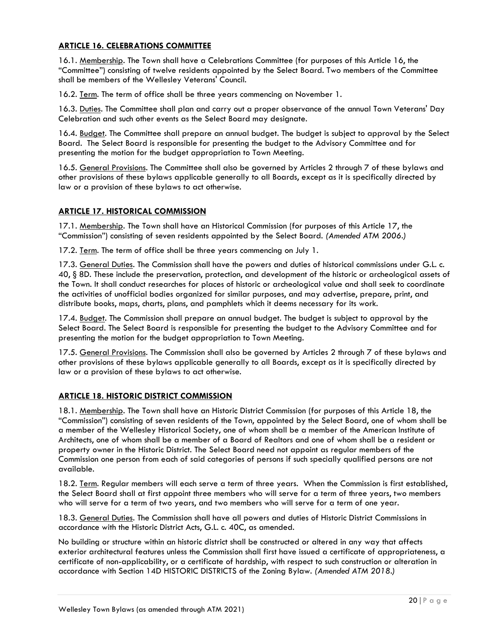# <span id="page-19-0"></span>**ARTICLE 16. CELEBRATIONS COMMITTEE**

16.1. Membership. The Town shall have a Celebrations Committee (for purposes of this Article 16, the "Committee") consisting of twelve residents appointed by the Select Board. Two members of the Committee shall be members of the Wellesley Veterans' Council.

16.2. Term. The term of office shall be three years commencing on November 1.

16.3. Duties. The Committee shall plan and carry out a proper observance of the annual Town Veterans' Day Celebration and such other events as the Select Board may designate.

16.4. Budget. The Committee shall prepare an annual budget. The budget is subject to approval by the Select Board. The Select Board is responsible for presenting the budget to the Advisory Committee and for presenting the motion for the budget appropriation to Town Meeting.

16.5. General Provisions. The Committee shall also be governed by Articles 2 through 7 of these bylaws and other provisions of these bylaws applicable generally to all Boards, except as it is specifically directed by law or a provision of these bylaws to act otherwise.

# <span id="page-19-1"></span>**ARTICLE 17. HISTORICAL COMMISSION**

17.1. Membership. The Town shall have an Historical Commission (for purposes of this Article 17, the "Commission") consisting of seven residents appointed by the Select Board. *(Amended ATM 2006.)*

17.2. Term. The term of office shall be three years commencing on July 1.

17.3. General Duties. The Commission shall have the powers and duties of historical commissions under G.L. c. 40, § 8D. These include the preservation, protection, and development of the historic or archeological assets of the Town. It shall conduct researches for places of historic or archeological value and shall seek to coordinate the activities of unofficial bodies organized for similar purposes, and may advertise, prepare, print, and distribute books, maps, charts, plans, and pamphlets which it deems necessary for its work.

17.4. Budget. The Commission shall prepare an annual budget. The budget is subject to approval by the Select Board. The Select Board is responsible for presenting the budget to the Advisory Committee and for presenting the motion for the budget appropriation to Town Meeting.

17.5. General Provisions. The Commission shall also be governed by Articles 2 through 7 of these bylaws and other provisions of these bylaws applicable generally to all Boards, except as it is specifically directed by law or a provision of these bylaws to act otherwise.

# <span id="page-19-2"></span>**ARTICLE 18. HISTORIC DISTRICT COMMISSION**

18.1. Membership. The Town shall have an Historic District Commission (for purposes of this Article 18, the "Commission") consisting of seven residents of the Town, appointed by the Select Board, one of whom shall be a member of the Wellesley Historical Society, one of whom shall be a member of the American Institute of Architects, one of whom shall be a member of a Board of Realtors and one of whom shall be a resident or property owner in the Historic District. The Select Board need not appoint as regular members of the Commission one person from each of said categories of persons if such specially qualified persons are not available.

18.2. Term. Regular members will each serve a term of three years. When the Commission is first established, the Select Board shall at first appoint three members who will serve for a term of three years, two members who will serve for a term of two years, and two members who will serve for a term of one year.

18.3. General Duties. The Commission shall have all powers and duties of Historic District Commissions in accordance with the Historic District Acts, G.L. c. 40C, as amended.

No building or structure within an historic district shall be constructed or altered in any way that affects exterior architectural features unless the Commission shall first have issued a certificate of appropriateness, a certificate of non-applicability, or a certificate of hardship, with respect to such construction or alteration in accordance with Section 14D HISTORIC DISTRICTS of the Zoning Bylaw. *(Amended ATM 2018.)*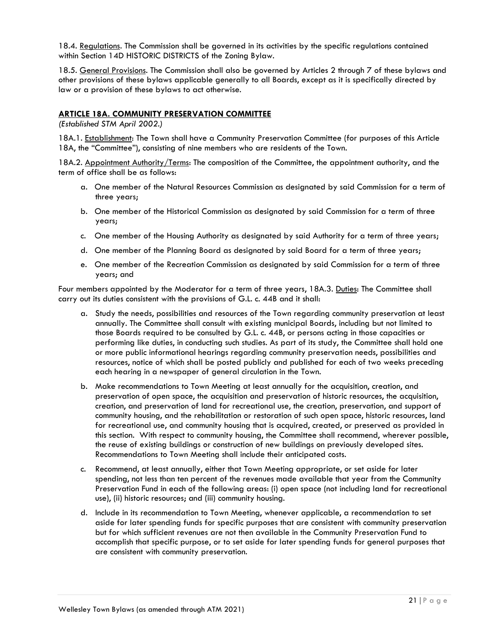18.4. Regulations. The Commission shall be governed in its activities by the specific regulations contained within Section 14D HISTORIC DISTRICTS of the Zoning Bylaw.

18.5. General Provisions. The Commission shall also be governed by Articles 2 through 7 of these bylaws and other provisions of these bylaws applicable generally to all Boards, except as it is specifically directed by law or a provision of these bylaws to act otherwise.

### <span id="page-20-0"></span>**ARTICLE 18A. COMMUNITY PRESERVATION COMMITTEE**

*(Established STM April 2002.)*

18A.1. **Establishment:** The Town shall have a Community Preservation Committee (for purposes of this Article 18A, the "Committee"), consisting of nine members who are residents of the Town.

18A.2. Appointment Authority/Terms: The composition of the Committee, the appointment authority, and the term of office shall be as follows:

- a. One member of the Natural Resources Commission as designated by said Commission for a term of three years;
- b. One member of the Historical Commission as designated by said Commission for a term of three years;
- c. One member of the Housing Authority as designated by said Authority for a term of three years;
- d. One member of the Planning Board as designated by said Board for a term of three years;
- e. One member of the Recreation Commission as designated by said Commission for a term of three years; and

Four members appointed by the Moderator for a term of three years, 18A.3. Duties: The Committee shall carry out its duties consistent with the provisions of G.L. c. 44B and it shall:

- a. Study the needs, possibilities and resources of the Town regarding community preservation at least annually. The Committee shall consult with existing municipal Boards, including but not limited to those Boards required to be consulted by G.L. c. 44B, or persons acting in those capacities or performing like duties, in conducting such studies. As part of its study, the Committee shall hold one or more public informational hearings regarding community preservation needs, possibilities and resources, notice of which shall be posted publicly and published for each of two weeks preceding each hearing in a newspaper of general circulation in the Town.
- b. Make recommendations to Town Meeting at least annually for the acquisition, creation, and preservation of open space, the acquisition and preservation of historic resources, the acquisition, creation, and preservation of land for recreational use, the creation, preservation, and support of community housing, and the rehabilitation or restoration of such open space, historic resources, land for recreational use, and community housing that is acquired, created, or preserved as provided in this section. With respect to community housing, the Committee shall recommend, wherever possible, the reuse of existing buildings or construction of new buildings on previously developed sites. Recommendations to Town Meeting shall include their anticipated costs.
- c. Recommend, at least annually, either that Town Meeting appropriate, or set aside for later spending, not less than ten percent of the revenues made available that year from the Community Preservation Fund in each of the following areas: (i) open space (not including land for recreational use), (ii) historic resources; and (iii) community housing.
- d. Include in its recommendation to Town Meeting, whenever applicable, a recommendation to set aside for later spending funds for specific purposes that are consistent with community preservation but for which sufficient revenues are not then available in the Community Preservation Fund to accomplish that specific purpose, or to set aside for later spending funds for general purposes that are consistent with community preservation.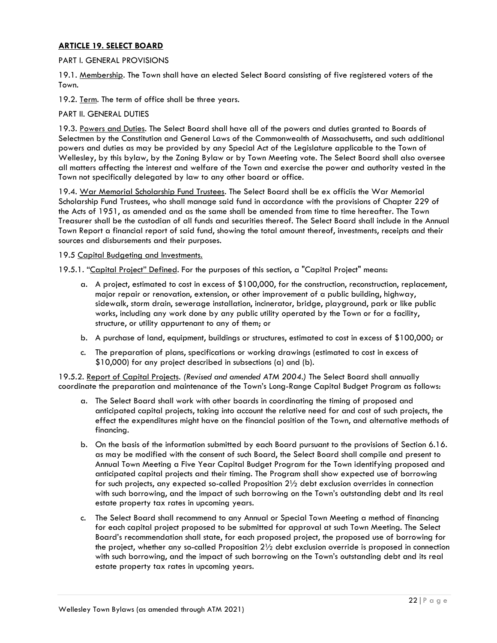### <span id="page-21-0"></span>**ARTICLE 19. SELECT BOARD**

### PART I. GENERAL PROVISIONS

19.1. Membership. The Town shall have an elected Select Board consisting of five registered voters of the Town.

19.2. Term. The term of office shall be three years.

### PART II. GENERAL DUTIES

19.3. Powers and Duties. The Select Board shall have all of the powers and duties granted to Boards of Selectmen by the Constitution and General Laws of the Commonwealth of Massachusetts, and such additional powers and duties as may be provided by any Special Act of the Legislature applicable to the Town of Wellesley, by this bylaw, by the Zoning Bylaw or by Town Meeting vote. The Select Board shall also oversee all matters affecting the interest and welfare of the Town and exercise the power and authority vested in the Town not specifically delegated by law to any other board or office.

19.4. War Memorial Scholarship Fund Trustees. The Select Board shall be ex officiis the War Memorial Scholarship Fund Trustees, who shall manage said fund in accordance with the provisions of Chapter 229 of the Acts of 1951, as amended and as the same shall be amended from time to time hereafter. The Town Treasurer shall be the custodian of all funds and securities thereof. The Select Board shall include in the Annual Town Report a financial report of said fund, showing the total amount thereof, investments, receipts and their sources and disbursements and their purposes.

#### 19.5 Capital Budgeting and Investments.

19.5.1. "Capital Project" Defined. For the purposes of this section, a "Capital Project" means:

- a. A project, estimated to cost in excess of \$100,000, for the construction, reconstruction, replacement, major repair or renovation, extension, or other improvement of a public building, highway, sidewalk, storm drain, sewerage installation, incinerator, bridge, playground, park or like public works, including any work done by any public utility operated by the Town or for a facility, structure, or utility appurtenant to any of them; or
- b. A purchase of land, equipment, buildings or structures, estimated to cost in excess of \$100,000; or
- c. The preparation of plans, specifications or working drawings (estimated to cost in excess of \$10,000) for any project described in subsections (a) and (b).

19.5.2. Report of Capital Projects. *(Revised and amended ATM 2004.)* The Select Board shall annually coordinate the preparation and maintenance of the Town's Long-Range Capital Budget Program as follows:

- a. The Select Board shall work with other boards in coordinating the timing of proposed and anticipated capital projects, taking into account the relative need for and cost of such projects, the effect the expenditures might have on the financial position of the Town, and alternative methods of financing.
- b. On the basis of the information submitted by each Board pursuant to the provisions of Section 6.16. as may be modified with the consent of such Board, the Select Board shall compile and present to Annual Town Meeting a Five Year Capital Budget Program for the Town identifying proposed and anticipated capital projects and their timing. The Program shall show expected use of borrowing for such projects, any expected so-called Proposition 2½ debt exclusion overrides in connection with such borrowing, and the impact of such borrowing on the Town's outstanding debt and its real estate property tax rates in upcoming years.
- c. The Select Board shall recommend to any Annual or Special Town Meeting a method of financing for each capital project proposed to be submitted for approval at such Town Meeting. The Select Board's recommendation shall state, for each proposed project, the proposed use of borrowing for the project, whether any so-called Proposition 2½ debt exclusion override is proposed in connection with such borrowing, and the impact of such borrowing on the Town's outstanding debt and its real estate property tax rates in upcoming years.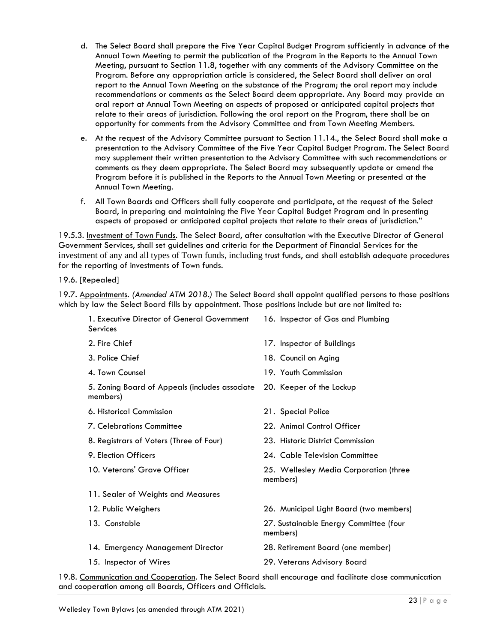- d. The Select Board shall prepare the Five Year Capital Budget Program sufficiently in advance of the Annual Town Meeting to permit the publication of the Program in the Reports to the Annual Town Meeting, pursuant to Section 11.8, together with any comments of the Advisory Committee on the Program. Before any appropriation article is considered, the Select Board shall deliver an oral report to the Annual Town Meeting on the substance of the Program; the oral report may include recommendations or comments as the Select Board deem appropriate. Any Board may provide an oral report at Annual Town Meeting on aspects of proposed or anticipated capital projects that relate to their areas of jurisdiction. Following the oral report on the Program, there shall be an opportunity for comments from the Advisory Committee and from Town Meeting Members.
- e. At the request of the Advisory Committee pursuant to Section 11.14., the Select Board shall make a presentation to the Advisory Committee of the Five Year Capital Budget Program. The Select Board may supplement their written presentation to the Advisory Committee with such recommendations or comments as they deem appropriate. The Select Board may subsequently update or amend the Program before it is published in the Reports to the Annual Town Meeting or presented at the Annual Town Meeting.
- f. All Town Boards and Officers shall fully cooperate and participate, at the request of the Select Board, in preparing and maintaining the Five Year Capital Budget Program and in presenting aspects of proposed or anticipated capital projects that relate to their areas of jurisdiction."

19.5.3. Investment of Town Funds. The Select Board, after consultation with the Executive Director of General Government Services, shall set guidelines and criteria for the Department of Financial Services for the investment of any and all types of Town funds, including trust funds, and shall establish adequate procedures for the reporting of investments of Town funds.

19.6. [Repealed]

19.7. Appointments. *(Amended ATM 2018.)* The Select Board shall appoint qualified persons to those positions which by law the Select Board fills by appointment. Those positions include but are not limited to:

| 1. Executive Director of General Government<br><b>Services</b> | 16. Inspector of Gas and Plumbing                  |
|----------------------------------------------------------------|----------------------------------------------------|
| 2. Fire Chief                                                  | 17. Inspector of Buildings                         |
| 3. Police Chief                                                | 18. Council on Aging                               |
| 4. Town Counsel                                                | 19. Youth Commission                               |
| 5. Zoning Board of Appeals (includes associate<br>members)     | 20. Keeper of the Lockup                           |
| 6. Historical Commission                                       | 21. Special Police                                 |
| <b>7. Celebrations Committee</b>                               | 22. Animal Control Officer                         |
| 8. Registrars of Voters (Three of Four)                        | 23. Historic District Commission                   |
| 9. Election Officers                                           | 24. Cable Television Committee                     |
| 10. Veterans' Grave Officer                                    | 25. Wellesley Media Corporation (three<br>members) |
| 11. Sealer of Weights and Measures                             |                                                    |
| 12. Public Weighers                                            | 26. Municipal Light Board (two members)            |
| 13. Constable                                                  | 27. Sustainable Energy Committee (four<br>members) |
| 14. Emergency Management Director                              | 28. Retirement Board (one member)                  |
| 15. Inspector of Wires                                         | 29. Veterans Advisory Board                        |
|                                                                |                                                    |

19.8. Communication and Cooperation. The Select Board shall encourage and facilitate close communication and cooperation among all Boards, Officers and Officials.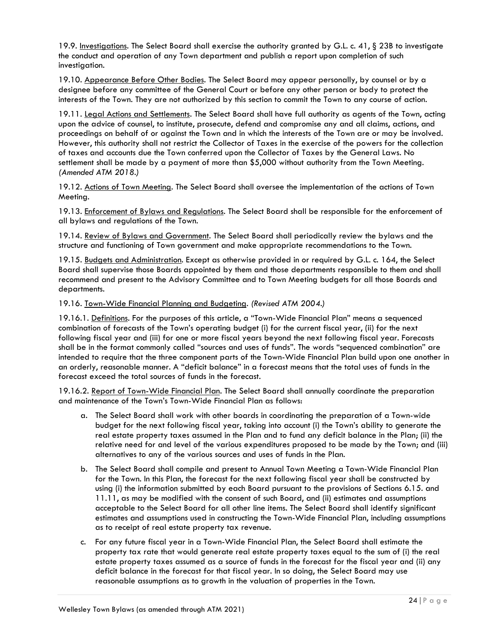19.9. Investigations. The Select Board shall exercise the authority granted by G.L. c. 41, § 23B to investigate the conduct and operation of any Town department and publish a report upon completion of such investigation.

19.10. Appearance Before Other Bodies. The Select Board may appear personally, by counsel or by a designee before any committee of the General Court or before any other person or body to protect the interests of the Town. They are not authorized by this section to commit the Town to any course of action.

19.11. Legal Actions and Settlements. The Select Board shall have full authority as agents of the Town, acting upon the advice of counsel, to institute, prosecute, defend and compromise any and all claims, actions, and proceedings on behalf of or against the Town and in which the interests of the Town are or may be involved. However, this authority shall not restrict the Collector of Taxes in the exercise of the powers for the collection of taxes and accounts due the Town conferred upon the Collector of Taxes by the General Laws. No settlement shall be made by a payment of more than \$5,000 without authority from the Town Meeting. *(Amended ATM 2018.)*

19.12. Actions of Town Meeting. The Select Board shall oversee the implementation of the actions of Town Meeting.

19.13. Enforcement of Bylaws and Regulations. The Select Board shall be responsible for the enforcement of all bylaws and regulations of the Town.

19.14. Review of Bylaws and Government. The Select Board shall periodically review the bylaws and the structure and functioning of Town government and make appropriate recommendations to the Town.

19.15. Budgets and Administration. Except as otherwise provided in or required by G.L. c. 164, the Select Board shall supervise those Boards appointed by them and those departments responsible to them and shall recommend and present to the Advisory Committee and to Town Meeting budgets for all those Boards and departments.

19.16. Town-Wide Financial Planning and Budgeting. *(Revised ATM 2004.)*

19.16.1. Definitions. For the purposes of this article, a "Town-Wide Financial Plan" means a sequenced combination of forecasts of the Town's operating budget (i) for the current fiscal year, (ii) for the next following fiscal year and (iii) for one or more fiscal years beyond the next following fiscal year. Forecasts shall be in the format commonly called "sources and uses of funds". The words "sequenced combination" are intended to require that the three component parts of the Town-Wide Financial Plan build upon one another in an orderly, reasonable manner. A "deficit balance" in a forecast means that the total uses of funds in the forecast exceed the total sources of funds in the forecast.

19.16.2. Report of Town-Wide Financial Plan. The Select Board shall annually coordinate the preparation and maintenance of the Town's Town-Wide Financial Plan as follows:

- a. The Select Board shall work with other boards in coordinating the preparation of a Town-wide budget for the next following fiscal year, taking into account (i) the Town's ability to generate the real estate property taxes assumed in the Plan and to fund any deficit balance in the Plan; (ii) the relative need for and level of the various expenditures proposed to be made by the Town; and (iii) alternatives to any of the various sources and uses of funds in the Plan.
- b. The Select Board shall compile and present to Annual Town Meeting a Town-Wide Financial Plan for the Town. In this Plan, the forecast for the next following fiscal year shall be constructed by using (i) the information submitted by each Board pursuant to the provisions of Sections 6.15. and 11.11, as may be modified with the consent of such Board, and (ii) estimates and assumptions acceptable to the Select Board for all other line items. The Select Board shall identify significant estimates and assumptions used in constructing the Town-Wide Financial Plan, including assumptions as to receipt of real estate property tax revenue.
- c. For any future fiscal year in a Town-Wide Financial Plan, the Select Board shall estimate the property tax rate that would generate real estate property taxes equal to the sum of (i) the real estate property taxes assumed as a source of funds in the forecast for the fiscal year and (ii) any deficit balance in the forecast for that fiscal year. In so doing, the Select Board may use reasonable assumptions as to growth in the valuation of properties in the Town.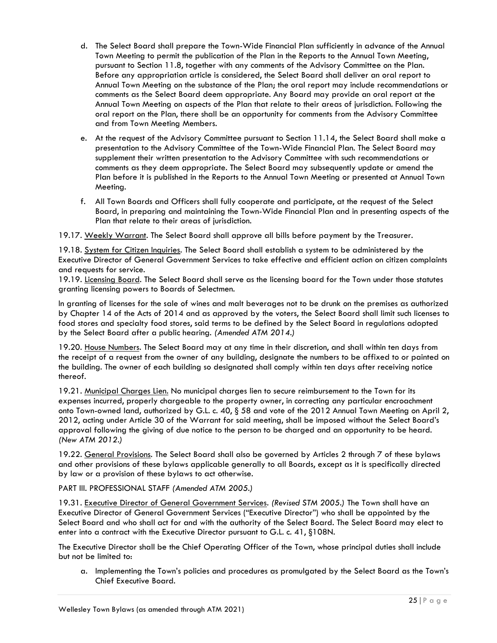- d. The Select Board shall prepare the Town-Wide Financial Plan sufficiently in advance of the Annual Town Meeting to permit the publication of the Plan in the Reports to the Annual Town Meeting, pursuant to Section 11.8, together with any comments of the Advisory Committee on the Plan. Before any appropriation article is considered, the Select Board shall deliver an oral report to Annual Town Meeting on the substance of the Plan; the oral report may include recommendations or comments as the Select Board deem appropriate. Any Board may provide an oral report at the Annual Town Meeting on aspects of the Plan that relate to their areas of jurisdiction. Following the oral report on the Plan, there shall be an opportunity for comments from the Advisory Committee and from Town Meeting Members.
- e. At the request of the Advisory Committee pursuant to Section 11.14, the Select Board shall make a presentation to the Advisory Committee of the Town-Wide Financial Plan. The Select Board may supplement their written presentation to the Advisory Committee with such recommendations or comments as they deem appropriate. The Select Board may subsequently update or amend the Plan before it is published in the Reports to the Annual Town Meeting or presented at Annual Town Meeting.
- f. All Town Boards and Officers shall fully cooperate and participate, at the request of the Select Board, in preparing and maintaining the Town-Wide Financial Plan and in presenting aspects of the Plan that relate to their areas of jurisdiction.

19.17. Weekly Warrant. The Select Board shall approve all bills before payment by the Treasurer.

19.18. System for Citizen Inquiries. The Select Board shall establish a system to be administered by the Executive Director of General Government Services to take effective and efficient action on citizen complaints and requests for service.

19.19. Licensing Board. The Select Board shall serve as the licensing board for the Town under those statutes granting licensing powers to Boards of Selectmen.

In granting of licenses for the sale of wines and malt beverages not to be drunk on the premises as authorized by Chapter 14 of the Acts of 2014 and as approved by the voters, the Select Board shall limit such licenses to food stores and specialty food stores, said terms to be defined by the Select Board in regulations adopted by the Select Board after a public hearing. *(Amended ATM 2014.)*

19.20. House Numbers. The Select Board may at any time in their discretion, and shall within ten days from the receipt of a request from the owner of any building, designate the numbers to be affixed to or painted on the building. The owner of each building so designated shall comply within ten days after receiving notice thereof.

19.21. Municipal Charges Lien. No municipal charges lien to secure reimbursement to the Town for its expenses incurred, properly chargeable to the property owner, in correcting any particular encroachment onto Town-owned land, authorized by G.L. c. 40, § 58 and vote of the 2012 Annual Town Meeting on April 2, 2012, acting under Article 30 of the Warrant for said meeting, shall be imposed without the Select Board's approval following the giving of due notice to the person to be charged and an opportunity to be heard. *(New ATM 2012.)*

19.22. General Provisions. The Select Board shall also be governed by Articles 2 through 7 of these bylaws and other provisions of these bylaws applicable generally to all Boards, except as it is specifically directed by law or a provision of these bylaws to act otherwise.

PART III. PROFESSIONAL STAFF *(Amended ATM 2005.)*

19.31. Executive Director of General Government Services. *(Revised STM 2005.)* The Town shall have an Executive Director of General Government Services ("Executive Director") who shall be appointed by the Select Board and who shall act for and with the authority of the Select Board. The Select Board may elect to enter into a contract with the Executive Director pursuant to G.L. c. 41, §108N.

The Executive Director shall be the Chief Operating Officer of the Town, whose principal duties shall include but not be limited to:

a. Implementing the Town's policies and procedures as promulgated by the Select Board as the Town's Chief Executive Board.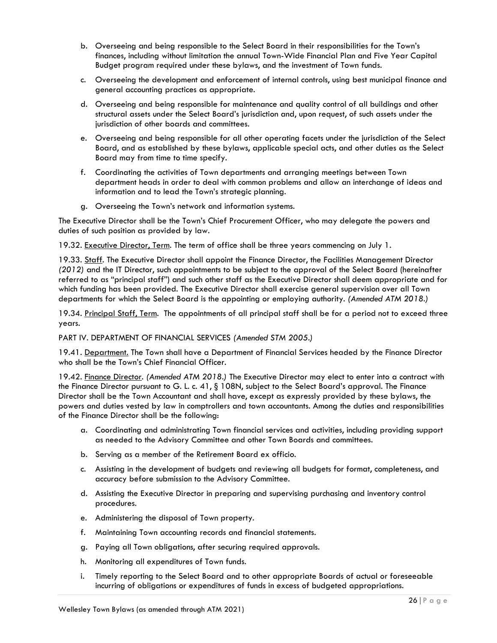- b. Overseeing and being responsible to the Select Board in their responsibilities for the Town's finances, including without limitation the annual Town-Wide Financial Plan and Five Year Capital Budget program required under these bylaws, and the investment of Town funds.
- c. Overseeing the development and enforcement of internal controls, using best municipal finance and general accounting practices as appropriate.
- d. Overseeing and being responsible for maintenance and quality control of all buildings and other structural assets under the Select Board's jurisdiction and, upon request, of such assets under the jurisdiction of other boards and committees.
- e. Overseeing and being responsible for all other operating facets under the jurisdiction of the Select Board, and as established by these bylaws, applicable special acts, and other duties as the Select Board may from time to time specify.
- f. Coordinating the activities of Town departments and arranging meetings between Town department heads in order to deal with common problems and allow an interchange of ideas and information and to lead the Town's strategic planning.
- g. Overseeing the Town's network and information systems.

The Executive Director shall be the Town's Chief Procurement Officer, who may delegate the powers and duties of such position as provided by law.

19.32. Executive Director, Term. The term of office shall be three years commencing on July 1.

19.33. Staff. The Executive Director shall appoint the Finance Director, the Facilities Management Director *(2012)* and the IT Director, such appointments to be subject to the approval of the Select Board (hereinafter referred to as "principal staff") and such other staff as the Executive Director shall deem appropriate and for which funding has been provided. The Executive Director shall exercise general supervision over all Town departments for which the Select Board is the appointing or employing authority. *(Amended ATM 2018.)*

19.34. Principal Staff, Term. The appointments of all principal staff shall be for a period not to exceed three years.

PART IV. DEPARTMENT OF FINANCIAL SERVICES *(Amended STM 2005.)*

19.41. Department. The Town shall have a Department of Financial Services headed by the Finance Director who shall be the Town's Chief Financial Officer.

19.42. Finance Director. *(Amended ATM 2018.)* The Executive Director may elect to enter into a contract with the Finance Director pursuant to G. L. c. 41, § 108N, subject to the Select Board's approval. The Finance Director shall be the Town Accountant and shall have, except as expressly provided by these bylaws, the powers and duties vested by law in comptrollers and town accountants. Among the duties and responsibilities of the Finance Director shall be the following:

- a. Coordinating and administrating Town financial services and activities, including providing support as needed to the Advisory Committee and other Town Boards and committees.
- b. Serving as a member of the Retirement Board ex officio.
- c. Assisting in the development of budgets and reviewing all budgets for format, completeness, and accuracy before submission to the Advisory Committee.
- d. Assisting the Executive Director in preparing and supervising purchasing and inventory control procedures.
- e. Administering the disposal of Town property.
- f. Maintaining Town accounting records and financial statements.
- g. Paying all Town obligations, after securing required approvals.
- h. Monitoring all expenditures of Town funds.
- i. Timely reporting to the Select Board and to other appropriate Boards of actual or foreseeable incurring of obligations or expenditures of funds in excess of budgeted appropriations.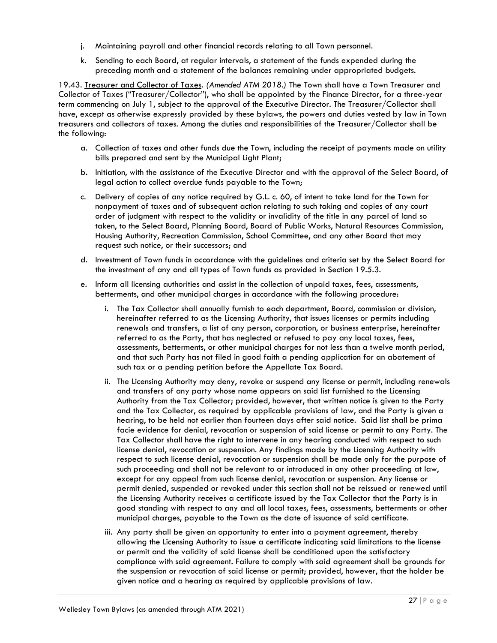- j. Maintaining payroll and other financial records relating to all Town personnel.
- k. Sending to each Board, at regular intervals, a statement of the funds expended during the preceding month and a statement of the balances remaining under appropriated budgets.

19.43. Treasurer and Collector of Taxes. *(Amended ATM 2018.)* The Town shall have a Town Treasurer and Collector of Taxes ("Treasurer/Collector"), who shall be appointed by the Finance Director, for a three-year term commencing on July 1, subject to the approval of the Executive Director. The Treasurer/Collector shall have, except as otherwise expressly provided by these bylaws, the powers and duties vested by law in Town treasurers and collectors of taxes. Among the duties and responsibilities of the Treasurer/Collector shall be the following:

- a. Collection of taxes and other funds due the Town, including the receipt of payments made on utility bills prepared and sent by the Municipal Light Plant;
- b. Initiation, with the assistance of the Executive Director and with the approval of the Select Board, of legal action to collect overdue funds payable to the Town;
- c. Delivery of copies of any notice required by G.L. c. 60, of intent to take land for the Town for nonpayment of taxes and of subsequent action relating to such taking and copies of any court order of judgment with respect to the validity or invalidity of the title in any parcel of land so taken, to the Select Board, Planning Board, Board of Public Works, Natural Resources Commission, Housing Authority, Recreation Commission, School Committee, and any other Board that may request such notice, or their successors; and
- d. Investment of Town funds in accordance with the guidelines and criteria set by the Select Board for the investment of any and all types of Town funds as provided in Section 19.5.3.
- e. Inform all licensing authorities and assist in the collection of unpaid taxes, fees, assessments, betterments, and other municipal charges in accordance with the following procedure:
	- i. The Tax Collector shall annually furnish to each department, Board, commission or division, hereinafter referred to as the Licensing Authority, that issues licenses or permits including renewals and transfers, a list of any person, corporation, or business enterprise, hereinafter referred to as the Party, that has neglected or refused to pay any local taxes, fees, assessments, betterments, or other municipal charges for not less than a twelve month period, and that such Party has not filed in good faith a pending application for an abatement of such tax or a pending petition before the Appellate Tax Board.
	- ii. The Licensing Authority may deny, revoke or suspend any license or permit, including renewals and transfers of any party whose name appears on said list furnished to the Licensing Authority from the Tax Collector; provided, however, that written notice is given to the Party and the Tax Collector, as required by applicable provisions of law, and the Party is given a hearing, to be held not earlier than fourteen days after said notice. Said list shall be prima facie evidence for denial, revocation or suspension of said license or permit to any Party. The Tax Collector shall have the right to intervene in any hearing conducted with respect to such license denial, revocation or suspension. Any findings made by the Licensing Authority with respect to such license denial, revocation or suspension shall be made only for the purpose of such proceeding and shall not be relevant to or introduced in any other proceeding at law, except for any appeal from such license denial, revocation or suspension. Any license or permit denied, suspended or revoked under this section shall not be reissued or renewed until the Licensing Authority receives a certificate issued by the Tax Collector that the Party is in good standing with respect to any and all local taxes, fees, assessments, betterments or other municipal charges, payable to the Town as the date of issuance of said certificate.
	- iii. Any party shall be given an opportunity to enter into a payment agreement, thereby allowing the Licensing Authority to issue a certificate indicating said limitations to the license or permit and the validity of said license shall be conditioned upon the satisfactory compliance with said agreement. Failure to comply with said agreement shall be grounds for the suspension or revocation of said license or permit; provided, however, that the holder be given notice and a hearing as required by applicable provisions of law.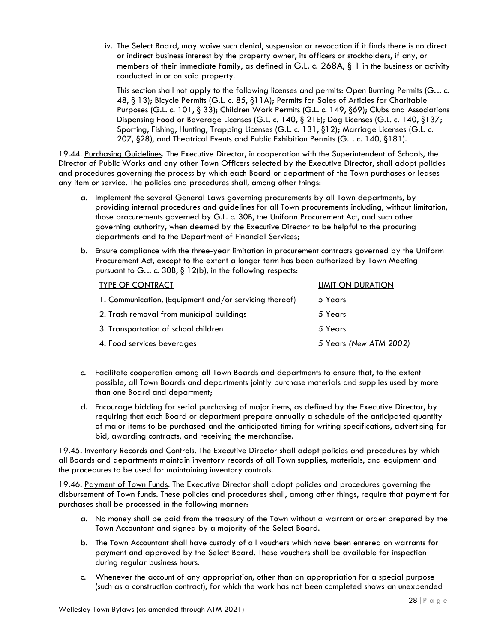iv. The Select Board, may waive such denial, suspension or revocation if it finds there is no direct or indirect business interest by the property owner, its officers or stockholders, if any, or members of their immediate family, as defined in G.L. c. 268A, § 1 in the business or activity conducted in or on said property.

This section shall not apply to the following licenses and permits: Open Burning Permits (G.L. c. 48, § 13); Bicycle Permits (G.L. c. 85, §11A); Permits for Sales of Articles for Charitable Purposes (G.L. c. 101, § 33); Children Work Permits (G.L. c. 149, §69); Clubs and Associations Dispensing Food or Beverage Licenses (G.L. c. 140, § 21E); Dog Licenses (G.L. c. 140, §137; Sporting, Fishing, Hunting, Trapping Licenses (G.L. c. 131, §12); Marriage Licenses (G.L. c. 207, §28), and Theatrical Events and Public Exhibition Permits (G.L. c. 140, §181).

19.44. Purchasing Guidelines. The Executive Director, in cooperation with the Superintendent of Schools, the Director of Public Works and any other Town Officers selected by the Executive Director, shall adopt policies and procedures governing the process by which each Board or department of the Town purchases or leases any item or service. The policies and procedures shall, among other things:

- a. Implement the several General Laws governing procurements by all Town departments, by providing internal procedures and guidelines for all Town procurements including, without limitation, those procurements governed by G.L. c. 30B, the Uniform Procurement Act, and such other governing authority, when deemed by the Executive Director to be helpful to the procuring departments and to the Department of Financial Services;
- b. Ensure compliance with the three-year limitation in procurement contracts governed by the Uniform Procurement Act, except to the extent a longer term has been authorized by Town Meeting pursuant to G.L. c. 30B, § 12(b), in the following respects:

| <b>TYPE OF CONTRACT</b>                                | LIMIT ON DURATION      |
|--------------------------------------------------------|------------------------|
| 1. Communication, (Equipment and/or servicing thereof) | 5 Years                |
| 2. Trash removal from municipal buildings              | 5 Years                |
| 3. Transportation of school children                   | 5 Years                |
| 4. Food services beverages                             | 5 Years (New ATM 2002) |

- c. Facilitate cooperation among all Town Boards and departments to ensure that, to the extent possible, all Town Boards and departments jointly purchase materials and supplies used by more than one Board and department;
- d. Encourage bidding for serial purchasing of major items, as defined by the Executive Director, by requiring that each Board or department prepare annually a schedule of the anticipated quantity of major items to be purchased and the anticipated timing for writing specifications, advertising for bid, awarding contracts, and receiving the merchandise.

19.45. Inventory Records and Controls. The Executive Director shall adopt policies and procedures by which all Boards and departments maintain inventory records of all Town supplies, materials, and equipment and the procedures to be used for maintaining inventory controls.

19.46. Payment of Town Funds. The Executive Director shall adopt policies and procedures governing the disbursement of Town funds. These policies and procedures shall, among other things, require that payment for purchases shall be processed in the following manner:

- a. No money shall be paid from the treasury of the Town without a warrant or order prepared by the Town Accountant and signed by a majority of the Select Board.
- b. The Town Accountant shall have custody of all vouchers which have been entered on warrants for payment and approved by the Select Board. These vouchers shall be available for inspection during regular business hours.
- c. Whenever the account of any appropriation, other than an appropriation for a special purpose (such as a construction contract), for which the work has not been completed shows an unexpended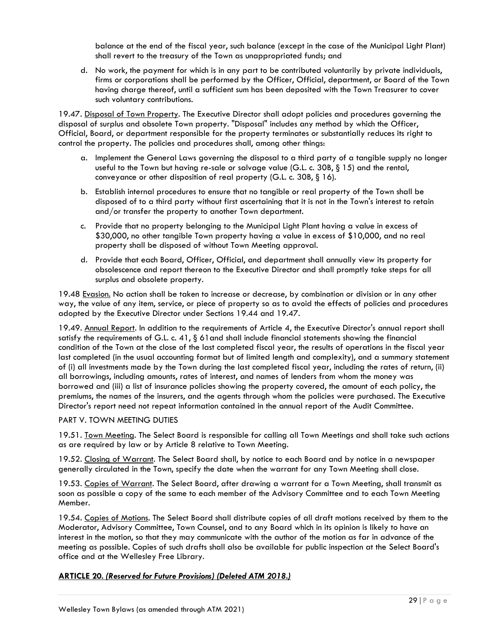balance at the end of the fiscal year, such balance (except in the case of the Municipal Light Plant) shall revert to the treasury of the Town as unappropriated funds; and

d. No work, the payment for which is in any part to be contributed voluntarily by private individuals, firms or corporations shall be performed by the Officer, Official, department, or Board of the Town having charge thereof, until a sufficient sum has been deposited with the Town Treasurer to cover such voluntary contributions.

19.47. Disposal of Town Property. The Executive Director shall adopt policies and procedures governing the disposal of surplus and obsolete Town property. "Disposal" includes any method by which the Officer, Official, Board, or department responsible for the property terminates or substantially reduces its right to control the property. The policies and procedures shall, among other things:

- a. Implement the General Laws governing the disposal to a third party of a tangible supply no longer useful to the Town but having re-sale or salvage value (G.L. c. 30B, § 15) and the rental, conveyance or other disposition of real property (G.L. c. 30B, § 16).
- b. Establish internal procedures to ensure that no tangible or real property of the Town shall be disposed of to a third party without first ascertaining that it is not in the Town's interest to retain and/or transfer the property to another Town department.
- c. Provide that no property belonging to the Municipal Light Plant having a value in excess of \$30,000, no other tangible Town property having a value in excess of \$10,000, and no real property shall be disposed of without Town Meeting approval.
- d. Provide that each Board, Officer, Official, and department shall annually view its property for obsolescence and report thereon to the Executive Director and shall promptly take steps for all surplus and obsolete property.

19.48 Evasion. No action shall be taken to increase or decrease, by combination or division or in any other way, the value of any item, service, or piece of property so as to avoid the effects of policies and procedures adopted by the Executive Director under Sections 19.44 and 19.47.

19.49. Annual Report. In addition to the requirements of Article 4, the Executive Director's annual report shall satisfy the requirements of G.L. c. 41, § 61 and shall include financial statements showing the financial condition of the Town at the close of the last completed fiscal year, the results of operations in the fiscal year last completed (in the usual accounting format but of limited length and complexity), and a summary statement of (i) all investments made by the Town during the last completed fiscal year, including the rates of return, (ii) all borrowings, including amounts, rates of interest, and names of lenders from whom the money was borrowed and (iii) a list of insurance policies showing the property covered, the amount of each policy, the premiums, the names of the insurers, and the agents through whom the policies were purchased. The Executive Director's report need not repeat information contained in the annual report of the Audit Committee.

# PART V. TOWN MEETING DUTIES

19.51. Town Meeting. The Select Board is responsible for calling all Town Meetings and shall take such actions as are required by law or by Article 8 relative to Town Meeting.

19.52. Closing of Warrant. The Select Board shall, by notice to each Board and by notice in a newspaper generally circulated in the Town, specify the date when the warrant for any Town Meeting shall close.

19.53. Copies of Warrant. The Select Board, after drawing a warrant for a Town Meeting, shall transmit as soon as possible a copy of the same to each member of the Advisory Committee and to each Town Meeting Member.

19.54. Copies of Motions. The Select Board shall distribute copies of all draft motions received by them to the Moderator, Advisory Committee, Town Counsel, and to any Board which in its opinion is likely to have an interest in the motion, so that they may communicate with the author of the motion as far in advance of the meeting as possible. Copies of such drafts shall also be available for public inspection at the Select Board's office and at the Wellesley Free Library.

# <span id="page-28-0"></span>**ARTICLE 20***. (Reserved for Future Provisions) (Deleted ATM 2018.)*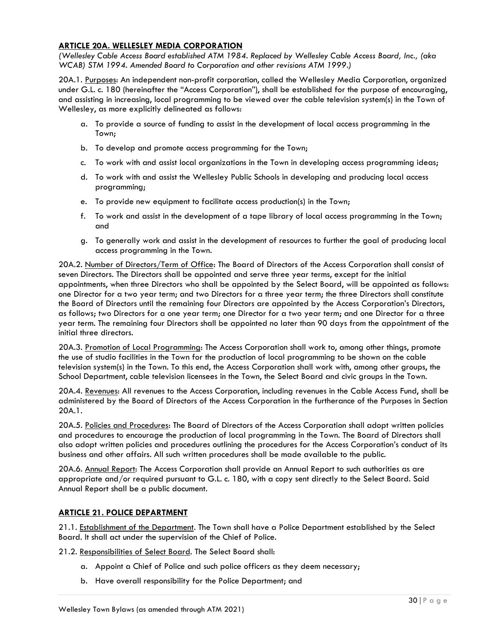### <span id="page-29-0"></span>**ARTICLE 20A. WELLESLEY MEDIA CORPORATION**

*(Wellesley Cable Access Board established ATM 1984. Replaced by Wellesley Cable Access Board, Inc., (aka WCAB) STM 1994. Amended Board to Corporation and other revisions ATM 1999.)*

20A.1. Purposes: An independent non-profit corporation, called the Wellesley Media Corporation, organized under G.L. c. 180 (hereinafter the "Access Corporation"), shall be established for the purpose of encouraging, and assisting in increasing, local programming to be viewed over the cable television system(s) in the Town of Wellesley, as more explicitly delineated as follows:

- a. To provide a source of funding to assist in the development of local access programming in the Town;
- b. To develop and promote access programming for the Town;
- c. To work with and assist local organizations in the Town in developing access programming ideas;
- d. To work with and assist the Wellesley Public Schools in developing and producing local access programming;
- e. To provide new equipment to facilitate access production(s) in the Town;
- f. To work and assist in the development of a tape library of local access programming in the Town; and
- g. To generally work and assist in the development of resources to further the goal of producing local access programming in the Town.

20A.2. Number of Directors/Term of Office: The Board of Directors of the Access Corporation shall consist of seven Directors. The Directors shall be appointed and serve three year terms, except for the initial appointments, when three Directors who shall be appointed by the Select Board, will be appointed as follows: one Director for a two year term; and two Directors for a three year term; the three Directors shall constitute the Board of Directors until the remaining four Directors are appointed by the Access Corporation's Directors, as follows; two Directors for a one year term; one Director for a two year term; and one Director for a three year term. The remaining four Directors shall be appointed no later than 90 days from the appointment of the initial three directors.

20A.3. Promotion of Local Programming: The Access Corporation shall work to, among other things, promote the use of studio facilities in the Town for the production of local programming to be shown on the cable television system(s) in the Town. To this end, the Access Corporation shall work with, among other groups, the School Department, cable television licensees in the Town, the Select Board and civic groups in the Town.

20A.4. Revenues: All revenues to the Access Corporation, including revenues in the Cable Access Fund, shall be administered by the Board of Directors of the Access Corporation in the furtherance of the Purposes in Section 20A.1.

20A.5. Policies and Procedures: The Board of Directors of the Access Corporation shall adopt written policies and procedures to encourage the production of local programming in the Town. The Board of Directors shall also adopt written policies and procedures outlining the procedures for the Access Corporation's conduct of its business and other affairs. All such written procedures shall be made available to the public.

20A.6. Annual Report: The Access Corporation shall provide an Annual Report to such authorities as are appropriate and/or required pursuant to G.L. c. 180, with a copy sent directly to the Select Board. Said Annual Report shall be a public document.

# <span id="page-29-1"></span>**ARTICLE 21. POLICE DEPARTMENT**

21.1. Establishment of the Department. The Town shall have a Police Department established by the Select Board. It shall act under the supervision of the Chief of Police.

21.2. Responsibilities of Select Board. The Select Board shall:

- a. Appoint a Chief of Police and such police officers as they deem necessary;
- b. Have overall responsibility for the Police Department; and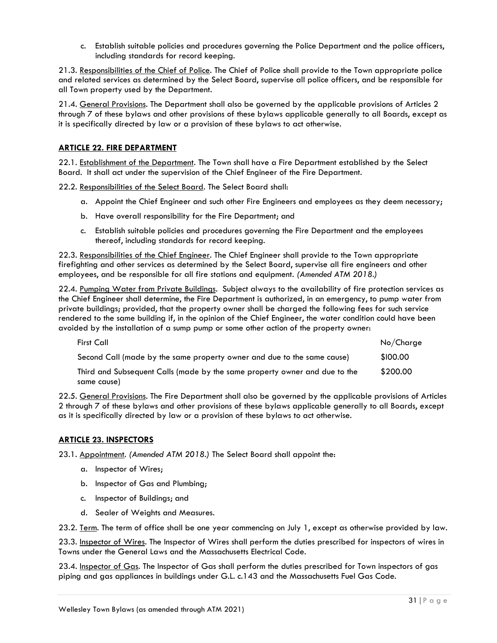c. Establish suitable policies and procedures governing the Police Department and the police officers, including standards for record keeping.

21.3. Responsibilities of the Chief of Police. The Chief of Police shall provide to the Town appropriate police and related services as determined by the Select Board, supervise all police officers, and be responsible for all Town property used by the Department.

21.4. General Provisions. The Department shall also be governed by the applicable provisions of Articles 2 through 7 of these bylaws and other provisions of these bylaws applicable generally to all Boards, except as it is specifically directed by law or a provision of these bylaws to act otherwise.

### <span id="page-30-0"></span>**ARTICLE 22. FIRE DEPARTMENT**

22.1. Establishment of the Department. The Town shall have a Fire Department established by the Select Board. It shall act under the supervision of the Chief Engineer of the Fire Department.

22.2. Responsibilities of the Select Board. The Select Board shall:

- a. Appoint the Chief Engineer and such other Fire Engineers and employees as they deem necessary;
- b. Have overall responsibility for the Fire Department; and
- c. Establish suitable policies and procedures governing the Fire Department and the employees thereof, including standards for record keeping.

22.3. Responsibilities of the Chief Engineer. The Chief Engineer shall provide to the Town appropriate firefighting and other services as determined by the Select Board, supervise all fire engineers and other employees, and be responsible for all fire stations and equipment. *(Amended ATM 2018.)*

22.4. Pumping Water from Private Buildings. Subject always to the availability of fire protection services as the Chief Engineer shall determine, the Fire Department is authorized, in an emergency, to pump water from private buildings; provided, that the property owner shall be charged the following fees for such service rendered to the same building if, in the opinion of the Chief Engineer, the water condition could have been avoided by the installation of a sump pump or some other action of the property owner:

| First Call                                                                 | No/Charge |
|----------------------------------------------------------------------------|-----------|
| Second Call (made by the same property owner and due to the same cause)    | \$100.00  |
| Third and Subsequent Calls (made by the same property owner and due to the | \$200.00  |
| same cause)                                                                |           |

22.5. General Provisions. The Fire Department shall also be governed by the applicable provisions of Articles 2 through 7 of these bylaws and other provisions of these bylaws applicable generally to all Boards, except as it is specifically directed by law or a provision of these bylaws to act otherwise.

### <span id="page-30-1"></span>**ARTICLE 23. INSPECTORS**

23.1. Appointment. *(Amended ATM 2018.)* The Select Board shall appoint the:

- a. Inspector of Wires;
- b. Inspector of Gas and Plumbing;
- c. Inspector of Buildings; and
- d. Sealer of Weights and Measures.

23.2. Term. The term of office shall be one year commencing on July 1, except as otherwise provided by law.

23.3. Inspector of Wires. The Inspector of Wires shall perform the duties prescribed for inspectors of wires in Towns under the General Laws and the Massachusetts Electrical Code.

23.4. Inspector of Gas. The Inspector of Gas shall perform the duties prescribed for Town inspectors of gas piping and gas appliances in buildings under G.L. c.143 and the Massachusetts Fuel Gas Code.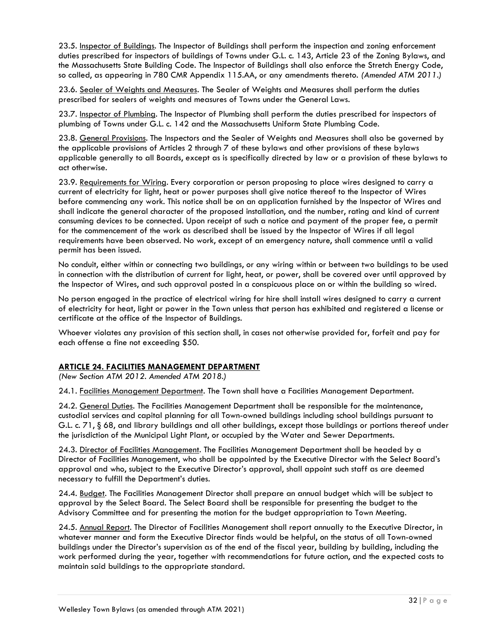23.5. Inspector of Buildings. The Inspector of Buildings shall perform the inspection and zoning enforcement duties prescribed for inspectors of buildings of Towns under G.L. c. 143, Article 23 of the Zoning Bylaws, and the Massachusetts State Building Code. The Inspector of Buildings shall also enforce the Stretch Energy Code, so called, as appearing in 780 CMR Appendix 115.AA, or any amendments thereto. *(Amended ATM 2011.)*

23.6. Sealer of Weights and Measures. The Sealer of Weights and Measures shall perform the duties prescribed for sealers of weights and measures of Towns under the General Laws.

23.7. Inspector of Plumbing. The Inspector of Plumbing shall perform the duties prescribed for inspectors of plumbing of Towns under G.L. c. 142 and the Massachusetts Uniform State Plumbing Code.

23.8. General Provisions. The Inspectors and the Sealer of Weights and Measures shall also be governed by the applicable provisions of Articles 2 through 7 of these bylaws and other provisions of these bylaws applicable generally to all Boards, except as is specifically directed by law or a provision of these bylaws to act otherwise.

23.9. Requirements for Wiring. Every corporation or person proposing to place wires designed to carry a current of electricity for light, heat or power purposes shall give notice thereof to the Inspector of Wires before commencing any work. This notice shall be on an application furnished by the Inspector of Wires and shall indicate the general character of the proposed installation, and the number, rating and kind of current consuming devices to be connected. Upon receipt of such a notice and payment of the proper fee, a permit for the commencement of the work as described shall be issued by the Inspector of Wires if all legal requirements have been observed. No work, except of an emergency nature, shall commence until a valid permit has been issued.

No conduit, either within or connecting two buildings, or any wiring within or between two buildings to be used in connection with the distribution of current for light, heat, or power, shall be covered over until approved by the Inspector of Wires, and such approval posted in a conspicuous place on or within the building so wired.

No person engaged in the practice of electrical wiring for hire shall install wires designed to carry a current of electricity for heat, light or power in the Town unless that person has exhibited and registered a license or certificate at the office of the Inspector of Buildings.

Whoever violates any provision of this section shall, in cases not otherwise provided for, forfeit and pay for each offense a fine not exceeding \$50.

### <span id="page-31-0"></span>**ARTICLE 24. FACILITIES MANAGEMENT DEPARTMENT**

*(New Section ATM 2012. Amended ATM 2018.)*

24.1. Facilities Management Department. The Town shall have a Facilities Management Department.

24.2. General Duties. The Facilities Management Department shall be responsible for the maintenance, custodial services and capital planning for all Town-owned buildings including school buildings pursuant to G.L. c. 71, § 68, and library buildings and all other buildings, except those buildings or portions thereof under the jurisdiction of the Municipal Light Plant, or occupied by the Water and Sewer Departments.

24.3. Director of Facilities Management. The Facilities Management Department shall be headed by a Director of Facilities Management, who shall be appointed by the Executive Director with the Select Board's approval and who, subject to the Executive Director's approval, shall appoint such staff as are deemed necessary to fulfill the Department's duties.

24.4. Budget. The Facilities Management Director shall prepare an annual budget which will be subject to approval by the Select Board. The Select Board shall be responsible for presenting the budget to the Advisory Committee and for presenting the motion for the budget appropriation to Town Meeting.

24.5. Annual Report. The Director of Facilities Management shall report annually to the Executive Director, in whatever manner and form the Executive Director finds would be helpful, on the status of all Town-owned buildings under the Director's supervision as of the end of the fiscal year, building by building, including the work performed during the year, together with recommendations for future action, and the expected costs to maintain said buildings to the appropriate standard.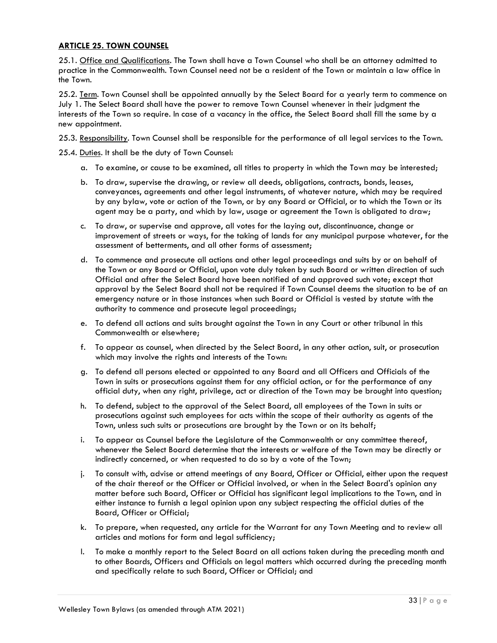### <span id="page-32-0"></span>**ARTICLE 25. TOWN COUNSEL**

25.1. Office and Qualifications. The Town shall have a Town Counsel who shall be an attorney admitted to practice in the Commonwealth. Town Counsel need not be a resident of the Town or maintain a law office in the Town.

25.2. Term. Town Counsel shall be appointed annually by the Select Board for a yearly term to commence on July 1. The Select Board shall have the power to remove Town Counsel whenever in their judgment the interests of the Town so require. In case of a vacancy in the office, the Select Board shall fill the same by a new appointment.

25.3. Responsibility. Town Counsel shall be responsible for the performance of all legal services to the Town.

25.4. Duties. It shall be the duty of Town Counsel:

- a. To examine, or cause to be examined, all titles to property in which the Town may be interested;
- b. To draw, supervise the drawing, or review all deeds, obligations, contracts, bonds, leases, conveyances, agreements and other legal instruments, of whatever nature, which may be required by any bylaw, vote or action of the Town, or by any Board or Official, or to which the Town or its agent may be a party, and which by law, usage or agreement the Town is obligated to draw;
- c. To draw, or supervise and approve, all votes for the laying out, discontinuance, change or improvement of streets or ways, for the taking of lands for any municipal purpose whatever, for the assessment of betterments, and all other forms of assessment;
- d. To commence and prosecute all actions and other legal proceedings and suits by or on behalf of the Town or any Board or Official, upon vote duly taken by such Board or written direction of such Official and after the Select Board have been notified of and approved such vote; except that approval by the Select Board shall not be required if Town Counsel deems the situation to be of an emergency nature or in those instances when such Board or Official is vested by statute with the authority to commence and prosecute legal proceedings;
- e. To defend all actions and suits brought against the Town in any Court or other tribunal in this Commonwealth or elsewhere;
- f. To appear as counsel, when directed by the Select Board, in any other action, suit, or prosecution which may involve the rights and interests of the Town:
- g. To defend all persons elected or appointed to any Board and all Officers and Officials of the Town in suits or prosecutions against them for any official action, or for the performance of any official duty, when any right, privilege, act or direction of the Town may be brought into question;
- h. To defend, subject to the approval of the Select Board, all employees of the Town in suits or prosecutions against such employees for acts within the scope of their authority as agents of the Town, unless such suits or prosecutions are brought by the Town or on its behalf;
- i. To appear as Counsel before the Legislature of the Commonwealth or any committee thereof, whenever the Select Board determine that the interests or welfare of the Town may be directly or indirectly concerned, or when requested to do so by a vote of the Town;
- j. To consult with, advise or attend meetings of any Board, Officer or Official, either upon the request of the chair thereof or the Officer or Official involved, or when in the Select Board's opinion any matter before such Board, Officer or Official has significant legal implications to the Town, and in either instance to furnish a legal opinion upon any subject respecting the official duties of the Board, Officer or Official;
- k. To prepare, when requested, any article for the Warrant for any Town Meeting and to review all articles and motions for form and legal sufficiency;
- l. To make a monthly report to the Select Board on all actions taken during the preceding month and to other Boards, Officers and Officials on legal matters which occurred during the preceding month and specifically relate to such Board, Officer or Official; and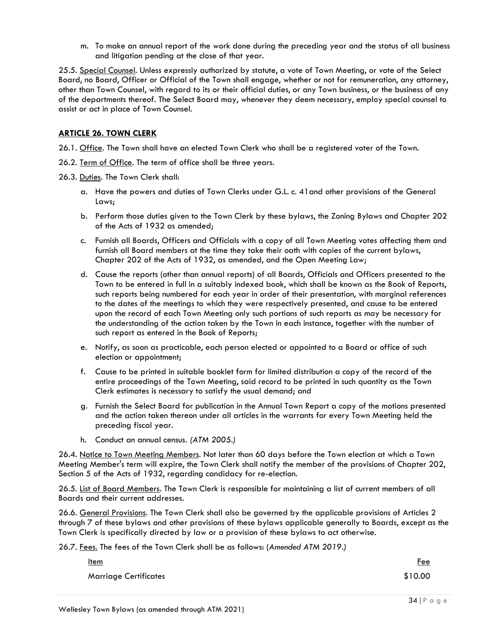m. To make an annual report of the work done during the preceding year and the status of all business and litigation pending at the close of that year.

25.5. Special Counsel. Unless expressly authorized by statute, a vote of Town Meeting, or vote of the Select Board, no Board, Officer or Official of the Town shall engage, whether or not for remuneration, any attorney, other than Town Counsel, with regard to its or their official duties, or any Town business, or the business of any of the departments thereof. The Select Board may, whenever they deem necessary, employ special counsel to assist or act in place of Town Counsel.

# <span id="page-33-0"></span>**ARTICLE 26. TOWN CLERK**

26.1. Office. The Town shall have an elected Town Clerk who shall be a registered voter of the Town.

26.2. Term of Office. The term of office shall be three years.

26.3. Duties. The Town Clerk shall:

- a. Have the powers and duties of Town Clerks under G.L. c. 41and other provisions of the General Laws;
- b. Perform those duties given to the Town Clerk by these bylaws, the Zoning Bylaws and Chapter 202 of the Acts of 1932 as amended;
- c. Furnish all Boards, Officers and Officials with a copy of all Town Meeting votes affecting them and furnish all Board members at the time they take their oath with copies of the current bylaws, Chapter 202 of the Acts of 1932, as amended, and the Open Meeting Law;
- d. Cause the reports (other than annual reports) of all Boards, Officials and Officers presented to the Town to be entered in full in a suitably indexed book, which shall be known as the Book of Reports, such reports being numbered for each year in order of their presentation, with marginal references to the dates of the meetings to which they were respectively presented, and cause to be entered upon the record of each Town Meeting only such portions of such reports as may be necessary for the understanding of the action taken by the Town in each instance, together with the number of such report as entered in the Book of Reports;
- e. Notify, as soon as practicable, each person elected or appointed to a Board or office of such election or appointment;
- f. Cause to be printed in suitable booklet form for limited distribution a copy of the record of the entire proceedings of the Town Meeting, said record to be printed in such quantity as the Town Clerk estimates is necessary to satisfy the usual demand; and
- g. Furnish the Select Board for publication in the Annual Town Report a copy of the motions presented and the action taken thereon under all articles in the warrants for every Town Meeting held the preceding fiscal year.
- h. Conduct an annual census. *(ATM 2005.)*

26.4. Notice to Town Meeting Members. Not later than 60 days before the Town election at which a Town Meeting Member's term will expire, the Town Clerk shall notify the member of the provisions of Chapter 202, Section 5 of the Acts of 1932, regarding candidacy for re-election.

26.5. List of Board Members. The Town Clerk is responsible for maintaining a list of current members of all Boards and their current addresses.

26.6. General Provisions. The Town Clerk shall also be governed by the applicable provisions of Articles 2 through 7 of these bylaws and other provisions of these bylaws applicable generally to Boards, except as the Town Clerk is specifically directed by law or a provision of these bylaws to act otherwise.

26.7. Fees. The fees of the Town Clerk shall be as follows: (*Amended ATM 2019.)*

| <u>Item</u>                  | <u>Fee</u> |
|------------------------------|------------|
| <b>Marriage Certificates</b> | \$10.00    |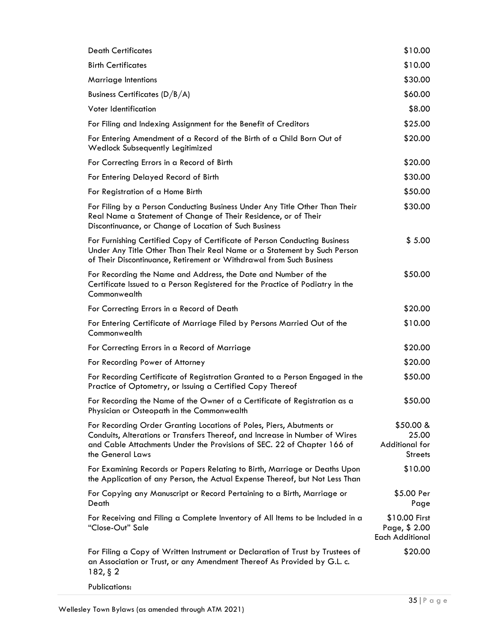| <b>Death Certificates</b>                                                                                                                                                                                                                          | \$10.00                                                  |
|----------------------------------------------------------------------------------------------------------------------------------------------------------------------------------------------------------------------------------------------------|----------------------------------------------------------|
| <b>Birth Certificates</b>                                                                                                                                                                                                                          | \$10.00                                                  |
| Marriage Intentions                                                                                                                                                                                                                                | \$30.00                                                  |
| <b>Business Certificates (D/B/A)</b>                                                                                                                                                                                                               | \$60.00                                                  |
| Voter Identification                                                                                                                                                                                                                               | \$8.00                                                   |
| For Filing and Indexing Assignment for the Benefit of Creditors                                                                                                                                                                                    | \$25.00                                                  |
| For Entering Amendment of a Record of the Birth of a Child Born Out of<br><b>Wedlock Subsequently Legitimized</b>                                                                                                                                  | \$20.00                                                  |
| For Correcting Errors in a Record of Birth                                                                                                                                                                                                         | \$20.00                                                  |
| For Entering Delayed Record of Birth                                                                                                                                                                                                               | \$30.00                                                  |
| For Registration of a Home Birth                                                                                                                                                                                                                   | \$50.00                                                  |
| For Filing by a Person Conducting Business Under Any Title Other Than Their<br>Real Name a Statement of Change of Their Residence, or of Their<br>Discontinuance, or Change of Location of Such Business                                           | \$30.00                                                  |
| For Furnishing Certified Copy of Certificate of Person Conducting Business<br>Under Any Title Other Than Their Real Name or a Statement by Such Person<br>of Their Discontinuance, Retirement or Withdrawal from Such Business                     | \$5.00                                                   |
| For Recording the Name and Address, the Date and Number of the<br>Certificate Issued to a Person Registered for the Practice of Podiatry in the<br>Commonwealth                                                                                    | \$50.00                                                  |
| For Correcting Errors in a Record of Death                                                                                                                                                                                                         | \$20.00                                                  |
| For Entering Certificate of Marriage Filed by Persons Married Out of the<br>Commonwealth                                                                                                                                                           | \$10.00                                                  |
| For Correcting Errors in a Record of Marriage                                                                                                                                                                                                      | \$20.00                                                  |
| For Recording Power of Attorney                                                                                                                                                                                                                    | \$20.00                                                  |
| For Recording Certificate of Registration Granted to a Person Engaged in the<br>Practice of Optometry, or Issuing a Certified Copy Thereof                                                                                                         | \$50.00                                                  |
| For Recording the Name of the Owner of a Certificate of Registration as a<br>Physician or Osteopath in the Commonwealth                                                                                                                            | \$50.00                                                  |
| For Recording Order Granting Locations of Poles, Piers, Abutments or<br>Conduits, Alterations or Transfers Thereof, and Increase in Number of Wires<br>and Cable Attachments Under the Provisions of SEC. 22 of Chapter 166 of<br>the General Laws | $$50.00 \&$<br>25.00<br>Additional for<br><b>Streets</b> |
| For Examining Records or Papers Relating to Birth, Marriage or Deaths Upon<br>the Application of any Person, the Actual Expense Thereof, but Not Less Than                                                                                         | \$10.00                                                  |
| For Copying any Manuscript or Record Pertaining to a Birth, Marriage or<br>Death                                                                                                                                                                   | \$5.00 Per<br>Page                                       |
| For Receiving and Filing a Complete Inventory of All Items to be Included in a<br>"Close-Out" Sale                                                                                                                                                 | \$10.00 First<br>Page, \$ 2.00<br><b>Each Additional</b> |
| For Filing a Copy of Written Instrument or Declaration of Trust by Trustees of<br>an Association or Trust, or any Amendment Thereof As Provided by G.L. c.<br>$182,$ § 2                                                                           | \$20.00                                                  |
| Publications:                                                                                                                                                                                                                                      |                                                          |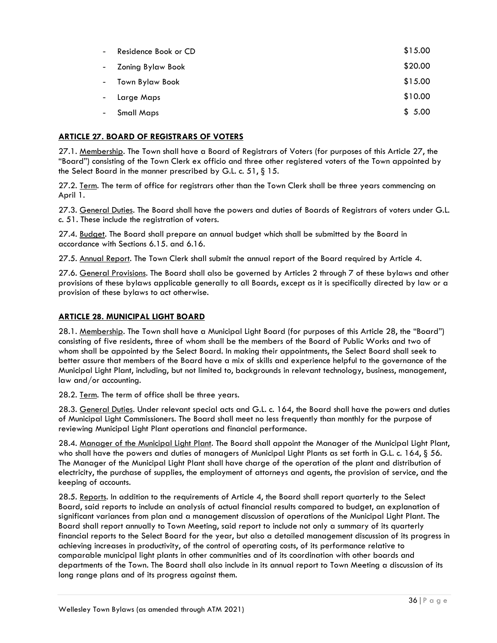| $\sim$                   | Residence Book or CD | \$15.00 |
|--------------------------|----------------------|---------|
|                          | - Zoning Bylaw Book  | \$20.00 |
| $\omega_{\rm{max}}$      | Town Bylaw Book      | \$15.00 |
| $\sim$ $-$               | Large Maps           | \$10.00 |
| $\overline{\phantom{a}}$ | <b>Small Maps</b>    | \$5.00  |

# <span id="page-35-0"></span>**ARTICLE 27. BOARD OF REGISTRARS OF VOTERS**

27.1. Membership. The Town shall have a Board of Registrars of Voters (for purposes of this Article 27, the "Board") consisting of the Town Clerk ex officio and three other registered voters of the Town appointed by the Select Board in the manner prescribed by G.L. c. 51, § 15.

27.2. Term. The term of office for registrars other than the Town Clerk shall be three years commencing on April 1.

27.3. General Duties. The Board shall have the powers and duties of Boards of Registrars of voters under G.L. c. 51. These include the registration of voters.

27.4. Budget. The Board shall prepare an annual budget which shall be submitted by the Board in accordance with Sections 6.15. and 6.16.

27.5. Annual Report. The Town Clerk shall submit the annual report of the Board required by Article 4.

27.6. General Provisions. The Board shall also be governed by Articles 2 through 7 of these bylaws and other provisions of these bylaws applicable generally to all Boards, except as it is specifically directed by law or a provision of these bylaws to act otherwise.

# <span id="page-35-1"></span>**ARTICLE 28. MUNICIPAL LIGHT BOARD**

28.1. Membership. The Town shall have a Municipal Light Board (for purposes of this Article 28, the "Board") consisting of five residents, three of whom shall be the members of the Board of Public Works and two of whom shall be appointed by the Select Board. In making their appointments, the Select Board shall seek to better assure that members of the Board have a mix of skills and experience helpful to the governance of the Municipal Light Plant, including, but not limited to, backgrounds in relevant technology, business, management, law and/or accounting.

28.2. Term. The term of office shall be three years.

28.3. General Duties. Under relevant special acts and G.L. c. 164, the Board shall have the powers and duties of Municipal Light Commissioners. The Board shall meet no less frequently than monthly for the purpose of reviewing Municipal Light Plant operations and financial performance.

28.4. Manager of the Municipal Light Plant. The Board shall appoint the Manager of the Municipal Light Plant, who shall have the powers and duties of managers of Municipal Light Plants as set forth in G.L. c. 164, § 56. The Manager of the Municipal Light Plant shall have charge of the operation of the plant and distribution of electricity, the purchase of supplies, the employment of attorneys and agents, the provision of service, and the keeping of accounts.

28.5. Reports. In addition to the requirements of Article 4, the Board shall report quarterly to the Select Board, said reports to include an analysis of actual financial results compared to budget, an explanation of significant variances from plan and a management discussion of operations of the Municipal Light Plant. The Board shall report annually to Town Meeting, said report to include not only a summary of its quarterly financial reports to the Select Board for the year, but also a detailed management discussion of its progress in achieving increases in productivity, of the control of operating costs, of its performance relative to comparable municipal light plants in other communities and of its coordination with other boards and departments of the Town. The Board shall also include in its annual report to Town Meeting a discussion of its long range plans and of its progress against them.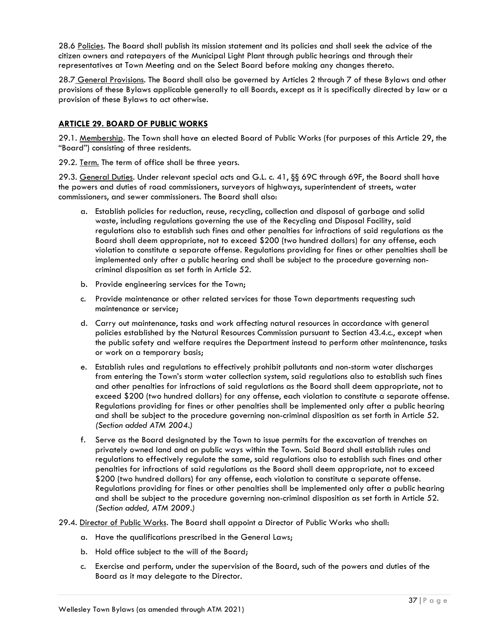28.6 Policies. The Board shall publish its mission statement and its policies and shall seek the advice of the citizen owners and ratepayers of the Municipal Light Plant through public hearings and through their representatives at Town Meeting and on the Select Board before making any changes thereto.

28.7 General Provisions. The Board shall also be governed by Articles 2 through 7 of these Bylaws and other provisions of these Bylaws applicable generally to all Boards, except as it is specifically directed by law or a provision of these Bylaws to act otherwise.

# **ARTICLE 29. BOARD OF PUBLIC WORKS**

29.1. Membership. The Town shall have an elected Board of Public Works (for purposes of this Article 29, the "Board") consisting of three residents.

29.2. Term. The term of office shall be three years.

29.3. General Duties. Under relevant special acts and G.L. c. 41, §§ 69C through 69F, the Board shall have the powers and duties of road commissioners, surveyors of highways, superintendent of streets, water commissioners, and sewer commissioners. The Board shall also:

- a. Establish policies for reduction, reuse, recycling, collection and disposal of garbage and solid waste, including regulations governing the use of the Recycling and Disposal Facility, said regulations also to establish such fines and other penalties for infractions of said regulations as the Board shall deem appropriate, not to exceed \$200 (two hundred dollars) for any offense, each violation to constitute a separate offense. Regulations providing for fines or other penalties shall be implemented only after a public hearing and shall be subject to the procedure governing noncriminal disposition as set forth in Article 52.
- b. Provide engineering services for the Town;
- c. Provide maintenance or other related services for those Town departments requesting such maintenance or service;
- d. Carry out maintenance, tasks and work affecting natural resources in accordance with general policies established by the Natural Resources Commission pursuant to Section 43.4.c., except when the public safety and welfare requires the Department instead to perform other maintenance, tasks or work on a temporary basis;
- e. Establish rules and regulations to effectively prohibit pollutants and non-storm water discharges from entering the Town's storm water collection system, said regulations also to establish such fines and other penalties for infractions of said regulations as the Board shall deem appropriate, not to exceed \$200 (two hundred dollars) for any offense, each violation to constitute a separate offense. Regulations providing for fines or other penalties shall be implemented only after a public hearing and shall be subject to the procedure governing non-criminal disposition as set forth in Article 52. *(Section added ATM 2004.)*
- f. Serve as the Board designated by the Town to issue permits for the excavation of trenches on privately owned land and on public ways within the Town. Said Board shall establish rules and regulations to effectively regulate the same, said regulations also to establish such fines and other penalties for infractions of said regulations as the Board shall deem appropriate, not to exceed \$200 (two hundred dollars) for any offense, each violation to constitute a separate offense. Regulations providing for fines or other penalties shall be implemented only after a public hearing and shall be subject to the procedure governing non-criminal disposition as set forth in Article 52. *(Section added, ATM 2009.)*
- 29.4. Director of Public Works. The Board shall appoint a Director of Public Works who shall:
	- a. Have the qualifications prescribed in the General Laws;
	- b. Hold office subject to the will of the Board;
	- c. Exercise and perform, under the supervision of the Board, such of the powers and duties of the Board as it may delegate to the Director.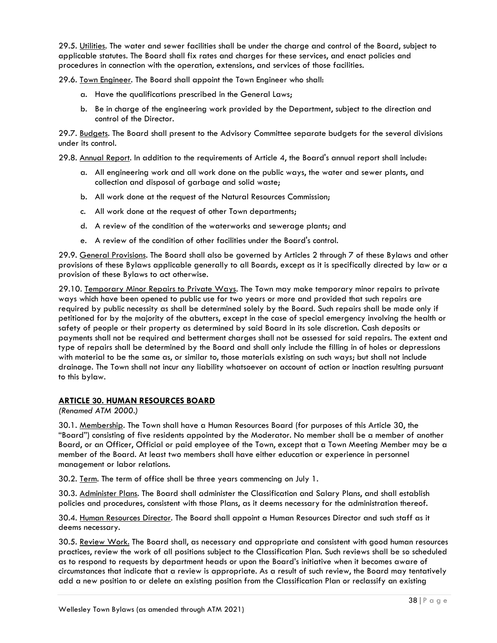29.5. Utilities. The water and sewer facilities shall be under the charge and control of the Board, subject to applicable statutes. The Board shall fix rates and charges for these services, and enact policies and procedures in connection with the operation, extensions, and services of those facilities.

29.6. Town Engineer. The Board shall appoint the Town Engineer who shall:

- a. Have the qualifications prescribed in the General Laws;
- b. Be in charge of the engineering work provided by the Department, subject to the direction and control of the Director.

29.7. Budgets. The Board shall present to the Advisory Committee separate budgets for the several divisions under its control.

29.8. Annual Report. In addition to the requirements of Article 4, the Board's annual report shall include:

- a. All engineering work and all work done on the public ways, the water and sewer plants, and collection and disposal of garbage and solid waste;
- b. All work done at the request of the Natural Resources Commission;
- c. All work done at the request of other Town departments;
- d. A review of the condition of the waterworks and sewerage plants; and
- e. A review of the condition of other facilities under the Board's control.

29.9. General Provisions. The Board shall also be governed by Articles 2 through 7 of these Bylaws and other provisions of these Bylaws applicable generally to all Boards, except as it is specifically directed by law or a provision of these Bylaws to act otherwise.

29.10. Temporary Minor Repairs to Private Ways. The Town may make temporary minor repairs to private ways which have been opened to public use for two years or more and provided that such repairs are required by public necessity as shall be determined solely by the Board. Such repairs shall be made only if petitioned for by the majority of the abutters, except in the case of special emergency involving the health or safety of people or their property as determined by said Board in its sole discretion. Cash deposits or payments shall not be required and betterment charges shall not be assessed for said repairs. The extent and type of repairs shall be determined by the Board and shall only include the filling in of holes or depressions with material to be the same as, or similar to, those materials existing on such ways; but shall not include drainage. The Town shall not incur any liability whatsoever on account of action or inaction resulting pursuant to this bylaw.

# **ARTICLE 30. HUMAN RESOURCES BOARD**

*(Renamed ATM 2000.)*

30.1. Membership. The Town shall have a Human Resources Board (for purposes of this Article 30, the "Board") consisting of five residents appointed by the Moderator. No member shall be a member of another Board, or an Officer, Official or paid employee of the Town, except that a Town Meeting Member may be a member of the Board. At least two members shall have either education or experience in personnel management or labor relations.

30.2. Term. The term of office shall be three years commencing on July 1.

30.3. Administer Plans. The Board shall administer the Classification and Salary Plans, and shall establish policies and procedures, consistent with those Plans, as it deems necessary for the administration thereof.

30.4. Human Resources Director. The Board shall appoint a Human Resources Director and such staff as it deems necessary.

30.5. Review Work. The Board shall, as necessary and appropriate and consistent with good human resources practices, review the work of all positions subject to the Classification Plan. Such reviews shall be so scheduled as to respond to requests by department heads or upon the Board's initiative when it becomes aware of circumstances that indicate that a review is appropriate. As a result of such review, the Board may tentatively add a new position to or delete an existing position from the Classification Plan or reclassify an existing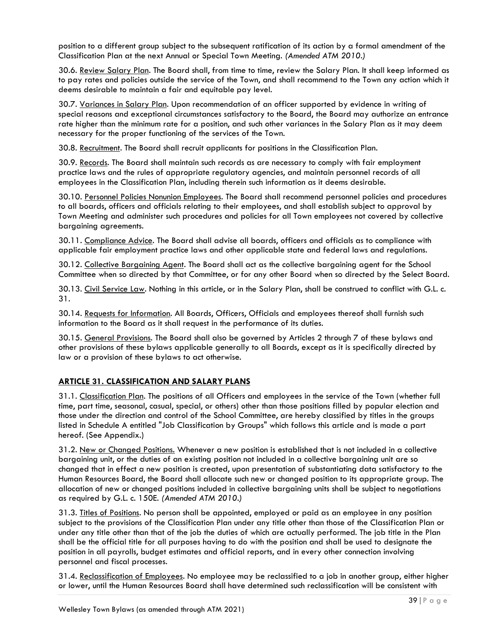position to a different group subject to the subsequent ratification of its action by a formal amendment of the Classification Plan at the next Annual or Special Town Meeting. *(Amended ATM 2010.)*

30.6. Review Salary Plan. The Board shall, from time to time, review the Salary Plan. It shall keep informed as to pay rates and policies outside the service of the Town, and shall recommend to the Town any action which it deems desirable to maintain a fair and equitable pay level.

30.7. Variances in Salary Plan. Upon recommendation of an officer supported by evidence in writing of special reasons and exceptional circumstances satisfactory to the Board, the Board may authorize an entrance rate higher than the minimum rate for a position, and such other variances in the Salary Plan as it may deem necessary for the proper functioning of the services of the Town.

30.8. Recruitment. The Board shall recruit applicants for positions in the Classification Plan.

30.9. Records. The Board shall maintain such records as are necessary to comply with fair employment practice laws and the rules of appropriate regulatory agencies, and maintain personnel records of all employees in the Classification Plan, including therein such information as it deems desirable.

30.10. Personnel Policies Nonunion Employees. The Board shall recommend personnel policies and procedures to all boards, officers and officials relating to their employees, and shall establish subject to approval by Town Meeting and administer such procedures and policies for all Town employees not covered by collective bargaining agreements.

30.11. Compliance Advice. The Board shall advise all boards, officers and officials as to compliance with applicable fair employment practice laws and other applicable state and federal laws and regulations.

30.12. Collective Bargaining Agent. The Board shall act as the collective bargaining agent for the School Committee when so directed by that Committee, or for any other Board when so directed by the Select Board.

30.13. Civil Service Law. Nothing in this article, or in the Salary Plan, shall be construed to conflict with G.L. c. 31.

30.14. Requests for Information. All Boards, Officers, Officials and employees thereof shall furnish such information to the Board as it shall request in the performance of its duties.

30.15. General Provisions. The Board shall also be governed by Articles 2 through 7 of these bylaws and other provisions of these bylaws applicable generally to all Boards, except as it is specifically directed by law or a provision of these bylaws to act otherwise.

# **ARTICLE 31. CLASSIFICATION AND SALARY PLANS**

31.1. Classification Plan. The positions of all Officers and employees in the service of the Town (whether full time, part time, seasonal, casual, special, or others) other than those positions filled by popular election and those under the direction and control of the School Committee, are hereby classified by titles in the groups listed in Schedule A entitled "Job Classification by Groups" which follows this article and is made a part hereof. (See Appendix.)

31.2. New or Changed Positions. Whenever a new position is established that is not included in a collective bargaining unit, or the duties of an existing position not included in a collective bargaining unit are so changed that in effect a new position is created, upon presentation of substantiating data satisfactory to the Human Resources Board, the Board shall allocate such new or changed position to its appropriate group. The allocation of new or changed positions included in collective bargaining units shall be subject to negotiations as required by G.L. c. 150E. *(Amended ATM 2010.)*

31.3. Titles of Positions. No person shall be appointed, employed or paid as an employee in any position subject to the provisions of the Classification Plan under any title other than those of the Classification Plan or under any title other than that of the job the duties of which are actually performed. The job title in the Plan shall be the official title for all purposes having to do with the position and shall be used to designate the position in all payrolls, budget estimates and official reports, and in every other connection involving personnel and fiscal processes.

31.4. Reclassification of Employees. No employee may be reclassified to a job in another group, either higher or lower, until the Human Resources Board shall have determined such reclassification will be consistent with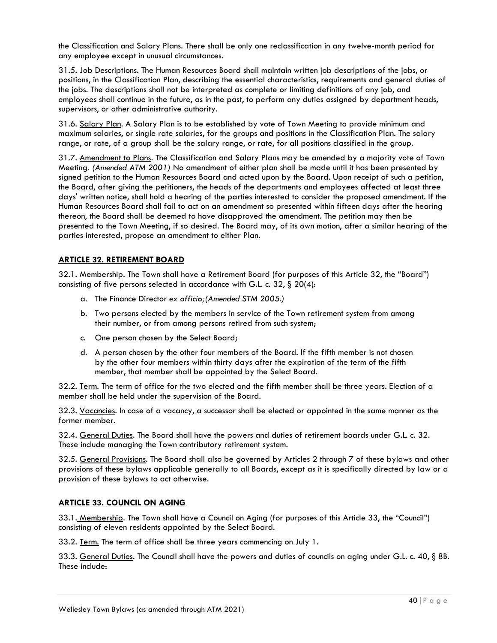the Classification and Salary Plans. There shall be only one reclassification in any twelve-month period for any employee except in unusual circumstances.

31.5. Job Descriptions. The Human Resources Board shall maintain written job descriptions of the jobs, or positions, in the Classification Plan, describing the essential characteristics, requirements and general duties of the jobs. The descriptions shall not be interpreted as complete or limiting definitions of any job, and employees shall continue in the future, as in the past, to perform any duties assigned by department heads, supervisors, or other administrative authority.

31.6. Salary Plan. A Salary Plan is to be established by vote of Town Meeting to provide minimum and maximum salaries, or single rate salaries, for the groups and positions in the Classification Plan. The salary range, or rate, of a group shall be the salary range, or rate, for all positions classified in the group.

31.7. Amendment to Plans. The Classification and Salary Plans may be amended by a majority vote of Town Meeting. *(Amended ATM 2001)* No amendment of either plan shall be made until it has been presented by signed petition to the Human Resources Board and acted upon by the Board. Upon receipt of such a petition, the Board, after giving the petitioners, the heads of the departments and employees affected at least three days' written notice, shall hold a hearing of the parties interested to consider the proposed amendment. If the Human Resources Board shall fail to act on an amendment so presented within fifteen days after the hearing thereon, the Board shall be deemed to have disapproved the amendment. The petition may then be presented to the Town Meeting, if so desired. The Board may, of its own motion, after a similar hearing of the parties interested, propose an amendment to either Plan.

# **ARTICLE 32. RETIREMENT BOARD**

32.1. Membership. The Town shall have a Retirement Board (for purposes of this Article 32, the "Board") consisting of five persons selected in accordance with G.L. c. 32, § 20(4):

- a. The Finance Director *ex officio;(Amended STM 2005.)*
- b. Two persons elected by the members in service of the Town retirement system from among their number, or from among persons retired from such system;
- c. One person chosen by the Select Board;
- d. A person chosen by the other four members of the Board. If the fifth member is not chosen by the other four members within thirty days after the expiration of the term of the fifth member, that member shall be appointed by the Select Board.

32.2. Term. The term of office for the two elected and the fifth member shall be three years. Election of a member shall be held under the supervision of the Board.

32.3. Vacancies. In case of a vacancy, a successor shall be elected or appointed in the same manner as the former member.

32.4. General Duties. The Board shall have the powers and duties of retirement boards under G.L. c. 32. These include managing the Town contributory retirement system.

32.5. General Provisions. The Board shall also be governed by Articles 2 through 7 of these bylaws and other provisions of these bylaws applicable generally to all Boards, except as it is specifically directed by law or a provision of these bylaws to act otherwise.

# **ARTICLE 33. COUNCIL ON AGING**

33.1. Membership. The Town shall have a Council on Aging (for purposes of this Article 33, the "Council") consisting of eleven residents appointed by the Select Board.

33.2. <u>Term.</u> The term of office shall be three years commencing on July 1.

33.3. General Duties. The Council shall have the powers and duties of councils on aging under G.L. c. 40, § 8B. These include: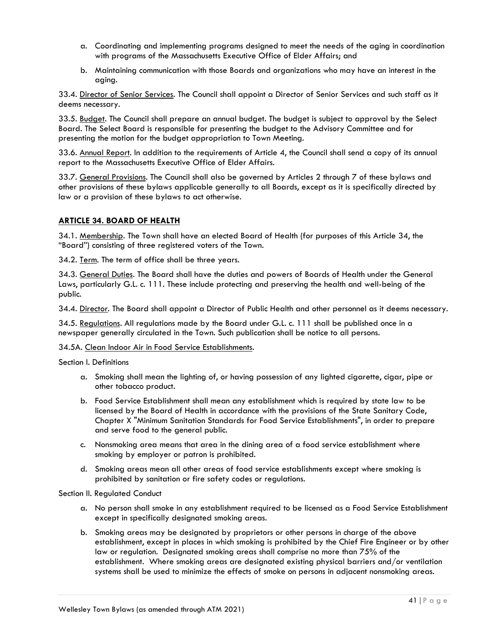- a. Coordinating and implementing programs designed to meet the needs of the aging in coordination with programs of the Massachusetts Executive Office of Elder Affairs; and
- b. Maintaining communication with those Boards and organizations who may have an interest in the aging.

33.4. Director of Senior Services. The Council shall appoint a Director of Senior Services and such staff as it deems necessary.

33.5. Budget. The Council shall prepare an annual budget. The budget is subject to approval by the Select Board. The Select Board is responsible for presenting the budget to the Advisory Committee and for presenting the motion for the budget appropriation to Town Meeting.

33.6. Annual Report. In addition to the requirements of Article 4, the Council shall send a copy of its annual report to the Massachusetts Executive Office of Elder Affairs.

33.7. General Provisions. The Council shall also be governed by Articles 2 through 7 of these bylaws and other provisions of these bylaws applicable generally to all Boards, except as it is specifically directed by law or a provision of these bylaws to act otherwise.

## **ARTICLE 34. BOARD OF HEALTH**

34.1. Membership. The Town shall have an elected Board of Health (for purposes of this Article 34, the "Board") consisting of three registered voters of the Town.

34.2. Term. The term of office shall be three years.

34.3. General Duties. The Board shall have the duties and powers of Boards of Health under the General Laws, particularly G.L. c. 111. These include protecting and preserving the health and well-being of the public.

34.4. Director. The Board shall appoint a Director of Public Health and other personnel as it deems necessary.

34.5. Regulations. All regulations made by the Board under G.L. c. 111 shall be published once in a newspaper generally circulated in the Town. Such publication shall be notice to all persons.

#### 34.5A. Clean Indoor Air in Food Service Establishments.

Section I. Definitions

- a. Smoking shall mean the lighting of, or having possession of any lighted cigarette, cigar, pipe or other tobacco product.
- b. Food Service Establishment shall mean any establishment which is required by state law to be licensed by the Board of Health in accordance with the provisions of the State Sanitary Code, Chapter X "Minimum Sanitation Standards for Food Service Establishments", in order to prepare and serve food to the general public.
- c. Nonsmoking area means that area in the dining area of a food service establishment where smoking by employer or patron is prohibited.
- d. Smoking areas mean all other areas of food service establishments except where smoking is prohibited by sanitation or fire safety codes or regulations.

#### Section II. Regulated Conduct

- a. No person shall smoke in any establishment required to be licensed as a Food Service Establishment except in specifically designated smoking areas.
- b. Smoking areas may be designated by proprietors or other persons in charge of the above establishment, except in places in which smoking is prohibited by the Chief Fire Engineer or by other law or regulation. Designated smoking areas shall comprise no more than 75% of the establishment. Where smoking areas are designated existing physical barriers and/or ventilation systems shall be used to minimize the effects of smoke on persons in adjacent nonsmoking areas.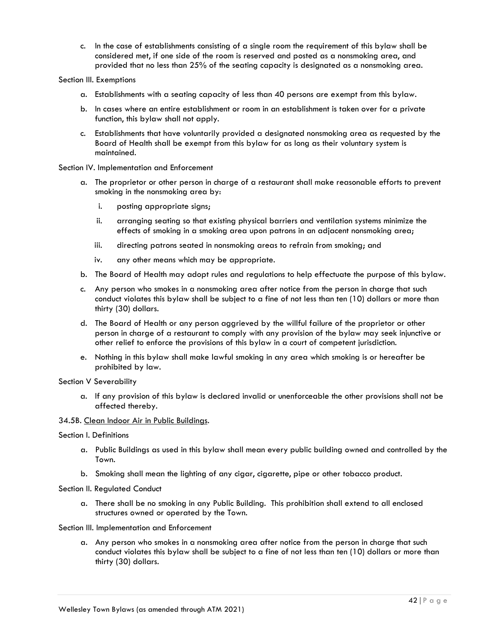c. In the case of establishments consisting of a single room the requirement of this bylaw shall be considered met, if one side of the room is reserved and posted as a nonsmoking area, and provided that no less than 25% of the seating capacity is designated as a nonsmoking area.

#### Section III. Exemptions

- a. Establishments with a seating capacity of less than 40 persons are exempt from this bylaw.
- b. In cases where an entire establishment or room in an establishment is taken over for a private function, this bylaw shall not apply.
- c. Establishments that have voluntarily provided a designated nonsmoking area as requested by the Board of Health shall be exempt from this bylaw for as long as their voluntary system is maintained.

## Section IV. Implementation and Enforcement

- a. The proprietor or other person in charge of a restaurant shall make reasonable efforts to prevent smoking in the nonsmoking area by:
	- i. posting appropriate signs;
	- ii. arranging seating so that existing physical barriers and ventilation systems minimize the effects of smoking in a smoking area upon patrons in an adjacent nonsmoking area;
	- iii. directing patrons seated in nonsmoking areas to refrain from smoking; and
	- iv. any other means which may be appropriate.
- b. The Board of Health may adopt rules and regulations to help effectuate the purpose of this bylaw.
- c. Any person who smokes in a nonsmoking area after notice from the person in charge that such conduct violates this bylaw shall be subject to a fine of not less than ten (10) dollars or more than thirty (30) dollars.
- d. The Board of Health or any person aggrieved by the willful failure of the proprietor or other person in charge of a restaurant to comply with any provision of the bylaw may seek injunctive or other relief to enforce the provisions of this bylaw in a court of competent jurisdiction.
- e. Nothing in this bylaw shall make lawful smoking in any area which smoking is or hereafter be prohibited by law.

#### Section V Severability

a. If any provision of this bylaw is declared invalid or unenforceable the other provisions shall not be affected thereby.

#### 34.5B. Clean Indoor Air in Public Buildings.

#### Section I. Definitions

- a. Public Buildings as used in this bylaw shall mean every public building owned and controlled by the Town.
- b. Smoking shall mean the lighting of any cigar, cigarette, pipe or other tobacco product.

#### Section II. Regulated Conduct

a. There shall be no smoking in any Public Building. This prohibition shall extend to all enclosed structures owned or operated by the Town.

#### Section III. Implementation and Enforcement

a. Any person who smokes in a nonsmoking area after notice from the person in charge that such conduct violates this bylaw shall be subject to a fine of not less than ten (10) dollars or more than thirty (30) dollars.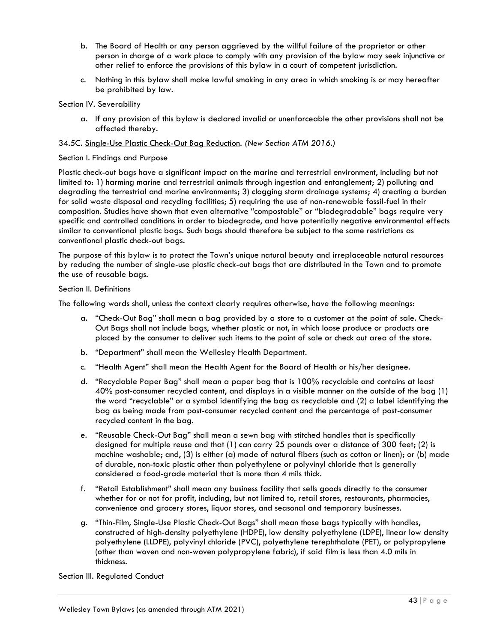- b. The Board of Health or any person aggrieved by the willful failure of the proprietor or other person in charge of a work place to comply with any provision of the bylaw may seek injunctive or other relief to enforce the provisions of this bylaw in a court of competent jurisdiction.
- c. Nothing in this bylaw shall make lawful smoking in any area in which smoking is or may hereafter be prohibited by law.

#### Section IV. Severability

a. If any provision of this bylaw is declared invalid or unenforceable the other provisions shall not be affected thereby.

## 34.5C. Single-Use Plastic Check-Out Bag Reduction. *(New Section ATM 2016.)*

#### Section I. Findings and Purpose

Plastic check-out bags have a significant impact on the marine and terrestrial environment, including but not limited to: 1) harming marine and terrestrial animals through ingestion and entanglement; 2) polluting and degrading the terrestrial and marine environments; 3) clogging storm drainage systems; 4) creating a burden for solid waste disposal and recycling facilities; 5) requiring the use of non-renewable fossil-fuel in their composition. Studies have shown that even alternative "compostable" or "biodegradable" bags require very specific and controlled conditions in order to biodegrade, and have potentially negative environmental effects similar to conventional plastic bags. Such bags should therefore be subject to the same restrictions as conventional plastic check-out bags.

The purpose of this bylaw is to protect the Town's unique natural beauty and irreplaceable natural resources by reducing the number of single-use plastic check-out bags that are distributed in the Town and to promote the use of reusable bags.

#### Section II. Definitions

The following words shall, unless the context clearly requires otherwise, have the following meanings:

- a. "Check-Out Bag" shall mean a bag provided by a store to a customer at the point of sale. Check-Out Bags shall not include bags, whether plastic or not, in which loose produce or products are placed by the consumer to deliver such items to the point of sale or check out area of the store.
- b. "Department" shall mean the Wellesley Health Department.
- c. "Health Agent" shall mean the Health Agent for the Board of Health or his/her designee.
- d. "Recyclable Paper Bag" shall mean a paper bag that is 100% recyclable and contains at least 40% post-consumer recycled content, and displays in a visible manner on the outside of the bag (1) the word "recyclable" or a symbol identifying the bag as recyclable and (2) a label identifying the bag as being made from post-consumer recycled content and the percentage of post-consumer recycled content in the bag.
- e. "Reusable Check-Out Bag" shall mean a sewn bag with stitched handles that is specifically designed for multiple reuse and that (1) can carry 25 pounds over a distance of 300 feet; (2) is machine washable; and, (3) is either (a) made of natural fibers (such as cotton or linen); or (b) made of durable, non-toxic plastic other than polyethylene or polyvinyl chloride that is generally considered a food-grade material that is more than 4 mils thick.
- f. "Retail Establishment" shall mean any business facility that sells goods directly to the consumer whether for or not for profit, including, but not limited to, retail stores, restaurants, pharmacies, convenience and grocery stores, liquor stores, and seasonal and temporary businesses.
- g. "Thin-Film, Single-Use Plastic Check-Out Bags" shall mean those bags typically with handles, constructed of high-density polyethylene (HDPE), low density polyethylene (LDPE), linear low density polyethylene (LLDPE), polyvinyl chloride (PVC), polyethylene terephthalate (PET), or polypropylene (other than woven and non-woven polypropylene fabric), if said film is less than 4.0 mils in thickness.

Section III. Regulated Conduct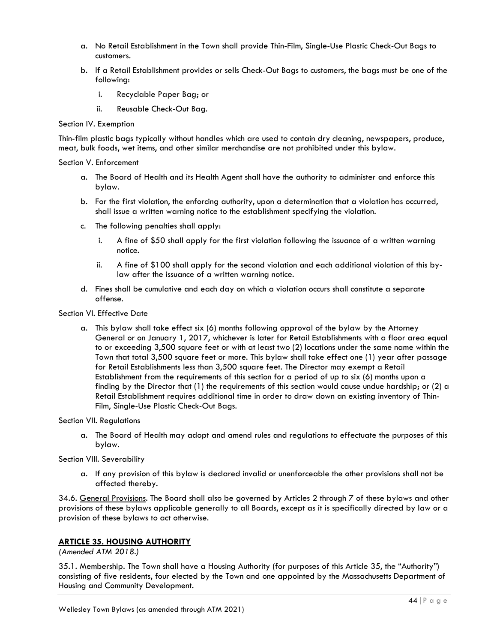- a. No Retail Establishment in the Town shall provide Thin-Film, Single-Use Plastic Check-Out Bags to customers.
- b. If a Retail Establishment provides or sells Check-Out Bags to customers, the bags must be one of the following:
	- i. Recyclable Paper Bag; or
	- ii. Reusable Check-Out Bag.

#### Section IV. Exemption

Thin-film plastic bags typically without handles which are used to contain dry cleaning, newspapers, produce, meat, bulk foods, wet items, and other similar merchandise are not prohibited under this bylaw.

#### Section V. Enforcement

- a. The Board of Health and its Health Agent shall have the authority to administer and enforce this bylaw.
- b. For the first violation, the enforcing authority, upon a determination that a violation has occurred, shall issue a written warning notice to the establishment specifying the violation.
- c. The following penalties shall apply:
	- i. A fine of \$50 shall apply for the first violation following the issuance of a written warning notice.
	- ii. A fine of \$100 shall apply for the second violation and each additional violation of this bylaw after the issuance of a written warning notice.
- d. Fines shall be cumulative and each day on which a violation occurs shall constitute a separate offense.

#### Section VI. Effective Date

a. This bylaw shall take effect six (6) months following approval of the bylaw by the Attorney General or on January 1, 2017, whichever is later for Retail Establishments with a floor area equal to or exceeding 3,500 square feet or with at least two (2) locations under the same name within the Town that total 3,500 square feet or more. This bylaw shall take effect one (1) year after passage for Retail Establishments less than 3,500 square feet. The Director may exempt a Retail Establishment from the requirements of this section for a period of up to six (6) months upon a finding by the Director that (1) the requirements of this section would cause undue hardship; or (2) a Retail Establishment requires additional time in order to draw down an existing inventory of Thin-Film, Single-Use Plastic Check-Out Bags.

#### Section VII. Regulations

a. The Board of Health may adopt and amend rules and regulations to effectuate the purposes of this bylaw.

#### Section VIII. Severability

a. If any provision of this bylaw is declared invalid or unenforceable the other provisions shall not be affected thereby.

34.6. General Provisions. The Board shall also be governed by Articles 2 through 7 of these bylaws and other provisions of these bylaws applicable generally to all Boards, except as it is specifically directed by law or a provision of these bylaws to act otherwise.

## **ARTICLE 35. HOUSING AUTHORITY**

*(Amended ATM 2018.)*

35.1. Membership. The Town shall have a Housing Authority (for purposes of this Article 35, the "Authority") consisting of five residents, four elected by the Town and one appointed by the Massachusetts Department of Housing and Community Development.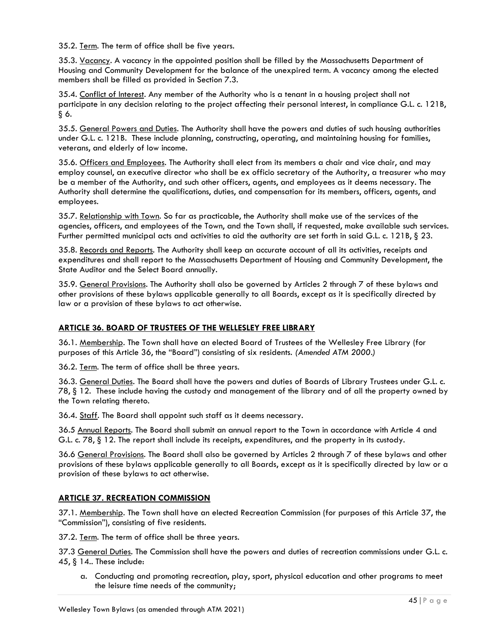35.2. Term. The term of office shall be five years.

35.3. <u>Vacancy</u>. A vacancy in the appointed position shall be filled by the Massachusetts Department of Housing and Community Development for the balance of the unexpired term. A vacancy among the elected members shall be filled as provided in Section 7.3.

35.4. Conflict of Interest. Any member of the Authority who is a tenant in a housing project shall not participate in any decision relating to the project affecting their personal interest, in compliance G.L. c. 121B, § 6.

35.5. General Powers and Duties. The Authority shall have the powers and duties of such housing authorities under G.L. c. 121B. These include planning, constructing, operating, and maintaining housing for families, veterans, and elderly of low income.

35.6. Officers and Employees. The Authority shall elect from its members a chair and vice chair, and may employ counsel, an executive director who shall be ex officio secretary of the Authority, a treasurer who may be a member of the Authority, and such other officers, agents, and employees as it deems necessary. The Authority shall determine the qualifications, duties, and compensation for its members, officers, agents, and employees.

35.7. Relationship with Town. So far as practicable, the Authority shall make use of the services of the agencies, officers, and employees of the Town, and the Town shall, if requested, make available such services. Further permitted municipal acts and activities to aid the authority are set forth in said G.L. c. 121B, § 23.

35.8. Records and Reports. The Authority shall keep an accurate account of all its activities, receipts and expenditures and shall report to the Massachusetts Department of Housing and Community Development, the State Auditor and the Select Board annually.

35.9. General Provisions. The Authority shall also be governed by Articles 2 through 7 of these bylaws and other provisions of these bylaws applicable generally to all Boards, except as it is specifically directed by law or a provision of these bylaws to act otherwise.

# **ARTICLE 36. BOARD OF TRUSTEES OF THE WELLESLEY FREE LIBRARY**

36.1. Membership. The Town shall have an elected Board of Trustees of the Wellesley Free Library (for purposes of this Article 36, the "Board") consisting of six residents. *(Amended ATM 2000.)*

36.2. Term. The term of office shall be three years.

36.3. General Duties. The Board shall have the powers and duties of Boards of Library Trustees under G.L. c. 78, § 12. These include having the custody and management of the library and of all the property owned by the Town relating thereto.

36.4. Staff. The Board shall appoint such staff as it deems necessary.

36.5 Annual Reports. The Board shall submit an annual report to the Town in accordance with Article 4 and G.L. c. 78, § 12. The report shall include its receipts, expenditures, and the property in its custody.

36.6 General Provisions. The Board shall also be governed by Articles 2 through 7 of these bylaws and other provisions of these bylaws applicable generally to all Boards, except as it is specifically directed by law or a provision of these bylaws to act otherwise.

# **ARTICLE 37. RECREATION COMMISSION**

37.1. Membership. The Town shall have an elected Recreation Commission (for purposes of this Article 37, the "Commission"), consisting of five residents.

37.2. <u>Term</u>. The term of office shall be three years.

37.3 General Duties. The Commission shall have the powers and duties of recreation commissions under G.L. c. 45, § 14.. These include:

a. Conducting and promoting recreation, play, sport, physical education and other programs to meet the leisure time needs of the community;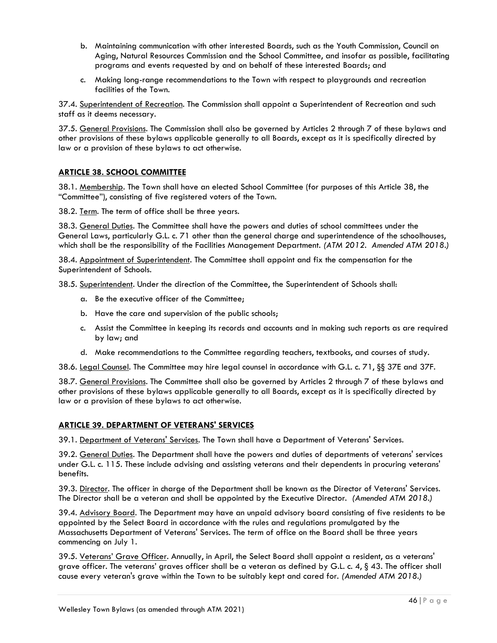- b. Maintaining communication with other interested Boards, such as the Youth Commission, Council on Aging, Natural Resources Commission and the School Committee, and insofar as possible, facilitating programs and events requested by and on behalf of these interested Boards; and
- c. Making long-range recommendations to the Town with respect to playgrounds and recreation facilities of the Town.

37.4. Superintendent of Recreation. The Commission shall appoint a Superintendent of Recreation and such staff as it deems necessary.

37.5. General Provisions. The Commission shall also be governed by Articles 2 through 7 of these bylaws and other provisions of these bylaws applicable generally to all Boards, except as it is specifically directed by law or a provision of these bylaws to act otherwise.

# **ARTICLE 38. SCHOOL COMMITTEE**

38.1. Membership. The Town shall have an elected School Committee (for purposes of this Article 38, the "Committee"), consisting of five registered voters of the Town.

38.2. Term. The term of office shall be three years.

38.3. General Duties. The Committee shall have the powers and duties of school committees under the General Laws, particularly G.L. c. 71 other than the general charge and superintendence of the schoolhouses, which shall be the responsibility of the Facilities Management Department. *(ATM 2012. Amended ATM 2018.)*

38.4. Appointment of Superintendent. The Committee shall appoint and fix the compensation for the Superintendent of Schools.

38.5. Superintendent. Under the direction of the Committee, the Superintendent of Schools shall:

- a. Be the executive officer of the Committee;
- b. Have the care and supervision of the public schools;
- c. Assist the Committee in keeping its records and accounts and in making such reports as are required by law; and
- d. Make recommendations to the Committee regarding teachers, textbooks, and courses of study.

38.6. Legal Counsel. The Committee may hire legal counsel in accordance with G.L. c. 71, §§ 37E and 37F.

38.7. General Provisions. The Committee shall also be governed by Articles 2 through 7 of these bylaws and other provisions of these bylaws applicable generally to all Boards, except as it is specifically directed by law or a provision of these bylaws to act otherwise.

# **ARTICLE 39. DEPARTMENT OF VETERANS' SERVICES**

39.1. Department of Veterans' Services. The Town shall have a Department of Veterans' Services.

39.2. General Duties. The Department shall have the powers and duties of departments of veterans' services under G.L. c. 115. These include advising and assisting veterans and their dependents in procuring veterans' benefits.

39.3. Director. The officer in charge of the Department shall be known as the Director of Veterans' Services. The Director shall be a veteran and shall be appointed by the Executive Director. *(Amended ATM 2018.)*

39.4. Advisory Board. The Department may have an unpaid advisory board consisting of five residents to be appointed by the Select Board in accordance with the rules and regulations promulgated by the Massachusetts Department of Veterans' Services. The term of office on the Board shall be three years commencing on July 1.

39.5. Veterans' Grave Officer. Annually, in April, the Select Board shall appoint a resident, as a veterans' grave officer. The veterans' graves officer shall be a veteran as defined by G.L. c. 4, § 43. The officer shall cause every veteran's grave within the Town to be suitably kept and cared for. *(Amended ATM 2018.)*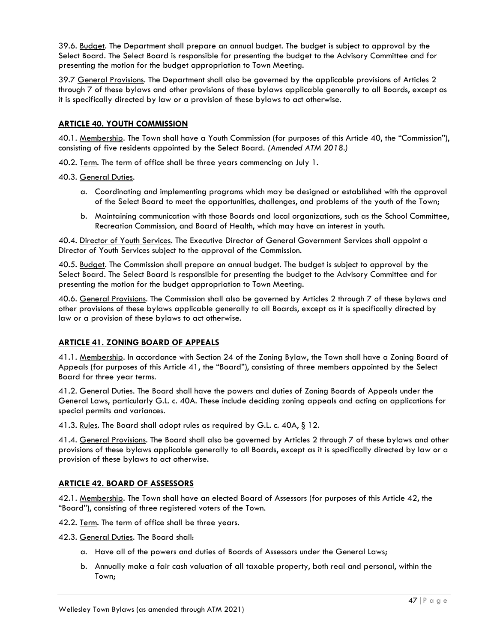39.6. Budget. The Department shall prepare an annual budget. The budget is subject to approval by the Select Board. The Select Board is responsible for presenting the budget to the Advisory Committee and for presenting the motion for the budget appropriation to Town Meeting.

39.7 General Provisions. The Department shall also be governed by the applicable provisions of Articles 2 through 7 of these bylaws and other provisions of these bylaws applicable generally to all Boards, except as it is specifically directed by law or a provision of these bylaws to act otherwise.

## **ARTICLE 40. YOUTH COMMISSION**

40.1. Membership. The Town shall have a Youth Commission (for purposes of this Article 40, the "Commission"), consisting of five residents appointed by the Select Board. *(Amended ATM 2018.)*

40.2. <u>Term</u>. The term of office shall be three years commencing on July 1.

40.3. General Duties.

- a. Coordinating and implementing programs which may be designed or established with the approval of the Select Board to meet the opportunities, challenges, and problems of the youth of the Town;
- b. Maintaining communication with those Boards and local organizations, such as the School Committee, Recreation Commission, and Board of Health, which may have an interest in youth.

40.4. Director of Youth Services. The Executive Director of General Government Services shall appoint a Director of Youth Services subject to the approval of the Commission.

40.5. Budget. The Commission shall prepare an annual budget. The budget is subject to approval by the Select Board. The Select Board is responsible for presenting the budget to the Advisory Committee and for presenting the motion for the budget appropriation to Town Meeting.

40.6. General Provisions. The Commission shall also be governed by Articles 2 through 7 of these bylaws and other provisions of these bylaws applicable generally to all Boards, except as it is specifically directed by law or a provision of these bylaws to act otherwise.

## **ARTICLE 41. ZONING BOARD OF APPEALS**

41.1. Membership. In accordance with Section 24 of the Zoning Bylaw, the Town shall have a Zoning Board of Appeals (for purposes of this Article 41, the "Board"), consisting of three members appointed by the Select Board for three year terms.

41.2. General Duties. The Board shall have the powers and duties of Zoning Boards of Appeals under the General Laws, particularly G.L. c. 40A. These include deciding zoning appeals and acting on applications for special permits and variances.

41.3. Rules. The Board shall adopt rules as required by G.L. c. 40A, § 12.

41.4. General Provisions. The Board shall also be governed by Articles 2 through 7 of these bylaws and other provisions of these bylaws applicable generally to all Boards, except as it is specifically directed by law or a provision of these bylaws to act otherwise.

## **ARTICLE 42. BOARD OF ASSESSORS**

42.1. Membership. The Town shall have an elected Board of Assessors (for purposes of this Article 42, the "Board"), consisting of three registered voters of the Town.

42.2. Term. The term of office shall be three years.

42.3. General Duties. The Board shall:

- a. Have all of the powers and duties of Boards of Assessors under the General Laws;
- b. Annually make a fair cash valuation of all taxable property, both real and personal, within the Town;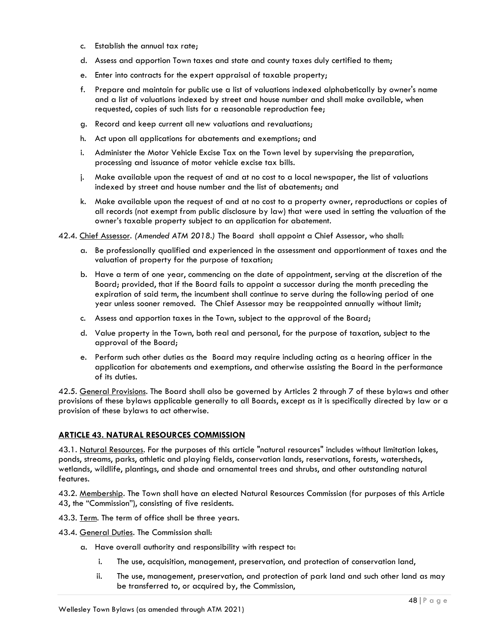- c. Establish the annual tax rate;
- d. Assess and apportion Town taxes and state and county taxes duly certified to them;
- e. Enter into contracts for the expert appraisal of taxable property;
- f. Prepare and maintain for public use a list of valuations indexed alphabetically by owner's name and a list of valuations indexed by street and house number and shall make available, when requested, copies of such lists for a reasonable reproduction fee;
- g. Record and keep current all new valuations and revaluations;
- h. Act upon all applications for abatements and exemptions; and
- i. Administer the Motor Vehicle Excise Tax on the Town level by supervising the preparation, processing and issuance of motor vehicle excise tax bills.
- j. Make available upon the request of and at no cost to a local newspaper, the list of valuations indexed by street and house number and the list of abatements; and
- k. Make available upon the request of and at no cost to a property owner, reproductions or copies of all records (not exempt from public disclosure by law) that were used in setting the valuation of the owner's taxable property subject to an application for abatement.

42.4. Chief Assessor. *(Amended ATM 2018.)* The Board shall appoint a Chief Assessor, who shall:

- a. Be professionally qualified and experienced in the assessment and apportionment of taxes and the valuation of property for the purpose of taxation;
- b. Have a term of one year, commencing on the date of appointment, serving at the discretion of the Board; provided, that if the Board fails to appoint a successor during the month preceding the expiration of said term, the incumbent shall continue to serve during the following period of one year unless sooner removed. The Chief Assessor may be reappointed annually without limit;
- c. Assess and apportion taxes in the Town, subject to the approval of the Board;
- d. Value property in the Town, both real and personal, for the purpose of taxation, subject to the approval of the Board;
- e. Perform such other duties as the Board may require including acting as a hearing officer in the application for abatements and exemptions, and otherwise assisting the Board in the performance of its duties.

42.5. General Provisions. The Board shall also be governed by Articles 2 through 7 of these bylaws and other provisions of these bylaws applicable generally to all Boards, except as it is specifically directed by law or a provision of these bylaws to act otherwise.

## **ARTICLE 43. NATURAL RESOURCES COMMISSION**

43.1. Natural Resources. For the purposes of this article "natural resources" includes without limitation lakes, ponds, streams, parks, athletic and playing fields, conservation lands, reservations, forests, watersheds, wetlands, wildlife, plantings, and shade and ornamental trees and shrubs, and other outstanding natural features.

43.2. Membership. The Town shall have an elected Natural Resources Commission (for purposes of this Article 43, the "Commission"), consisting of five residents.

- 43.3. Term. The term of office shall be three years.
- 43.4. General Duties. The Commission shall:
	- a. Have overall authority and responsibility with respect to:
		- i. The use, acquisition, management, preservation, and protection of conservation land,
		- ii. The use, management, preservation, and protection of park land and such other land as may be transferred to, or acquired by, the Commission,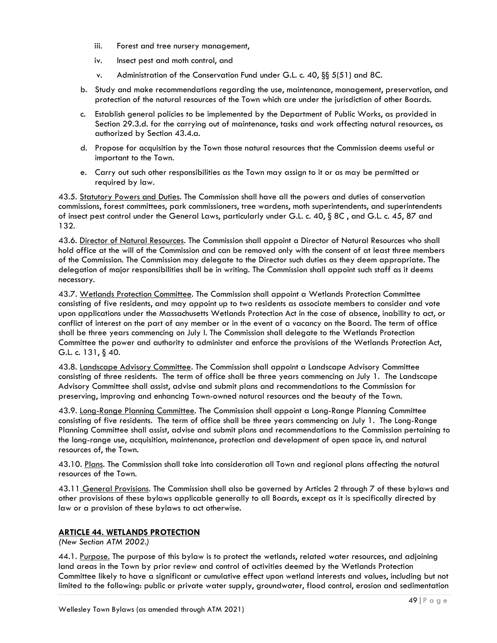- iii. Forest and tree nursery management,
- iv. Insect pest and moth control, and
- v. Administration of the Conservation Fund under G.L. c. 40, §§ 5(51) and 8C.
- b. Study and make recommendations regarding the use, maintenance, management, preservation, and protection of the natural resources of the Town which are under the jurisdiction of other Boards.
- c. Establish general policies to be implemented by the Department of Public Works, as provided in Section 29.3.d. for the carrying out of maintenance, tasks and work affecting natural resources, as authorized by Section 43.4.a.
- d. Propose for acquisition by the Town those natural resources that the Commission deems useful or important to the Town.
- e. Carry out such other responsibilities as the Town may assign to it or as may be permitted or required by law.

43.5. Statutory Powers and Duties. The Commission shall have all the powers and duties of conservation commissions, forest committees, park commissioners, tree wardens, moth superintendents, and superintendents of insect pest control under the General Laws, particularly under G.L. c. 40, § 8C , and G.L. c. 45, 87 and 132.

43.6. Director of Natural Resources. The Commission shall appoint a Director of Natural Resources who shall hold office at the will of the Commission and can be removed only with the consent of at least three members of the Commission. The Commission may delegate to the Director such duties as they deem appropriate. The delegation of major responsibilities shall be in writing. The Commission shall appoint such staff as it deems necessary.

43.7. Wetlands Protection Committee. The Commission shall appoint a Wetlands Protection Committee consisting of five residents, and may appoint up to two residents as associate members to consider and vote upon applications under the Massachusetts Wetlands Protection Act in the case of absence, inability to act, or conflict of interest on the part of any member or in the event of a vacancy on the Board. The term of office shall be three years commencing on July l. The Commission shall delegate to the Wetlands Protection Committee the power and authority to administer and enforce the provisions of the Wetlands Protection Act, G.L. c. 131, § 40.

43.8. Landscape Advisory Committee. The Commission shall appoint a Landscape Advisory Committee consisting of three residents. The term of office shall be three years commencing on July 1. The Landscape Advisory Committee shall assist, advise and submit plans and recommendations to the Commission for preserving, improving and enhancing Town-owned natural resources and the beauty of the Town.

43.9. Long-Range Planning Committee. The Commission shall appoint a Long-Range Planning Committee consisting of five residents. The term of office shall be three years commencing on July 1. The Long-Range Planning Committee shall assist, advise and submit plans and recommendations to the Commission pertaining to the long-range use, acquisition, maintenance, protection and development of open space in, and natural resources of, the Town.

43.10. Plans. The Commission shall take into consideration all Town and regional plans affecting the natural resources of the Town.

43.11 General Provisions. The Commission shall also be governed by Articles 2 through 7 of these bylaws and other provisions of these bylaws applicable generally to all Boards, except as it is specifically directed by law or a provision of these bylaws to act otherwise.

# **ARTICLE 44. WETLANDS PROTECTION**

*(New Section ATM 2002.)*

44.1. Purpose. The purpose of this bylaw is to protect the wetlands, related water resources, and adjoining land areas in the Town by prior review and control of activities deemed by the Wetlands Protection Committee likely to have a significant or cumulative effect upon wetland interests and values, including but not limited to the following: public or private water supply, groundwater, flood control, erosion and sedimentation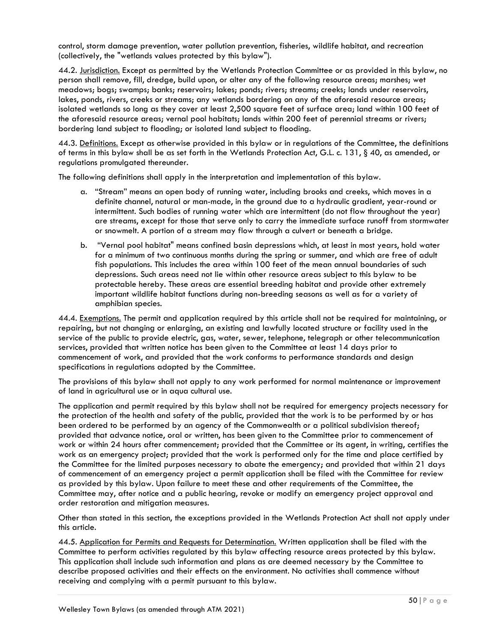control, storm damage prevention, water pollution prevention, fisheries, wildlife habitat, and recreation (collectively, the "wetlands values protected by this bylaw").

44.2. Jurisdiction. Except as permitted by the Wetlands Protection Committee or as provided in this bylaw, no person shall remove, fill, dredge, build upon, or alter any of the following resource areas; marshes; wet meadows; bogs; swamps; banks; reservoirs; lakes; ponds; rivers; streams; creeks; lands under reservoirs, lakes, ponds, rivers, creeks or streams; any wetlands bordering on any of the aforesaid resource areas; isolated wetlands so long as they cover at least 2,500 square feet of surface area; land within 100 feet of the aforesaid resource areas; vernal pool habitats; lands within 200 feet of perennial streams or rivers; bordering land subject to flooding; or isolated land subject to flooding.

44.3. Definitions. Except as otherwise provided in this bylaw or in regulations of the Committee, the definitions of terms in this bylaw shall be as set forth in the Wetlands Protection Act, G.L. c. 131, § 40, as amended, or regulations promulgated thereunder.

The following definitions shall apply in the interpretation and implementation of this bylaw.

- a. "Stream" means an open body of running water, including brooks and creeks, which moves in a definite channel, natural or man-made, in the ground due to a hydraulic gradient, year-round or intermittent. Such bodies of running water which are intermittent (do not flow throughout the year) are streams, except for those that serve only to carry the immediate surface runoff from stormwater or snowmelt. A portion of a stream may flow through a culvert or beneath a bridge.
- b. "Vernal pool habitat" means confined basin depressions which, at least in most years, hold water for a minimum of two continuous months during the spring or summer, and which are free of adult fish populations. This includes the area within 100 feet of the mean annual boundaries of such depressions. Such areas need not lie within other resource areas subject to this bylaw to be protectable hereby. These areas are essential breeding habitat and provide other extremely important wildlife habitat functions during non-breeding seasons as well as for a variety of amphibian species.

44.4. Exemptions. The permit and application required by this article shall not be required for maintaining, or repairing, but not changing or enlarging, an existing and lawfully located structure or facility used in the service of the public to provide electric, gas, water, sewer, telephone, telegraph or other telecommunication services, provided that written notice has been given to the Committee at least 14 days prior to commencement of work, and provided that the work conforms to performance standards and design specifications in regulations adopted by the Committee.

The provisions of this bylaw shall not apply to any work performed for normal maintenance or improvement of land in agricultural use or in aqua cultural use.

The application and permit required by this bylaw shall not be required for emergency projects necessary for the protection of the health and safety of the public, provided that the work is to be performed by or has been ordered to be performed by an agency of the Commonwealth or a political subdivision thereof; provided that advance notice, oral or written, has been given to the Committee prior to commencement of work or within 24 hours after commencement; provided that the Committee or its agent, in writing, certifies the work as an emergency project; provided that the work is performed only for the time and place certified by the Committee for the limited purposes necessary to abate the emergency; and provided that within 21 days of commencement of an emergency project a permit application shall be filed with the Committee for review as provided by this bylaw. Upon failure to meet these and other requirements of the Committee, the Committee may, after notice and a public hearing, revoke or modify an emergency project approval and order restoration and mitigation measures.

Other than stated in this section, the exceptions provided in the Wetlands Protection Act shall not apply under this article.

44.5. Application for Permits and Requests for Determination. Written application shall be filed with the Committee to perform activities regulated by this bylaw affecting resource areas protected by this bylaw. This application shall include such information and plans as are deemed necessary by the Committee to describe proposed activities and their effects on the environment. No activities shall commence without receiving and complying with a permit pursuant to this bylaw.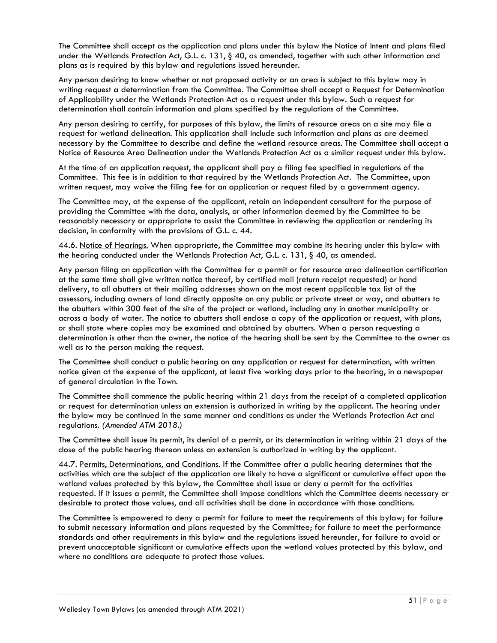The Committee shall accept as the application and plans under this bylaw the Notice of Intent and plans filed under the Wetlands Protection Act, G.L. c. 131, § 40, as amended, together with such other information and plans as is required by this bylaw and regulations issued hereunder.

Any person desiring to know whether or not proposed activity or an area is subject to this bylaw may in writing request a determination from the Committee. The Committee shall accept a Request for Determination of Applicability under the Wetlands Protection Act as a request under this bylaw. Such a request for determination shall contain information and plans specified by the regulations of the Committee.

Any person desiring to certify, for purposes of this bylaw, the limits of resource areas on a site may file a request for wetland delineation. This application shall include such information and plans as are deemed necessary by the Committee to describe and define the wetland resource areas. The Committee shall accept a Notice of Resource Area Delineation under the Wetlands Protection Act as a similar request under this bylaw.

At the time of an application request, the applicant shall pay a filing fee specified in regulations of the Committee. This fee is in addition to that required by the Wetlands Protection Act. The Committee, upon written request, may waive the filing fee for an application or request filed by a government agency.

The Committee may, at the expense of the applicant, retain an independent consultant for the purpose of providing the Committee with the data, analysis, or other information deemed by the Committee to be reasonably necessary or appropriate to assist the Committee in reviewing the application or rendering its decision, in conformity with the provisions of G.L. c. 44.

44.6. Notice of Hearings. When appropriate, the Committee may combine its hearing under this bylaw with the hearing conducted under the Wetlands Protection Act, G.L. c. 131, § 40, as amended.

Any person filing an application with the Committee for a permit or for resource area delineation certification at the same time shall give written notice thereof, by certified mail (return receipt requested) or hand delivery, to all abutters at their mailing addresses shown on the most recent applicable tax list of the assessors, including owners of land directly opposite on any public or private street or way, and abutters to the abutters within 300 feet of the site of the project or wetland, including any in another municipality or across a body of water. The notice to abutters shall enclose a copy of the application or request, with plans, or shall state where copies may be examined and obtained by abutters. When a person requesting a determination is other than the owner, the notice of the hearing shall be sent by the Committee to the owner as well as to the person making the request.

The Committee shall conduct a public hearing on any application or request for determination, with written notice given at the expense of the applicant, at least five working days prior to the hearing, in a newspaper of general circulation in the Town.

The Committee shall commence the public hearing within 21 days from the receipt of a completed application or request for determination unless an extension is authorized in writing by the applicant. The hearing under the bylaw may be continued in the same manner and conditions as under the Wetlands Protection Act and regulations. *(Amended ATM 2018.)*

The Committee shall issue its permit, its denial of a permit, or its determination in writing within 21 days of the close of the public hearing thereon unless an extension is authorized in writing by the applicant.

44.7. Permits, Determinations, and Conditions. If the Committee after a public hearing determines that the activities which are the subject of the application are likely to have a significant or cumulative effect upon the wetland values protected by this bylaw, the Committee shall issue or deny a permit for the activities requested. If it issues a permit, the Committee shall impose conditions which the Committee deems necessary or desirable to protect those values, and all activities shall be done in accordance with those conditions.

The Committee is empowered to deny a permit for failure to meet the requirements of this bylaw; for failure to submit necessary information and plans requested by the Committee; for failure to meet the performance standards and other requirements in this bylaw and the regulations issued hereunder, for failure to avoid or prevent unacceptable significant or cumulative effects upon the wetland values protected by this bylaw, and where no conditions are adequate to protect those values.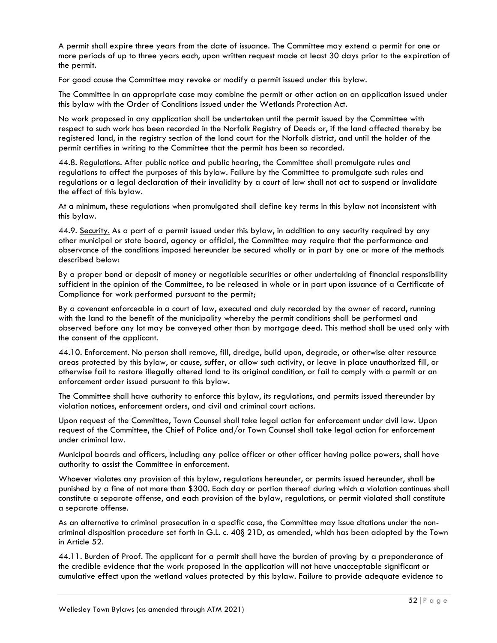A permit shall expire three years from the date of issuance. The Committee may extend a permit for one or more periods of up to three years each, upon written request made at least 30 days prior to the expiration of the permit.

For good cause the Committee may revoke or modify a permit issued under this bylaw.

The Committee in an appropriate case may combine the permit or other action on an application issued under this bylaw with the Order of Conditions issued under the Wetlands Protection Act.

No work proposed in any application shall be undertaken until the permit issued by the Committee with respect to such work has been recorded in the Norfolk Registry of Deeds or, if the land affected thereby be registered land, in the registry section of the land court for the Norfolk district, and until the holder of the permit certifies in writing to the Committee that the permit has been so recorded.

44.8. Regulations. After public notice and public hearing, the Committee shall promulgate rules and regulations to affect the purposes of this bylaw. Failure by the Committee to promulgate such rules and regulations or a legal declaration of their invalidity by a court of law shall not act to suspend or invalidate the effect of this bylaw.

At a minimum, these regulations when promulgated shall define key terms in this bylaw not inconsistent with this bylaw.

44.9. Security. As a part of a permit issued under this bylaw, in addition to any security required by any other municipal or state board, agency or official, the Committee may require that the performance and observance of the conditions imposed hereunder be secured wholly or in part by one or more of the methods described below:

By a proper bond or deposit of money or negotiable securities or other undertaking of financial responsibility sufficient in the opinion of the Committee, to be released in whole or in part upon issuance of a Certificate of Compliance for work performed pursuant to the permit;

By a covenant enforceable in a court of law, executed and duly recorded by the owner of record, running with the land to the benefit of the municipality whereby the permit conditions shall be performed and observed before any lot may be conveyed other than by mortgage deed. This method shall be used only with the consent of the applicant.

44.10. Enforcement. No person shall remove, fill, dredge, build upon, degrade, or otherwise alter resource areas protected by this bylaw, or cause, suffer, or allow such activity, or leave in place unauthorized fill, or otherwise fail to restore illegally altered land to its original condition, or fail to comply with a permit or an enforcement order issued pursuant to this bylaw.

The Committee shall have authority to enforce this bylaw, its regulations, and permits issued thereunder by violation notices, enforcement orders, and civil and criminal court actions.

Upon request of the Committee, Town Counsel shall take legal action for enforcement under civil law. Upon request of the Committee, the Chief of Police and/or Town Counsel shall take legal action for enforcement under criminal law.

Municipal boards and officers, including any police officer or other officer having police powers, shall have authority to assist the Committee in enforcement.

Whoever violates any provision of this bylaw, regulations hereunder, or permits issued hereunder, shall be punished by a fine of not more than \$300. Each day or portion thereof during which a violation continues shall constitute a separate offense, and each provision of the bylaw, regulations, or permit violated shall constitute a separate offense.

As an alternative to criminal prosecution in a specific case, the Committee may issue citations under the noncriminal disposition procedure set forth in G.L. c. 40§ 21D, as amended, which has been adopted by the Town in Article 52.

44.11. Burden of Proof. The applicant for a permit shall have the burden of proving by a preponderance of the credible evidence that the work proposed in the application will not have unacceptable significant or cumulative effect upon the wetland values protected by this bylaw. Failure to provide adequate evidence to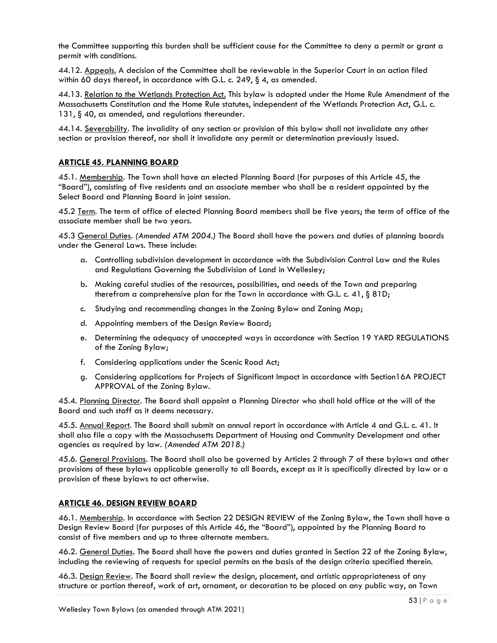the Committee supporting this burden shall be sufficient cause for the Committee to deny a permit or grant a permit with conditions.

44.12. Appeals. A decision of the Committee shall be reviewable in the Superior Court in an action filed within 60 days thereof, in accordance with G.L. c. 249, § 4, as amended.

44.13. Relation to the Wetlands Protection Act. This bylaw is adopted under the Home Rule Amendment of the Massachusetts Constitution and the Home Rule statutes, independent of the Wetlands Protection Act, G.L. c. 131, § 40, as amended, and regulations thereunder.

44.14. Severability. The invalidity of any section or provision of this bylaw shall not invalidate any other section or provision thereof, nor shall it invalidate any permit or determination previously issued.

# **ARTICLE 45. PLANNING BOARD**

45.1. Membership. The Town shall have an elected Planning Board (for purposes of this Article 45, the "Board"), consisting of five residents and an associate member who shall be a resident appointed by the Select Board and Planning Board in joint session.

45.2 Term. The term of office of elected Planning Board members shall be five years; the term of office of the associate member shall be two years.

45.3 General Duties. *(Amended ATM 2004.)* The Board shall have the powers and duties of planning boards under the General Laws. These include:

- a. Controlling subdivision development in accordance with the Subdivision Control Law and the Rules and Regulations Governing the Subdivision of Land in Wellesley;
- b. Making careful studies of the resources, possibilities, and needs of the Town and preparing therefrom a comprehensive plan for the Town in accordance with G.L. c. 41, § 81D;
- c. Studying and recommending changes in the Zoning Bylaw and Zoning Map;
- d. Appointing members of the Design Review Board;
- e. Determining the adequacy of unaccepted ways in accordance with Section 19 YARD REGULATIONS of the Zoning Bylaw;
- f. Considering applications under the Scenic Road Act;
- g. Considering applications for Projects of Significant Impact in accordance with Section16A PROJECT APPROVAL of the Zoning Bylaw.

45.4. Planning Director. The Board shall appoint a Planning Director who shall hold office at the will of the Board and such staff as it deems necessary.

45.5. Annual Report. The Board shall submit an annual report in accordance with Article 4 and G.L. c. 41. It shall also file a copy with the Massachusetts Department of Housing and Community Development and other agencies as required by law. *(Amended ATM 2018.)*

45.6. General Provisions. The Board shall also be governed by Articles 2 through 7 of these bylaws and other provisions of these bylaws applicable generally to all Boards, except as it is specifically directed by law or a provision of these bylaws to act otherwise.

# **ARTICLE 46. DESIGN REVIEW BOARD**

46.1. Membership. In accordance with Section 22 DESIGN REVIEW of the Zoning Bylaw, the Town shall have a Design Review Board (for purposes of this Article 46, the "Board"), appointed by the Planning Board to consist of five members and up to three alternate members.

46.2. General Duties. The Board shall have the powers and duties granted in Section 22 of the Zoning Bylaw, including the reviewing of requests for special permits on the basis of the design criteria specified therein.

46.3. Design Review. The Board shall review the design, placement, and artistic appropriateness of any structure or portion thereof, work of art, ornament, or decoration to be placed on any public way, on Town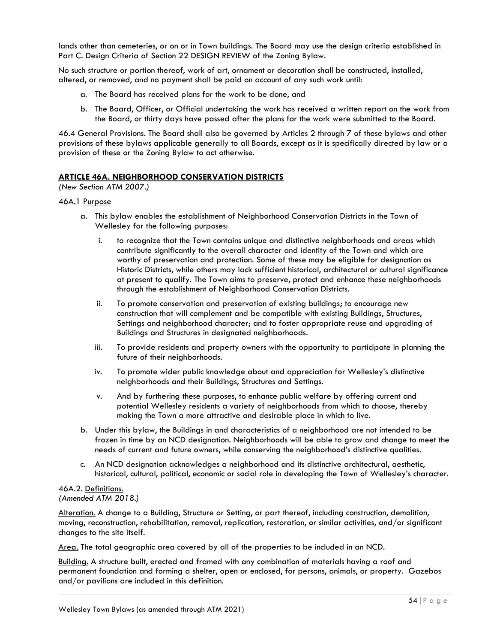lands other than cemeteries, or on or in Town buildings. The Board may use the design criteria established in Part C. Design Criteria of Section 22 DESIGN REVIEW of the Zoning Bylaw.

No such structure or portion thereof, work of art, ornament or decoration shall be constructed, installed, altered, or removed, and no payment shall be paid on account of any such work until:

- a. The Board has received plans for the work to be done, and
- b. The Board, Officer, or Official undertaking the work has received a written report on the work from the Board, or thirty days have passed after the plans for the work were submitted to the Board.

46.4 General Provisions. The Board shall also be governed by Articles 2 through 7 of these bylaws and other provisions of these bylaws applicable generally to all Boards, except as it is specifically directed by law or a provision of these or the Zoning Bylaw to act otherwise.

## **ARTICLE 46A. NEIGHBORHOOD CONSERVATION DISTRICTS**

*(New Section ATM 2007.)*

## 46A.1 Purpose

- a. This bylaw enables the establishment of Neighborhood Conservation Districts in the Town of Wellesley for the following purposes:
	- i. to recognize that the Town contains unique and distinctive neighborhoods and areas which contribute significantly to the overall character and identity of the Town and which are worthy of preservation and protection. Some of these may be eligible for designation as Historic Districts, while others may lack sufficient historical, architectural or cultural significance at present to qualify. The Town aims to preserve, protect and enhance these neighborhoods through the establishment of Neighborhood Conservation Districts.
	- ii. To promote conservation and preservation of existing buildings; to encourage new construction that will complement and be compatible with existing Buildings, Structures, Settings and neighborhood character; and to foster appropriate reuse and upgrading of Buildings and Structures in designated neighborhoods.
	- iii. To provide residents and property owners with the opportunity to participate in planning the future of their neighborhoods.
	- iv. To promote wider public knowledge about and appreciation for Wellesley's distinctive neighborhoods and their Buildings, Structures and Settings.
	- v. And by furthering these purposes, to enhance public welfare by offering current and potential Wellesley residents a variety of neighborhoods from which to choose, thereby making the Town a more attractive and desirable place in which to live.
- b. Under this bylaw, the Buildings in and characteristics of a neighborhood are not intended to be frozen in time by an NCD designation. Neighborhoods will be able to grow and change to meet the needs of current and future owners, while conserving the neighborhood's distinctive qualities.
- c. An NCD designation acknowledges a neighborhood and its distinctive architectural, aesthetic, historical, cultural, political, economic or social role in developing the Town of Wellesley's character.

#### 46A.2. Definitions. *(Amended ATM 2018.)*

Alteration. A change to a Building, Structure or Setting, or part thereof, including construction, demolition, moving, reconstruction, rehabilitation, removal, replication, restoration, or similar activities, and/or significant changes to the site itself.

Area. The total geographic area covered by all of the properties to be included in an NCD.

Building. A structure built, erected and framed with any combination of materials having a roof and permanent foundation and forming a shelter, open or enclosed, for persons, animals, or property. Gazebos and/or pavilions are included in this definition.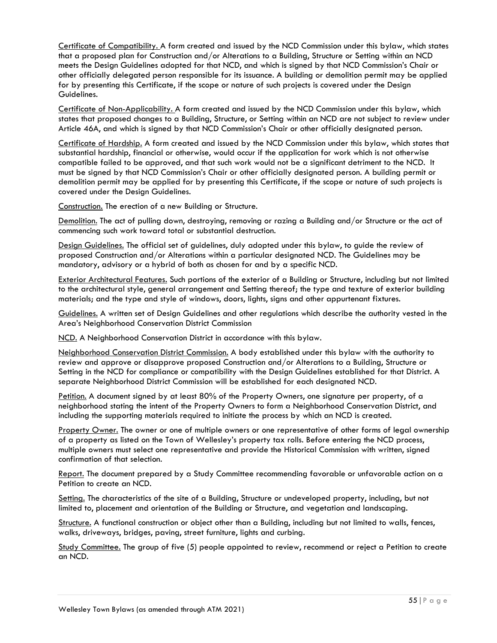Certificate of Compatibility. A form created and issued by the NCD Commission under this bylaw, which states that a proposed plan for Construction and/or Alterations to a Building, Structure or Setting within an NCD meets the Design Guidelines adopted for that NCD, and which is signed by that NCD Commission's Chair or other officially delegated person responsible for its issuance. A building or demolition permit may be applied for by presenting this Certificate, if the scope or nature of such projects is covered under the Design Guidelines.

Certificate of Non-Applicability. A form created and issued by the NCD Commission under this bylaw, which states that proposed changes to a Building, Structure, or Setting within an NCD are not subject to review under Article 46A, and which is signed by that NCD Commission's Chair or other officially designated person.

Certificate of Hardship. A form created and issued by the NCD Commission under this bylaw, which states that substantial hardship, financial or otherwise, would occur if the application for work which is not otherwise compatible failed to be approved, and that such work would not be a significant detriment to the NCD. It must be signed by that NCD Commission's Chair or other officially designated person. A building permit or demolition permit may be applied for by presenting this Certificate, if the scope or nature of such projects is covered under the Design Guidelines.

Construction. The erection of a new Building or Structure.

Demolition. The act of pulling down, destroying, removing or razing a Building and/or Structure or the act of commencing such work toward total or substantial destruction.

Design Guidelines. The official set of guidelines, duly adopted under this bylaw, to guide the review of proposed Construction and/or Alterations within a particular designated NCD. The Guidelines may be mandatory, advisory or a hybrid of both as chosen for and by a specific NCD.

Exterior Architectural Features. Such portions of the exterior of a Building or Structure, including but not limited to the architectural style, general arrangement and Setting thereof; the type and texture of exterior building materials; and the type and style of windows, doors, lights, signs and other appurtenant fixtures.

Guidelines. A written set of Design Guidelines and other regulations which describe the authority vested in the Area's Neighborhood Conservation District Commission

NCD. A Neighborhood Conservation District in accordance with this bylaw.

Neighborhood Conservation District Commission. A body established under this bylaw with the authority to review and approve or disapprove proposed Construction and/or Alterations to a Building, Structure or Setting in the NCD for compliance or compatibility with the Design Guidelines established for that District. A separate Neighborhood District Commission will be established for each designated NCD.

Petition. A document signed by at least 80% of the Property Owners, one signature per property, of a neighborhood stating the intent of the Property Owners to form a Neighborhood Conservation District, and including the supporting materials required to initiate the process by which an NCD is created.

Property Owner. The owner or one of multiple owners or one representative of other forms of legal ownership of a property as listed on the Town of Wellesley's property tax rolls. Before entering the NCD process, multiple owners must select one representative and provide the Historical Commission with written, signed confirmation of that selection.

Report. The document prepared by a Study Committee recommending favorable or unfavorable action on a Petition to create an NCD.

Setting. The characteristics of the site of a Building, Structure or undeveloped property, including, but not limited to, placement and orientation of the Building or Structure, and vegetation and landscaping.

Structure. A functional construction or object other than a Building, including but not limited to walls, fences, walks, driveways, bridges, paving, street furniture, lights and curbing.

Study Committee. The group of five (5) people appointed to review, recommend or reject a Petition to create an NCD.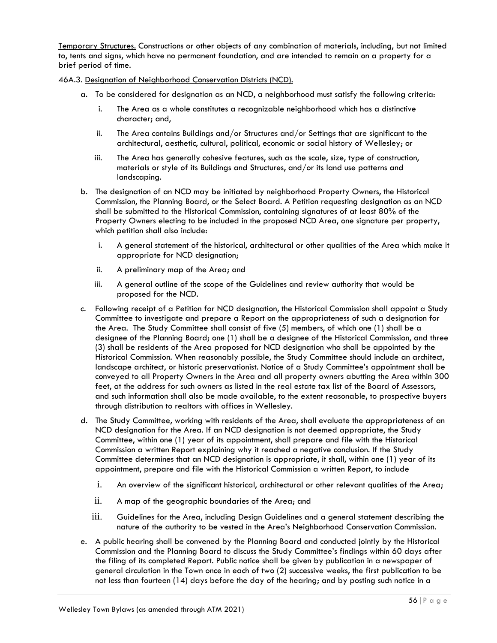Temporary Structures. Constructions or other objects of any combination of materials, including, but not limited to, tents and signs, which have no permanent foundation, and are intended to remain on a property for a brief period of time.

46A.3. Designation of Neighborhood Conservation Districts (NCD).

- a. To be considered for designation as an NCD, a neighborhood must satisfy the following criteria:
	- i. The Area as a whole constitutes a recognizable neighborhood which has a distinctive character; and,
	- ii. The Area contains Buildings and/or Structures and/or Settings that are significant to the architectural, aesthetic, cultural, political, economic or social history of Wellesley; or
	- iii. The Area has generally cohesive features, such as the scale, size, type of construction, materials or style of its Buildings and Structures, and/or its land use patterns and landscaping.
- b. The designation of an NCD may be initiated by neighborhood Property Owners, the Historical Commission, the Planning Board, or the Select Board. A Petition requesting designation as an NCD shall be submitted to the Historical Commission, containing signatures of at least 80% of the Property Owners electing to be included in the proposed NCD Area, one signature per property, which petition shall also include:
	- i. A general statement of the historical, architectural or other qualities of the Area which make it appropriate for NCD designation;
	- ii. A preliminary map of the Area; and
	- iii. A general outline of the scope of the Guidelines and review authority that would be proposed for the NCD.
- c. Following receipt of a Petition for NCD designation, the Historical Commission shall appoint a Study Committee to investigate and prepare a Report on the appropriateness of such a designation for the Area. The Study Committee shall consist of five (5) members, of which one (1) shall be a designee of the Planning Board; one (1) shall be a designee of the Historical Commission, and three (3) shall be residents of the Area proposed for NCD designation who shall be appointed by the Historical Commission. When reasonably possible, the Study Committee should include an architect, landscape architect, or historic preservationist. Notice of a Study Committee's appointment shall be conveyed to all Property Owners in the Area and all property owners abutting the Area within 300 feet, at the address for such owners as listed in the real estate tax list of the Board of Assessors, and such information shall also be made available, to the extent reasonable, to prospective buyers through distribution to realtors with offices in Wellesley.
- d. The Study Committee, working with residents of the Area, shall evaluate the appropriateness of an NCD designation for the Area. If an NCD designation is not deemed appropriate, the Study Committee, within one (1) year of its appointment, shall prepare and file with the Historical Commission a written Report explaining why it reached a negative conclusion. If the Study Committee determines that an NCD designation is appropriate, it shall, within one (1) year of its appointment, prepare and file with the Historical Commission a written Report, to include
	- i. An overview of the significant historical, architectural or other relevant qualities of the Area;
	- ii. A map of the geographic boundaries of the Area; and
	- iii. Guidelines for the Area, including Design Guidelines and a general statement describing the nature of the authority to be vested in the Area's Neighborhood Conservation Commission.
- e. A public hearing shall be convened by the Planning Board and conducted jointly by the Historical Commission and the Planning Board to discuss the Study Committee's findings within 60 days after the filing of its completed Report. Public notice shall be given by publication in a newspaper of general circulation in the Town once in each of two (2) successive weeks, the first publication to be not less than fourteen (14) days before the day of the hearing; and by posting such notice in a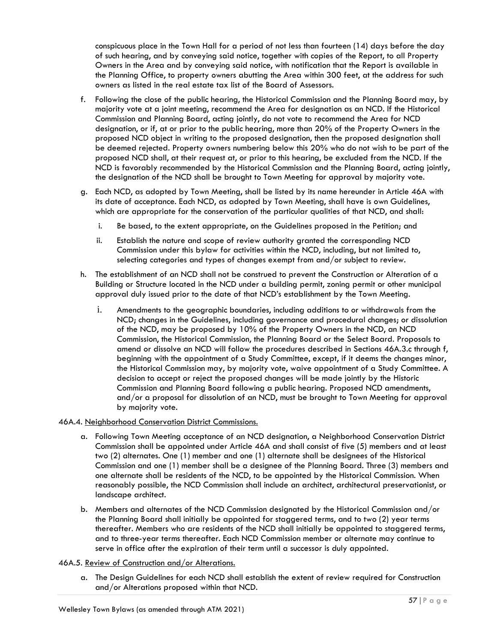conspicuous place in the Town Hall for a period of not less than fourteen (14) days before the day of such hearing, and by conveying said notice, together with copies of the Report, to all Property Owners in the Area and by conveying said notice, with notification that the Report is available in the Planning Office, to property owners abutting the Area within 300 feet, at the address for such owners as listed in the real estate tax list of the Board of Assessors.

- f. Following the close of the public hearing, the Historical Commission and the Planning Board may, by majority vote at a joint meeting, recommend the Area for designation as an NCD. If the Historical Commission and Planning Board, acting jointly, do not vote to recommend the Area for NCD designation, or if, at or prior to the public hearing, more than 20% of the Property Owners in the proposed NCD object in writing to the proposed designation, then the proposed designation shall be deemed rejected. Property owners numbering below this 20% who do not wish to be part of the proposed NCD shall, at their request at, or prior to this hearing, be excluded from the NCD. If the NCD is favorably recommended by the Historical Commission and the Planning Board, acting jointly, the designation of the NCD shall be brought to Town Meeting for approval by majority vote.
- g. Each NCD, as adopted by Town Meeting, shall be listed by its name hereunder in Article 46A with its date of acceptance. Each NCD, as adopted by Town Meeting, shall have is own Guidelines, which are appropriate for the conservation of the particular qualities of that NCD, and shall:
	- i. Be based, to the extent appropriate, on the Guidelines proposed in the Petition; and
	- ii. Establish the nature and scope of review authority granted the corresponding NCD Commission under this bylaw for activities within the NCD, including, but not limited to, selecting categories and types of changes exempt from and/or subject to review.
- h. The establishment of an NCD shall not be construed to prevent the Construction or Alteration of a Building or Structure located in the NCD under a building permit, zoning permit or other municipal approval duly issued prior to the date of that NCD's establishment by the Town Meeting.
	- i. Amendments to the geographic boundaries, including additions to or withdrawals from the NCD; changes in the Guidelines, including governance and procedural changes; or dissolution of the NCD, may be proposed by 10% of the Property Owners in the NCD, an NCD Commission, the Historical Commission, the Planning Board or the Select Board. Proposals to amend or dissolve an NCD will follow the procedures described in Sections 46A.3.c through f, beginning with the appointment of a Study Committee, except, if it deems the changes minor, the Historical Commission may, by majority vote, waive appointment of a Study Committee. A decision to accept or reject the proposed changes will be made jointly by the Historic Commission and Planning Board following a public hearing. Proposed NCD amendments, and/or a proposal for dissolution of an NCD, must be brought to Town Meeting for approval by majority vote.

## 46A.4. Neighborhood Conservation District Commissions.

- a. Following Town Meeting acceptance of an NCD designation, a Neighborhood Conservation District Commission shall be appointed under Article 46A and shall consist of five (5) members and at least two (2) alternates. One (1) member and one (1) alternate shall be designees of the Historical Commission and one (1) member shall be a designee of the Planning Board. Three (3) members and one alternate shall be residents of the NCD, to be appointed by the Historical Commission. When reasonably possible, the NCD Commission shall include an architect, architectural preservationist, or landscape architect.
- b. Members and alternates of the NCD Commission designated by the Historical Commission and/or the Planning Board shall initially be appointed for staggered terms, and to two (2) year terms thereafter. Members who are residents of the NCD shall initially be appointed to staggered terms, and to three-year terms thereafter. Each NCD Commission member or alternate may continue to serve in office after the expiration of their term until a successor is duly appointed.

## 46A.5. Review of Construction and/or Alterations.

a. The Design Guidelines for each NCD shall establish the extent of review required for Construction and/or Alterations proposed within that NCD.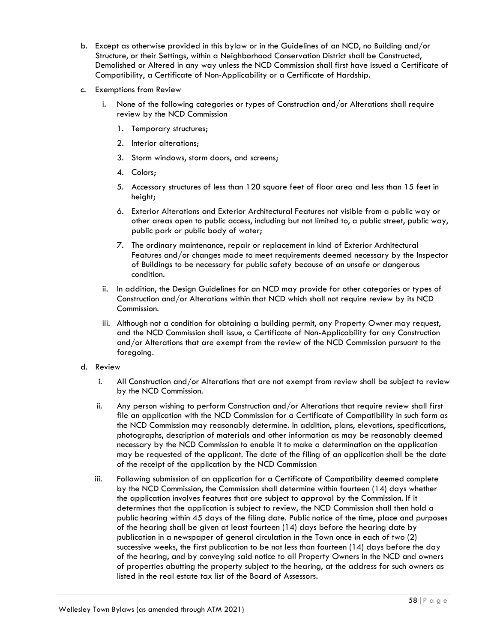- b. Except as otherwise provided in this bylaw or in the Guidelines of an NCD, no Building and/or Structure, or their Settings, within a Neighborhood Conservation District shall be Constructed, Demolished or Altered in any way unless the NCD Commission shall first have issued a Certificate of Compatibility, a Certificate of Non-Applicability or a Certificate of Hardship.
- c. Exemptions from Review
	- i. None of the following categories or types of Construction and/or Alterations shall require review by the NCD Commission
		- 1. Temporary structures;
		- 2. Interior alterations;
		- 3. Storm windows, storm doors, and screens;
		- 4. Colors;
		- 5. Accessory structures of less than 120 square feet of floor area and less than 15 feet in height;
		- 6. Exterior Alterations and Exterior Architectural Features not visible from a public way or other areas open to public access, including but not limited to, a public street, public way, public park or public body of water;
		- 7. The ordinary maintenance, repair or replacement in kind of Exterior Architectural Features and/or changes made to meet requirements deemed necessary by the Inspector of Buildings to be necessary for public safety because of an unsafe or dangerous condition.
	- ii. In addition, the Design Guidelines for an NCD may provide for other categories or types of Construction and/or Alterations within that NCD which shall not require review by its NCD Commission.
	- iii. Although not a condition for obtaining a building permit, any Property Owner may request, and the NCD Commission shall issue, a Certificate of Non-Applicability for any Construction and/or Alterations that are exempt from the review of the NCD Commission pursuant to the foregoing.
- d. Review
	- i. All Construction and/or Alterations that are not exempt from review shall be subject to review by the NCD Commission.
	- ii. Any person wishing to perform Construction and/or Alterations that require review shall first file an application with the NCD Commission for a Certificate of Compatibility in such form as the NCD Commission may reasonably determine. In addition, plans, elevations, specifications, photographs, description of materials and other information as may be reasonably deemed necessary by the NCD Commission to enable it to make a determination on the application may be requested of the applicant. The date of the filing of an application shall be the date of the receipt of the application by the NCD Commission
	- iii. Following submission of an application for a Certificate of Compatibility deemed complete by the NCD Commission, the Commission shall determine within fourteen (14) days whether the application involves features that are subject to approval by the Commission. If it determines that the application is subject to review, the NCD Commission shall then hold a public hearing within 45 days of the filing date. Public notice of the time, place and purposes of the hearing shall be given at least fourteen (14) days before the hearing date by publication in a newspaper of general circulation in the Town once in each of two (2) successive weeks, the first publication to be not less than fourteen (14) days before the day of the hearing, and by conveying said notice to all Property Owners in the NCD and owners of properties abutting the property subject to the hearing, at the address for such owners as listed in the real estate tax list of the Board of Assessors.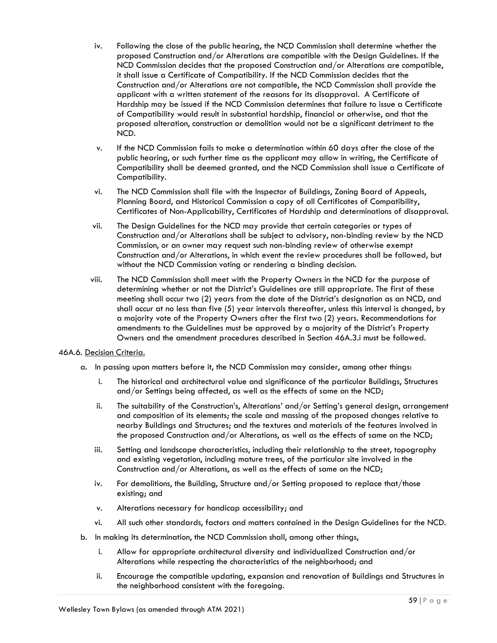- iv. Following the close of the public hearing, the NCD Commission shall determine whether the proposed Construction and/or Alterations are compatible with the Design Guidelines. If the NCD Commission decides that the proposed Construction and/or Alterations are compatible, it shall issue a Certificate of Compatibility. If the NCD Commission decides that the Construction and/or Alterations are not compatible, the NCD Commission shall provide the applicant with a written statement of the reasons for its disapproval. A Certificate of Hardship may be issued if the NCD Commission determines that failure to issue a Certificate of Compatibility would result in substantial hardship, financial or otherwise, and that the proposed alteration, construction or demolition would not be a significant detriment to the NCD.
- v. If the NCD Commission fails to make a determination within 60 days after the close of the public hearing, or such further time as the applicant may allow in writing, the Certificate of Compatibility shall be deemed granted, and the NCD Commission shall issue a Certificate of Compatibility.
- vi. The NCD Commission shall file with the Inspector of Buildings, Zoning Board of Appeals, Planning Board, and Historical Commission a copy of all Certificates of Compatibility, Certificates of Non-Applicability, Certificates of Hardship and determinations of disapproval.
- vii. The Design Guidelines for the NCD may provide that certain categories or types of Construction and/or Alterations shall be subject to advisory, non-binding review by the NCD Commission, or an owner may request such non-binding review of otherwise exempt Construction and/or Alterations, in which event the review procedures shall be followed, but without the NCD Commission voting or rendering a binding decision.
- viii. The NCD Commission shall meet with the Property Owners in the NCD for the purpose of determining whether or not the District's Guidelines are still appropriate. The first of these meeting shall occur two (2) years from the date of the District's designation as an NCD, and shall occur at no less than five (5) year intervals thereafter, unless this interval is changed, by a majority vote of the Property Owners after the first two (2) years. Recommendations for amendments to the Guidelines must be approved by a majority of the District's Property Owners and the amendment procedures described in Section 46A.3.i must be followed.

## 46A.6. Decision Criteria.

- a. In passing upon matters before it, the NCD Commission may consider, among other things:
	- i. The historical and architectural value and significance of the particular Buildings, Structures and/or Settings being affected, as well as the effects of same on the NCD;
	- ii. The suitability of the Construction's, Alterations' and/or Setting's general design, arrangement and composition of its elements; the scale and massing of the proposed changes relative to nearby Buildings and Structures; and the textures and materials of the features involved in the proposed Construction and/or Alterations, as well as the effects of same on the NCD;
	- iii. Setting and landscape characteristics, including their relationship to the street, topography and existing vegetation, including mature trees, of the particular site involved in the Construction and/or Alterations, as well as the effects of same on the NCD;
	- iv. For demolitions, the Building, Structure and/or Setting proposed to replace that/those existing; and
	- v. Alterations necessary for handicap accessibility; and
	- vi. All such other standards, factors and matters contained in the Design Guidelines for the NCD.
- b. In making its determination, the NCD Commission shall, among other things,
	- i. Allow for appropriate architectural diversity and individualized Construction and/or Alterations while respecting the characteristics of the neighborhood; and
	- ii. Encourage the compatible updating, expansion and renovation of Buildings and Structures in the neighborhood consistent with the foregoing.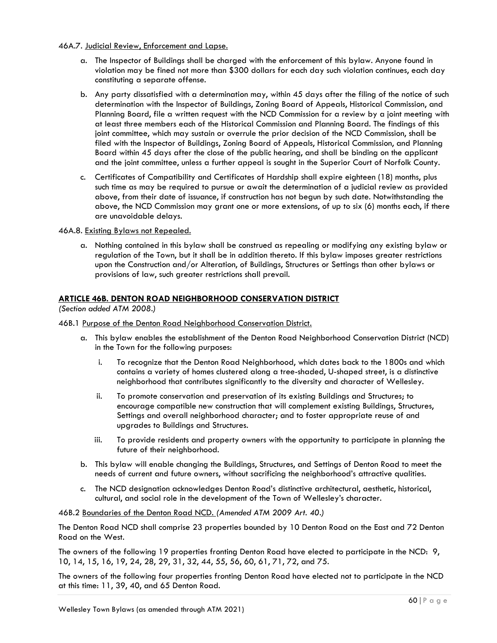## 46A.7. Judicial Review, Enforcement and Lapse.

- a. The Inspector of Buildings shall be charged with the enforcement of this bylaw. Anyone found in violation may be fined not more than \$300 dollars for each day such violation continues, each day constituting a separate offense.
- b. Any party dissatisfied with a determination may, within 45 days after the filing of the notice of such determination with the Inspector of Buildings, Zoning Board of Appeals, Historical Commission, and Planning Board, file a written request with the NCD Commission for a review by a joint meeting with at least three members each of the Historical Commission and Planning Board. The findings of this joint committee, which may sustain or overrule the prior decision of the NCD Commission, shall be filed with the Inspector of Buildings, Zoning Board of Appeals, Historical Commission, and Planning Board within 45 days after the close of the public hearing, and shall be binding on the applicant and the joint committee, unless a further appeal is sought in the Superior Court of Norfolk County.
- c. Certificates of Compatibility and Certificates of Hardship shall expire eighteen (18) months, plus such time as may be required to pursue or await the determination of a judicial review as provided above, from their date of issuance, if construction has not begun by such date. Notwithstanding the above, the NCD Commission may grant one or more extensions, of up to six (6) months each, if there are unavoidable delays.

# 46A.8. Existing Bylaws not Repealed.

a. Nothing contained in this bylaw shall be construed as repealing or modifying any existing bylaw or regulation of the Town, but it shall be in addition thereto. If this bylaw imposes greater restrictions upon the Construction and/or Alteration, of Buildings, Structures or Settings than other bylaws or provisions of law, such greater restrictions shall prevail.

# **ARTICLE 46B. DENTON ROAD NEIGHBORHOOD CONSERVATION DISTRICT**

*(Section added ATM 2008.)*

## 46B.1 Purpose of the Denton Road Neighborhood Conservation District.

- a. This bylaw enables the establishment of the Denton Road Neighborhood Conservation District (NCD) in the Town for the following purposes:
	- i. To recognize that the Denton Road Neighborhood, which dates back to the 1800s and which contains a variety of homes clustered along a tree-shaded, U-shaped street, is a distinctive neighborhood that contributes significantly to the diversity and character of Wellesley.
	- ii. To promote conservation and preservation of its existing Buildings and Structures; to encourage compatible new construction that will complement existing Buildings, Structures, Settings and overall neighborhood character; and to foster appropriate reuse of and upgrades to Buildings and Structures.
	- iii. To provide residents and property owners with the opportunity to participate in planning the future of their neighborhood.
- b. This bylaw will enable changing the Buildings, Structures, and Settings of Denton Road to meet the needs of current and future owners, without sacrificing the neighborhood's attractive qualities.
- c. The NCD designation acknowledges Denton Road's distinctive architectural, aesthetic, historical, cultural, and social role in the development of the Town of Wellesley's character.

## 46B.2 Boundaries of the Denton Road NCD. *(Amended ATM 2009 Art. 40.)*

The Denton Road NCD shall comprise 23 properties bounded by 10 Denton Road on the East and 72 Denton Road on the West.

The owners of the following 19 properties fronting Denton Road have elected to participate in the NCD: 9, 10, 14, 15, 16, 19, 24, 28, 29, 31, 32, 44, 55, 56, 60, 61, 71, 72, and 75.

The owners of the following four properties fronting Denton Road have elected not to participate in the NCD at this time: 11, 39, 40, and 65 Denton Road.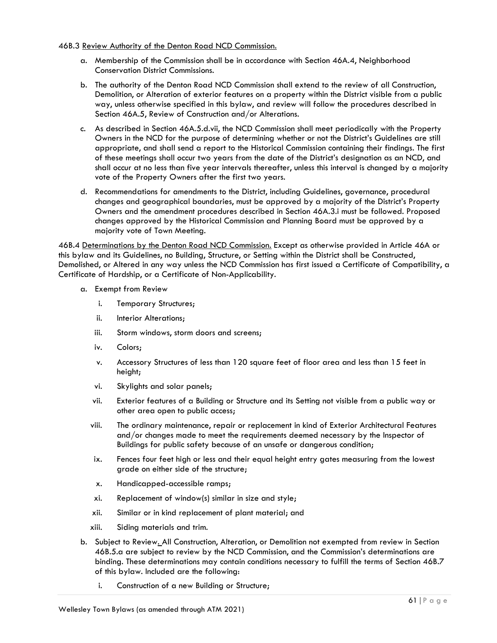## 46B.3 Review Authority of the Denton Road NCD Commission.

- a. Membership of the Commission shall be in accordance with Section 46A.4, Neighborhood Conservation District Commissions.
- b. The authority of the Denton Road NCD Commission shall extend to the review of all Construction, Demolition, or Alteration of exterior features on a property within the District visible from a public way, unless otherwise specified in this bylaw, and review will follow the procedures described in Section 46A.5, Review of Construction and/or Alterations.
- c. As described in Section 46A.5.d.vii, the NCD Commission shall meet periodically with the Property Owners in the NCD for the purpose of determining whether or not the District's Guidelines are still appropriate, and shall send a report to the Historical Commission containing their findings. The first of these meetings shall occur two years from the date of the District's designation as an NCD, and shall occur at no less than five year intervals thereafter, unless this interval is changed by a majority vote of the Property Owners after the first two years.
- d. Recommendations for amendments to the District, including Guidelines, governance, procedural changes and geographical boundaries, must be approved by a majority of the District's Property Owners and the amendment procedures described in Section 46A.3.i must be followed. Proposed changes approved by the Historical Commission and Planning Board must be approved by a majority vote of Town Meeting.

46B.4 Determinations by the Denton Road NCD Commission. Except as otherwise provided in Article 46A or this bylaw and its Guidelines, no Building, Structure, or Setting within the District shall be Constructed, Demolished, or Altered in any way unless the NCD Commission has first issued a Certificate of Compatibility, a Certificate of Hardship, or a Certificate of Non-Applicability.

- a. Exempt from Review
	- i. Temporary Structures;
	- ii. Interior Alterations;
	- iii. Storm windows, storm doors and screens;
	- iv. Colors;
	- v. Accessory Structures of less than 120 square feet of floor area and less than 15 feet in height;
	- vi. Skylights and solar panels;
	- vii. Exterior features of a Building or Structure and its Setting not visible from a public way or other area open to public access;
	- viii. The ordinary maintenance, repair or replacement in kind of Exterior Architectural Features and/or changes made to meet the requirements deemed necessary by the Inspector of Buildings for public safety because of an unsafe or dangerous condition;
	- ix. Fences four feet high or less and their equal height entry gates measuring from the lowest grade on either side of the structure;
	- x. Handicapped-accessible ramps;
	- xi. Replacement of window(s) similar in size and style;
	- xii. Similar or in kind replacement of plant material; and
	- xiii. Siding materials and trim.
- b. Subject to Review. All Construction, Alteration, or Demolition not exempted from review in Section 46B.5.a are subject to review by the NCD Commission, and the Commission's determinations are binding. These determinations may contain conditions necessary to fulfill the terms of Section 46B.7 of this bylaw. Included are the following:
	- i. Construction of a new Building or Structure;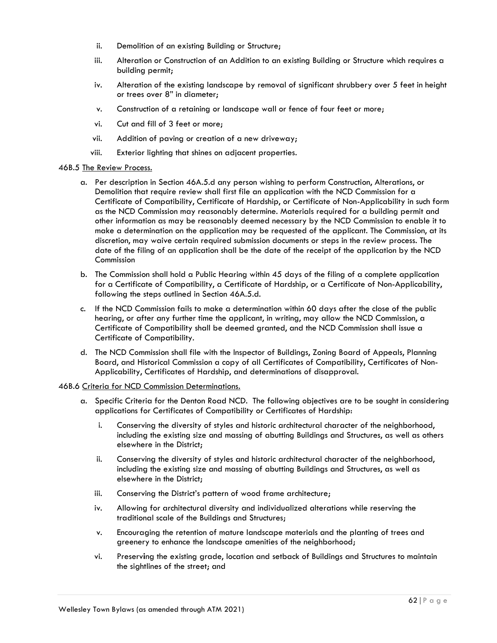- ii. Demolition of an existing Building or Structure;
- iii. Alteration or Construction of an Addition to an existing Building or Structure which requires a building permit;
- iv. Alteration of the existing landscape by removal of significant shrubbery over 5 feet in height or trees over 8" in diameter;
- v. Construction of a retaining or landscape wall or fence of four feet or more;
- vi. Cut and fill of 3 feet or more;
- vii. Addition of paving or creation of a new driveway;
- viii. Exterior lighting that shines on adjacent properties.

## 46B.5 The Review Process.

- a. Per description in Section 46A.5.d any person wishing to perform Construction, Alterations, or Demolition that require review shall first file an application with the NCD Commission for a Certificate of Compatibility, Certificate of Hardship, or Certificate of Non-Applicability in such form as the NCD Commission may reasonably determine. Materials required for a building permit and other information as may be reasonably deemed necessary by the NCD Commission to enable it to make a determination on the application may be requested of the applicant. The Commission, at its discretion, may waive certain required submission documents or steps in the review process. The date of the filing of an application shall be the date of the receipt of the application by the NCD Commission
- b. The Commission shall hold a Public Hearing within 45 days of the filing of a complete application for a Certificate of Compatibility, a Certificate of Hardship, or a Certificate of Non-Applicability, following the steps outlined in Section 46A.5.d.
- c. If the NCD Commission fails to make a determination within 60 days after the close of the public hearing, or after any further time the applicant, in writing, may allow the NCD Commission, a Certificate of Compatibility shall be deemed granted, and the NCD Commission shall issue a Certificate of Compatibility.
- d. The NCD Commission shall file with the Inspector of Buildings, Zoning Board of Appeals, Planning Board, and Historical Commission a copy of all Certificates of Compatibility, Certificates of Non-Applicability, Certificates of Hardship, and determinations of disapproval.

## 46B.6 Criteria for NCD Commission Determinations.

- a. Specific Criteria for the Denton Road NCD. The following objectives are to be sought in considering applications for Certificates of Compatibility or Certificates of Hardship:
	- i. Conserving the diversity of styles and historic architectural character of the neighborhood, including the existing size and massing of abutting Buildings and Structures, as well as others elsewhere in the District;
	- ii. Conserving the diversity of styles and historic architectural character of the neighborhood, including the existing size and massing of abutting Buildings and Structures, as well as elsewhere in the District;
	- iii. Conserving the District's pattern of wood frame architecture;
	- iv. Allowing for architectural diversity and individualized alterations while reserving the traditional scale of the Buildings and Structures;
	- v. Encouraging the retention of mature landscape materials and the planting of trees and greenery to enhance the landscape amenities of the neighborhood;
	- vi. Preserv**i**ng the existing grade, location and setback of Buildings and Structures to maintain the sightlines of the street; and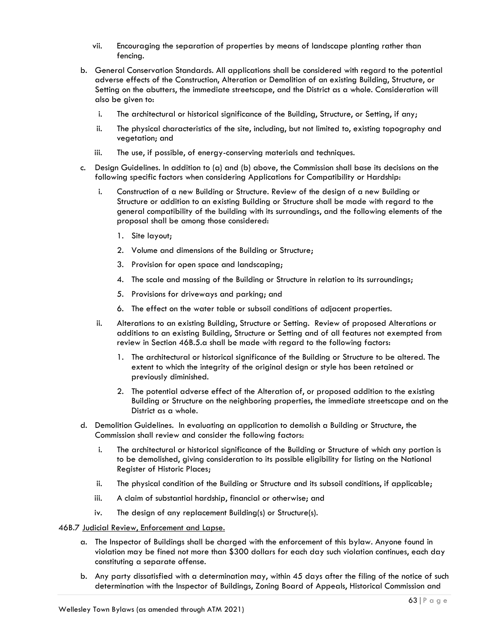- vii. Encouraging the separation of properties by means of landscape planting rather than fencing.
- b. General Conservation Standards. All applications shall be considered with regard to the potential adverse effects of the Construction, Alteration or Demolition of an existing Building, Structure, or Setting on the abutters, the immediate streetscape, and the District as a whole. Consideration will also be given to:
	- i. The architectural or historical significance of the Building, Structure, or Setting, if any;
	- ii. The physical characteristics of the site, including, but not limited to, existing topography and vegetation; and
	- iii. The use, if possible, of energy-conserving materials and techniques.
- c. Design Guidelines. In addition to (a) and (b) above, the Commission shall base its decisions on the following specific factors when considering Applications for Compatibility or Hardship:
	- i. Construction of a new Building or Structure. Review of the design of a new Building or Structure or addition to an existing Building or Structure shall be made with regard to the general compatibility of the building with its surroundings, and the following elements of the proposal shall be among those considered:
		- 1. Site layout;
		- 2. Volume and dimensions of the Building or Structure;
		- 3. Provision for open space and landscaping;
		- 4. The scale and massing of the Building or Structure in relation to its surroundings;
		- 5. Provisions for driveways and parking; and
		- 6. The effect on the water table or subsoil conditions of adjacent properties.
	- ii. Alterations to an existing Building, Structure or Setting. Review of proposed Alterations or additions to an existing Building, Structure or Setting and of all features not exempted from review in Section 46B.5.a shall be made with regard to the following factors:
		- 1. The architectural or historical significance of the Building or Structure to be altered. The extent to which the integrity of the original design or style has been retained or previously diminished.
		- 2. The potential adverse effect of the Alteration of, or proposed addition to the existing Building or Structure on the neighboring properties, the immediate streetscape and on the District as a whole.
- d. Demolition Guidelines. In evaluating an application to demolish a Building or Structure, the Commission shall review and consider the following factors:
	- i. The architectural or historical significance of the Building or Structure of which any portion is to be demolished, giving consideration to its possible eligibility for listing on the National Register of Historic Places;
	- ii. The physical condition of the Building or Structure and its subsoil conditions, if applicable;
	- iii. A claim of substantial hardship, financial or otherwise; and
	- iv. The design of any replacement Building(s) or Structure(s).

46B.7 Judicial Review, Enforcement and Lapse.

- a. The Inspector of Buildings shall be charged with the enforcement of this bylaw. Anyone found in violation may be fined not more than \$300 dollars for each day such violation continues, each day constituting a separate offense.
- b. Any party dissatisfied with a determination may, within 45 days after the filing of the notice of such determination with the Inspector of Buildings, Zoning Board of Appeals, Historical Commission and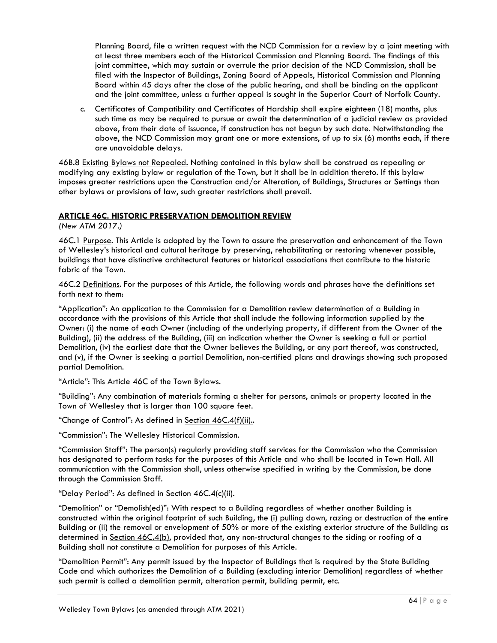Planning Board, file a written request with the NCD Commission for a review by a joint meeting with at least three members each of the Historical Commission and Planning Board. The findings of this joint committee, which may sustain or overrule the prior decision of the NCD Commission, shall be filed with the Inspector of Buildings, Zoning Board of Appeals, Historical Commission and Planning Board within 45 days after the close of the public hearing, and shall be binding on the applicant and the joint committee, unless a further appeal is sought in the Superior Court of Norfolk County.

c. Certificates of Compatibility and Certificates of Hardship shall expire eighteen (18) months, plus such time as may be required to pursue or await the determination of a judicial review as provided above, from their date of issuance, if construction has not begun by such date. Notwithstanding the above, the NCD Commission may grant one or more extensions, of up to six (6) months each, if there are unavoidable delays.

46B.8 Existing Bylaws not Repealed. Nothing contained in this bylaw shall be construed as repealing or modifying any existing bylaw or regulation of the Town, but it shall be in addition thereto. If this bylaw imposes greater restrictions upon the Construction and/or Alteration, of Buildings, Structures or Settings than other bylaws or provisions of law, such greater restrictions shall prevail.

# **ARTICLE 46C. HISTORIC PRESERVATION DEMOLITION REVIEW**

*(New ATM 2017.)*

46C.1 Purpose. This Article is adopted by the Town to assure the preservation and enhancement of the Town of Wellesley's historical and cultural heritage by preserving, rehabilitating or restoring whenever possible, buildings that have distinctive architectural features or historical associations that contribute to the historic fabric of the Town.

46C.2 Definitions. For the purposes of this Article, the following words and phrases have the definitions set forth next to them:

"Application": An application to the Commission for a Demolition review determination of a Building in accordance with the provisions of this Article that shall include the following information supplied by the Owner: (i) the name of each Owner (including of the underlying property, if different from the Owner of the Building), (ii) the address of the Building, (iii) an indication whether the Owner is seeking a full or partial Demolition, (iv) the earliest date that the Owner believes the Building, or any part thereof, was constructed, and (v), if the Owner is seeking a partial Demolition, non-certified plans and drawings showing such proposed partial Demolition.

"Article": This Article 46C of the Town Bylaws.

"Building": Any combination of materials forming a shelter for persons, animals or property located in the Town of Wellesley that is larger than 100 square feet.

"Change of Control": As defined in Section 46C.4(f)(ii)..

"Commission": The Wellesley Historical Commission.

"Commission Staff": The person(s) regularly providing staff services for the Commission who the Commission has designated to perform tasks for the purposes of this Article and who shall be located in Town Hall. All communication with the Commission shall, unless otherwise specified in writing by the Commission, be done through the Commission Staff.

# "Delay Period": As defined in Section 46C.4(c)(ii).

"Demolition" or "Demolish(ed)": With respect to a Building regardless of whether another Building is constructed within the original footprint of such Building, the (i) pulling down, razing or destruction of the entire Building or (ii) the removal or envelopment of 50% or more of the existing exterior structure of the Building as determined in <u>Section 46C.4(b</u>), provided that, any non-structural changes to the siding or roofing of a Building shall not constitute a Demolition for purposes of this Article.

"Demolition Permit": Any permit issued by the Inspector of Buildings that is required by the State Building Code and which authorizes the Demolition of a Building (excluding interior Demolition) regardless of whether such permit is called a demolition permit, alteration permit, building permit, etc.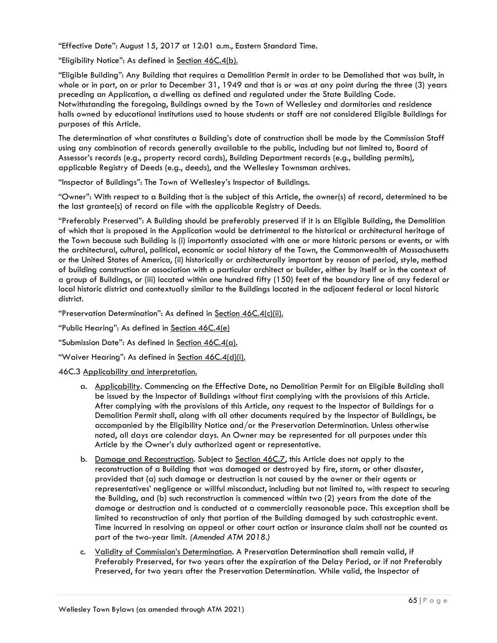"Effective Date": August 15, 2017 at 12:01 a.m., Eastern Standard Time.

"Eligibility Notice": As defined in Section 46C.4(b).

"Eligible Building": Any Building that requires a Demolition Permit in order to be Demolished that was built, in whole or in part, on or prior to December 31, 1949 and that is or was at any point during the three (3) years preceding an Application, a dwelling as defined and regulated under the State Building Code. Notwithstanding the foregoing, Buildings owned by the Town of Wellesley and dormitories and residence halls owned by educational institutions used to house students or staff are not considered Eligible Buildings for purposes of this Article.

The determination of what constitutes a Building's date of construction shall be made by the Commission Staff using any combination of records generally available to the public, including but not limited to, Board of Assessor's records (e.g., property record cards), Building Department records (e.g., building permits), applicable Registry of Deeds (e.g., deeds), and the Wellesley Townsman archives.

"Inspector of Buildings": The Town of Wellesley's Inspector of Buildings.

"Owner": With respect to a Building that is the subject of this Article, the owner(s) of record, determined to be the last grantee(s) of record on file with the applicable Registry of Deeds.

"Preferably Preserved": A Building should be preferably preserved if it is an Eligible Building, the Demolition of which that is proposed in the Application would be detrimental to the historical or architectural heritage of the Town because such Building is (i) importantly associated with one or more historic persons or events, or with the architectural, cultural, political, economic or social history of the Town, the Commonwealth of Massachusetts or the United States of America, (ii) historically or architecturally important by reason of period, style, method of building construction or association with a particular architect or builder, either by itself or in the context of a group of Buildings, or (iii) located within one hundred fifty (150) feet of the boundary line of any federal or local historic district and contextually similar to the Buildings located in the adjacent federal or local historic district.

"Preservation Determination": As defined in Section 46C.4(c)(ii).

"Public Hearing": As defined in Section 46C.4(e)

"Submission Date": As defined in Section 46C.4(a).

"Waiver Hearing": As defined in Section 46C.4(d)(i).

## 46C.3 Applicability and interpretation.

- a. Applicability. Commencing on the Effective Date, no Demolition Permit for an Eligible Building shall be issued by the Inspector of Buildings without first complying with the provisions of this Article. After complying with the provisions of this Article, any request to the Inspector of Buildings for a Demolition Permit shall, along with all other documents required by the Inspector of Buildings, be accompanied by the Eligibility Notice and/or the Preservation Determination. Unless otherwise noted, all days are calendar days. An Owner may be represented for all purposes under this Article by the Owner's duly authorized agent or representative.
- b. Damage and Reconstruction. Subject to Section 46C.7, this Article does not apply to the reconstruction of a Building that was damaged or destroyed by fire, storm, or other disaster, provided that (a) such damage or destruction is not caused by the owner or their agents or representatives' negligence or willful misconduct, including but not limited to, with respect to securing the Building, and (b) such reconstruction is commenced within two (2) years from the date of the damage or destruction and is conducted at a commercially reasonable pace. This exception shall be limited to reconstruction of only that portion of the Building damaged by such catastrophic event. Time incurred in resolving an appeal or other court action or insurance claim shall not be counted as part of the two-year limit. *(Amended ATM 2018.)*
- c. Validity of Commission's Determination. A Preservation Determination shall remain valid, if Preferably Preserved, for two years after the expiration of the Delay Period, or if not Preferably Preserved, for two years after the Preservation Determination. While valid, the Inspector of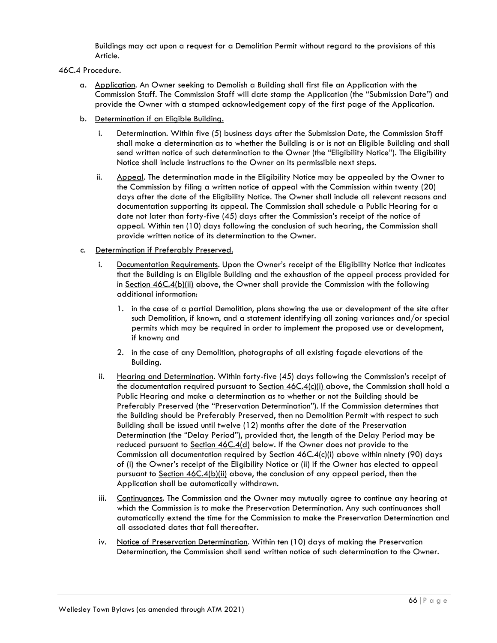Buildings may act upon a request for a Demolition Permit without regard to the provisions of this Article.

## 46C.4 Procedure.

- a. Application. An Owner seeking to Demolish a Building shall first file an Application with the Commission Staff. The Commission Staff will date stamp the Application (the "Submission Date") and provide the Owner with a stamped acknowledgement copy of the first page of the Application.
- b. Determination if an Eligible Building.
	- i. Determination. Within five (5) business days after the Submission Date, the Commission Staff shall make a determination as to whether the Building is or is not an Eligible Building and shall send written notice of such determination to the Owner (the "Eligibility Notice"). The Eligibility Notice shall include instructions to the Owner on its permissible next steps.
	- ii. Appeal. The determination made in the Eligibility Notice may be appealed by the Owner to the Commission by filing a written notice of appeal with the Commission within twenty (20) days after the date of the Eligibility Notice. The Owner shall include all relevant reasons and documentation supporting its appeal. The Commission shall schedule a Public Hearing for a date not later than forty-five (45) days after the Commission's receipt of the notice of appeal. Within ten (10) days following the conclusion of such hearing, the Commission shall provide written notice of its determination to the Owner.
- c. Determination if Preferably Preserved.
	- i. Documentation Requirements. Upon the Owner's receipt of the Eligibility Notice that indicates that the Building is an Eligible Building and the exhaustion of the appeal process provided for in Section 46C.4(b)(ii) above, the Owner shall provide the Commission with the following additional information:
		- 1. in the case of a partial Demolition, plans showing the use or development of the site after such Demolition, if known, and a statement identifying all zoning variances and/or special permits which may be required in order to implement the proposed use or development, if known; and
		- 2. in the case of any Demolition, photographs of all existing façade elevations of the Building.
	- ii. Hearing and Determination. Within forty-five (45) days following the Commission's receipt of the documentation required pursuant to Section 46C.4(c)(i) above, the Commission shall hold a Public Hearing and make a determination as to whether or not the Building should be Preferably Preserved (the "Preservation Determination"). If the Commission determines that the Building should be Preferably Preserved, then no Demolition Permit with respect to such Building shall be issued until twelve (12) months after the date of the Preservation Determination (the "Delay Period"), provided that, the length of the Delay Period may be reduced pursuant to Section 46C.4(d) below. If the Owner does not provide to the Commission all documentation required by Section 46C.4(c)(i) above within ninety (90) days of (i) the Owner's receipt of the Eligibility Notice or (ii) if the Owner has elected to appeal pursuant to Section 46C.4(b)(ii) above, the conclusion of any appeal period, then the Application shall be automatically withdrawn.
	- iii. Continuances. The Commission and the Owner may mutually agree to continue any hearing at which the Commission is to make the Preservation Determination. Any such continuances shall automatically extend the time for the Commission to make the Preservation Determination and all associated dates that fall thereafter.
	- iv. Notice of Preservation Determination. Within ten (10) days of making the Preservation Determination, the Commission shall send written notice of such determination to the Owner.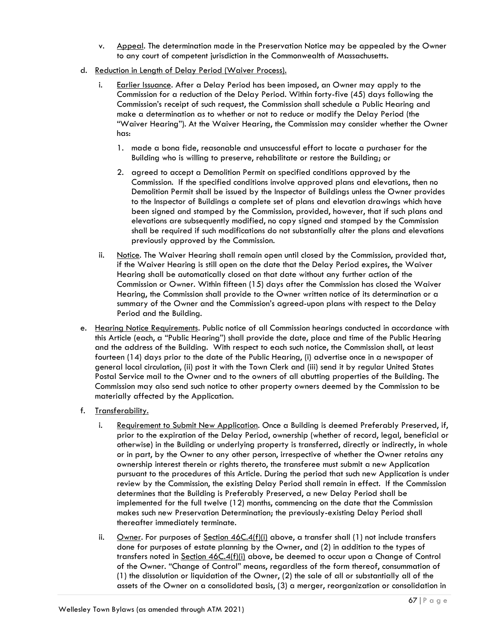- v. Appeal. The determination made in the Preservation Notice may be appealed by the Owner to any court of competent jurisdiction in the Commonwealth of Massachusetts.
- d. Reduction in Length of Delay Period (Waiver Process).
	- i. Earlier Issuance. After a Delay Period has been imposed, an Owner may apply to the Commission for a reduction of the Delay Period. Within forty-five (45) days following the Commission's receipt of such request, the Commission shall schedule a Public Hearing and make a determination as to whether or not to reduce or modify the Delay Period (the "Waiver Hearing"). At the Waiver Hearing, the Commission may consider whether the Owner has:
		- 1. made a bona fide, reasonable and unsuccessful effort to locate a purchaser for the Building who is willing to preserve, rehabilitate or restore the Building; or
		- 2. agreed to accept a Demolition Permit on specified conditions approved by the Commission. If the specified conditions involve approved plans and elevations, then no Demolition Permit shall be issued by the Inspector of Buildings unless the Owner provides to the Inspector of Buildings a complete set of plans and elevation drawings which have been signed and stamped by the Commission, provided, however, that if such plans and elevations are subsequently modified, no copy signed and stamped by the Commission shall be required if such modifications do not substantially alter the plans and elevations previously approved by the Commission.
	- ii. Notice. The Waiver Hearing shall remain open until closed by the Commission, provided that, if the Waiver Hearing is still open on the date that the Delay Period expires, the Waiver Hearing shall be automatically closed on that date without any further action of the Commission or Owner. Within fifteen (15) days after the Commission has closed the Waiver Hearing, the Commission shall provide to the Owner written notice of its determination or a summary of the Owner and the Commission's agreed-upon plans with respect to the Delay Period and the Building.
- e. Hearing Notice Requirements. Public notice of all Commission hearings conducted in accordance with this Article (each, a "Public Hearing") shall provide the date, place and time of the Public Hearing and the address of the Building. With respect to each such notice, the Commission shall, at least fourteen (14) days prior to the date of the Public Hearing, (i) advertise once in a newspaper of general local circulation, (ii) post it with the Town Clerk and (iii) send it by regular United States Postal Service mail to the Owner and to the owners of all abutting properties of the Building. The Commission may also send such notice to other property owners deemed by the Commission to be materially affected by the Application.
- f. Transferability.
	- i. Requirement to Submit New Application. Once a Building is deemed Preferably Preserved, if, prior to the expiration of the Delay Period, ownership (whether of record, legal, beneficial or otherwise) in the Building or underlying property is transferred, directly or indirectly, in whole or in part, by the Owner to any other person, irrespective of whether the Owner retains any ownership interest therein or rights thereto, the transferee must submit a new Application pursuant to the procedures of this Article. During the period that such new Application is under review by the Commission, the existing Delay Period shall remain in effect. If the Commission determines that the Building is Preferably Preserved, a new Delay Period shall be implemented for the full twelve (12) months, commencing on the date that the Commission makes such new Preservation Determination; the previously-existing Delay Period shall thereafter immediately terminate.
	- ii. Owner. For purposes of Section  $46C.4(f)(i)$  above, a transfer shall (1) not include transfers done for purposes of estate planning by the Owner, and (2) in addition to the types of transfers noted in Section 46C.4(f)(i) above, be deemed to occur upon a Change of Control of the Owner. "Change of Control" means, regardless of the form thereof, consummation of (1) the dissolution or liquidation of the Owner, (2) the sale of all or substantially all of the assets of the Owner on a consolidated basis, (3) a merger, reorganization or consolidation in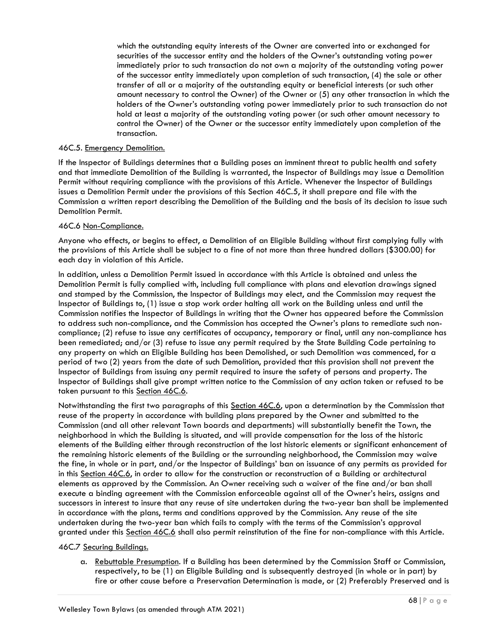which the outstanding equity interests of the Owner are converted into or exchanged for securities of the successor entity and the holders of the Owner's outstanding voting power immediately prior to such transaction do not own a majority of the outstanding voting power of the successor entity immediately upon completion of such transaction, (4) the sale or other transfer of all or a majority of the outstanding equity or beneficial interests (or such other amount necessary to control the Owner) of the Owner or (5) any other transaction in which the holders of the Owner's outstanding voting power immediately prior to such transaction do not hold at least a majority of the outstanding voting power (or such other amount necessary to control the Owner) of the Owner or the successor entity immediately upon completion of the transaction.

## 46C.5. Emergency Demolition.

If the Inspector of Buildings determines that a Building poses an imminent threat to public health and safety and that immediate Demolition of the Building is warranted, the Inspector of Buildings may issue a Demolition Permit without requiring compliance with the provisions of this Article. Whenever the Inspector of Buildings issues a Demolition Permit under the provisions of this Section 46C.5, it shall prepare and file with the Commission a written report describing the Demolition of the Building and the basis of its decision to issue such Demolition Permit.

## 46C.6 Non-Compliance.

Anyone who effects, or begins to effect, a Demolition of an Eligible Building without first complying fully with the provisions of this Article shall be subject to a fine of not more than three hundred dollars (\$300.00) for each day in violation of this Article.

In addition, unless a Demolition Permit issued in accordance with this Article is obtained and unless the Demolition Permit is fully complied with, including full compliance with plans and elevation drawings signed and stamped by the Commission, the Inspector of Buildings may elect, and the Commission may request the Inspector of Buildings to, (1) issue a stop work order halting all work on the Building unless and until the Commission notifies the Inspector of Buildings in writing that the Owner has appeared before the Commission to address such non-compliance, and the Commission has accepted the Owner's plans to remediate such noncompliance; (2) refuse to issue any certificates of occupancy, temporary or final, until any non-compliance has been remediated; and/or (3) refuse to issue any permit required by the State Building Code pertaining to any property on which an Eligible Building has been Demolished, or such Demolition was commenced, for a period of two (2) years from the date of such Demolition, provided that this provision shall not prevent the Inspector of Buildings from issuing any permit required to insure the safety of persons and property. The Inspector of Buildings shall give prompt written notice to the Commission of any action taken or refused to be taken pursuant to this Section 46C.6.

Notwithstanding the first two paragraphs of this Section 46C.6, upon a determination by the Commission that reuse of the property in accordance with building plans prepared by the Owner and submitted to the Commission (and all other relevant Town boards and departments) will substantially benefit the Town, the neighborhood in which the Building is situated, and will provide compensation for the loss of the historic elements of the Building either through reconstruction of the lost historic elements or significant enhancement of the remaining historic elements of the Building or the surrounding neighborhood, the Commission may waive the fine, in whole or in part, and/or the Inspector of Buildings' ban on issuance of any permits as provided for in this Section 46C.6, in order to allow for the construction or reconstruction of a Building or architectural elements as approved by the Commission. An Owner receiving such a waiver of the fine and/or ban shall execute a binding agreement with the Commission enforceable against all of the Owner's heirs, assigns and successors in interest to insure that any reuse of site undertaken during the two-year ban shall be implemented in accordance with the plans, terms and conditions approved by the Commission. Any reuse of the site undertaken during the two-year ban which fails to comply with the terms of the Commission's approval granted under this Section 46C.6 shall also permit reinstitution of the fine for non-compliance with this Article.

## 46C.7 Securing Buildings.

a. Rebuttable Presumption. If a Building has been determined by the Commission Staff or Commission, respectively, to be (1) an Eligible Building and is subsequently destroyed (in whole or in part) by fire or other cause before a Preservation Determination is made, or (2) Preferably Preserved and is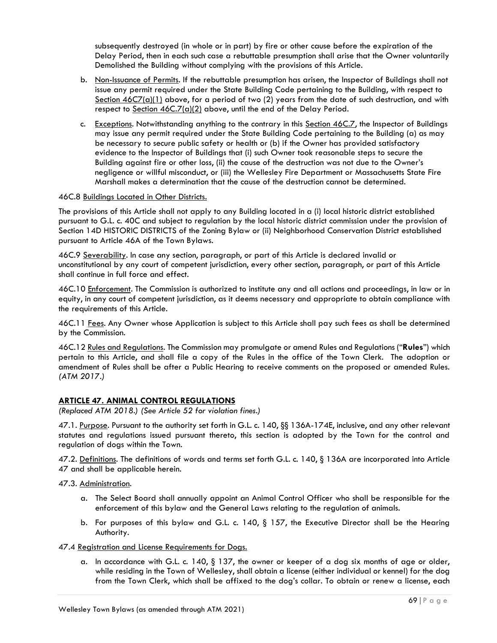subsequently destroyed (in whole or in part) by fire or other cause before the expiration of the Delay Period, then in each such case a rebuttable presumption shall arise that the Owner voluntarily Demolished the Building without complying with the provisions of this Article.

- b. Non-Issuance of Permits. If the rebuttable presumption has arisen, the Inspector of Buildings shall not issue any permit required under the State Building Code pertaining to the Building, with respect to Section 46C7(a)(1) above, for a period of two (2) years from the date of such destruction, and with respect to Section  $46C.7(a)(2)$  above, until the end of the Delay Period.
- c. Exceptions. Notwithstanding anything to the contrary in this Section 46C.7, the Inspector of Buildings may issue any permit required under the State Building Code pertaining to the Building (a) as may be necessary to secure public safety or health or (b) if the Owner has provided satisfactory evidence to the Inspector of Buildings that (i) such Owner took reasonable steps to secure the Building against fire or other loss, (ii) the cause of the destruction was not due to the Owner's negligence or willful misconduct, or (iii) the Wellesley Fire Department or Massachusetts State Fire Marshall makes a determination that the cause of the destruction cannot be determined.

## 46C.8 Buildings Located in Other Districts.

The provisions of this Article shall not apply to any Building located in a (i) local historic district established pursuant to G.L. c. 40C and subject to regulation by the local historic district commission under the provision of Section 14D HISTORIC DISTRICTS of the Zoning Bylaw or (ii) Neighborhood Conservation District established pursuant to Article 46A of the Town Bylaws.

46C.9 Severability. In case any section, paragraph, or part of this Article is declared invalid or unconstitutional by any court of competent jurisdiction, every other section, paragraph, or part of this Article shall continue in full force and effect.

46C.10 Enforcement. The Commission is authorized to institute any and all actions and proceedings, in law or in equity, in any court of competent jurisdiction, as it deems necessary and appropriate to obtain compliance with the requirements of this Article.

46C.11 Fees. Any Owner whose Application is subject to this Article shall pay such fees as shall be determined by the Commission.

46C.12 Rules and Regulations. The Commission may promulgate or amend Rules and Regulations ("**Rules**") which pertain to this Article, and shall file a copy of the Rules in the office of the Town Clerk. The adoption or amendment of Rules shall be after a Public Hearing to receive comments on the proposed or amended Rules. *(ATM 2017.)*

# **ARTICLE 47. ANIMAL CONTROL REGULATIONS**

*(Replaced ATM 2018.) (See Article 52 for violation fines.)*

47.1. Purpose. Pursuant to the authority set forth in G.L. c. 140, §§ 136A-174E, inclusive, and any other relevant statutes and regulations issued pursuant thereto, this section is adopted by the Town for the control and regulation of dogs within the Town.

47.2. Definitions. The definitions of words and terms set forth G.L. c. 140, § 136A are incorporated into Article 47 and shall be applicable herein.

47.3. Administration.

- a. The Select Board shall annually appoint an Animal Control Officer who shall be responsible for the enforcement of this bylaw and the General Laws relating to the regulation of animals.
- b. For purposes of this bylaw and G.L. c. 140, § 157, the Executive Director shall be the Hearing Authority.

## 47.4 Registration and License Requirements for Dogs.

a. In accordance with G.L. c. 140, § 137, the owner or keeper of a dog six months of age or older, while residing in the Town of Wellesley, shall obtain a license (either individual or kennel) for the dog from the Town Clerk, which shall be affixed to the dog's collar. To obtain or renew a license, each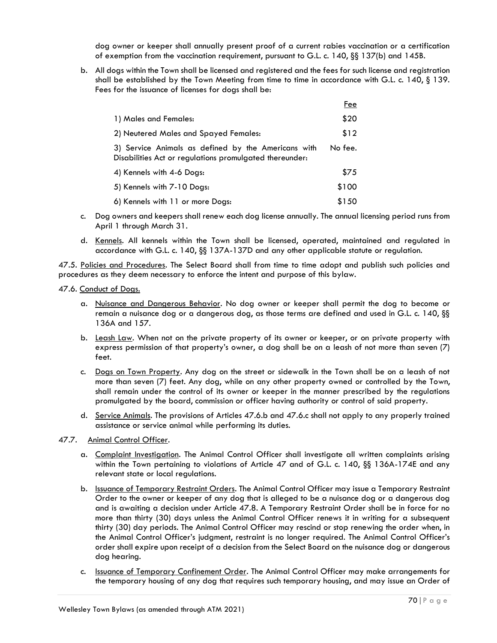dog owner or keeper shall annually present proof of a current rabies vaccination or a certification of exemption from the vaccination requirement, pursuant to G.L. c. 140, §§ 137(b) and 145B.

b. All dogs within the Town shall be licensed and registered and the fees for such license and registration shall be established by the Town Meeting from time to time in accordance with G.L. c. 140, § 139. Fees for the issuance of licenses for dogs shall be:

|                                                                                                                | Fee     |
|----------------------------------------------------------------------------------------------------------------|---------|
| 1) Males and Females:                                                                                          | \$20    |
| 2) Neutered Males and Spayed Females:                                                                          | \$12    |
| 3) Service Animals as defined by the Americans with<br>Disabilities Act or regulations promulgated thereunder: | No fee. |
| 4) Kennels with 4-6 Dogs:                                                                                      | \$75    |
| 5) Kennels with 7-10 Dogs:                                                                                     | \$100   |
| 6) Kennels with 11 or more Dogs:                                                                               | \$150   |

- c. Dog owners and keepers shall renew each dog license annually. The annual licensing period runs from April 1 through March 31.
- d. Kennels. All kennels within the Town shall be licensed, operated, maintained and regulated in accordance with G.L. c. 140, §§ 137A-137D and any other applicable statute or regulation.

47.5. Policies and Procedures. The Select Board shall from time to time adopt and publish such policies and procedures as they deem necessary to enforce the intent and purpose of this bylaw.

47.6. Conduct of Dogs.

- a. Nuisance and Dangerous Behavior. No dog owner or keeper shall permit the dog to become or remain a nuisance dog or a dangerous dog, as those terms are defined and used in G.L. c. 140, §§ 136A and 157.
- b. Leash Law. When not on the private property of its owner or keeper, or on private property with express permission of that property's owner, a dog shall be on a leash of not more than seven (7) feet.
- c. Dogs on Town Property. Any dog on the street or sidewalk in the Town shall be on a leash of not more than seven (7) feet. Any dog, while on any other property owned or controlled by the Town, shall remain under the control of its owner or keeper in the manner prescribed by the regulations promulgated by the board, commission or officer having authority or control of said property.
- d. Service Animals. The provisions of Articles 47.6.b and 47.6.c shall not apply to any properly trained assistance or service animal while performing its duties.
- 47.7. Animal Control Officer.
	- a. Complaint Investigation. The Animal Control Officer shall investigate all written complaints arising within the Town pertaining to violations of Article 47 and of G.L. c. 140, §§ 136A-174E and any relevant state or local regulations.
	- b. **Issuance of Temporary Restraint Orders**. The Animal Control Officer may issue a Temporary Restraint Order to the owner or keeper of any dog that is alleged to be a nuisance dog or a dangerous dog and is awaiting a decision under Article 47.8. A Temporary Restraint Order shall be in force for no more than thirty (30) days unless the Animal Control Officer renews it in writing for a subsequent thirty (30) day periods. The Animal Control Officer may rescind or stop renewing the order when, in the Animal Control Officer's judgment, restraint is no longer required. The Animal Control Officer's order shall expire upon receipt of a decision from the Select Board on the nuisance dog or dangerous dog hearing.
	- c. Issuance of Temporary Confinement Order. The Animal Control Officer may make arrangements for the temporary housing of any dog that requires such temporary housing, and may issue an Order of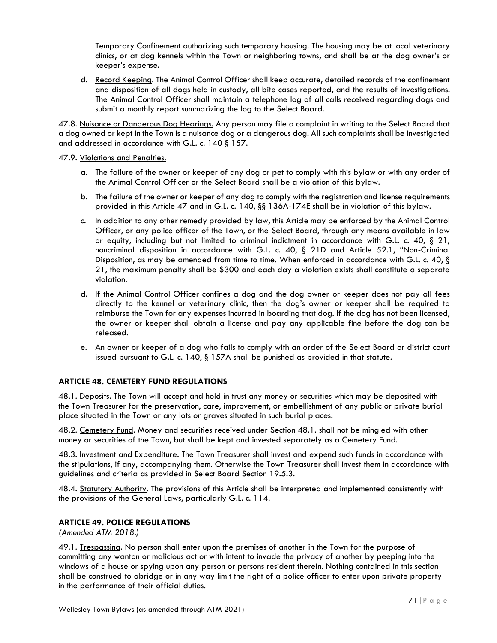Temporary Confinement authorizing such temporary housing. The housing may be at local veterinary clinics, or at dog kennels within the Town or neighboring towns, and shall be at the dog owner's or keeper's expense.

d. Record Keeping. The Animal Control Officer shall keep accurate, detailed records of the confinement and disposition of all dogs held in custody, all bite cases reported, and the results of investigations. The Animal Control Officer shall maintain a telephone log of all calls received regarding dogs and submit a monthly report summarizing the log to the Select Board.

47.8. Nuisance or Dangerous Dog Hearings. Any person may file a complaint in writing to the Select Board that a dog owned or kept in the Town is a nuisance dog or a dangerous dog. All such complaints shall be investigated and addressed in accordance with G.L. c. 140 § 157.

## 47.9. Violations and Penalties.

- a. The failure of the owner or keeper of any dog or pet to comply with this bylaw or with any order of the Animal Control Officer or the Select Board shall be a violation of this bylaw.
- b. The failure of the owner or keeper of any dog to comply with the registration and license requirements provided in this Article 47 and in G.L. c. 140, §§ 136A-174E shall be in violation of this bylaw.
- c. In addition to any other remedy provided by law, this Article may be enforced by the Animal Control Officer, or any police officer of the Town, or the Select Board, through any means available in law or equity, including but not limited to criminal indictment in accordance with G.L. c. 40, § 21, noncriminal disposition in accordance with G.L. c. 40, § 21D and Article 52.1, "Non-Criminal Disposition, as may be amended from time to time. When enforced in accordance with G.L. c. 40, § 21, the maximum penalty shall be \$300 and each day a violation exists shall constitute a separate violation.
- d. If the Animal Control Officer confines a dog and the dog owner or keeper does not pay all fees directly to the kennel or veterinary clinic, then the dog's owner or keeper shall be required to reimburse the Town for any expenses incurred in boarding that dog. If the dog has not been licensed, the owner or keeper shall obtain a license and pay any applicable fine before the dog can be released.
- e. An owner or keeper of a dog who fails to comply with an order of the Select Board or district court issued pursuant to G.L. c. 140, § 157A shall be punished as provided in that statute.

# **ARTICLE 48. CEMETERY FUND REGULATIONS**

48.1. Deposits. The Town will accept and hold in trust any money or securities which may be deposited with the Town Treasurer for the preservation, care, improvement, or embellishment of any public or private burial place situated in the Town or any lots or graves situated in such burial places.

48.2. Cemetery Fund. Money and securities received under Section 48.1. shall not be mingled with other money or securities of the Town, but shall be kept and invested separately as a Cemetery Fund.

48.3. Investment and Expenditure. The Town Treasurer shall invest and expend such funds in accordance with the stipulations, if any, accompanying them. Otherwise the Town Treasurer shall invest them in accordance with guidelines and criteria as provided in Select Board Section 19.5.3.

48.4. Statutory Authority. The provisions of this Article shall be interpreted and implemented consistently with the provisions of the General Laws, particularly G.L. c. 114.

# **ARTICLE 49. POLICE REGULATIONS**

*(Amended ATM 2018.)*

49.1. Trespassing. No person shall enter upon the premises of another in the Town for the purpose of committing any wanton or malicious act or with intent to invade the privacy of another by peeping into the windows of a house or spying upon any person or persons resident therein. Nothing contained in this section shall be construed to abridge or in any way limit the right of a police officer to enter upon private property in the performance of their official duties.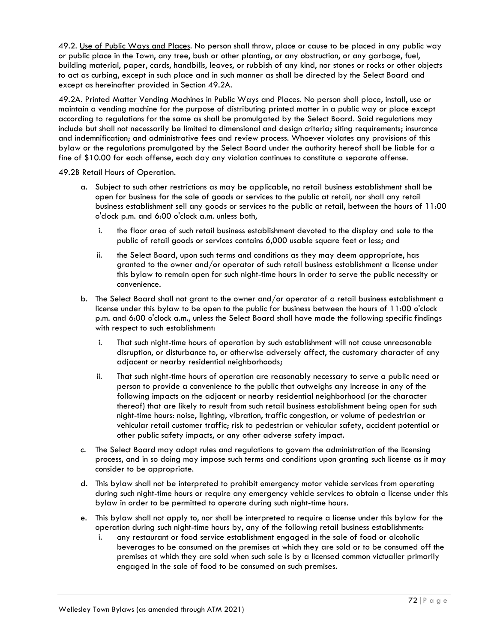49.2. Use of Public Ways and Places. No person shall throw, place or cause to be placed in any public way or public place in the Town, any tree, bush or other planting, or any obstruction, or any garbage, fuel, building material, paper, cards, handbills, leaves, or rubbish of any kind, nor stones or rocks or other objects to act as curbing, except in such place and in such manner as shall be directed by the Select Board and except as hereinafter provided in Section 49.2A.

49.2A. Printed Matter Vending Machines in Public Ways and Places. No person shall place, install, use or maintain a vending machine for the purpose of distributing printed matter in a public way or place except according to regulations for the same as shall be promulgated by the Select Board. Said regulations may include but shall not necessarily be limited to dimensional and design criteria; siting requirements; insurance and indemnification; and administrative fees and review process. Whoever violates any provisions of this bylaw or the regulations promulgated by the Select Board under the authority hereof shall be liable for a fine of \$10.00 for each offense, each day any violation continues to constitute a separate offense.

#### 49.2B Retail Hours of Operation.

- a. Subject to such other restrictions as may be applicable, no retail business establishment shall be open for business for the sale of goods or services to the public at retail, nor shall any retail business establishment sell any goods or services to the public at retail, between the hours of 11:00 o'clock p.m. and 6:00 o'clock a.m. unless both,
	- i. the floor area of such retail business establishment devoted to the display and sale to the public of retail goods or services contains 6,000 usable square feet or less; and
	- ii. the Select Board, upon such terms and conditions as they may deem appropriate, has granted to the owner and/or operator of such retail business establishment a license under this bylaw to remain open for such night-time hours in order to serve the public necessity or convenience.
- b. The Select Board shall not grant to the owner and/or operator of a retail business establishment a license under this bylaw to be open to the public for business between the hours of 11:00 o'clock p.m. and 6:00 o'clock a.m., unless the Select Board shall have made the following specific findings with respect to such establishment:
	- i. That such night-time hours of operation by such establishment will not cause unreasonable disruption, or disturbance to, or otherwise adversely affect, the customary character of any adjacent or nearby residential neighborhoods;
	- ii. That such night-time hours of operation are reasonably necessary to serve a public need or person to provide a convenience to the public that outweighs any increase in any of the following impacts on the adjacent or nearby residential neighborhood (or the character thereof) that are likely to result from such retail business establishment being open for such night-time hours: noise, lighting, vibration, traffic congestion, or volume of pedestrian or vehicular retail customer traffic; risk to pedestrian or vehicular safety, accident potential or other public safety impacts, or any other adverse safety impact.
- c. The Select Board may adopt rules and regulations to govern the administration of the licensing process, and in so doing may impose such terms and conditions upon granting such license as it may consider to be appropriate.
- d. This bylaw shall not be interpreted to prohibit emergency motor vehicle services from operating during such night-time hours or require any emergency vehicle services to obtain a license under this bylaw in order to be permitted to operate during such night-time hours.
- e. This bylaw shall not apply to, nor shall be interpreted to require a license under this bylaw for the operation during such night-time hours by, any of the following retail business establishments:
	- i. any restaurant or food service establishment engaged in the sale of food or alcoholic beverages to be consumed on the premises at which they are sold or to be consumed off the premises at which they are sold when such sale is by a licensed common victualler primarily engaged in the sale of food to be consumed on such premises.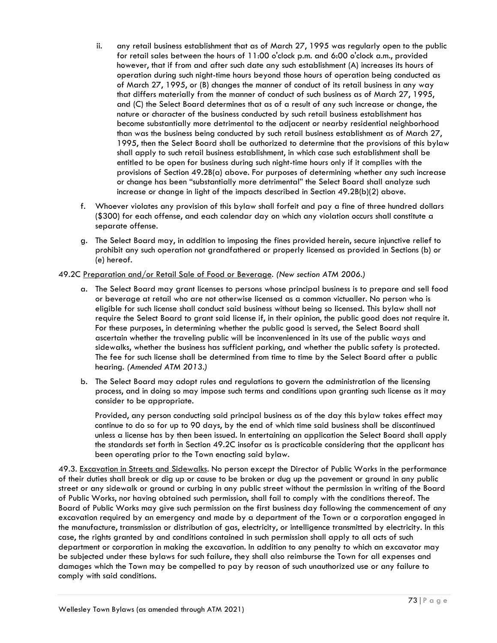- ii. any retail business establishment that as of March 27, 1995 was regularly open to the public for retail sales between the hours of 11:00 o'clock p.m. and 6:00 o'clock a.m., provided however, that if from and after such date any such establishment (A) increases its hours of operation during such night-time hours beyond those hours of operation being conducted as of March 27, 1995, or (B) changes the manner of conduct of its retail business in any way that differs materially from the manner of conduct of such business as of March 27, 1995, and (C) the Select Board determines that as of a result of any such increase or change, the nature or character of the business conducted by such retail business establishment has become substantially more detrimental to the adjacent or nearby residential neighborhood than was the business being conducted by such retail business establishment as of March 27, 1995, then the Select Board shall be authorized to determine that the provisions of this bylaw shall apply to such retail business establishment, in which case such establishment shall be entitled to be open for business during such night-time hours only if it complies with the provisions of Section 49.2B(a) above. For purposes of determining whether any such increase or change has been "substantially more detrimental" the Select Board shall analyze such increase or change in light of the impacts described in Section 49.2B(b)(2) above.
- f. Whoever violates any provision of this bylaw shall forfeit and pay a fine of three hundred dollars (\$300) for each offense, and each calendar day on which any violation occurs shall constitute a separate offense.
- g. The Select Board may, in addition to imposing the fines provided herein, secure injunctive relief to prohibit any such operation not grandfathered or properly licensed as provided in Sections (b) or (e) hereof.

# 49.2C Preparation and/or Retail Sale of Food or Beverage. *(New section ATM 2006.)*

- a. The Select Board may grant licenses to persons whose principal business is to prepare and sell food or beverage at retail who are not otherwise licensed as a common victualler. No person who is eligible for such license shall conduct said business without being so licensed. This bylaw shall not require the Select Board to grant said license if, in their opinion, the public good does not require it. For these purposes, in determining whether the public good is served, the Select Board shall ascertain whether the traveling public will be inconvenienced in its use of the public ways and sidewalks, whether the business has sufficient parking, and whether the public safety is protected. The fee for such license shall be determined from time to time by the Select Board after a public hearing. *(Amended ATM 2013.)*
- b. The Select Board may adopt rules and regulations to govern the administration of the licensing process, and in doing so may impose such terms and conditions upon granting such license as it may consider to be appropriate.

Provided, any person conducting said principal business as of the day this bylaw takes effect may continue to do so for up to 90 days, by the end of which time said business shall be discontinued unless a license has by then been issued. In entertaining an application the Select Board shall apply the standards set forth in Section 49.2C insofar as is practicable considering that the applicant has been operating prior to the Town enacting said bylaw.

49.3. Excavation in Streets and Sidewalks. No person except the Director of Public Works in the performance of their duties shall break or dig up or cause to be broken or dug up the pavement or ground in any public street or any sidewalk or ground or curbing in any public street without the permission in writing of the Board of Public Works, nor having obtained such permission, shall fail to comply with the conditions thereof. The Board of Public Works may give such permission on the first business day following the commencement of any excavation required by an emergency and made by a department of the Town or a corporation engaged in the manufacture, transmission or distribution of gas, electricity, or intelligence transmitted by electricity. In this case, the rights granted by and conditions contained in such permission shall apply to all acts of such department or corporation in making the excavation. In addition to any penalty to which an excavator may be subjected under these bylaws for such failure, they shall also reimburse the Town for all expenses and damages which the Town may be compelled to pay by reason of such unauthorized use or any failure to comply with said conditions.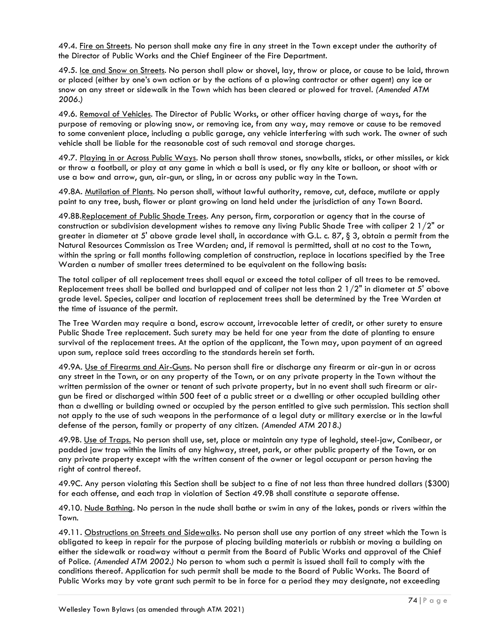49.4. Fire on Streets. No person shall make any fire in any street in the Town except under the authority of the Director of Public Works and the Chief Engineer of the Fire Department.

49.5. Ice and Snow on Streets. No person shall plow or shovel, lay, throw or place, or cause to be laid, thrown or placed (either by one's own action or by the actions of a plowing contractor or other agent) any ice or snow on any street or sidewalk in the Town which has been cleared or plowed for travel*. (Amended ATM 2006.)*

49.6. Removal of Vehicles. The Director of Public Works, or other officer having charge of ways, for the purpose of removing or plowing snow, or removing ice, from any way, may remove or cause to be removed to some convenient place, including a public garage, any vehicle interfering with such work. The owner of such vehicle shall be liable for the reasonable cost of such removal and storage charges.

49.7. Playing in or Across Public Ways. No person shall throw stones, snowballs, sticks, or other missiles, or kick or throw a football, or play at any game in which a ball is used, or fly any kite or balloon, or shoot with or use a bow and arrow, gun, air-gun, or sling, in or across any public way in the Town.

49.8A. Mutilation of Plants. No person shall, without lawful authority, remove, cut, deface, mutilate or apply paint to any tree, bush, flower or plant growing on land held under the jurisdiction of any Town Board.

49.8B.Replacement of Public Shade Trees. Any person, firm, corporation or agency that in the course of construction or subdivision development wishes to remove any living Public Shade Tree with caliper 2 1/2" or greater in diameter at 5' above grade level shall, in accordance with G.L. c. 87, § 3, obtain a permit from the Natural Resources Commission as Tree Warden; and, if removal is permitted, shall at no cost to the Town, within the spring or fall months following completion of construction, replace in locations specified by the Tree Warden a number of smaller trees determined to be equivalent on the following basis:

The total caliper of all replacement trees shall equal or exceed the total caliper of all trees to be removed. Replacement trees shall be balled and burlapped and of caliper not less than 2  $1/2$ " in diameter at 5' above grade level. Species, caliper and location of replacement trees shall be determined by the Tree Warden at the time of issuance of the permit.

The Tree Warden may require a bond, escrow account, irrevocable letter of credit, or other surety to ensure Public Shade Tree replacement. Such surety may be held for one year from the date of planting to ensure survival of the replacement trees. At the option of the applicant, the Town may, upon payment of an agreed upon sum, replace said trees according to the standards herein set forth.

49.9A. Use of Firearms and Air-Guns. No person shall fire or discharge any firearm or air-gun in or across any street in the Town, or on any property of the Town, or on any private property in the Town without the written permission of the owner or tenant of such private property, but in no event shall such firearm or airgun be fired or discharged within 500 feet of a public street or a dwelling or other occupied building other than a dwelling or building owned or occupied by the person entitled to give such permission. This section shall not apply to the use of such weapons in the performance of a legal duty or military exercise or in the lawful defense of the person, family or property of any citizen. *(Amended ATM 2018.)*

49.9B. Use of Traps. No person shall use, set, place or maintain any type of leghold, steel-jaw, Conibear, or padded jaw trap within the limits of any highway, street, park, or other public property of the Town, or on any private property except with the written consent of the owner or legal occupant or person having the right of control thereof.

49.9C. Any person violating this Section shall be subject to a fine of not less than three hundred dollars (\$300) for each offense, and each trap in violation of Section 49.9B shall constitute a separate offense.

49.10. Nude Bathing. No person in the nude shall bathe or swim in any of the lakes, ponds or rivers within the Town.

49.11. Obstructions on Streets and Sidewalks. No person shall use any portion of any street which the Town is obligated to keep in repair for the purpose of placing building materials or rubbish or moving a building on either the sidewalk or roadway without a permit from the Board of Public Works and approval of the Chief of Police*. (Amended ATM 2002.)* No person to whom such a permit is issued shall fail to comply with the conditions thereof. Application for such permit shall be made to the Board of Public Works. The Board of Public Works may by vote grant such permit to be in force for a period they may designate, not exceeding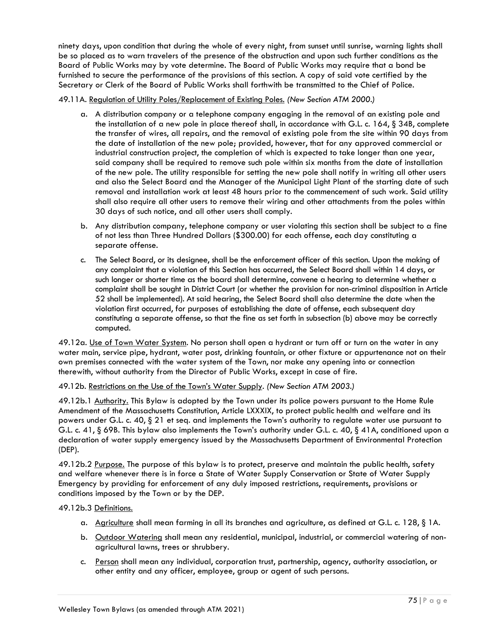ninety days, upon condition that during the whole of every night, from sunset until sunrise, warning lights shall be so placed as to warn travelers of the presence of the obstruction and upon such further conditions as the Board of Public Works may by vote determine. The Board of Public Works may require that a bond be furnished to secure the performance of the provisions of this section. A copy of said vote certified by the Secretary or Clerk of the Board of Public Works shall forthwith be transmitted to the Chief of Police.

## 49.11A. Regulation of Utility Poles/Replacement of Existing Poles. *(New Section ATM 2000.)*

- a. A distribution company or a telephone company engaging in the removal of an existing pole and the installation of a new pole in place thereof shall, in accordance with G.L. c. 164, § 34B, complete the transfer of wires, all repairs, and the removal of existing pole from the site within 90 days from the date of installation of the new pole; provided, however, that for any approved commercial or industrial construction project, the completion of which is expected to take longer than one year, said company shall be required to remove such pole within six months from the date of installation of the new pole. The utility responsible for setting the new pole shall notify in writing all other users and also the Select Board and the Manager of the Municipal Light Plant of the starting date of such removal and installation work at least 48 hours prior to the commencement of such work. Said utility shall also require all other users to remove their wiring and other attachments from the poles within 30 days of such notice, and all other users shall comply.
- b. Any distribution company, telephone company or user violating this section shall be subject to a fine of not less than Three Hundred Dollars (\$300.00) for each offense, each day constituting a separate offense.
- c. The Select Board, or its designee, shall be the enforcement officer of this section. Upon the making of any complaint that a violation of this Section has occurred, the Select Board shall within 14 days, or such longer or shorter time as the board shall determine, convene a hearing to determine whether a complaint shall be sought in District Court (or whether the provision for non-criminal disposition in Article 52 shall be implemented). At said hearing, the Select Board shall also determine the date when the violation first occurred, for purposes of establishing the date of offense, each subsequent day constituting a separate offense, so that the fine as set forth in subsection (b) above may be correctly computed.

49.12a. Use of Town Water System. No person shall open a hydrant or turn off or turn on the water in any water main, service pipe, hydrant, water post, drinking fountain, or other fixture or appurtenance not on their own premises connected with the water system of the Town, nor make any opening into or connection therewith, without authority from the Director of Public Works, except in case of fire.

# 49.12b. Restrictions on the Use of the Town's Water Supply. *(New Section ATM 2003.)*

49.12b.1 Authority. This Bylaw is adopted by the Town under its police powers pursuant to the Home Rule Amendment of the Massachusetts Constitution, Article LXXXIX, to protect public health and welfare and its powers under G.L. c. 40, § 21 et seq. and implements the Town's authority to regulate water use pursuant to G.L. c. 41, § 69B. This bylaw also implements the Town's authority under G.L. c. 40, § 41A, conditioned upon a declaration of water supply emergency issued by the Massachusetts Department of Environmental Protection (DEP).

49.12b.2 Purpose. The purpose of this bylaw is to protect, preserve and maintain the public health, safety and welfare whenever there is in force a State of Water Supply Conservation or State of Water Supply Emergency by providing for enforcement of any duly imposed restrictions, requirements, provisions or conditions imposed by the Town or by the DEP.

#### 49.12b.3 Definitions.

- a. Agriculture shall mean farming in all its branches and agriculture, as defined at G.L. c. 128, § 1A.
- b. Outdoor Watering shall mean any residential, municipal, industrial, or commercial watering of nonagricultural lawns, trees or shrubbery.
- c. Person shall mean any individual, corporation trust, partnership, agency, authority association, or other entity and any officer, employee, group or agent of such persons.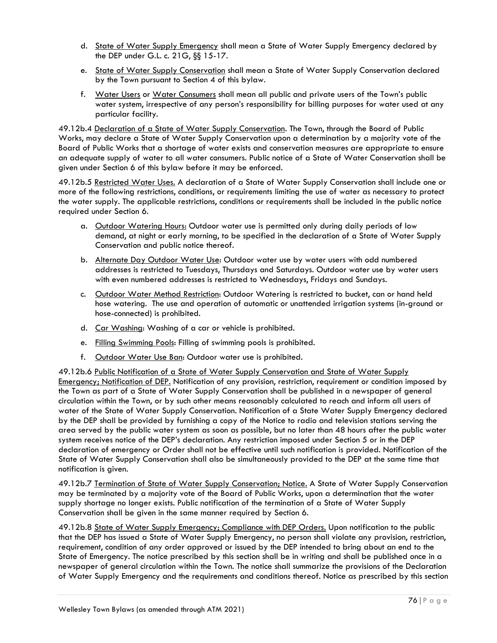- d. State of Water Supply Emergency shall mean a State of Water Supply Emergency declared by the DEP under G.L. c. 21G, §§ 15-17.
- e. State of Water Supply Conservation shall mean a State of Water Supply Conservation declared by the Town pursuant to Section 4 of this bylaw.
- f. Water Users or Water Consumers shall mean all public and private users of the Town's public water system, irrespective of any person's responsibility for billing purposes for water used at any particular facility.

49.12b.4 Declaration of a State of Water Supply Conservation. The Town, through the Board of Public Works, may declare a State of Water Supply Conservation upon a determination by a majority vote of the Board of Public Works that a shortage of water exists and conservation measures are appropriate to ensure an adequate supply of water to all water consumers. Public notice of a State of Water Conservation shall be given under Section 6 of this bylaw before it may be enforced.

49.12b.5 Restricted Water Uses. A declaration of a State of Water Supply Conservation shall include one or more of the following restrictions, conditions, or requirements limiting the use of water as necessary to protect the water supply. The applicable restrictions, conditions or requirements shall be included in the public notice required under Section 6.

- a. Outdoor Watering Hours: Outdoor water use is permitted only during daily periods of low demand, at night or early morning, to be specified in the declaration of a State of Water Supply Conservation and public notice thereof.
- b. Alternate Day Outdoor Water Use: Outdoor water use by water users with odd numbered addresses is restricted to Tuesdays, Thursdays and Saturdays. Outdoor water use by water users with even numbered addresses is restricted to Wednesdays, Fridays and Sundays.
- c. Outdoor Water Method Restriction: Outdoor Watering is restricted to bucket, can or hand held hose watering. The use and operation of automatic or unattended irrigation systems (in-ground or hose-connected) is prohibited.
- d. Car Washing: Washing of a car or vehicle is prohibited.
- e. Filling Swimming Pools: Filling of swimming pools is prohibited.
- f. Outdoor Water Use Ban: Outdoor water use is prohibited.

49.12b.6 Public Notification of a State of Water Supply Conservation and State of Water Supply Emergency; Notification of DEP. Notification of any provision, restriction, requirement or condition imposed by the Town as part of a State of Water Supply Conservation shall be published in a newspaper of general circulation within the Town, or by such other means reasonably calculated to reach and inform all users of water of the State of Water Supply Conservation. Notification of a State Water Supply Emergency declared by the DEP shall be provided by furnishing a copy of the Notice to radio and television stations serving the area served by the public water system as soon as possible, but no later than 48 hours after the public water system receives notice of the DEP's declaration. Any restriction imposed under Section 5 or in the DEP declaration of emergency or Order shall not be effective until such notification is provided. Notification of the State of Water Supply Conservation shall also be simultaneously provided to the DEP at the same time that notification is given.

49.12b.7 Termination of State of Water Supply Conservation; Notice. A State of Water Supply Conservation may be terminated by a majority vote of the Board of Public Works, upon a determination that the water supply shortage no longer exists. Public notification of the termination of a State of Water Supply Conservation shall be given in the same manner required by Section 6.

49.12b.8 State of Water Supply Emergency; Compliance with DEP Orders. Upon notification to the public that the DEP has issued a State of Water Supply Emergency, no person shall violate any provision, restriction, requirement, condition of any order approved or issued by the DEP intended to bring about an end to the State of Emergency. The notice prescribed by this section shall be in writing and shall be published once in a newspaper of general circulation within the Town. The notice shall summarize the provisions of the Declaration of Water Supply Emergency and the requirements and conditions thereof. Notice as prescribed by this section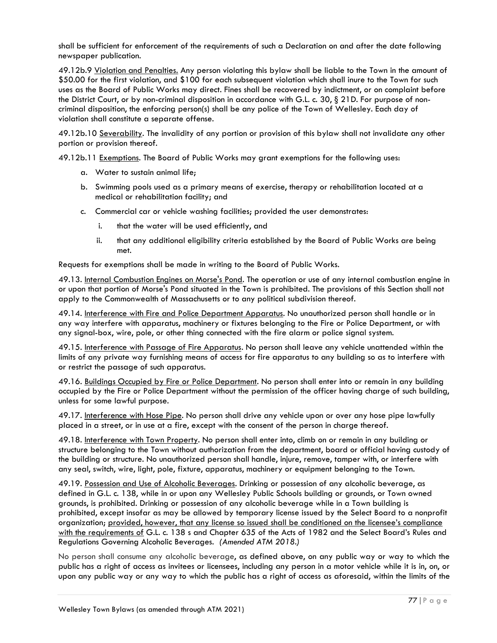shall be sufficient for enforcement of the requirements of such a Declaration on and after the date following newspaper publication.

49.12b.9 Violation and Penalties. Any person violating this bylaw shall be liable to the Town in the amount of \$50.00 for the first violation, and \$100 for each subsequent violation which shall inure to the Town for such uses as the Board of Public Works may direct. Fines shall be recovered by indictment, or on complaint before the District Court, or by non-criminal disposition in accordance with G.L. c. 30, § 21D. For purpose of noncriminal disposition, the enforcing person(s) shall be any police of the Town of Wellesley. Each day of violation shall constitute a separate offense.

49.12b.10 Severability. The invalidity of any portion or provision of this bylaw shall not invalidate any other portion or provision thereof.

49.12b.11 Exemptions. The Board of Public Works may grant exemptions for the following uses:

- a. Water to sustain animal life;
- b. Swimming pools used as a primary means of exercise, therapy or rehabilitation located at a medical or rehabilitation facility; and
- c. Commercial car or vehicle washing facilities; provided the user demonstrates:
	- i. that the water will be used efficiently, and
	- ii. that any additional eligibility criteria established by the Board of Public Works are being met.

Requests for exemptions shall be made in writing to the Board of Public Works.

49.13. Internal Combustion Engines on Morse's Pond. The operation or use of any internal combustion engine in or upon that portion of Morse's Pond situated in the Town is prohibited. The provisions of this Section shall not apply to the Commonwealth of Massachusetts or to any political subdivision thereof.

49.14. Interference with Fire and Police Department Apparatus. No unauthorized person shall handle or in any way interfere with apparatus, machinery or fixtures belonging to the Fire or Police Department, or with any signal-box, wire, pole, or other thing connected with the fire alarm or police signal system.

49.15. Interference with Passage of Fire Apparatus. No person shall leave any vehicle unattended within the limits of any private way furnishing means of access for fire apparatus to any building so as to interfere with or restrict the passage of such apparatus.

49.16. Buildings Occupied by Fire or Police Department. No person shall enter into or remain in any building occupied by the Fire or Police Department without the permission of the officer having charge of such building, unless for some lawful purpose.

49.17. Interference with Hose Pipe. No person shall drive any vehicle upon or over any hose pipe lawfully placed in a street, or in use at a fire, except with the consent of the person in charge thereof.

49.18. Interference with Town Property. No person shall enter into, climb on or remain in any building or structure belonging to the Town without authorization from the department, board or official having custody of the building or structure. No unauthorized person shall handle, injure, remove, tamper with, or interfere with any seal, switch, wire, light, pole, fixture, apparatus, machinery or equipment belonging to the Town.

49.19. Possession and Use of Alcoholic Beverages. Drinking or possession of any alcoholic beverage, as defined in G.L. c. 138, while in or upon any Wellesley Public Schools building or grounds, or Town owned grounds, is prohibited. Drinking or possession of any alcoholic beverage while in a Town building is prohibited, except insofar as may be allowed by temporary license issued by the Select Board to a nonprofit organization; provided, however, that any license so issued shall be conditioned on the licensee's compliance with the requirements of G.L. c. 138 s and Chapter 635 of the Acts of 1982 and the Select Board's Rules and Regulations Governing Alcoholic Beverages. *(Amended ATM 2018.)*

No person shall consume any alcoholic beverage, as defined above, on any public way or way to which the public has a right of access as invitees or licensees, including any person in a motor vehicle while it is in, on, or upon any public way or any way to which the public has a right of access as aforesaid, within the limits of the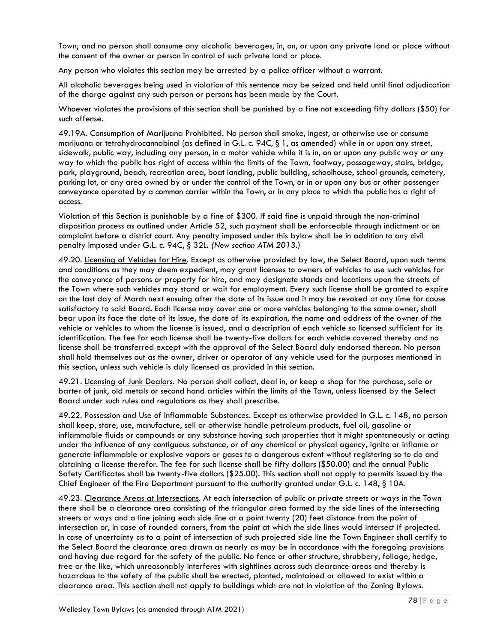Town; and no person shall consume any alcoholic beverages, in, on, or upon any private land or place without the consent of the owner or person in control of such private land or place.

Any person who violates this section may be arrested by a police officer without a warrant.

All alcoholic beverages being used in violation of this sentence may be seized and held until final adjudication of the charge against any such person or persons has been made by the Court.

Whoever violates the provisions of this section shall be punished by a fine not exceeding fifty dollars (\$50) for such offense.

49.19A. Consumption of Marijuana Prohibited. No person shall smoke, ingest, or otherwise use or consume marijuana or tetrahydrocannabinol (as defined in G.L. c. 94C, § 1, as amended) while in or upon any street, sidewalk, public way, including any person, in a motor vehicle while it is in, on or upon any public way or any way to which the public has right of access within the limits of the Town, footway, passageway, stairs, bridge, park, playground, beach, recreation area, boat landing, public building, schoolhouse, school grounds, cemetery, parking lot, or any area owned by or under the control of the Town, or in or upon any bus or other passenger conveyance operated by a common carrier within the Town, or in any place to which the public has a right of access.

Violation of this Section is punishable by a fine of \$300. If said fine is unpaid through the non-criminal disposition process as outlined under Article 52, such payment shall be enforceable through indictment or on complaint before a district court. Any penalty imposed under this bylaw shall be in addition to any civil penalty imposed under G.L. c. 94C, § 32L. *(New section ATM 2013.)*

49.20. Licensing of Vehicles for Hire. Except as otherwise provided by law, the Select Board, upon such terms and conditions as they may deem expedient, may grant licenses to owners of vehicles to use such vehicles for the conveyance of persons or property for hire, and may designate stands and locations upon the streets of the Town where such vehicles may stand or wait for employment. Every such license shall be granted to expire on the last day of March next ensuing after the date of its issue and it may be revoked at any time for cause satisfactory to said Board. Each license may cover one or more vehicles belonging to the same owner, shall bear upon its face the date of its issue, the date of its expiration, the name and address of the owner of the vehicle or vehicles to whom the license is issued, and a description of each vehicle so licensed sufficient for its identification. The fee for each license shall be twenty-five dollars for each vehicle covered thereby and no license shall be transferred except with the approval of the Select Board duly endorsed thereon. No person shall hold themselves out as the owner, driver or operator of any vehicle used for the purposes mentioned in this section, unless such vehicle is duly licensed as provided in this section.

49.21. Licensing of Junk Dealers. No person shall collect, deal in, or keep a shop for the purchase, sale or barter of junk, old metals or second hand articles within the limits of the Town, unless licensed by the Select Board under such rules and regulations as they shall prescribe.

49.22. Possession and Use of Inflammable Substances. Except as otherwise provided in G.L. c. 148, no person shall keep, store, use, manufacture, sell or otherwise handle petroleum products, fuel oil, gasoline or inflammable fluids or compounds or any substance having such properties that it might spontaneously or acting under the influence of any contiguous substance, or of any chemical or physical agency, ignite or inflame or generate inflammable or explosive vapors or gases to a dangerous extent without registering so to do and obtaining a license therefor. The fee for such license shall be fifty dollars (\$50.00) and the annual Public Safety Certificates shall be twenty-five dollars (\$25.00). This section shall not apply to permits issued by the Chief Engineer of the Fire Department pursuant to the authority granted under G.L. c. 148, § 10A.

49.23. Clearance Areas at Intersections. At each intersection of public or private streets or ways in the Town there shall be a clearance area consisting of the triangular area formed by the side lines of the intersecting streets or ways and a line joining each side line at a point twenty (20) feet distance from the point of intersection or, in case of rounded corners, from the point at which the side lines would intersect if projected. In case of uncertainty as to a point of intersection of such projected side line the Town Engineer shall certify to the Select Board the clearance area drawn as nearly as may be in accordance with the foregoing provisions and having due regard for the safety of the public. No fence or other structure, shrubbery, foliage, hedge, tree or the like, which unreasonably interferes with sightlines across such clearance areas and thereby is hazardous to the safety of the public shall be erected, planted, maintained or allowed to exist within a clearance area. This section shall not apply to buildings which are not in violation of the Zoning Bylaws.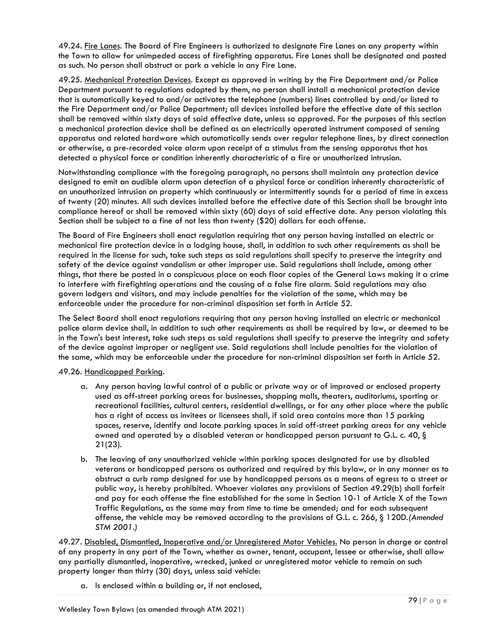49.24. Fire Lanes. The Board of Fire Engineers is authorized to designate Fire Lanes on any property within the Town to allow for unimpeded access of firefighting apparatus. Fire Lanes shall be designated and posted as such. No person shall obstruct or park a vehicle in any Fire Lane.

49.25. Mechanical Protection Devices. Except as approved in writing by the Fire Department and/or Police Department pursuant to regulations adopted by them, no person shall install a mechanical protection device that is automatically keyed to and/or activates the telephone (numbers) lines controlled by and/or listed to the Fire Department and/or Police Department; all devices installed before the effective date of this section shall be removed within sixty days of said effective date, unless so approved. For the purposes of this section a mechanical protection device shall be defined as an electrically operated instrument composed of sensing apparatus and related hardware which automatically sends over regular telephone lines, by direct connection or otherwise, a pre-recorded voice alarm upon receipt of a stimulus from the sensing apparatus that has detected a physical force or condition inherently characteristic of a fire or unauthorized intrusion.

Notwithstanding compliance with the foregoing paragraph, no persons shall maintain any protection device designed to emit an audible alarm upon detection of a physical force or condition inherently characteristic of an unauthorized intrusion on property which continuously or intermittently sounds for a period of time in excess of twenty (20) minutes. All such devices installed before the effective date of this Section shall be brought into compliance hereof or shall be removed within sixty (60) days of said effective date. Any person violating this Section shall be subject to a fine of not less than twenty (\$20) dollars for each offense.

The Board of Fire Engineers shall enact regulation requiring that any person having installed an electric or mechanical fire protection device in a lodging house, shall, in addition to such other requirements as shall be required in the license for such, take such steps as said regulations shall specify to preserve the integrity and safety of the device against vandalism or other improper use. Said regulations shall include, among other things, that there be posted in a conspicuous place on each floor copies of the General Laws making it a crime to interfere with firefighting operations and the causing of a false fire alarm. Said regulations may also govern lodgers and visitors, and may include penalties for the violation of the same, which may be enforceable under the procedure for non-criminal disposition set forth in Article 52.

The Select Board shall enact regulations requiring that any person having installed an electric or mechanical police alarm device shall, in addition to such other requirements as shall be required by law, or deemed to be in the Town's best interest, take such steps as said regulations shall specify to preserve the integrity and safety of the device against improper or negligent use. Said regulations shall include penalties for the violation of the same, which may be enforceable under the procedure for non-criminal disposition set forth in Article 52.

#### 49.26. Handicapped Parking.

- a. Any person having lawful control of a public or private way or of improved or enclosed property used as off-street parking areas for businesses, shopping malls, theaters, auditoriums, sporting or recreational facilities, cultural centers, residential dwellings, or for any other place where the public has a right of access as invitees or licensees shall, if said area contains more than 15 parking spaces, reserve, identify and locate parking spaces in said off-street parking areas for any vehicle owned and operated by a disabled veteran or handicapped person pursuant to G.L. c. 40, § 21(23).
- b. The leaving of any unauthorized vehicle within parking spaces designated for use by disabled veterans or handicapped persons as authorized and required by this bylaw, or in any manner as to obstruct a curb ramp designed for use by handicapped persons as a means of egress to a street or public way, is hereby prohibited. Whoever violates any provisions of Section 49.29(b) shall forfeit and pay for each offense the fine established for the same in Section 10-1 of Article X of the Town Traffic Regulations, as the same may from time to time be amended; and for each subsequent offense, the vehicle may be removed according to the provisions of G.L. c. 266, § 120D*.(Amended STM 2001.)*

49.27. Disabled, Dismantled, Inoperative and/or Unregistered Motor Vehicles. No person in charge or control of any property in any part of the Town, whether as owner, tenant, occupant, lessee or otherwise, shall allow any partially dismantled, inoperative, wrecked, junked or unregistered motor vehicle to remain on such property longer than thirty (30) days, unless said vehicle:

a. Is enclosed within a building or, if not enclosed,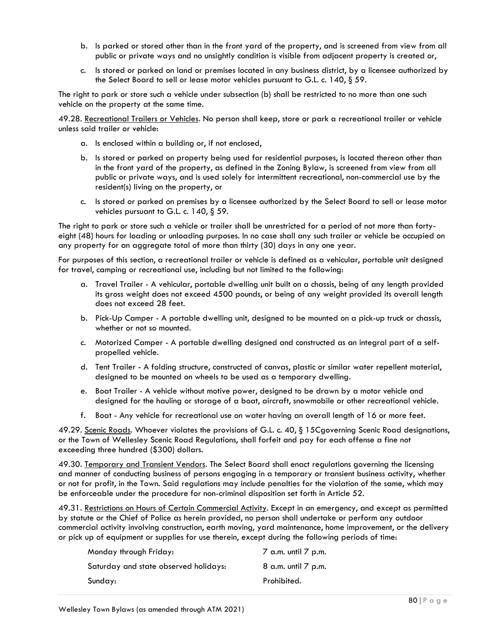- b. Is parked or stored other than in the front yard of the property, and is screened from view from all public or private ways and no unsightly condition is visible from adjacent property is created or,
- c. Is stored or parked on land or premises located in any business district, by a licensee authorized by the Select Board to sell or lease motor vehicles pursuant to G.L. c. 140, § 59.

The right to park or store such a vehicle under subsection (b) shall be restricted to no more than one such vehicle on the property at the same time.

49.28. Recreational Trailers or Vehicles. No person shall keep, store or park a recreational trailer or vehicle unless said trailer or vehicle:

- a. Is enclosed within a building or, if not enclosed,
- b. Is stored or parked on property being used for residential purposes, is located thereon other than in the front yard of the property, as defined in the Zoning Bylaw, is screened from view from all public or private ways, and is used solely for intermittent recreational, non-commercial use by the resident(s) living on the property, or
- c. Is stored or parked on premises by a licensee authorized by the Select Board to sell or lease motor vehicles pursuant to G.L. c. 140, § 59.

The right to park or store such a vehicle or trailer shall be unrestricted for a period of not more than fortyeight (48) hours for loading or unloading purposes. In no case shall any such trailer or vehicle be occupied on any property for an aggregate total of more than thirty (30) days in any one year.

For purposes of this section, a recreational trailer or vehicle is defined as a vehicular, portable unit designed for travel, camping or recreational use, including but not limited to the following:

- a. Travel Trailer A vehicular, portable dwelling unit built on a chassis, being of any length provided its gross weight does not exceed 4500 pounds, or being of any weight provided its overall length does not exceed 28 feet.
- b. Pick-Up Camper A portable dwelling unit, designed to be mounted on a pick-up truck or chassis, whether or not so mounted.
- c. Motorized Camper A portable dwelling designed and constructed as an integral part of a selfpropelled vehicle.
- d. Tent Trailer A folding structure, constructed of canvas, plastic or similar water repellent material, designed to be mounted on wheels to be used as a temporary dwelling.
- e. Boat Trailer A vehicle without motive power, designed to be drawn by a motor vehicle and designed for the hauling or storage of a boat, aircraft, snowmobile or other recreational vehicle.
- f. Boat Any vehicle for recreational use on water having an overall length of 16 or more feet.

49.29. Scenic Roads. Whoever violates the provisions of G.L. c. 40, § 15Cgoverning Scenic Road designations, or the Town of Wellesley Scenic Road Regulations, shall forfeit and pay for each offense a fine not exceeding three hundred (\$300) dollars.

49.30. Temporary and Transient Vendors. The Select Board shall enact regulations governing the licensing and manner of conducting business of persons engaging in a temporary or transient business activity, whether or not for profit, in the Town. Said regulations may include penalties for the violation of the same, which may be enforceable under the procedure for non-criminal disposition set forth in Article 52.

49.31. Restrictions on Hours of Certain Commercial Activity. Except in an emergency, and except as permitted by statute or the Chief of Police as herein provided, no person shall undertake or perform any outdoor commercial activity involving construction, earth moving, yard maintenance, home improvement, or the delivery or pick up of equipment or supplies for use therein, except during the following periods of time:

| Monday through Friday:                | $\overline{7}$ a.m. until $\overline{7}$ p.m. |
|---------------------------------------|-----------------------------------------------|
| Saturday and state observed holidays: | 8 a.m. until 7 p.m.                           |
| Sunday:                               | Prohibited.                                   |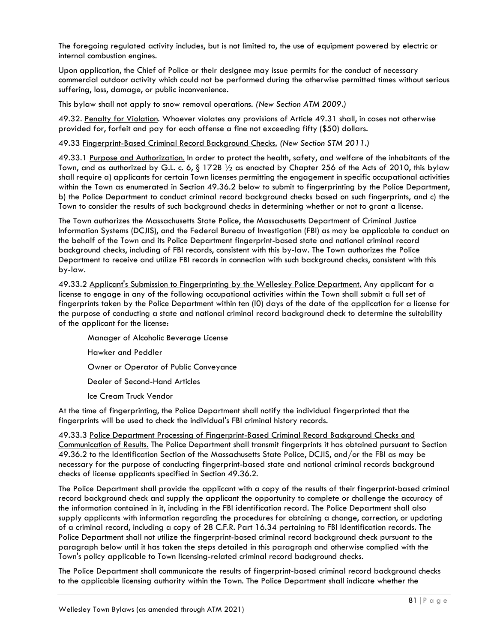The foregoing regulated activity includes, but is not limited to, the use of equipment powered by electric or internal combustion engines.

Upon application, the Chief of Police or their designee may issue permits for the conduct of necessary commercial outdoor activity which could not be performed during the otherwise permitted times without serious suffering, loss, damage, or public inconvenience.

This bylaw shall not apply to snow removal operations. *(New Section ATM 2009.)*

49.32. Penalty for Violation. Whoever violates any provisions of Article 49.31 shall, in cases not otherwise provided for, forfeit and pay for each offense a fine not exceeding fifty (\$50) dollars.

49.33 Fingerprint-Based Criminal Record Background Checks. *(New Section STM 2011.)*

49.33.1 Purpose and Authorization. In order to protect the health, safety, and welfare of the inhabitants of the Town, and as authorized by G.L. c. 6, § 172B 1/2 as enacted by Chapter 256 of the Acts of 2010, this bylaw shall require a) applicants for certain Town licenses permitting the engagement in specific occupational activities within the Town as enumerated in Section 49.36.2 below to submit to fingerprinting by the Police Department, b) the Police Department to conduct criminal record background checks based on such fingerprints, and c) the Town to consider the results of such background checks in determining whether or not to grant a license.

The Town authorizes the Massachusetts State Police, the Massachusetts Department of Criminal Justice Information Systems (DCJIS), and the Federal Bureau of Investigation (FBI) as may be applicable to conduct on the behalf of the Town and its Police Department fingerprint-based state and national criminal record background checks, including of FBI records, consistent with this by-law. The Town authorizes the Police Department to receive and utilize FBI records in connection with such background checks, consistent with this by-law.

49.33.2 Applicant's Submission to Fingerprinting by the Wellesley Police Department. Any applicant for a license to engage in any of the following occupational activities within the Town shall submit a full set of fingerprints taken by the Police Department within ten (l0) days of the date of the application for a license for the purpose of conducting a state and national criminal record background check to determine the suitability of the applicant for the license:

Manager of Alcoholic Beverage License Hawker and Peddler Owner or Operator of Public Conveyance Dealer of Second-Hand Articles Ice Cream Truck Vendor

At the time of fingerprinting, the Police Department shall notify the individual fingerprinted that the fingerprints will be used to check the individual's FBI criminal history records.

49.33.3 Police Department Processing of Fingerprint-Based Criminal Record Background Checks and Communication of Results. The Police Department shall transmit fingerprints it has obtained pursuant to Section 49.36.2 to the Identification Section of the Massachusetts State Police, DCJIS, and/or the FBI as may be necessary for the purpose of conducting fingerprint-based state and national criminal records background checks of license applicants specified in Section 49.36.2.

The Police Department shall provide the applicant with a copy of the results of their fingerprint-based criminal record background check and supply the applicant the opportunity to complete or challenge the accuracy of the information contained in it, including in the FBI identification record. The Police Department shall also supply applicants with information regarding the procedures for obtaining a change, correction, or updating of a criminal record, including a copy of 28 C.F.R. Part 16.34 pertaining to FBI identification records. The Police Department shall not utilize the fingerprint-based criminal record background check pursuant to the paragraph below until it has taken the steps detailed in this paragraph and otherwise complied with the Town's policy applicable to Town licensing-related criminal record background checks.

The Police Department shall communicate the results of fingerprint-based criminal record background checks to the applicable licensing authority within the Town. The Police Department shall indicate whether the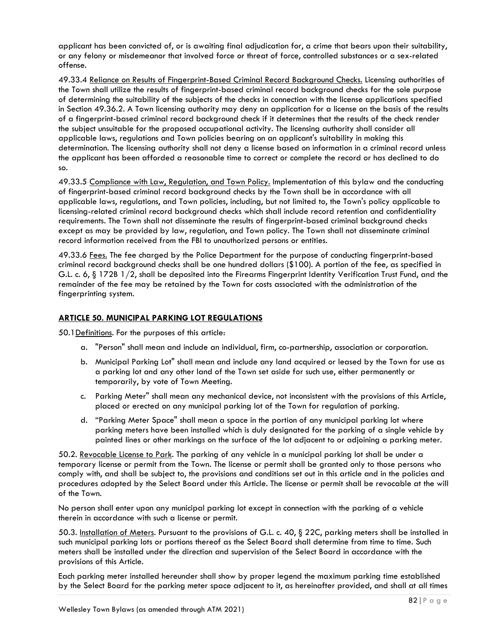applicant has been convicted of, or is awaiting final adjudication for, a crime that bears upon their suitability, or any felony or misdemeanor that involved force or threat of force, controlled substances or a sex-related offense.

49.33.4 Reliance on Results of Fingerprint-Based Criminal Record Background Checks. Licensing authorities of the Town shall utilize the results of fingerprint-based criminal record background checks for the sole purpose of determining the suitability of the subjects of the checks in connection with the license applications specified in Section 49.36.2. A Town licensing authority may deny an application for a license on the basis of the results of a fingerprint-based criminal record background check if it determines that the results of the check render the subject unsuitable for the proposed occupational activity. The licensing authority shall consider all applicable laws, regulations and Town policies bearing on an applicant's suitability in making this determination. The licensing authority shall not deny a license based on information in a criminal record unless the applicant has been afforded a reasonable time to correct or complete the record or has declined to do so.

49.33.5 Compliance with Law, Regulation, and Town Policy. Implementation of this bylaw and the conducting of fingerprint-based criminal record background checks by the Town shall be in accordance with all applicable laws, regulations, and Town policies, including, but not limited to, the Town's policy applicable to licensing-related criminal record background checks which shall include record retention and confidentiality requirements. The Town shall not disseminate the results of fingerprint-based criminal background checks except as may be provided by law, regulation, and Town policy. The Town shall not disseminate criminal record information received from the FBI to unauthorized persons or entities.

49.33.6 Fees. The fee charged by the Police Department for the purpose of conducting fingerprint-based criminal record background checks shall be one hundred dollars (\$100). A portion of the fee, as specified in G.L. c. 6, § 172B 1/2, shall be deposited into the Firearms Fingerprint Identity Verification Trust Fund, and the remainder of the fee may be retained by the Town for costs associated with the administration of the fingerprinting system.

# **ARTICLE 50. MUNICIPAL PARKING LOT REGULATIONS**

50.1Definitions. For the purposes of this article:

- a. "Person" shall mean and include an individual, firm, co-partnership, association or corporation.
- b. Municipal Parking Lot" shall mean and include any land acquired or leased by the Town for use as a parking lot and any other land of the Town set aside for such use, either permanently or temporarily, by vote of Town Meeting.
- c. Parking Meter" shall mean any mechanical device, not inconsistent with the provisions of this Article, placed or erected on any municipal parking lot of the Town for regulation of parking.
- d. "Parking Meter Space" shall mean a space in the portion of any municipal parking lot where parking meters have been installed which is duly designated for the parking of a single vehicle by painted lines or other markings on the surface of the lot adjacent to or adjoining a parking meter.

50.2. Revocable License to Park. The parking of any vehicle in a municipal parking lot shall be under a temporary license or permit from the Town. The license or permit shall be granted only to those persons who comply with, and shall be subject to, the provisions and conditions set out in this article and in the policies and procedures adopted by the Select Board under this Article. The license or permit shall be revocable at the will of the Town.

No person shall enter upon any municipal parking lot except in connection with the parking of a vehicle therein in accordance with such a license or permit.

50.3. Installation of Meters. Pursuant to the provisions of G.L. c. 40, § 22C, parking meters shall be installed in such municipal parking lots or portions thereof as the Select Board shall determine from time to time. Such meters shall be installed under the direction and supervision of the Select Board in accordance with the provisions of this Article.

Each parking meter installed hereunder shall show by proper legend the maximum parking time established by the Select Board for the parking meter space adjacent to it, as hereinafter provided, and shall at all times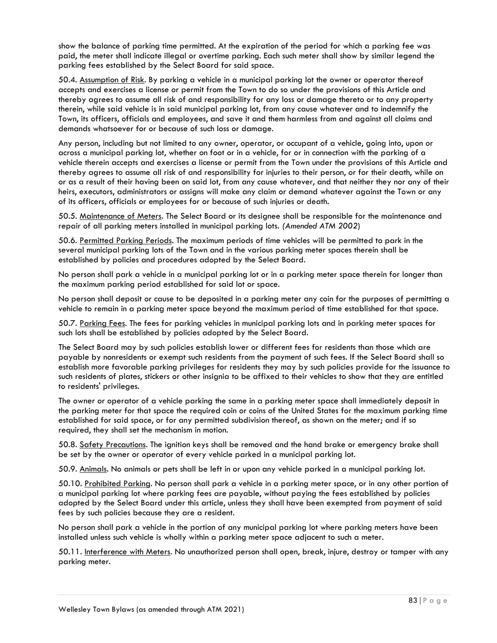show the balance of parking time permitted. At the expiration of the period for which a parking fee was paid, the meter shall indicate illegal or overtime parking. Each such meter shall show by similar legend the parking fees established by the Select Board for said space.

50.4. Assumption of Risk. By parking a vehicle in a municipal parking lot the owner or operator thereof accepts and exercises a license or permit from the Town to do so under the provisions of this Article and thereby agrees to assume all risk of and responsibility for any loss or damage thereto or to any property therein, while said vehicle is in said municipal parking lot, from any cause whatever and to indemnify the Town, its officers, officials and employees, and save it and them harmless from and against all claims and demands whatsoever for or because of such loss or damage.

Any person, including but not limited to any owner, operator, or occupant of a vehicle, going into, upon or across a municipal parking lot, whether on foot or in a vehicle, for or in connection with the parking of a vehicle therein accepts and exercises a license or permit from the Town under the provisions of this Article and thereby agrees to assume all risk of and responsibility for injuries to their person, or for their death, while on or as a result of their having been on said lot, from any cause whatever, and that neither they nor any of their heirs, executors, administrators or assigns will make any claim or demand whatever against the Town or any of its officers, officials or employees for or because of such injuries or death.

50.5. Maintenance of Meters. The Select Board or its designee shall be responsible for the maintenance and repair of all parking meters installed in municipal parking lots. *(Amended ATM 2002*)

50.6. Permitted Parking Periods. The maximum periods of time vehicles will be permitted to park in the several municipal parking lots of the Town and in the various parking meter spaces therein shall be established by policies and procedures adopted by the Select Board.

No person shall park a vehicle in a municipal parking lot or in a parking meter space therein for longer than the maximum parking period established for said lot or space.

No person shall deposit or cause to be deposited in a parking meter any coin for the purposes of permitting a vehicle to remain in a parking meter space beyond the maximum period of time established for that space.

50.7. Parking Fees. The fees for parking vehicles in municipal parking lots and in parking meter spaces for such lots shall be established by policies adopted by the Select Board.

The Select Board may by such policies establish lower or different fees for residents than those which are payable by nonresidents or exempt such residents from the payment of such fees. If the Select Board shall so establish more favorable parking privileges for residents they may by such policies provide for the issuance to such residents of plates, stickers or other insignia to be affixed to their vehicles to show that they are entitled to residents' privileges.

The owner or operator of a vehicle parking the same in a parking meter space shall immediately deposit in the parking meter for that space the required coin or coins of the United States for the maximum parking time established for said space, or for any permitted subdivision thereof, as shown on the meter; and if so required, they shall set the mechanism in motion.

50.8. Safety Precautions. The ignition keys shall be removed and the hand brake or emergency brake shall be set by the owner or operator of every vehicle parked in a municipal parking lot.

50.9. Animals. No animals or pets shall be left in or upon any vehicle parked in a municipal parking lot.

50.10. Prohibited Parking. No person shall park a vehicle in a parking meter space, or in any other portion of a municipal parking lot where parking fees are payable, without paying the fees established by policies adopted by the Select Board under this article, unless they shall have been exempted from payment of said fees by such policies because they are a resident.

No person shall park a vehicle in the portion of any municipal parking lot where parking meters have been installed unless such vehicle is wholly within a parking meter space adjacent to such a meter.

50.11. Interference with Meters. No unauthorized person shall open, break, injure, destroy or tamper with any parking meter.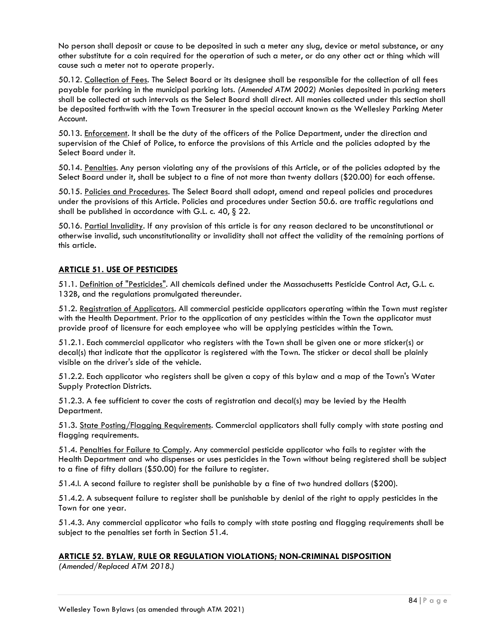No person shall deposit or cause to be deposited in such a meter any slug, device or metal substance, or any other substitute for a coin required for the operation of such a meter, or do any other act or thing which will cause such a meter not to operate properly.

50.12. Collection of Fees. The Select Board or its designee shall be responsible for the collection of all fees payable for parking in the municipal parking lots*. (Amended ATM 2002)* Monies deposited in parking meters shall be collected at such intervals as the Select Board shall direct. All monies collected under this section shall be deposited forthwith with the Town Treasurer in the special account known as the Wellesley Parking Meter Account.

50.13. Enforcement. It shall be the duty of the officers of the Police Department, under the direction and supervision of the Chief of Police, to enforce the provisions of this Article and the policies adopted by the Select Board under it.

50.14. Penalties. Any person violating any of the provisions of this Article, or of the policies adopted by the Select Board under it, shall be subject to a fine of not more than twenty dollars (\$20.00) for each offense.

50.15. Policies and Procedures. The Select Board shall adopt, amend and repeal policies and procedures under the provisions of this Article. Policies and procedures under Section 50.6. are traffic regulations and shall be published in accordance with G.L. c. 40, § 22.

50.16. Partial Invalidity. If any provision of this article is for any reason declared to be unconstitutional or otherwise invalid, such unconstitutionality or invalidity shall not affect the validity of the remaining portions of this article.

# **ARTICLE 51. USE OF PESTICIDES**

51.1. Definition of "Pesticides". All chemicals defined under the Massachusetts Pesticide Control Act, G.L. c. 132B, and the regulations promulgated thereunder.

51.2. Registration of Applicators. All commercial pesticide applicators operating within the Town must register with the Health Department. Prior to the application of any pesticides within the Town the applicator must provide proof of licensure for each employee who will be applying pesticides within the Town.

51.2.1. Each commercial applicator who registers with the Town shall be given one or more sticker(s) or decal(s) that indicate that the applicator is registered with the Town. The sticker or decal shall be plainly visible on the driver's side of the vehicle.

51.2.2. Each applicator who registers shall be given a copy of this bylaw and a map of the Town's Water Supply Protection Districts.

51.2.3. A fee sufficient to cover the costs of registration and decal(s) may be levied by the Health Department.

51.3. State Posting/Flagging Requirements. Commercial applicators shall fully comply with state posting and flagging requirements.

51.4. Penalties for Failure to Comply. Any commercial pesticide applicator who fails to register with the Health Department and who dispenses or uses pesticides in the Town without being registered shall be subject to a fine of fifty dollars (\$50.00) for the failure to register.

51.4.l. A second failure to register shall be punishable by a fine of two hundred dollars (\$200).

51.4.2. A subsequent failure to register shall be punishable by denial of the right to apply pesticides in the Town for one year.

51.4.3. Any commercial applicator who fails to comply with state posting and flagging requirements shall be subject to the penalties set forth in Section 51.4.

#### **ARTICLE 52. BYLAW, RULE OR REGULATION VIOLATIONS; NON-CRIMINAL DISPOSITION**

*(Amended/Replaced ATM 2018.)*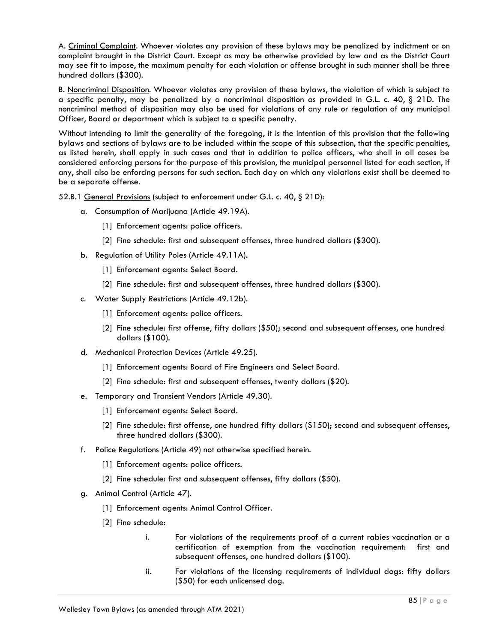A. Criminal Complaint. Whoever violates any provision of these bylaws may be penalized by indictment or on complaint brought in the District Court. Except as may be otherwise provided by law and as the District Court may see fit to impose, the maximum penalty for each violation or offense brought in such manner shall be three hundred dollars (\$300).

B. Noncriminal Disposition. Whoever violates any provision of these bylaws, the violation of which is subject to a specific penalty, may be penalized by a noncriminal disposition as provided in G.L. c. 40,  $\S$  21D. The noncriminal method of disposition may also be used for violations of any rule or regulation of any municipal Officer, Board or department which is subject to a specific penalty.

Without intending to limit the generality of the foregoing, it is the intention of this provision that the following bylaws and sections of bylaws are to be included within the scope of this subsection, that the specific penalties, as listed herein, shall apply in such cases and that in addition to police officers, who shall in all cases be considered enforcing persons for the purpose of this provision, the municipal personnel listed for each section, if any, shall also be enforcing persons for such section. Each day on which any violations exist shall be deemed to be a separate offense.

52.B.1 General Provisions (subject to enforcement under G.L. c. 40, § 21D):

- a. Consumption of Marijuana (Article 49.19A).
	- [1] Enforcement agents: police officers.
	- [2] Fine schedule: first and subsequent offenses, three hundred dollars (\$300).
- b. Regulation of Utility Poles (Article 49.11A).
	- [1] Enforcement agents: Select Board.
	- [2] Fine schedule: first and subsequent offenses, three hundred dollars (\$300).
- c. Water Supply Restrictions (Article 49.12b).
	- [1] Enforcement agents: police officers.
	- [2] Fine schedule: first offense, fifty dollars (\$50); second and subsequent offenses, one hundred dollars (\$100).
- d. Mechanical Protection Devices (Article 49.25).
	- [1] Enforcement agents: Board of Fire Engineers and Select Board.
	- [2] Fine schedule: first and subsequent offenses, twenty dollars (\$20).
- e. Temporary and Transient Vendors (Article 49.30).
	- [1] Enforcement agents: Select Board.
	- [2] Fine schedule: first offense, one hundred fifty dollars (\$150); second and subsequent offenses, three hundred dollars (\$300).
- f. Police Regulations (Article 49) not otherwise specified herein.
	- [1] Enforcement agents: police officers.
	- [2] Fine schedule: first and subsequent offenses, fifty dollars (\$50).
- g. Animal Control (Article 47).
	- [1] Enforcement agents: Animal Control Officer.
	- [2] Fine schedule:
		- i. For violations of the requirements proof of a current rabies vaccination or a certification of exemption from the vaccination requirement: first and subsequent offenses, one hundred dollars (\$100).
		- ii. For violations of the licensing requirements of individual dogs: fifty dollars (\$50) for each unlicensed dog.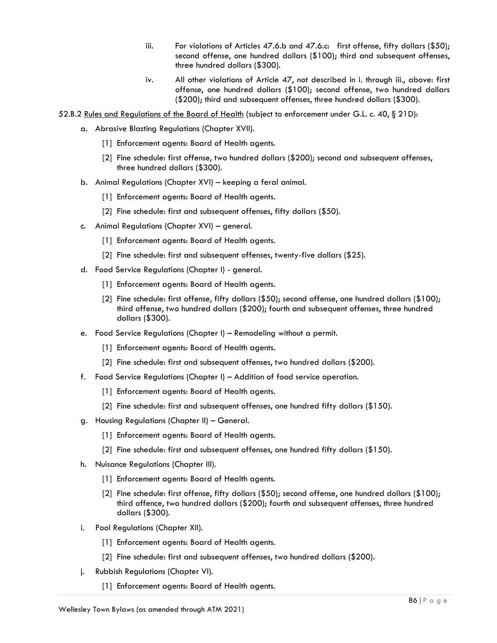- iii. For violations of Articles 47.6.b and 47.6.c: first offense, fifty dollars  $(\$50)$ ; second offense, one hundred dollars (\$100); third and subsequent offenses, three hundred dollars (\$300).
- iv. All other violations of Article 47, not described in i. through iii., above: first offense, one hundred dollars (\$100); second offense, two hundred dollars (\$200); third and subsequent offenses, three hundred dollars (\$300).
- 52.B.2 Rules and Regulations of the Board of Health (subject to enforcement under G.L. c. 40, § 21D):
	- a. Abrasive Blasting Regulations (Chapter XVII).
		- [1] Enforcement agents: Board of Health agents.
		- [2] Fine schedule: first offense, two hundred dollars (\$200); second and subsequent offenses, three hundred dollars (\$300).
	- b. Animal Regulations (Chapter XVI) keeping a feral animal.
		- [1] Enforcement agents: Board of Health agents.
		- [2] Fine schedule: first and subsequent offenses, fifty dollars (\$50).
	- c. Animal Regulations (Chapter XVI) general.
		- [1] Enforcement agents: Board of Health agents.
		- [2] Fine schedule: first and subsequent offenses, twenty-five dollars (\$25).
	- d. Food Service Regulations (Chapter I) general.
		- [1] Enforcement agents: Board of Health agents.
		- [2] Fine schedule: first offense, fifty dollars (\$50); second offense, one hundred dollars (\$100); third offense, two hundred dollars (\$200); fourth and subsequent offenses, three hundred dollars (\$300).
	- e. Food Service Regulations (Chapter I) Remodeling without a permit.
		- [1] Enforcement agents: Board of Health agents.
		- [2] Fine schedule: first and subsequent offenses, two hundred dollars (\$200).
	- f. Food Service Regulations (Chapter I) Addition of food service operation.
		- [1] Enforcement agents: Board of Health agents.
		- [2] Fine schedule: first and subsequent offenses, one hundred fifty dollars (\$150).
	- g. Housing Regulations (Chapter II) General.
		- [1] Enforcement agents: Board of Health agents.
		- [2] Fine schedule: first and subsequent offenses, one hundred fifty dollars (\$150).
	- h. Nuisance Regulations (Chapter III).
		- [1] Enforcement agents: Board of Health agents.
		- [2] Fine schedule: first offense, fifty dollars (\$50); second offense, one hundred dollars (\$100); third offence, two hundred dollars (\$200); fourth and subsequent offenses, three hundred dollars (\$300).
	- i. Pool Regulations (Chapter XII).
		- [1] Enforcement agents: Board of Health agents.
		- [2] Fine schedule: first and subsequent offenses, two hundred dollars (\$200).
	- j. Rubbish Regulations (Chapter VI).
		- [1] Enforcement agents: Board of Health agents.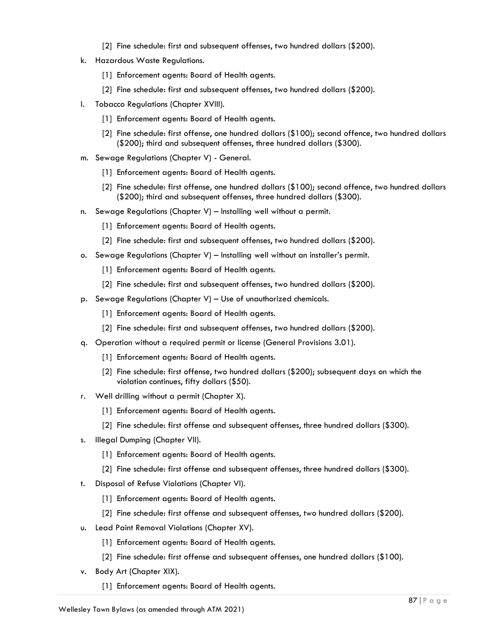- [2] Fine schedule: first and subsequent offenses, two hundred dollars (\$200).
- k. Hazardous Waste Regulations.
	- [1] Enforcement agents: Board of Health agents.
	- [2] Fine schedule: first and subsequent offenses, two hundred dollars (\$200).
- l. Tobacco Regulations (Chapter XVIII).
	- [1] Enforcement agents: Board of Health agents.
	- [2] Fine schedule: first offense, one hundred dollars (\$100); second offence, two hundred dollars (\$200); third and subsequent offenses, three hundred dollars (\$300).
- m. Sewage Regulations (Chapter V) General.
	- [1] Enforcement agents: Board of Health agents.
	- [2] Fine schedule: first offense, one hundred dollars (\$100); second offence, two hundred dollars (\$200); third and subsequent offenses, three hundred dollars (\$300).
- n. Sewage Regulations (Chapter V) Installing well without a permit.
	- [1] Enforcement agents: Board of Health agents.
	- [2] Fine schedule: first and subsequent offenses, two hundred dollars (\$200).
- o. Sewage Regulations (Chapter V) Installing well without an installer's permit.
	- [1] Enforcement agents: Board of Health agents.
	- [2] Fine schedule: first and subsequent offenses, two hundred dollars (\$200).
- p. Sewage Regulations (Chapter V) Use of unauthorized chemicals.
	- [1] Enforcement agents: Board of Health agents.
	- [2] Fine schedule: first and subsequent offenses, two hundred dollars (\$200).
- q. Operation without a required permit or license (General Provisions 3.01).
	- [1] Enforcement agents: Board of Health agents.
	- [2] Fine schedule: first offense, two hundred dollars (\$200); subsequent days on which the violation continues, fifty dollars (\$50).
- r. Well drilling without a permit (Chapter X).
	- [1] Enforcement agents: Board of Health agents.
	- [2] Fine schedule: first offense and subsequent offenses, three hundred dollars (\$300).
- s. Illegal Dumping (Chapter VII).
	- [1] Enforcement agents: Board of Health agents.
	- [2] Fine schedule: first offense and subsequent offenses, three hundred dollars (\$300).
- t. Disposal of Refuse Violations (Chapter VI).
	- [1] Enforcement agents: Board of Health agents.
	- [2] Fine schedule: first offense and subsequent offenses, two hundred dollars (\$200).
- u. Lead Paint Removal Violations (Chapter XV).
	- [1] Enforcement agents: Board of Health agents.
	- [2] Fine schedule: first offense and subsequent offenses, one hundred dollars (\$100).
- v. Body Art (Chapter XIX).
	- [1] Enforcement agents: Board of Health agents.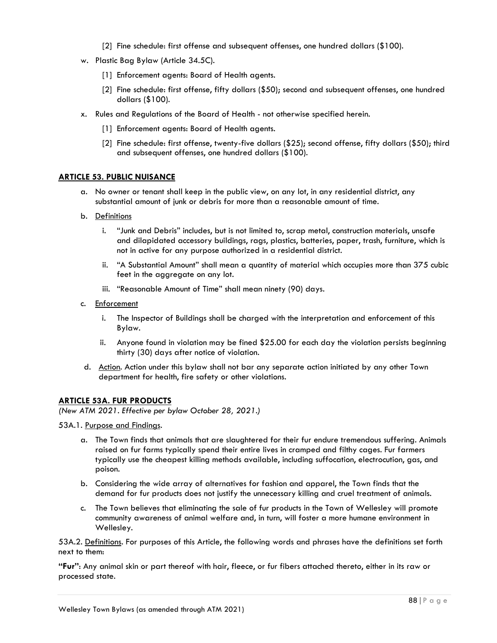- [2] Fine schedule: first offense and subsequent offenses, one hundred dollars (\$100).
- w. Plastic Bag Bylaw (Article 34.5C).
	- [1] Enforcement agents: Board of Health agents.
	- [2] Fine schedule: first offense, fifty dollars (\$50); second and subsequent offenses, one hundred dollars (\$100).
- x. Rules and Regulations of the Board of Health not otherwise specified herein.
	- [1] Enforcement agents: Board of Health agents.
	- [2] Fine schedule: first offense, twenty-five dollars (\$25); second offense, fifty dollars (\$50); third and subsequent offenses, one hundred dollars (\$100).

#### **ARTICLE 53. PUBLIC NUISANCE**

- a. No owner or tenant shall keep in the public view, on any lot, in any residential district, any substantial amount of junk or debris for more than a reasonable amount of time.
- b. Definitions
	- i. "Junk and Debris" includes, but is not limited to, scrap metal, construction materials, unsafe and dilapidated accessory buildings, rags, plastics, batteries, paper, trash, furniture, which is not in active for any purpose authorized in a residential district.
	- ii. "A Substantial Amount" shall mean a quantity of material which occupies more than 375 cubic feet in the aggregate on any lot.
	- iii. "Reasonable Amount of Time" shall mean ninety (90) days.
- c. Enforcement
	- i. The Inspector of Buildings shall be charged with the interpretation and enforcement of this Bylaw.
	- ii. Anyone found in violation may be fined \$25.00 for each day the violation persists beginning thirty (30) days after notice of violation.
- d. Action. Action under this bylaw shall not bar any separate action initiated by any other Town department for health, fire safety or other violations.

#### **ARTICLE 53A. FUR PRODUCTS**

*(New ATM 2021. Effective per bylaw October 28, 2021.)*

53A.1. Purpose and Findings.

- a. The Town finds that animals that are slaughtered for their fur endure tremendous suffering. Animals raised on fur farms typically spend their entire lives in cramped and filthy cages. Fur farmers typically use the cheapest killing methods available, including suffocation, electrocution, gas, and poison.
- b. Considering the wide array of alternatives for fashion and apparel, the Town finds that the demand for fur products does not justify the unnecessary killing and cruel treatment of animals.
- c. The Town believes that eliminating the sale of fur products in the Town of Wellesley will promote community awareness of animal welfare and, in turn, will foster a more humane environment in Wellesley.

53A.2. Definitions. For purposes of this Article, the following words and phrases have the definitions set forth next to them:

**"Fur"**: Any animal skin or part thereof with hair, fleece, or fur fibers attached thereto, either in its raw or processed state.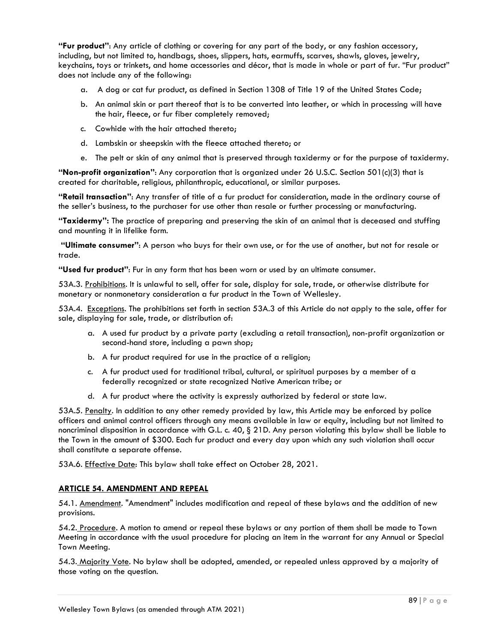**"Fur product"**: Any article of clothing or covering for any part of the body, or any fashion accessory, including, but not limited to, handbags, shoes, slippers, hats, earmuffs, scarves, shawls, gloves, jewelry, keychains, toys or trinkets, and home accessories and décor, that is made in whole or part of fur. "Fur product" does not include any of the following:

- a. A dog or cat fur product, as defined in Section 1308 of Title 19 of the United States Code;
- b. An animal skin or part thereof that is to be converted into leather, or which in processing will have the hair, fleece, or fur fiber completely removed;
- c. Cowhide with the hair attached thereto;
- d. Lambskin or sheepskin with the fleece attached thereto; or
- e. The pelt or skin of any animal that is preserved through taxidermy or for the purpose of taxidermy.

**"Non-profit organization"**: Any corporation that is organized under 26 U.S.C. Section 501(c)(3) that is created for charitable, religious, philanthropic, educational, or similar purposes.

**"Retail transaction"**: Any transfer of title of a fur product for consideration, made in the ordinary course of the seller's business, to the purchaser for use other than resale or further processing or manufacturing.

**"Taxidermy":** The practice of preparing and preserving the skin of an animal that is deceased and stuffing and mounting it in lifelike form.

**"Ultimate consumer"**: A person who buys for their own use, or for the use of another, but not for resale or trade.

**"Used fur product"**: Fur in any form that has been worn or used by an ultimate consumer.

53A.3. Prohibitions. It is unlawful to sell, offer for sale, display for sale, trade, or otherwise distribute for monetary or nonmonetary consideration a fur product in the Town of Wellesley.

53A.4. Exceptions. The prohibitions set forth in section 53A.3 of this Article do not apply to the sale, offer for sale, displaying for sale, trade, or distribution of:

- a. A used fur product by a private party (excluding a retail transaction), non-profit organization or second-hand store, including a pawn shop;
- b. A fur product required for use in the practice of a religion;
- c. A fur product used for traditional tribal, cultural, or spiritual purposes by a member of a federally recognized or state recognized Native American tribe; or
- d. A fur product where the activity is expressly authorized by federal or state law.

53A.5. Penalty. In addition to any other remedy provided by law, this Article may be enforced by police officers and animal control officers through any means available in law or equity, including but not limited to noncriminal disposition in accordance with G.L. c. 40, § 21D. Any person violating this bylaw shall be liable to the Town in the amount of \$300. Each fur product and every day upon which any such violation shall occur shall constitute a separate offense.

53A.6. Effective Date: This bylaw shall take effect on October 28, 2021.

# **ARTICLE 54. AMENDMENT AND REPEAL**

54.1. Amendment. "Amendment" includes modification and repeal of these bylaws and the addition of new provisions.

54.2. Procedure. A motion to amend or repeal these bylaws or any portion of them shall be made to Town Meeting in accordance with the usual procedure for placing an item in the warrant for any Annual or Special Town Meeting.

54.3. Majority Vote. No bylaw shall be adopted, amended, or repealed unless approved by a majority of those voting on the question.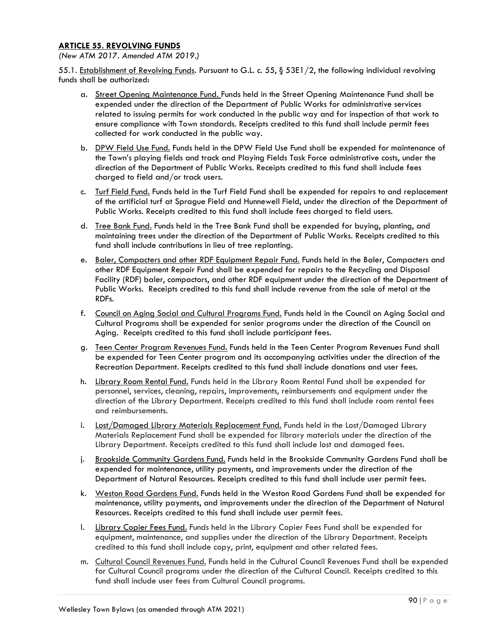# **ARTICLE 55. REVOLVING FUNDS**

*(New ATM 2017. Amended ATM 2019.)*

55.1. Establishment of Revolving Funds. Pursuant to G.L. c. 55,  $\S$  53E1/2, the following individual revolving funds shall be authorized:

- a. Street Opening Maintenance Fund. Funds held in the Street Opening Maintenance Fund shall be expended under the direction of the Department of Public Works for administrative services related to issuing permits for work conducted in the public way and for inspection of that work to ensure compliance with Town standards. Receipts credited to this fund shall include permit fees collected for work conducted in the public way.
- b. DPW Field Use Fund. Funds held in the DPW Field Use Fund shall be expended for maintenance of the Town's playing fields and track and Playing Fields Task Force administrative costs, under the direction of the Department of Public Works. Receipts credited to this fund shall include fees charged to field and/or track users.
- c. Turf Field Fund. Funds held in the Turf Field Fund shall be expended for repairs to and replacement of the artificial turf at Sprague Field and Hunnewell Field, under the direction of the Department of Public Works. Receipts credited to this fund shall include fees charged to field users.
- d. Tree Bank Fund. Funds held in the Tree Bank Fund shall be expended for buying, planting, and maintaining trees under the direction of the Department of Public Works. Receipts credited to this fund shall include contributions in lieu of tree replanting.
- e. Baler, Compacters and other RDF Equipment Repair Fund. Funds held in the Baler, Compacters and other RDF Equipment Repair Fund shall be expended for repairs to the Recycling and Disposal Facility (RDF) baler, compactors, and other RDF equipment under the direction of the Department of Public Works. Receipts credited to this fund shall include revenue from the sale of metal at the RDFs.
- f. Council on Aging Social and Cultural Programs Fund. Funds held in the Council on Aging Social and Cultural Programs shall be expended for senior programs under the direction of the Council on Aging. Receipts credited to this fund shall include participant fees.
- g. Teen Center Program Revenues Fund. Funds held in the Teen Center Program Revenues Fund shall be expended for Teen Center program and its accompanying activities under the direction of the Recreation Department. Receipts credited to this fund shall include donations and user fees.
- h. Library Room Rental Fund. Funds held in the Library Room Rental Fund shall be expended for personnel, services, cleaning, repairs, improvements, reimbursements and equipment under the direction of the Library Department. Receipts credited to this fund shall include room rental fees and reimbursements.
- i. Lost/Damaged Library Materials Replacement Fund. Funds held in the Lost/Damaged Library Materials Replacement Fund shall be expended for library materials under the direction of the Library Department. Receipts credited to this fund shall include lost and damaged fees.
- j. Brookside Community Gardens Fund. Funds held in the Brookside Community Gardens Fund shall be expended for maintenance, utility payments, and improvements under the direction of the Department of Natural Resources. Receipts credited to this fund shall include user permit fees.
- k. Weston Road Gardens Fund. Funds held in the Weston Road Gardens Fund shall be expended for maintenance, utility payments, and improvements under the direction of the Department of Natural Resources. Receipts credited to this fund shall include user permit fees.
- l. Library Copier Fees Fund. Funds held in the Library Copier Fees Fund shall be expended for equipment, maintenance, and supplies under the direction of the Library Department. Receipts credited to this fund shall include copy, print, equipment and other related fees.
- m. Cultural Council Revenues Fund. Funds held in the Cultural Council Revenues Fund shall be expended for Cultural Council programs under the direction of the Cultural Council. Receipts credited to this fund shall include user fees from Cultural Council programs.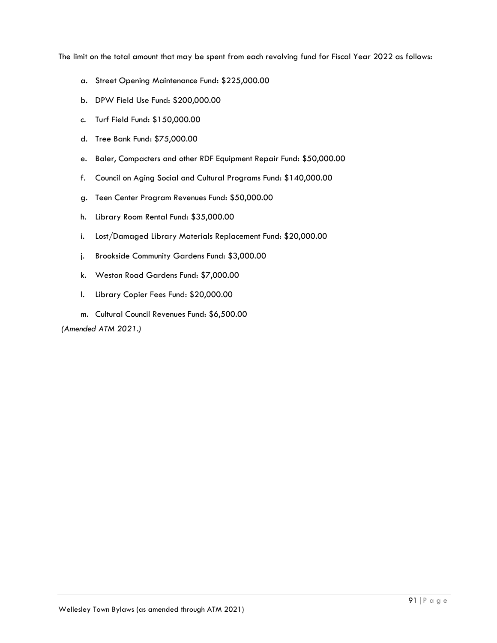The limit on the total amount that may be spent from each revolving fund for Fiscal Year 2022 as follows:

- a. Street Opening Maintenance Fund: \$225,000.00
- b. DPW Field Use Fund: \$200,000.00
- c. Turf Field Fund: \$150,000.00
- d. Tree Bank Fund: \$75,000.00
- e. Baler, Compacters and other RDF Equipment Repair Fund: \$50,000.00
- f. Council on Aging Social and Cultural Programs Fund: \$140,000.00
- g. Teen Center Program Revenues Fund: \$50,000.00
- h. Library Room Rental Fund: \$35,000.00
- i. Lost/Damaged Library Materials Replacement Fund: \$20,000.00
- j. Brookside Community Gardens Fund: \$3,000.00
- k. Weston Road Gardens Fund: \$7,000.00
- l. Library Copier Fees Fund: \$20,000.00
- m. Cultural Council Revenues Fund: \$6,500.00

*(Amended ATM 2021.)*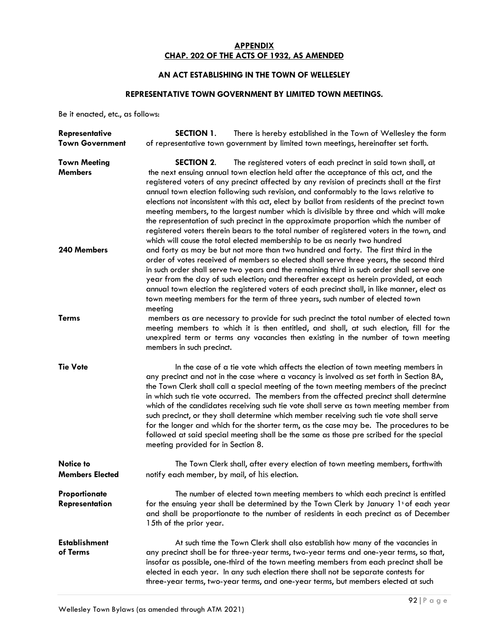# **APPENDIX CHAP. 202 OF THE ACTS OF 1932, AS AMENDED**

# **AN ACT ESTABLISHING IN THE TOWN OF WELLESLEY**

# **REPRESENTATIVE TOWN GOVERNMENT BY LIMITED TOWN MEETINGS.**

Be it enacted, etc., as follows:

| <b>Representative</b><br><b>Town Government</b> | <b>SECTION 1.</b><br>There is hereby established in the Town of Wellesley the form<br>of representative town government by limited town meetings, hereinafter set forth.                                                                                                                                                                                                                                                                                                                                                                                                                                                                                                                                                                                                                                                 |
|-------------------------------------------------|--------------------------------------------------------------------------------------------------------------------------------------------------------------------------------------------------------------------------------------------------------------------------------------------------------------------------------------------------------------------------------------------------------------------------------------------------------------------------------------------------------------------------------------------------------------------------------------------------------------------------------------------------------------------------------------------------------------------------------------------------------------------------------------------------------------------------|
| <b>Town Meeting</b><br><b>Members</b>           | SECTION 2.<br>The registered voters of each precinct in said town shall, at<br>the next ensuing annual town election held after the acceptance of this act, and the<br>registered voters of any precinct affected by any revision of precincts shall at the first<br>annual town election following such revision, and conformably to the laws relative to<br>elections not inconsistent with this act, elect by ballot from residents of the precinct town<br>meeting members, to the largest number which is divisible by three and which will make<br>the representation of such precinct in the approximate proportion which the number of<br>registered voters therein bears to the total number of registered voters in the town, and<br>which will cause the total elected membership to be as nearly two hundred |
| 240 Members                                     | and forty as may be but not more than two hundred and forty. The first third in the<br>order of votes received of members so elected shall serve three years, the second third<br>in such order shall serve two years and the remaining third in such order shall serve one<br>year from the day of such election; and thereafter except as herein provided, at each<br>annual town election the registered voters of each precinct shall, in like manner, elect as<br>town meeting members for the term of three years, such number of elected town<br>meeting                                                                                                                                                                                                                                                          |
| <b>Terms</b>                                    | members as are necessary to provide for such precinct the total number of elected town<br>meeting members to which it is then entitled, and shall, at such election, fill for the<br>unexpired term or terms any vacancies then existing in the number of town meeting<br>members in such precinct.                                                                                                                                                                                                                                                                                                                                                                                                                                                                                                                      |
| <b>Tie Vote</b>                                 | In the case of a tie vote which affects the election of town meeting members in<br>any precinct and not in the case where a vacancy is involved as set forth in Section 8A,<br>the Town Clerk shall call a special meeting of the town meeting members of the precinct<br>in which such tie vote occurred. The members from the affected precinct shall determine<br>which of the candidates receiving such tie vote shall serve as town meeting member from<br>such precinct, or they shall determine which member receiving such tie vote shall serve<br>for the longer and which for the shorter term, as the case may be. The procedures to be<br>followed at said special meeting shall be the same as those pre scribed for the special<br>meeting provided for in Section 8.                                      |
| <b>Notice to</b><br><b>Members Elected</b>      | The Town Clerk shall, after every election of town meeting members, forthwith<br>notify each member, by mail, of his election.                                                                                                                                                                                                                                                                                                                                                                                                                                                                                                                                                                                                                                                                                           |
| Proportionate<br>Representation                 | The number of elected town meeting members to which each precinct is entitled<br>for the ensuing year shall be determined by the Town Clerk by January 1s of each year<br>and shall be proportionate to the number of residents in each precinct as of December<br>15th of the prior year.                                                                                                                                                                                                                                                                                                                                                                                                                                                                                                                               |
| <b>Establishment</b><br>of Terms                | At such time the Town Clerk shall also establish how many of the vacancies in<br>any precinct shall be for three-year terms, two-year terms and one-year terms, so that,<br>insofar as possible, one-third of the town meeting members from each precinct shall be<br>elected in each year. In any such election there shall not be separate contests for<br>three-year terms, two-year terms, and one-year terms, but members elected at such                                                                                                                                                                                                                                                                                                                                                                           |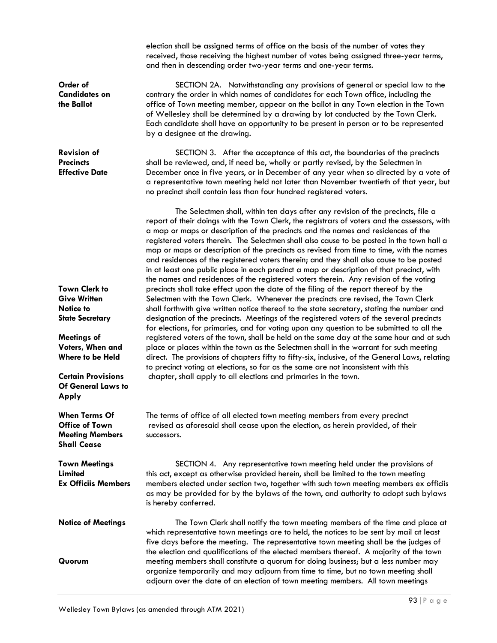|                                                                                               | election shall be assigned terms of office on the basis of the number of votes they<br>received, those receiving the highest number of votes being assigned three-year terms,<br>and then in descending order two-year terms and one-year terms.                                                                                                                                                                                                                                                                                                                                                                                                                                                                                                |
|-----------------------------------------------------------------------------------------------|-------------------------------------------------------------------------------------------------------------------------------------------------------------------------------------------------------------------------------------------------------------------------------------------------------------------------------------------------------------------------------------------------------------------------------------------------------------------------------------------------------------------------------------------------------------------------------------------------------------------------------------------------------------------------------------------------------------------------------------------------|
| Order of<br><b>Candidates on</b><br>the Ballot                                                | SECTION 2A. Notwithstanding any provisions of general or special law to the<br>contrary the order in which names of candidates for each Town office, including the<br>office of Town meeting member, appear on the ballot in any Town election in the Town<br>of Wellesley shall be determined by a drawing by lot conducted by the Town Clerk.<br>Each candidate shall have an opportunity to be present in person or to be represented<br>by a designee at the drawing.                                                                                                                                                                                                                                                                       |
| <b>Revision of</b><br><b>Precincts</b><br><b>Effective Date</b>                               | SECTION 3. After the acceptance of this act, the boundaries of the precincts<br>shall be reviewed, and, if need be, wholly or partly revised, by the Selectmen in<br>December once in five years, or in December of any year when so directed by a vote of<br>a representative town meeting held not later than November twentieth of that year, but<br>no precinct shall contain less than four hundred registered voters.                                                                                                                                                                                                                                                                                                                     |
|                                                                                               | The Selectmen shall, within ten days after any revision of the precincts, file a<br>report of their doings with the Town Clerk, the registrars of voters and the assessors, with<br>a map or maps or description of the precincts and the names and residences of the<br>registered voters therein. The Selectmen shall also cause to be posted in the town hall a<br>map or maps or description of the precincts as revised from time to time, with the names<br>and residences of the registered voters therein; and they shall also cause to be posted<br>in at least one public place in each precinct a map or description of that precinct, with<br>the names and residences of the registered voters therein. Any revision of the voting |
| <b>Town Clerk to</b>                                                                          | precincts shall take effect upon the date of the filing of the report thereof by the                                                                                                                                                                                                                                                                                                                                                                                                                                                                                                                                                                                                                                                            |
| <b>Give Written</b>                                                                           | Selectmen with the Town Clerk. Whenever the precincts are revised, the Town Clerk                                                                                                                                                                                                                                                                                                                                                                                                                                                                                                                                                                                                                                                               |
| <b>Notice to</b>                                                                              | shall forthwith give written notice thereof to the state secretary, stating the number and                                                                                                                                                                                                                                                                                                                                                                                                                                                                                                                                                                                                                                                      |
| <b>State Secretary</b>                                                                        | designation of the precincts. Meetings of the registered voters of the several precincts<br>for elections, for primaries, and for voting upon any question to be submitted to all the                                                                                                                                                                                                                                                                                                                                                                                                                                                                                                                                                           |
| Meetings of                                                                                   | registered voters of the town, shall be held on the same day at the same hour and at such                                                                                                                                                                                                                                                                                                                                                                                                                                                                                                                                                                                                                                                       |
| Voters, When and                                                                              | place or places within the town as the Selectmen shall in the warrant for such meeting                                                                                                                                                                                                                                                                                                                                                                                                                                                                                                                                                                                                                                                          |
| Where to be Held                                                                              | direct. The provisions of chapters fifty to fifty-six, inclusive, of the General Laws, relating                                                                                                                                                                                                                                                                                                                                                                                                                                                                                                                                                                                                                                                 |
|                                                                                               | to precinct voting at elections, so far as the same are not inconsistent with this                                                                                                                                                                                                                                                                                                                                                                                                                                                                                                                                                                                                                                                              |
| <b>Certain Provisions</b><br><b>Of General Laws to</b><br>Apply                               | chapter, shall apply to all elections and primaries in the town.                                                                                                                                                                                                                                                                                                                                                                                                                                                                                                                                                                                                                                                                                |
| <b>When Terms Of</b><br><b>Office of Town</b><br><b>Meeting Members</b><br><b>Shall Cease</b> | The terms of office of all elected town meeting members from every precinct<br>revised as aforesaid shall cease upon the election, as herein provided, of their<br>successors.                                                                                                                                                                                                                                                                                                                                                                                                                                                                                                                                                                  |
| <b>Town Meetings</b>                                                                          | SECTION 4. Any representative town meeting held under the provisions of                                                                                                                                                                                                                                                                                                                                                                                                                                                                                                                                                                                                                                                                         |
| Limited                                                                                       | this act, except as otherwise provided herein, shall be limited to the town meeting                                                                                                                                                                                                                                                                                                                                                                                                                                                                                                                                                                                                                                                             |
| <b>Ex Officiis Members</b>                                                                    | members elected under section two, together with such town meeting members ex officiis<br>as may be provided for by the bylaws of the town, and authority to adopt such bylaws<br>is hereby conferred.                                                                                                                                                                                                                                                                                                                                                                                                                                                                                                                                          |
| <b>Notice of Meetings</b>                                                                     | The Town Clerk shall notify the town meeting members of the time and place at<br>which representative town meetings are to held, the notices to be sent by mail at least<br>five days before the meeting. The representative town meeting shall be the judges of<br>the election and qualifications of the elected members thereof. A majority of the town                                                                                                                                                                                                                                                                                                                                                                                      |
| Quorum                                                                                        | meeting members shall constitute a quorum for doing business; but a less number may<br>organize temporarily and may adjourn from time to time, but no town meeting shall<br>adjourn over the date of an election of town meeting members. All town meetings                                                                                                                                                                                                                                                                                                                                                                                                                                                                                     |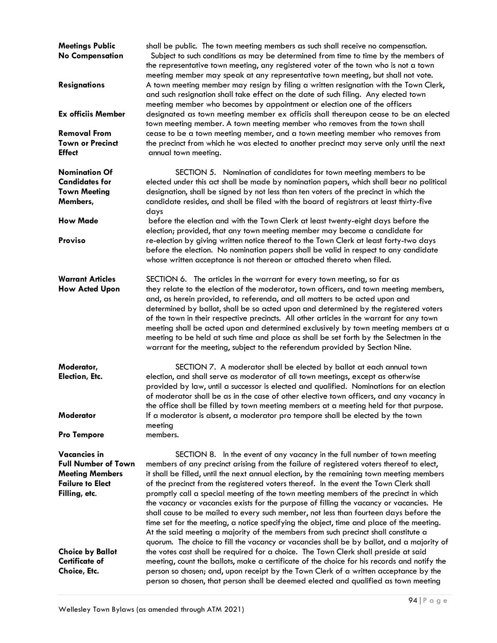| <b>Meetings Public</b><br><b>No Compensation</b><br><b>Resignations</b><br><b>Ex officiis Member</b><br><b>Removal From</b> | shall be public. The town meeting members as such shall receive no compensation.<br>Subject to such conditions as may be determined from time to time by the members of<br>the representative town meeting, any registered voter of the town who is not a town<br>meeting member may speak at any representative town meeting, but shall not vote.<br>A town meeting member may resign by filing a written resignation with the Town Clerk,<br>and such resignation shall take effect on the date of such filing. Any elected town<br>meeting member who becomes by appointment or election one of the officers<br>designated as town meeting member ex officiis shall thereupon cease to be an elected<br>town meeting member. A town meeting member who removes from the town shall<br>cease to be a town meeting member, and a town meeting member who removes from                                                 |
|-----------------------------------------------------------------------------------------------------------------------------|------------------------------------------------------------------------------------------------------------------------------------------------------------------------------------------------------------------------------------------------------------------------------------------------------------------------------------------------------------------------------------------------------------------------------------------------------------------------------------------------------------------------------------------------------------------------------------------------------------------------------------------------------------------------------------------------------------------------------------------------------------------------------------------------------------------------------------------------------------------------------------------------------------------------|
| <b>Town or Precinct</b><br><b>Effect</b>                                                                                    | the precinct from which he was elected to another precinct may serve only until the next<br>annual town meeting.                                                                                                                                                                                                                                                                                                                                                                                                                                                                                                                                                                                                                                                                                                                                                                                                       |
| <b>Nomination Of</b><br><b>Candidates for</b><br><b>Town Meeting</b><br>Members,<br><b>How Made</b><br><b>Proviso</b>       | SECTION 5. Nomination of candidates for town meeting members to be<br>elected under this act shall be made by nomination papers, which shall bear no political<br>designation, shall be signed by not less than ten voters of the precinct in which the<br>candidate resides, and shall be filed with the board of registrars at least thirty-five<br>days<br>before the election and with the Town Clerk at least twenty-eight days before the<br>election; provided, that any town meeting member may become a candidate for<br>re-election by giving written notice thereof to the Town Clerk at least forty-two days<br>before the election. No nomination papers shall be valid in respect to any candidate                                                                                                                                                                                                       |
| <b>Warrant Articles</b><br><b>How Acted Upon</b>                                                                            | whose written acceptance is not thereon or attached thereto when filed.<br>SECTION 6. The articles in the warrant for every town meeting, so far as<br>they relate to the election of the moderator, town officers, and town meeting members,<br>and, as herein provided, to referenda, and all matters to be acted upon and<br>determined by ballot, shall be so acted upon and determined by the registered voters<br>of the town in their respective precincts. All other articles in the warrant for any town<br>meeting shall be acted upon and determined exclusively by town meeting members at a<br>meeting to be held at such time and place as shall be set forth by the Selectmen in the<br>warrant for the meeting, subject to the referendum provided by Section Nine.                                                                                                                                    |
| Moderator,<br>Election, Etc.                                                                                                | SECTION 7. A moderator shall be elected by ballot at each annual town<br>election, and shall serve as moderator of all town meetings, except as otherwise<br>provided by law, until a successor is elected and qualified. Nominations for an election<br>of moderator shall be as in the case of other elective town officers, and any vacancy in<br>the office shall be filled by town meeting members at a meeting held for that purpose.                                                                                                                                                                                                                                                                                                                                                                                                                                                                            |
| Moderator<br><b>Pro Tempore</b>                                                                                             | If a moderator is absent, a moderator pro tempore shall be elected by the town<br>meeting<br>members.                                                                                                                                                                                                                                                                                                                                                                                                                                                                                                                                                                                                                                                                                                                                                                                                                  |
| <b>Vacancies in</b><br><b>Full Number of Town</b><br><b>Meeting Members</b><br><b>Failure to Elect</b><br>Filling, etc.     | SECTION 8. In the event of any vacancy in the full number of town meeting<br>members of any precinct arising from the failure of registered voters thereof to elect,<br>it shall be filled, until the next annual election, by the remaining town meeting members<br>of the precinct from the registered voters thereof. In the event the Town Clerk shall<br>promptly call a special meeting of the town meeting members of the precinct in which<br>the vacancy or vacancies exists for the purpose of filling the vacancy or vacancies. He<br>shall cause to be mailed to every such member, not less than fourteen days before the<br>time set for the meeting, a notice specifying the object, time and place of the meeting.<br>At the said meeting a majority of the members from such precinct shall constitute a<br>quorum. The choice to fill the vacancy or vacancies shall be by ballot, and a majority of |
| <b>Choice by Ballot</b><br><b>Certificate of</b><br>Choice, Etc.                                                            | the votes cast shall be required for a choice. The Town Clerk shall preside at said<br>meeting, count the ballots, make a certificate of the choice for his records and notify the<br>person so chosen; and, upon receipt by the Town Clerk of a written acceptance by the<br>person so chosen, that person shall be deemed elected and qualified as town meeting                                                                                                                                                                                                                                                                                                                                                                                                                                                                                                                                                      |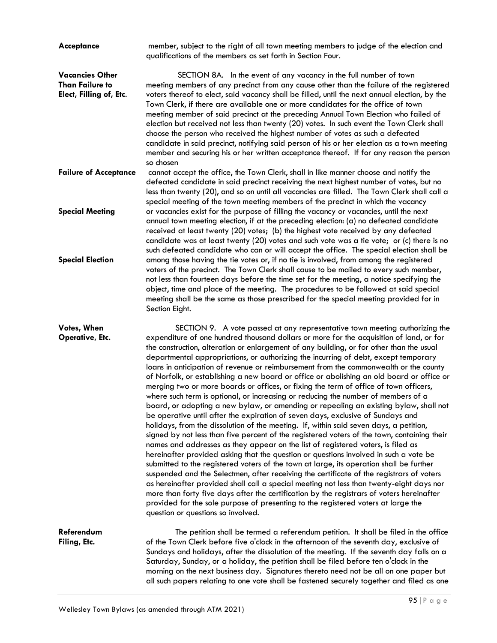| <b>Acceptance</b>                                                           | member, subject to the right of all town meeting members to judge of the election and<br>qualifications of the members as set forth in Section Four.                                                                                                                                                                                                                                                                                                                                                                                                                                                                                                                                                                                                                                                                                                                                                                                                                                                                                                                                                                                                                                                                                                                                                                                                                                                                                                                                                                                                                                                                                                                                                                                                                                       |
|-----------------------------------------------------------------------------|--------------------------------------------------------------------------------------------------------------------------------------------------------------------------------------------------------------------------------------------------------------------------------------------------------------------------------------------------------------------------------------------------------------------------------------------------------------------------------------------------------------------------------------------------------------------------------------------------------------------------------------------------------------------------------------------------------------------------------------------------------------------------------------------------------------------------------------------------------------------------------------------------------------------------------------------------------------------------------------------------------------------------------------------------------------------------------------------------------------------------------------------------------------------------------------------------------------------------------------------------------------------------------------------------------------------------------------------------------------------------------------------------------------------------------------------------------------------------------------------------------------------------------------------------------------------------------------------------------------------------------------------------------------------------------------------------------------------------------------------------------------------------------------------|
| <b>Vacancies Other</b><br><b>Than Failure to</b><br>Elect, Filling of, Etc. | SECTION 8A. In the event of any vacancy in the full number of town<br>meeting members of any precinct from any cause other than the failure of the registered<br>voters thereof to elect, said vacancy shall be filled, until the next annual election, by the<br>Town Clerk, if there are available one or more candidates for the office of town<br>meeting member of said precinct at the preceding Annual Town Election who failed of<br>election but received not less than twenty (20) votes. In such event the Town Clerk shall<br>choose the person who received the highest number of votes as such a defeated<br>candidate in said precinct, notifying said person of his or her election as a town meeting<br>member and securing his or her written acceptance thereof. If for any reason the person<br>so chosen                                                                                                                                                                                                                                                                                                                                                                                                                                                                                                                                                                                                                                                                                                                                                                                                                                                                                                                                                              |
| <b>Failure of Acceptance</b>                                                | cannot accept the office, the Town Clerk, shall in like manner choose and notify the<br>defeated candidate in said precinct receiving the next highest number of votes, but no<br>less than twenty (20), and so on until all vacancies are filled. The Town Clerk shall call a<br>special meeting of the town meeting members of the precinct in which the vacancy                                                                                                                                                                                                                                                                                                                                                                                                                                                                                                                                                                                                                                                                                                                                                                                                                                                                                                                                                                                                                                                                                                                                                                                                                                                                                                                                                                                                                         |
| <b>Special Meeting</b><br><b>Special Election</b>                           | or vacancies exist for the purpose of filling the vacancy or vacancies, until the next<br>annual town meeting election, if at the preceding election: (a) no defeated candidate<br>received at least twenty (20) votes; (b) the highest vote received by any defeated<br>candidate was at least twenty (20) votes and such vote was a tie vote; or (c) there is no<br>such defeated candidate who can or will accept the office. The special election shall be<br>among those having the tie votes or, if no tie is involved, from among the registered                                                                                                                                                                                                                                                                                                                                                                                                                                                                                                                                                                                                                                                                                                                                                                                                                                                                                                                                                                                                                                                                                                                                                                                                                                    |
|                                                                             | voters of the precinct. The Town Clerk shall cause to be mailed to every such member,<br>not less than fourteen days before the time set for the meeting, a notice specifying the<br>object, time and place of the meeting. The procedures to be followed at said special<br>meeting shall be the same as those prescribed for the special meeting provided for in<br>Section Eight.                                                                                                                                                                                                                                                                                                                                                                                                                                                                                                                                                                                                                                                                                                                                                                                                                                                                                                                                                                                                                                                                                                                                                                                                                                                                                                                                                                                                       |
| Votes, When<br>Operative, Etc.                                              | SECTION 9. A vote passed at any representative town meeting authorizing the<br>expenditure of one hundred thousand dollars or more for the acquisition of land, or for<br>the construction, alteration or enlargement of any building, or for other than the usual<br>departmental appropriations, or authorizing the incurring of debt, except temporary<br>loans in anticipation of revenue or reimbursement from the commonwealth or the county<br>of Norfolk, or establishing a new board or office or abolishing an old board or office or<br>merging two or more boards or offices, or fixing the term of office of town officers,<br>where such term is optional, or increasing or reducing the number of members of a<br>board, or adopting a new bylaw, or amending or repealing an existing bylaw, shall not<br>be operative until after the expiration of seven days, exclusive of Sundays and<br>holidays, from the dissolution of the meeting. If, within said seven days, a petition,<br>signed by not less than five percent of the registered voters of the town, containing their<br>names and addresses as they appear on the list of registered voters, is filed as<br>hereinafter provided asking that the question or questions involved in such a vote be<br>submitted to the registered voters of the town at large, its operation shall be further<br>suspended and the Selectmen, after receiving the certificate of the registrars of voters<br>as hereinafter provided shall call a special meeting not less than twenty-eight days nor<br>more than forty five days after the certification by the registrars of voters hereinafter<br>provided for the sole purpose of presenting to the registered voters at large the<br>question or questions so involved. |
| Referendum<br>Filing, Etc.                                                  | The petition shall be termed a referendum petition. It shall be filed in the office<br>of the Town Clerk before five o'clock in the afternoon of the seventh day, exclusive of<br>Sundays and holidays, after the dissolution of the meeting. If the seventh day falls on a<br>Saturday, Sunday, or a holiday, the petition shall be filed before ten o'clock in the                                                                                                                                                                                                                                                                                                                                                                                                                                                                                                                                                                                                                                                                                                                                                                                                                                                                                                                                                                                                                                                                                                                                                                                                                                                                                                                                                                                                                       |

morning on the next business day. Signatures thereto need not be all on one paper but all such papers relating to one vote shall be fastened securely together and filed as one

Wellesley Town Bylaws (as amended through ATM 2021)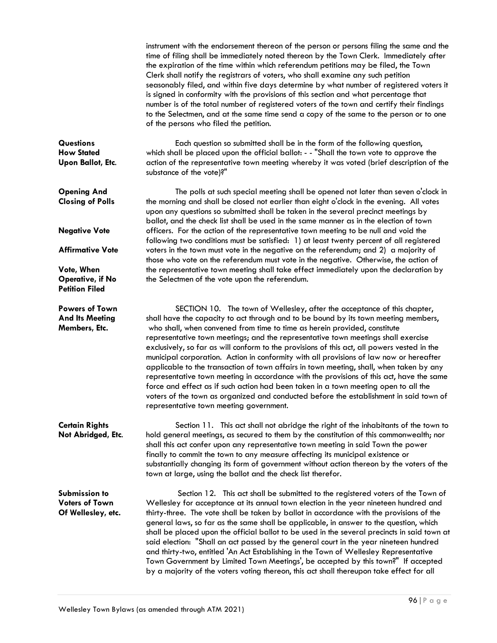instrument with the endorsement thereon of the person or persons filing the same and the time of filing shall be immediately noted thereon by the Town Clerk. Immediately after the expiration of the time within which referendum petitions may be filed, the Town Clerk shall notify the registrars of voters, who shall examine any such petition seasonably filed, and within five days determine by what number of registered voters it is signed in conformity with the provisions of this section and what percentage that number is of the total number of registered voters of the town and certify their findings to the Selectmen, and at the same time send a copy of the same to the person or to one of the persons who filed the petition.

**Questions** Each question so submitted shall be in the form of the following question, **How Stated** which shall be placed upon the official ballot: - - "Shall the town vote to approve the **Upon Ballot, Etc.** action of the representative town meeting whereby it was voted (brief description of the substance of the vote)?"

**Opening And** The polls at such special meeting shall be opened not later than seven o'clock in **Closing of Polls** the morning and shall be closed not earlier than eight o'clock in the evening. All votes upon any questions so submitted shall be taken in the several precinct meetings by ballot, and the check list shall be used in the same manner as in the election of town **Negative Vote** officers. For the action of the representative town meeting to be null and void the following two conditions must be satisfied: 1) at least twenty percent of all registered **Affirmative Vote** voters in the town must vote in the negative on the referendum; and 2) a majority of those who vote on the referendum must vote in the negative. Otherwise, the action of **Vote, When the representative town meeting shall take effect immediately upon the declaration by Operative, if No** the Selectmen of the vote upon the referendum.

**Powers of Town** SECTION 10. The town of Wellesley, after the acceptance of this chapter, And Its Meeting shall have the capacity to act through and to be bound by its town meeting members, **Members, Etc.** who shall, when convened from time to time as herein provided, constitute representative town meetings; and the representative town meetings shall exercise exclusively, so far as will conform to the provisions of this act, all powers vested in the municipal corporation. Action in conformity with all provisions of law now or hereafter applicable to the transaction of town affairs in town meeting, shall, when taken by any representative town meeting in accordance with the provisions of this act, have the same force and effect as if such action had been taken in a town meeting open to all the voters of the town as organized and conducted before the establishment in said town of representative town meeting government.

**Certain Rights** Section 11. This act shall not abridge the right of the inhabitants of the town to **Not Abridged, Etc**. hold general meetings, as secured to them by the constitution of this commonwealth; nor shall this act confer upon any representative town meeting in said Town the power finally to commit the town to any measure affecting its municipal existence or substantially changing its form of government without action thereon by the voters of the town at large, using the ballot and the check list therefor.

**Submission to** Section 12. This act shall be submitted to the registered voters of the Town of **Voters of Town** Wellesley for acceptance at its annual town election in the year nineteen hundred and **Of Wellesley, etc.** thirty-three. The vote shall be taken by ballot in accordance with the provisions of the general laws, so far as the same shall be applicable, in answer to the question, which shall be placed upon the official ballot to be used in the several precincts in said town at said election: "Shall an act passed by the general court in the year nineteen hundred and thirty-two, entitled 'An Act Establishing in the Town of Wellesley Representative Town Government by Limited Town Meetings', be accepted by this town?" If accepted by a majority of the voters voting thereon, this act shall thereupon take effect for all

**Petition Filed**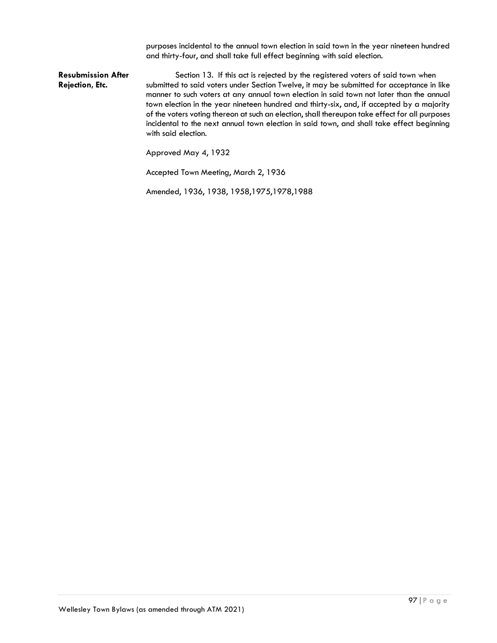purposes incidental to the annual town election in said town in the year nineteen hundred and thirty-four, and shall take full effect beginning with said election.

**Resubmission After** Section 13. If this act is rejected by the registered voters of said town when Rejection, Etc. **Submitted to said voters under Section Twelve, it may be submitted for acceptance in like** manner to such voters at any annual town election in said town not later than the annual town election in the year nineteen hundred and thirty-six, and, if accepted by a majority of the voters voting thereon at such an election, shall thereupon take effect for all purposes incidental to the next annual town election in said town, and shall take effect beginning with said election.

Approved May 4, 1932

Accepted Town Meeting, March 2, 1936

Amended, 1936, 1938, 1958,1975,1978,1988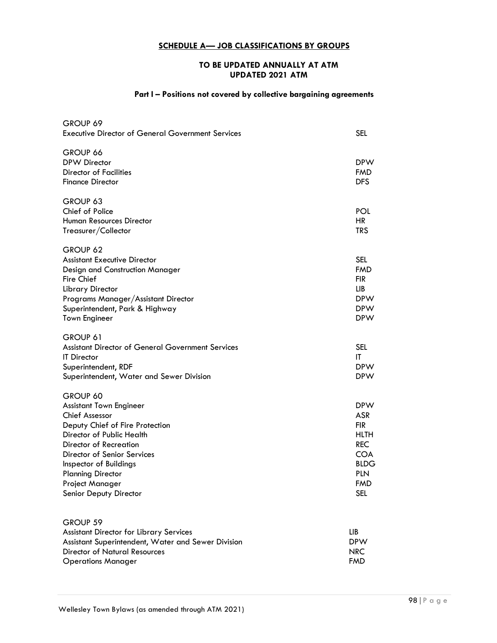# **SCHEDULE A— JOB CLASSIFICATIONS BY GROUPS**

## **TO BE UPDATED ANNUALLY AT ATM UPDATED 2021 ATM**

# **Part I – Positions not covered by collective bargaining agreements**

| GROUP 69<br><b>Executive Director of General Government Services</b>                                                                                                                                                                                                                            | <b>SEL</b>                                                                                                                                 |
|-------------------------------------------------------------------------------------------------------------------------------------------------------------------------------------------------------------------------------------------------------------------------------------------------|--------------------------------------------------------------------------------------------------------------------------------------------|
| GROUP 66<br><b>DPW Director</b><br><b>Director of Facilities</b><br><b>Finance Director</b>                                                                                                                                                                                                     | <b>DPW</b><br><b>FMD</b><br><b>DFS</b>                                                                                                     |
| GROUP 63<br>Chief of Police<br><b>Human Resources Director</b><br>Treasurer/Collector                                                                                                                                                                                                           | POL<br><b>HR</b><br><b>TRS</b>                                                                                                             |
| GROUP 62<br><b>Assistant Executive Director</b><br><b>Design and Construction Manager</b><br><b>Fire Chief</b><br><b>Library Director</b><br>Programs Manager/Assistant Director<br>Superintendent, Park & Highway<br><b>Town Engineer</b>                                                      | <b>SEL</b><br><b>FMD</b><br><b>FIR</b><br>LIB<br><b>DPW</b><br><b>DPW</b><br><b>DPW</b>                                                    |
| GROUP 61<br><b>Assistant Director of General Government Services</b><br><b>IT</b> Director<br>Superintendent, RDF<br>Superintendent, Water and Sewer Division                                                                                                                                   | <b>SEL</b><br>IT<br><b>DPW</b><br><b>DPW</b>                                                                                               |
| GROUP 60<br><b>Assistant Town Engineer</b><br><b>Chief Assessor</b><br>Deputy Chief of Fire Protection<br>Director of Public Health<br>Director of Recreation<br>Director of Senior Services<br>Inspector of Buildings<br><b>Planning Director</b><br>Project Manager<br>Senior Deputy Director | <b>DPW</b><br><b>ASR</b><br><b>FIR</b><br><b>HLTH</b><br><b>REC</b><br><b>COA</b><br><b>BLDG</b><br><b>PLN</b><br><b>FMD</b><br><b>SEL</b> |
| GROUP 59<br><b>Assistant Director for Library Services</b><br>Assistant Superintendent, Water and Sewer Division<br><b>Director of Natural Resources</b><br><b>Operations Manager</b>                                                                                                           | ЦB<br><b>DPW</b><br><b>NRC</b><br><b>FMD</b>                                                                                               |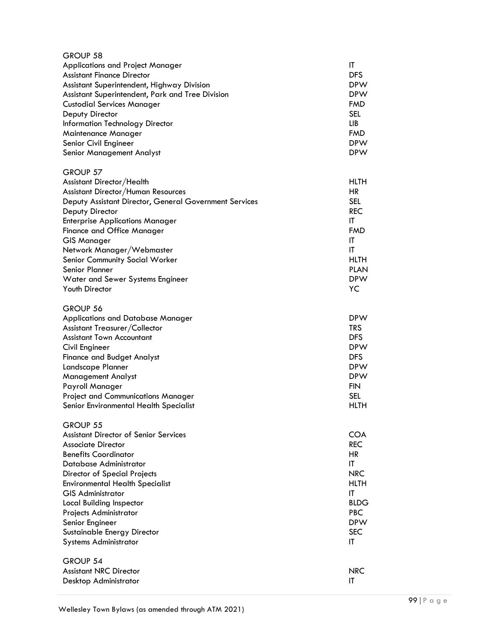| GROUP 58                                               |             |
|--------------------------------------------------------|-------------|
| Applications and Project Manager                       | IT          |
| <b>Assistant Finance Director</b>                      | <b>DFS</b>  |
| Assistant Superintendent, Highway Division             | <b>DPW</b>  |
| Assistant Superintendent, Park and Tree Division       | <b>DPW</b>  |
| <b>Custodial Services Manager</b>                      | <b>FMD</b>  |
| Deputy Director                                        | <b>SEL</b>  |
| Information Technology Director                        | ЦB          |
| Maintenance Manager                                    | <b>FMD</b>  |
| Senior Civil Engineer                                  | <b>DPW</b>  |
| Senior Management Analyst                              | <b>DPW</b>  |
| GROUP 57                                               |             |
| Assistant Director/Health                              | <b>HLTH</b> |
| Assistant Director/Human Resources                     | <b>HR</b>   |
| Deputy Assistant Director, General Government Services | <b>SEL</b>  |
| Deputy Director                                        | <b>REC</b>  |
| <b>Enterprise Applications Manager</b>                 | IT          |
| <b>Finance and Office Manager</b>                      | <b>FMD</b>  |
| <b>GIS Manager</b>                                     | ΙT          |
| Network Manager/Webmaster                              | IT          |
| Senior Community Social Worker                         | <b>HLTH</b> |
| Senior Planner                                         | <b>PLAN</b> |
| Water and Sewer Systems Engineer                       | <b>DPW</b>  |
| Youth Director                                         | YC          |
| GROUP 56                                               |             |
| <b>Applications and Database Manager</b>               | <b>DPW</b>  |
| Assistant Treasurer/Collector                          | <b>TRS</b>  |
| <b>Assistant Town Accountant</b>                       | <b>DFS</b>  |
| Civil Engineer                                         | <b>DPW</b>  |
| <b>Finance and Budget Analyst</b>                      | <b>DFS</b>  |
| Landscape Planner                                      | <b>DPW</b>  |
| Management Analyst                                     | <b>DPW</b>  |
| Payroll Manager                                        | <b>FIN</b>  |
| <b>Project and Communications Manager</b>              | <b>SEL</b>  |
| Senior Environmental Health Specialist                 | <b>HLTH</b> |
| GROUP 55                                               |             |
| <b>Assistant Director of Senior Services</b>           | COA         |
| <b>Associate Director</b>                              | <b>REC</b>  |
| <b>Benefits Coordinator</b>                            | HR          |
| Database Administrator                                 | IT          |
| <b>Director of Special Projects</b>                    | <b>NRC</b>  |
| <b>Environmental Health Specialist</b>                 | HLTH        |
| <b>GIS Administrator</b>                               | IT          |
| Local Building Inspector                               | <b>BLDG</b> |
| Projects Administrator                                 | <b>PBC</b>  |
| Senior Engineer                                        | <b>DPW</b>  |
| Sustainable Energy Director                            | <b>SEC</b>  |
| <b>Systems Administrator</b>                           | IT          |
| GROUP 54                                               |             |
| <b>Assistant NRC Director</b>                          | <b>NRC</b>  |
| Desktop Administrator                                  | IT          |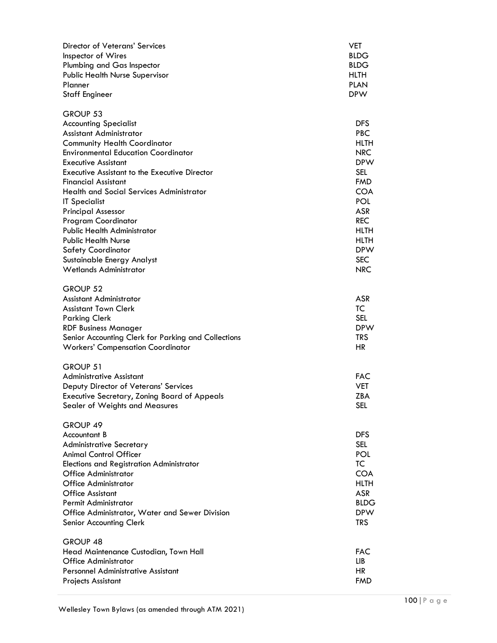| Director of Veterans' Services<br>Inspector of Wires<br>Plumbing and Gas Inspector<br><b>Public Health Nurse Supervisor</b><br>Planner<br><b>Staff Engineer</b>                                                                                                                                                                                                                                                                                                                                                                                                                    | VET<br><b>BLDG</b><br><b>BLDG</b><br><b>HLTH</b><br><b>PLAN</b><br><b>DPW</b>                                                                                                                                     |
|------------------------------------------------------------------------------------------------------------------------------------------------------------------------------------------------------------------------------------------------------------------------------------------------------------------------------------------------------------------------------------------------------------------------------------------------------------------------------------------------------------------------------------------------------------------------------------|-------------------------------------------------------------------------------------------------------------------------------------------------------------------------------------------------------------------|
| GROUP 53<br><b>Accounting Specialist</b><br>Assistant Administrator<br><b>Community Health Coordinator</b><br><b>Environmental Education Coordinator</b><br><b>Executive Assistant</b><br><b>Executive Assistant to the Executive Director</b><br><b>Financial Assistant</b><br><b>Health and Social Services Administrator</b><br><b>IT Specialist</b><br><b>Principal Assessor</b><br><b>Program Coordinator</b><br><b>Public Health Administrator</b><br><b>Public Health Nurse</b><br><b>Safety Coordinator</b><br>Sustainable Energy Analyst<br><b>Wetlands Administrator</b> | <b>DFS</b><br><b>PBC</b><br><b>HLTH</b><br>NRC<br><b>DPW</b><br>SEL<br><b>FMD</b><br><b>COA</b><br><b>POL</b><br><b>ASR</b><br><b>REC</b><br><b>HLTH</b><br><b>HLTH</b><br><b>DPW</b><br><b>SEC</b><br><b>NRC</b> |
| GROUP 52<br>Assistant Administrator<br><b>Assistant Town Clerk</b><br><b>Parking Clerk</b><br><b>RDF Business Manager</b><br>Senior Accounting Clerk for Parking and Collections<br><b>Workers' Compensation Coordinator</b>                                                                                                                                                                                                                                                                                                                                                       | <b>ASR</b><br><b>TC</b><br><b>SEL</b><br><b>DPW</b><br><b>TRS</b><br>HR.                                                                                                                                          |
| GROUP 51<br><b>Administrative Assistant</b><br>Deputy Director of Veterans' Services<br><b>Executive Secretary, Zoning Board of Appeals</b><br>Sealer of Weights and Measures                                                                                                                                                                                                                                                                                                                                                                                                      | <b>FAC</b><br><b>VET</b><br><b>ZBA</b><br>SEL.                                                                                                                                                                    |
| GROUP 49<br>Accountant B<br><b>Administrative Secretary</b><br><b>Animal Control Officer</b><br><b>Elections and Registration Administrator</b><br>Office Administrator<br><b>Office Administrator</b><br><b>Office Assistant</b><br>Permit Administrator<br>Office Administrator, Water and Sewer Division<br>Senior Accounting Clerk                                                                                                                                                                                                                                             | DFS<br>SEL<br><b>POL</b><br>TC<br><b>COA</b><br><b>HLTH</b><br><b>ASR</b><br><b>BLDG</b><br><b>DPW</b><br><b>TRS</b>                                                                                              |
| GROUP <sub>48</sub><br>Head Maintenance Custodian, Town Hall<br>Office Administrator<br><b>Personnel Administrative Assistant</b><br><b>Projects Assistant</b>                                                                                                                                                                                                                                                                                                                                                                                                                     | <b>FAC</b><br>LIB.<br><b>HR</b><br><b>FMD</b>                                                                                                                                                                     |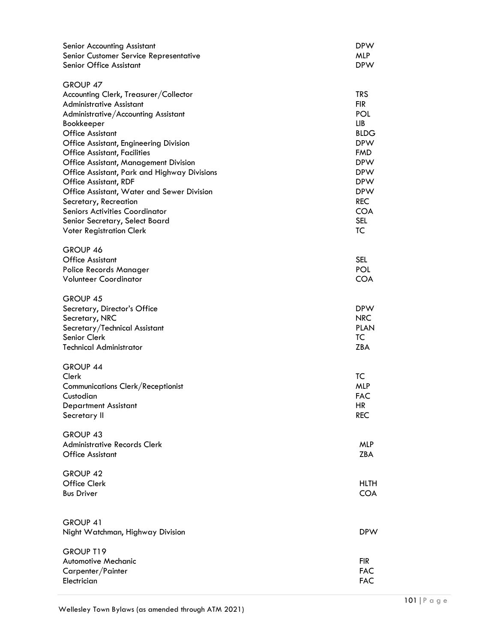| Senior Accounting Assistant<br>Senior Customer Service Representative<br>Senior Office Assistant                                                                                                                                                                                                                                                                                                                                                                                                                                                                    | <b>DPW</b><br><b>MLP</b><br><b>DPW</b>                                                                                                                                                    |
|---------------------------------------------------------------------------------------------------------------------------------------------------------------------------------------------------------------------------------------------------------------------------------------------------------------------------------------------------------------------------------------------------------------------------------------------------------------------------------------------------------------------------------------------------------------------|-------------------------------------------------------------------------------------------------------------------------------------------------------------------------------------------|
| GROUP 47<br>Accounting Clerk, Treasurer/Collector<br><b>Administrative Assistant</b><br>Administrative/Accounting Assistant<br>Bookkeeper<br><b>Office Assistant</b><br><b>Office Assistant, Engineering Division</b><br><b>Office Assistant, Facilities</b><br>Office Assistant, Management Division<br>Office Assistant, Park and Highway Divisions<br>Office Assistant, RDF<br>Office Assistant, Water and Sewer Division<br>Secretary, Recreation<br><b>Seniors Activities Coordinator</b><br>Senior Secretary, Select Board<br><b>Voter Registration Clerk</b> | <b>TRS</b><br><b>FIR</b><br>POL<br>LIB<br><b>BLDG</b><br><b>DPW</b><br><b>FMD</b><br><b>DPW</b><br><b>DPW</b><br><b>DPW</b><br><b>DPW</b><br><b>REC</b><br><b>COA</b><br><b>SEL</b><br>TC |
| GROUP 46<br><b>Office Assistant</b><br>Police Records Manager<br><b>Volunteer Coordinator</b>                                                                                                                                                                                                                                                                                                                                                                                                                                                                       | <b>SEL</b><br><b>POL</b><br><b>COA</b>                                                                                                                                                    |
| GROUP 45<br>Secretary, Director's Office<br>Secretary, NRC<br>Secretary/Technical Assistant<br>Senior Clerk<br><b>Technical Administrator</b>                                                                                                                                                                                                                                                                                                                                                                                                                       | <b>DPW</b><br><b>NRC</b><br>PLAN<br>TC<br><b>ZBA</b>                                                                                                                                      |
| GROUP 44<br>Clerk<br><b>Communications Clerk/Receptionist</b><br>Custodian<br><b>Department Assistant</b><br>Secretary II                                                                                                                                                                                                                                                                                                                                                                                                                                           | ТC<br><b>MLP</b><br><b>FAC</b><br><b>HR</b><br><b>REC</b>                                                                                                                                 |
| GROUP 43<br><b>Administrative Records Clerk</b><br><b>Office Assistant</b>                                                                                                                                                                                                                                                                                                                                                                                                                                                                                          | <b>MLP</b><br>ZBA                                                                                                                                                                         |
| GROUP 42<br>Office Clerk<br><b>Bus Driver</b>                                                                                                                                                                                                                                                                                                                                                                                                                                                                                                                       | HLTH<br><b>COA</b>                                                                                                                                                                        |
| GROUP 41<br>Night Watchman, Highway Division                                                                                                                                                                                                                                                                                                                                                                                                                                                                                                                        | <b>DPW</b>                                                                                                                                                                                |
| GROUP T19<br><b>Automotive Mechanic</b><br>Carpenter/Painter<br>Electrician                                                                                                                                                                                                                                                                                                                                                                                                                                                                                         | <b>FIR</b><br><b>FAC</b><br><b>FAC</b>                                                                                                                                                    |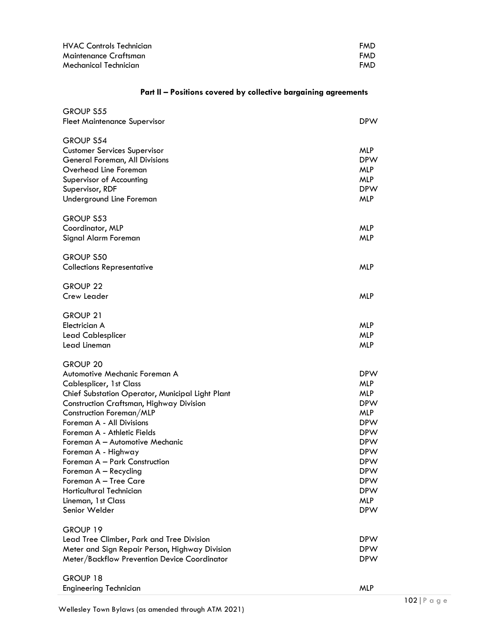| HVAC Controls Technician | FMD        |
|--------------------------|------------|
| Maintenance Craftsman    | <b>FMD</b> |
| Mechanical Technician    | <b>FMD</b> |

# **Part II – Positions covered by collective bargaining agreements**

| <b>GROUP S55</b><br>Fleet Maintenance Supervisor                                                                                                                                                                                                                                                                                                                                                                                                                                           | <b>DPW</b>                                                                                                                                                                                                     |
|--------------------------------------------------------------------------------------------------------------------------------------------------------------------------------------------------------------------------------------------------------------------------------------------------------------------------------------------------------------------------------------------------------------------------------------------------------------------------------------------|----------------------------------------------------------------------------------------------------------------------------------------------------------------------------------------------------------------|
| GROUP S54<br><b>Customer Services Supervisor</b><br>General Foreman, All Divisions<br>Overhead Line Foreman<br>Supervisor of Accounting<br>Supervisor, RDF<br>Underground Line Foreman                                                                                                                                                                                                                                                                                                     | <b>MLP</b><br><b>DPW</b><br><b>MLP</b><br><b>MLP</b><br><b>DPW</b><br><b>MLP</b>                                                                                                                               |
| <b>GROUP S53</b><br>Coordinator, MLP<br>Signal Alarm Foreman                                                                                                                                                                                                                                                                                                                                                                                                                               | <b>MLP</b><br><b>MLP</b>                                                                                                                                                                                       |
| <b>GROUP S50</b><br><b>Collections Representative</b>                                                                                                                                                                                                                                                                                                                                                                                                                                      | <b>MLP</b>                                                                                                                                                                                                     |
| GROUP <sub>22</sub><br>Crew Leader                                                                                                                                                                                                                                                                                                                                                                                                                                                         | <b>MLP</b>                                                                                                                                                                                                     |
| <b>GROUP 21</b><br>Electrician A<br><b>Lead Cablesplicer</b><br>Lead Lineman                                                                                                                                                                                                                                                                                                                                                                                                               | <b>MLP</b><br><b>MLP</b><br><b>MLP</b>                                                                                                                                                                         |
| <b>GROUP 20</b><br>Automotive Mechanic Foreman A<br><b>Cablesplicer, 1st Class</b><br>Chief Substation Operator, Municipal Light Plant<br>Construction Craftsman, Highway Division<br>Construction Foreman/MLP<br>Foreman A - All Divisions<br>Foreman A - Athletic Fields<br>Foreman A - Automotive Mechanic<br>Foreman A - Highway<br>Foreman A - Park Construction<br>Foreman A - Recycling<br>Foreman A - Tree Care<br>Horticultural Technician<br>Lineman, 1st Class<br>Senior Welder | <b>DPW</b><br><b>MLP</b><br><b>MLP</b><br><b>DPW</b><br><b>MLP</b><br><b>DPW</b><br><b>DPW</b><br><b>DPW</b><br><b>DPW</b><br><b>DPW</b><br><b>DPW</b><br><b>DPW</b><br><b>DPW</b><br><b>MLP</b><br><b>DPW</b> |
| GROUP 19<br>Lead Tree Climber, Park and Tree Division<br>Meter and Sign Repair Person, Highway Division<br>Meter/Backflow Prevention Device Coordinator                                                                                                                                                                                                                                                                                                                                    | <b>DPW</b><br><b>DPW</b><br><b>DPW</b>                                                                                                                                                                         |
| GROUP 18<br><b>Engineering Technician</b>                                                                                                                                                                                                                                                                                                                                                                                                                                                  | <b>MLP</b>                                                                                                                                                                                                     |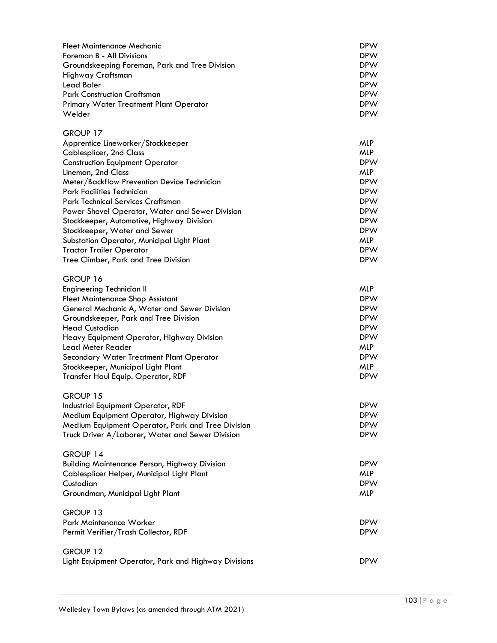| <b>Fleet Maintenance Mechanic</b><br>Foreman B - All Divisions<br>Groundskeeping Foreman, Park and Tree Division<br>Highway Craftsman<br><b>Lead Baler</b><br><b>Park Construction Craftsman</b><br>Primary Water Treatment Plant Operator<br>Welder                                                                                                                                                                                                                                                                              | <b>DPW</b><br><b>DPW</b><br><b>DPW</b><br><b>DPW</b><br><b>DPW</b><br><b>DPW</b><br><b>DPW</b><br><b>DPW</b>                                                                       |
|-----------------------------------------------------------------------------------------------------------------------------------------------------------------------------------------------------------------------------------------------------------------------------------------------------------------------------------------------------------------------------------------------------------------------------------------------------------------------------------------------------------------------------------|------------------------------------------------------------------------------------------------------------------------------------------------------------------------------------|
| GROUP 17<br>Apprentice Lineworker/Stockkeeper<br><b>Cablesplicer, 2nd Class</b><br><b>Construction Equipment Operator</b><br>Lineman, 2nd Class<br>Meter/Backflow Prevention Device Technician<br><b>Park Facilities Technician</b><br>Park Technical Services Craftsman<br>Power Shovel Operator, Water and Sewer Division<br>Stockkeeper, Automotive, Highway Division<br>Stockkeeper, Water and Sewer<br>Substation Operator, Municipal Light Plant<br><b>Tractor Trailer Operator</b><br>Tree Climber, Park and Tree Division | <b>MLP</b><br><b>MLP</b><br><b>DPW</b><br><b>MLP</b><br><b>DPW</b><br><b>DPW</b><br><b>DPW</b><br><b>DPW</b><br><b>DPW</b><br><b>DPW</b><br><b>MLP</b><br><b>DPW</b><br><b>DPW</b> |
| GROUP 16<br><b>Engineering Technician II</b><br><b>Fleet Maintenance Shop Assistant</b><br>General Mechanic A, Water and Sewer Division<br>Groundskeeper, Park and Tree Division<br><b>Head Custodian</b><br>Heavy Equipment Operator, Highway Division<br>Lead Meter Reader<br>Secondary Water Treatment Plant Operator<br>Stockkeeper, Municipal Light Plant<br>Transfer Haul Equip. Operator, RDF                                                                                                                              | <b>MLP</b><br><b>DPW</b><br><b>DPW</b><br><b>DPW</b><br><b>DPW</b><br><b>DPW</b><br><b>MLP</b><br><b>DPW</b><br><b>MLP</b><br><b>DPW</b>                                           |
| GROUP 15<br>Industrial Equipment Operator, RDF<br>Medium Equipment Operator, Highway Division<br>Medium Equipment Operator, Park and Tree Division<br>Truck Driver A/Laborer, Water and Sewer Division                                                                                                                                                                                                                                                                                                                            | <b>DPW</b><br><b>DPW</b><br><b>DPW</b><br><b>DPW</b>                                                                                                                               |
| GROUP 14<br><b>Building Maintenance Person, Highway Division</b><br>Cablesplicer Helper, Municipal Light Plant<br>Custodian<br>Groundman, Municipal Light Plant                                                                                                                                                                                                                                                                                                                                                                   | <b>DPW</b><br>MLP<br><b>DPW</b><br><b>MLP</b>                                                                                                                                      |
| GROUP 13<br>Park Maintenance Worker<br>Permit Verifier/Trash Collector, RDF                                                                                                                                                                                                                                                                                                                                                                                                                                                       | <b>DPW</b><br><b>DPW</b>                                                                                                                                                           |
| GROUP 12<br>Light Equipment Operator, Park and Highway Divisions                                                                                                                                                                                                                                                                                                                                                                                                                                                                  | <b>DPW</b>                                                                                                                                                                         |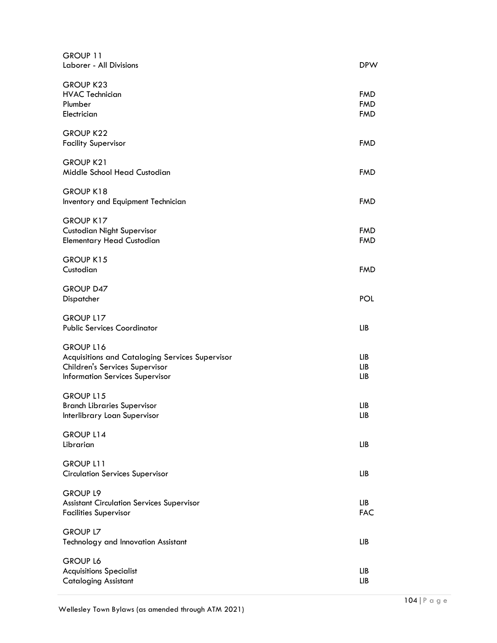| GROUP 11<br>Laborer - All Divisions                                                                                                      | <b>DPW</b>                             |
|------------------------------------------------------------------------------------------------------------------------------------------|----------------------------------------|
| <b>GROUP K23</b><br><b>HVAC Technician</b><br>Plumber<br>Electrician                                                                     | <b>FMD</b><br><b>FMD</b><br><b>FMD</b> |
| <b>GROUP K22</b><br><b>Facility Supervisor</b>                                                                                           | <b>FMD</b>                             |
| <b>GROUP K21</b><br>Middle School Head Custodian                                                                                         | <b>FMD</b>                             |
| GROUP K18<br>Inventory and Equipment Technician                                                                                          | <b>FMD</b>                             |
| <b>GROUP K17</b><br><b>Custodian Night Supervisor</b><br><b>Elementary Head Custodian</b>                                                | <b>FMD</b><br><b>FMD</b>               |
| GROUP K15<br>Custodian                                                                                                                   | <b>FMD</b>                             |
| GROUP D47<br>Dispatcher                                                                                                                  | POL                                    |
| GROUP L17<br><b>Public Services Coordinator</b>                                                                                          | LIB                                    |
| GROUP L16<br>Acquisitions and Cataloging Services Supervisor<br>Children's Services Supervisor<br><b>Information Services Supervisor</b> | LIB<br>LIB<br>LIB                      |
| <b>GROUP L15</b><br><b>Branch Libraries Supervisor</b><br>Interlibrary Loan Supervisor                                                   | LІВ<br>LIB                             |
| GROUP L14<br>Librarian                                                                                                                   | LIB                                    |
| <b>GROUP L11</b><br><b>Circulation Services Supervisor</b>                                                                               | LIB                                    |
| <b>GROUP L9</b><br><b>Assistant Circulation Services Supervisor</b><br><b>Facilities Supervisor</b>                                      | LIB<br><b>FAC</b>                      |
| <b>GROUP L7</b><br>Technology and Innovation Assistant                                                                                   | LIB                                    |
| <b>GROUP L6</b><br><b>Acquisitions Specialist</b><br><b>Cataloging Assistant</b>                                                         | LIB<br>LIB                             |